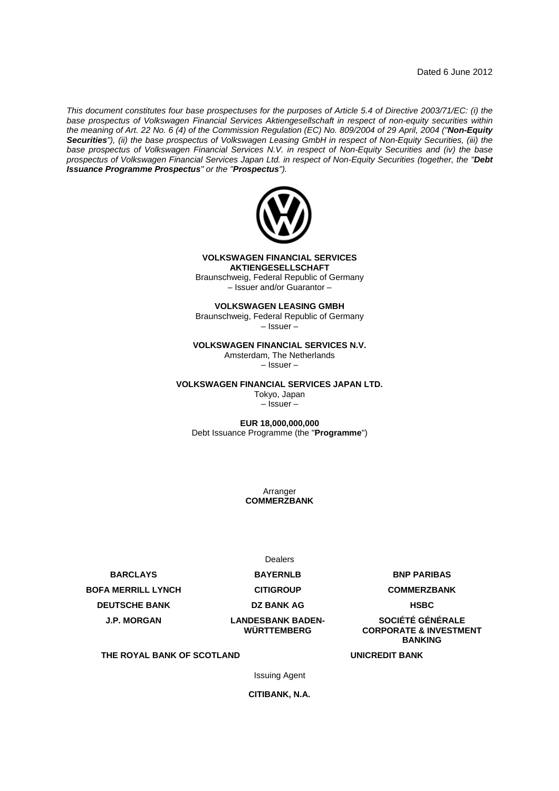*This document constitutes four base prospectuses for the purposes of Article 5.4 of Directive 2003/71/EC: (i) the base prospectus of Volkswagen Financial Services Aktiengesellschaft in respect of non-equity securities within the meaning of Art. 22 No. 6 (4) of the Commission Regulation (EC) No. 809/2004 of 29 April, 2004 ("Non-Equity Securities"), (ii) the base prospectus of Volkswagen Leasing GmbH in respect of Non-Equity Securities, (iii) the base prospectus of Volkswagen Financial Services N.V. in respect of Non-Equity Securities and (iv) the base prospectus of Volkswagen Financial Services Japan Ltd. in respect of Non-Equity Securities (together, the "Debt Issuance Programme Prospectus" or the "Prospectus").*



**VOLKSWAGEN FINANCIAL SERVICES AKTIENGESELLSCHAFT**

Braunschweig, Federal Republic of Germany – Issuer and/or Guarantor –

**VOLKSWAGEN LEASING GMBH**

Braunschweig, Federal Republic of Germany – Issuer –

**VOLKSWAGEN FINANCIAL SERVICES N.V.**

Amsterdam, The Netherlands

– Issuer –

**VOLKSWAGEN FINANCIAL SERVICES JAPAN LTD.**

Tokyo, Japan – Issuer –

**EUR 18,000,000,000** Debt Issuance Programme (the "**Programme**")

> Arranger **COMMERZBANK**

**BARCLAYS BAYERNLB BNP PARIBAS BOFA MERRILL LYNCH CITIGROUP COMMERZBANK DEUTSCHE BANK CONSUMING BANK AG HSBC J.P. MORGAN LANDESBANK BADEN-**

Dealers

**WÜRTTEMBERG**

**SOCIÉTÉ GÉNÉRALE CORPORATE & INVESTMENT BANKING**

**THE ROYAL BANK OF SCOTLAND UNICREDIT BANK**

Issuing Agent

**CITIBANK, N.A.**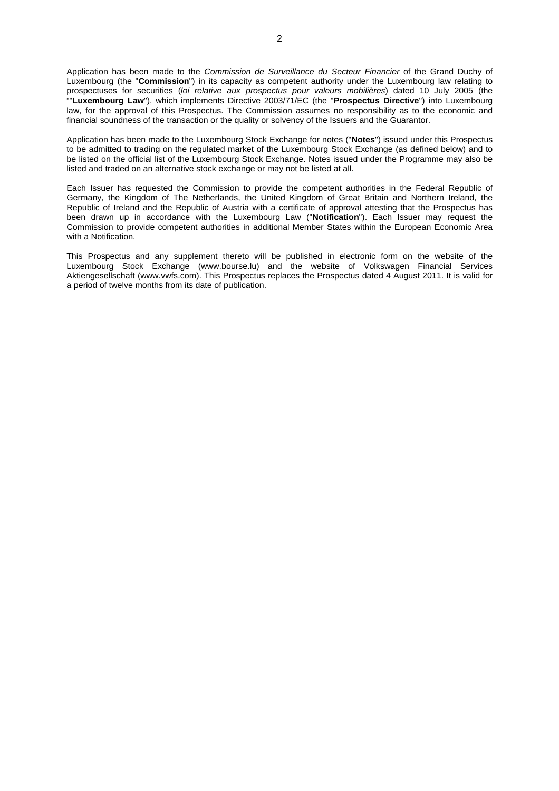Application has been made to the *Commission de Surveillance du Secteur Financier* of the Grand Duchy of Luxembourg (the "**Commission**") in its capacity as competent authority under the Luxembourg law relating to prospectuses for securities (*loi relative aux prospectus pour valeurs mobilières*) dated 10 July 2005 (the ""**Luxembourg Law**"), which implements Directive 2003/71/EC (the "**Prospectus Directive**") into Luxembourg law, for the approval of this Prospectus. The Commission assumes no responsibility as to the economic and financial soundness of the transaction or the quality or solvency of the Issuers and the Guarantor.

Application has been made to the Luxembourg Stock Exchange for notes ("**Notes**") issued under this Prospectus to be admitted to trading on the regulated market of the Luxembourg Stock Exchange (as defined below) and to be listed on the official list of the Luxembourg Stock Exchange. Notes issued under the Programme may also be listed and traded on an alternative stock exchange or may not be listed at all.

Each Issuer has requested the Commission to provide the competent authorities in the Federal Republic of Germany, the Kingdom of The Netherlands, the United Kingdom of Great Britain and Northern Ireland, the Republic of Ireland and the Republic of Austria with a certificate of approval attesting that the Prospectus has been drawn up in accordance with the Luxembourg Law ("**Notification**"). Each Issuer may request the Commission to provide competent authorities in additional Member States within the European Economic Area with a Notification.

This Prospectus and any supplement thereto will be published in electronic form on the website of the Luxembourg Stock Exchange (www.bourse.lu) and the website of Volkswagen Financial Services Aktiengesellschaft (www.vwfs.com). This Prospectus replaces the Prospectus dated 4 August 2011. It is valid for a period of twelve months from its date of publication.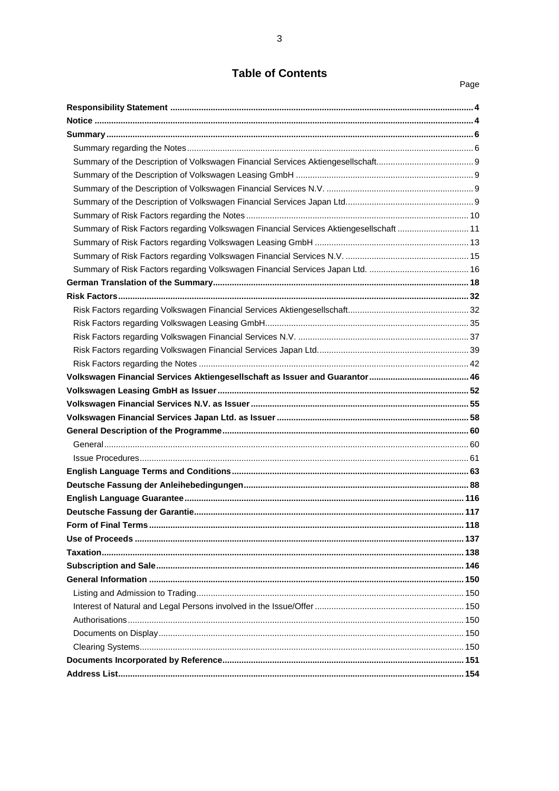# **Table of Contents**

Page

| Summary of Risk Factors regarding Volkswagen Financial Services Aktiengesellschaft  11 |  |
|----------------------------------------------------------------------------------------|--|
|                                                                                        |  |
|                                                                                        |  |
|                                                                                        |  |
|                                                                                        |  |
|                                                                                        |  |
|                                                                                        |  |
|                                                                                        |  |
|                                                                                        |  |
|                                                                                        |  |
|                                                                                        |  |
|                                                                                        |  |
|                                                                                        |  |
|                                                                                        |  |
|                                                                                        |  |
|                                                                                        |  |
|                                                                                        |  |
|                                                                                        |  |
|                                                                                        |  |
|                                                                                        |  |
|                                                                                        |  |
|                                                                                        |  |
|                                                                                        |  |
|                                                                                        |  |
|                                                                                        |  |
|                                                                                        |  |
|                                                                                        |  |
|                                                                                        |  |
|                                                                                        |  |
|                                                                                        |  |
|                                                                                        |  |
|                                                                                        |  |
|                                                                                        |  |
|                                                                                        |  |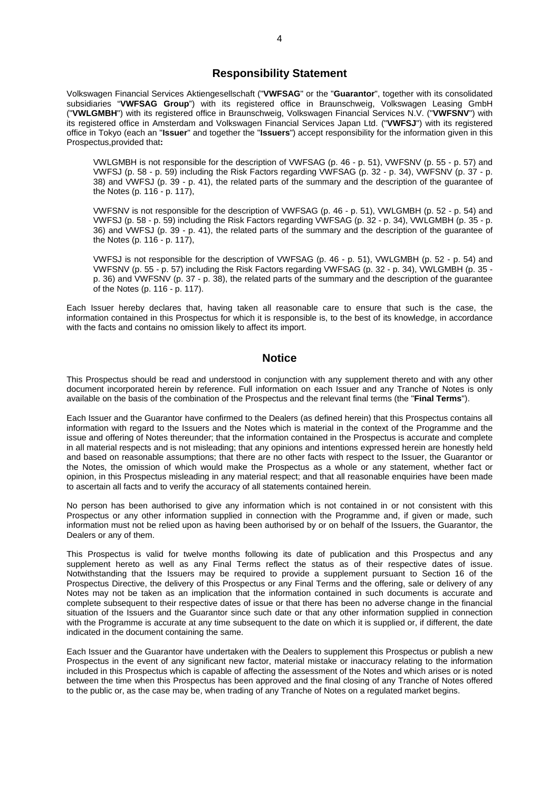# <span id="page-3-0"></span>**Responsibility Statement**

Volkswagen Financial Services Aktiengesellschaft ("**VWFSAG**" or the "**Guarantor**", together with its consolidated subsidiaries "**VWFSAG Group**") with its registered office in Braunschweig, Volkswagen Leasing GmbH ("**VWLGMBH**") with its registered office in Braunschweig, Volkswagen Financial Services N.V. ("**VWFSNV**") with its registered office in Amsterdam and Volkswagen Financial Services Japan Ltd. ("**VWFSJ**") with its registered office in Tokyo (each an "**Issuer**" and together the "**Issuers**") accept responsibility for the information given in this Prospectus,provided that**:**

VWLGMBH is not responsible for the description of VWFSAG(p. [46](#page-45-0)-p. [51\)](#page-50-0), VWFSNV(p. [55](#page-54-0)-p. [57\)](#page-56-0) and VWFSJ(p. [58](#page-57-0)-p. [59\)](#page-58-0) including the Risk Factors regarding VWFSAG(p. [32](#page-31-1)-p. [34\)](#page-33-0), VWFSNV(p. [37](#page-36-0) - p. [38](#page-37-0)) and VWFSJ(p. [39](#page-38-0)-p. [41](#page-40-0)), the related parts of the summary and the description of the guarantee of the Notes(p. [116](#page-115-0)-p. [117](#page-116-1)),

VWFSNV is not responsible for the description of VWFSAG(p. [46](#page-45-0)-p. [51\)](#page-50-0), VWLGMBH(p. [52](#page-51-0)-p. [54\)](#page-53-0) and VWFSJ(p. [58](#page-57-0)-p. [59\)](#page-58-0) including the Risk Factors regarding VWFSAG(p. [32](#page-31-1)-p. [34\)](#page-33-0), VWLGMBH(p. [35](#page-34-0) - p. [36](#page-35-0)) and VWFSJ(p. [39](#page-38-0)-p. [41](#page-40-0)), the related parts of the summary and the description of the guarantee of the Notes(p. [116](#page-115-0)-p. [117](#page-116-1)),

VWFSJ is not responsible for the description of VWFSAG(p. [46](#page-45-0)-p. [51\)](#page-50-0), VWLGMBH(p. [52](#page-51-0)-p. [54](#page-53-0)) and VWFSNV(p. [55](#page-54-0)-p. [57](#page-56-0)) including the Risk Factors regarding VWFSAG(p. [32](#page-31-1)-p. [34](#page-33-0)), VWLGMBH(p. [35](#page-34-0) p. [36\)](#page-35-0) and VWFSNV(p. [37](#page-36-0)-p. [38\)](#page-37-0), the related parts of the summary and the description of the guarantee of the Notes(p. [116](#page-115-0)-p. [117](#page-116-1)).

Each Issuer hereby declares that, having taken all reasonable care to ensure that such is the case, the information contained in this Prospectus for which it is responsible is, to the best of its knowledge, in accordance with the facts and contains no omission likely to affect its import.

# <span id="page-3-1"></span>**Notice**

This Prospectus should be read and understood in conjunction with any supplement thereto and with any other document incorporated herein by reference. Full information on each Issuer and any Tranche of Notes is only available on the basis of the combination of the Prospectus and the relevant final terms (the "**Final Terms**").

Each Issuer and the Guarantor have confirmed to the Dealers (as defined herein) that this Prospectus contains all information with regard to the Issuers and the Notes which is material in the context of the Programme and the issue and offering of Notes thereunder; that the information contained in the Prospectus is accurate and complete in all material respects and is not misleading; that any opinions and intentions expressed herein are honestly held and based on reasonable assumptions; that there are no other facts with respect to the Issuer, the Guarantor or the Notes, the omission of which would make the Prospectus as a whole or any statement, whether fact or opinion, in this Prospectus misleading in any material respect; and that all reasonable enquiries have been made to ascertain all facts and to verify the accuracy of all statements contained herein.

No person has been authorised to give any information which is not contained in or not consistent with this Prospectus or any other information supplied in connection with the Programme and, if given or made, such information must not be relied upon as having been authorised by or on behalf of the Issuers, the Guarantor, the Dealers or any of them.

This Prospectus is valid for twelve months following its date of publication and this Prospectus and any supplement hereto as well as any Final Terms reflect the status as of their respective dates of issue. Notwithstanding that the Issuers may be required to provide a supplement pursuant to Section 16 of the Prospectus Directive, the delivery of this Prospectus or any Final Terms and the offering, sale or delivery of any Notes may not be taken as an implication that the information contained in such documents is accurate and complete subsequent to their respective dates of issue or that there has been no adverse change in the financial situation of the Issuers and the Guarantor since such date or that any other information supplied in connection with the Programme is accurate at any time subsequent to the date on which it is supplied or, if different, the date indicated in the document containing the same.

Each Issuer and the Guarantor have undertaken with the Dealers to supplement this Prospectus or publish a new Prospectus in the event of any significant new factor, material mistake or inaccuracy relating to the information included in this Prospectus which is capable of affecting the assessment of the Notes and which arises or is noted between the time when this Prospectus has been approved and the final closing of any Tranche of Notes offered to the public or, as the case may be, when trading of any Tranche of Notes on a regulated market begins.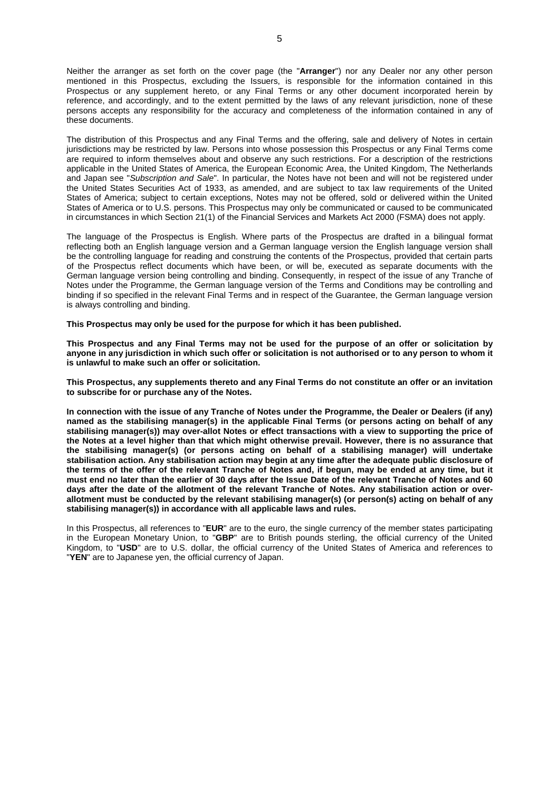Neither the arranger as set forth on the cover page (the "**Arranger**") nor any Dealer nor any other person mentioned in this Prospectus, excluding the Issuers, is responsible for the information contained in this Prospectus or any supplement hereto, or any Final Terms or any other document incorporated herein by reference, and accordingly, and to the extent permitted by the laws of any relevant jurisdiction, none of these persons accepts any responsibility for the accuracy and completeness of the information contained in any of these documents.

The distribution of this Prospectus and any Final Terms and the offering, sale and delivery of Notes in certain jurisdictions may be restricted by law. Persons into whose possession this Prospectus or any Final Terms come are required to inform themselves about and observe any such restrictions. For a description of the restrictions applicable in the United States of America, the European Economic Area, the United Kingdom, The Netherlands and Japan see "*Subscription and Sale*". In particular, the Notes have not been and will not be registered under the United States Securities Act of 1933, as amended, and are subject to tax law requirements of the United States of America; subject to certain exceptions, Notes may not be offered, sold or delivered within the United States of America or to U.S. persons. This Prospectus may only be communicated or caused to be communicated in circumstances in which Section 21(1) of the Financial Services and Markets Act 2000 (FSMA) does not apply.

The language of the Prospectus is English. Where parts of the Prospectus are drafted in a bilingual format reflecting both an English language version and a German language version the English language version shall be the controlling language for reading and construing the contents of the Prospectus, provided that certain parts of the Prospectus reflect documents which have been, or will be, executed as separate documents with the German language version being controlling and binding. Consequently, in respect of the issue of any Tranche of Notes under the Programme, the German language version of the Terms and Conditions may be controlling and binding if so specified in the relevant Final Terms and in respect of the Guarantee, the German language version is always controlling and binding.

**This Prospectus may only be used for the purpose for which it has been published.**

**This Prospectus and any Final Terms may not be used for the purpose of an offer or solicitation by anyone in any jurisdiction in which such offer or solicitation is not authorised or to any person to whom it is unlawful to make such an offer or solicitation.**

**This Prospectus, any supplements thereto and any Final Terms do not constitute an offer or an invitation to subscribe for or purchase any of the Notes.**

**In connection with the issue of any Tranche of Notes under the Programme, the Dealer or Dealers (if any) named as the stabilising manager(s) in the applicable Final Terms (or persons acting on behalf of any stabilising manager(s)) may over-allot Notes or effect transactions with a view to supporting the price of the Notes at a level higher than that which might otherwise prevail. However, there is no assurance that the stabilising manager(s) (or persons acting on behalf of a stabilising manager) will undertake stabilisation action. Any stabilisation action may begin at any time after the adequate public disclosure of the terms of the offer of the relevant Tranche of Notes and, if begun, may be ended at any time, but it must end no later than the earlier of 30 days after the Issue Date of the relevant Tranche of Notes and 60 days after the date of the allotment of the relevant Tranche of Notes. Any stabilisation action or overallotment must be conducted by the relevant stabilising manager(s) (or person(s) acting on behalf of any stabilising manager(s)) in accordance with all applicable laws and rules.**

In this Prospectus, all references to "**EUR**" are to the euro, the single currency of the member states participating in the European Monetary Union, to "**GBP**" are to British pounds sterling, the official currency of the United Kingdom, to "**USD**" are to U.S. dollar, the official currency of the United States of America and references to "**YEN**" are to Japanese yen, the official currency of Japan.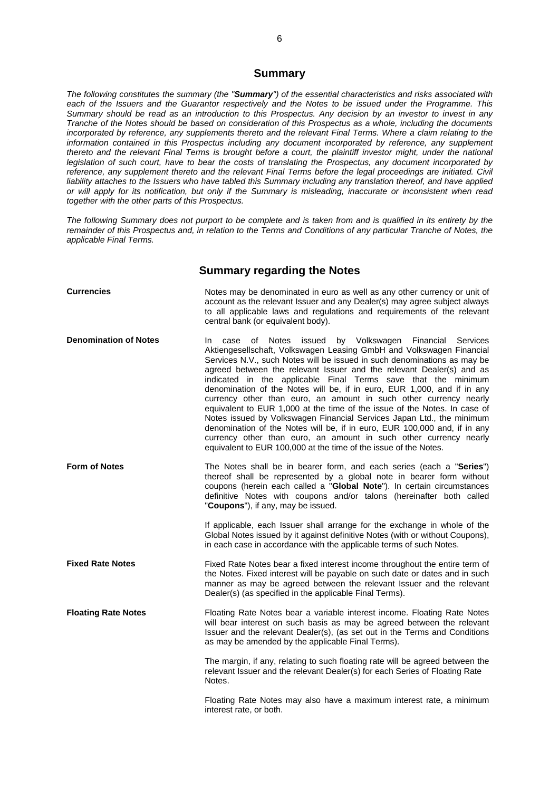# <span id="page-5-0"></span>**Summary**

*The following constitutes the summary (the "Summary") of the essential characteristics and risks associated with each of the Issuers and the Guarantor respectively and the Notes to be issued under the Programme. This Summary should be read as an introduction to this Prospectus. Any decision by an investor to invest in any Tranche of the Notes should be based on consideration of this Prospectus as a whole, including the documents incorporated by reference, any supplements thereto and the relevant Final Terms. Where a claim relating to the information contained in this Prospectus including any document incorporated by reference, any supplement thereto and the relevant Final Terms is brought before a court, the plaintiff investor might, under the national legislation of such court, have to bear the costs of translating the Prospectus, any document incorporated by reference, any supplement thereto and the relevant Final Terms before the legal proceedings are initiated. Civil liability attaches to the Issuers who have tabled this Summary including any translation thereof, and have applied or will apply for its notification, but only if the Summary is misleading, inaccurate or inconsistent when read together with the other parts of this Prospectus.*

*The following Summary does not purport to be complete and is taken from and is qualified in its entirety by the remainder of this Prospectus and, in relation to the Terms and Conditions of any particular Tranche of Notes, the applicable Final Terms.*

# <span id="page-5-1"></span>**Summary regarding the Notes**

| <b>Currencies</b>            | Notes may be denominated in euro as well as any other currency or unit of<br>account as the relevant Issuer and any Dealer(s) may agree subject always<br>to all applicable laws and regulations and requirements of the relevant<br>central bank (or equivalent body).                                                                                                                                                                                                                                                                                                                                                                                                                                                                                                                                                                                                                                     |
|------------------------------|-------------------------------------------------------------------------------------------------------------------------------------------------------------------------------------------------------------------------------------------------------------------------------------------------------------------------------------------------------------------------------------------------------------------------------------------------------------------------------------------------------------------------------------------------------------------------------------------------------------------------------------------------------------------------------------------------------------------------------------------------------------------------------------------------------------------------------------------------------------------------------------------------------------|
| <b>Denomination of Notes</b> | of<br>Notes<br>issued<br>by Volkswagen Financial<br><b>Services</b><br>In.<br>case<br>Aktiengesellschaft, Volkswagen Leasing GmbH and Volkswagen Financial<br>Services N.V., such Notes will be issued in such denominations as may be<br>agreed between the relevant Issuer and the relevant Dealer(s) and as<br>indicated in the applicable Final Terms save that the minimum<br>denomination of the Notes will be, if in euro, EUR 1,000, and if in any<br>currency other than euro, an amount in such other currency nearly<br>equivalent to EUR 1,000 at the time of the issue of the Notes. In case of<br>Notes issued by Volkswagen Financial Services Japan Ltd., the minimum<br>denomination of the Notes will be, if in euro, EUR 100,000 and, if in any<br>currency other than euro, an amount in such other currency nearly<br>equivalent to EUR 100,000 at the time of the issue of the Notes. |
| <b>Form of Notes</b>         | The Notes shall be in bearer form, and each series (each a "Series")<br>thereof shall be represented by a global note in bearer form without<br>coupons (herein each called a "Global Note"). In certain circumstances<br>definitive Notes with coupons and/or talons (hereinafter both called<br>"Coupons"), if any, may be issued.                                                                                                                                                                                                                                                                                                                                                                                                                                                                                                                                                                        |
|                              | If applicable, each Issuer shall arrange for the exchange in whole of the<br>Global Notes issued by it against definitive Notes (with or without Coupons),<br>in each case in accordance with the applicable terms of such Notes.                                                                                                                                                                                                                                                                                                                                                                                                                                                                                                                                                                                                                                                                           |
| <b>Fixed Rate Notes</b>      | Fixed Rate Notes bear a fixed interest income throughout the entire term of<br>the Notes. Fixed interest will be payable on such date or dates and in such<br>manner as may be agreed between the relevant Issuer and the relevant<br>Dealer(s) (as specified in the applicable Final Terms).                                                                                                                                                                                                                                                                                                                                                                                                                                                                                                                                                                                                               |
| <b>Floating Rate Notes</b>   | Floating Rate Notes bear a variable interest income. Floating Rate Notes<br>will bear interest on such basis as may be agreed between the relevant<br>Issuer and the relevant Dealer(s), (as set out in the Terms and Conditions<br>as may be amended by the applicable Final Terms).                                                                                                                                                                                                                                                                                                                                                                                                                                                                                                                                                                                                                       |
|                              | The margin, if any, relating to such floating rate will be agreed between the<br>relevant Issuer and the relevant Dealer(s) for each Series of Floating Rate<br>Notes.                                                                                                                                                                                                                                                                                                                                                                                                                                                                                                                                                                                                                                                                                                                                      |
|                              | Floating Rate Notes may also have a maximum interest rate, a minimum<br>interest rate, or both.                                                                                                                                                                                                                                                                                                                                                                                                                                                                                                                                                                                                                                                                                                                                                                                                             |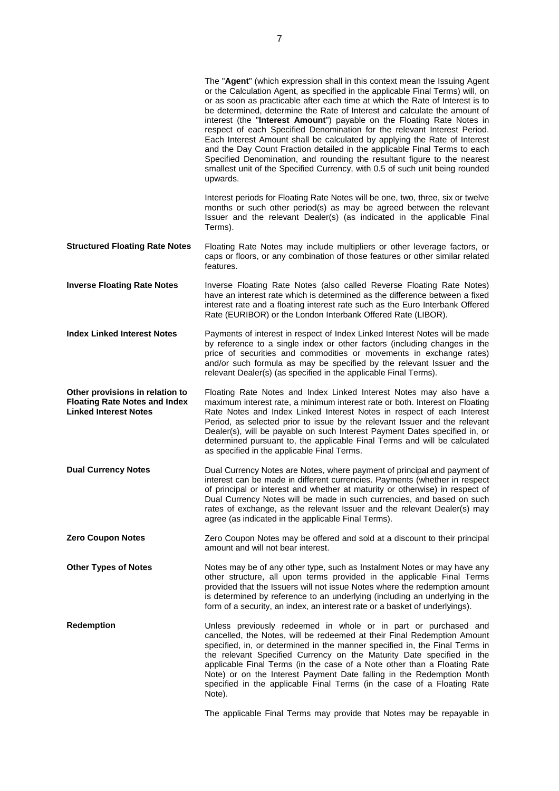|                                                                                                         | The "Agent" (which expression shall in this context mean the Issuing Agent<br>or the Calculation Agent, as specified in the applicable Final Terms) will, on<br>or as soon as practicable after each time at which the Rate of Interest is to<br>be determined, determine the Rate of Interest and calculate the amount of<br>interest (the "Interest Amount") payable on the Floating Rate Notes in<br>respect of each Specified Denomination for the relevant Interest Period.<br>Each Interest Amount shall be calculated by applying the Rate of Interest<br>and the Day Count Fraction detailed in the applicable Final Terms to each<br>Specified Denomination, and rounding the resultant figure to the nearest<br>smallest unit of the Specified Currency, with 0.5 of such unit being rounded<br>upwards. |
|---------------------------------------------------------------------------------------------------------|--------------------------------------------------------------------------------------------------------------------------------------------------------------------------------------------------------------------------------------------------------------------------------------------------------------------------------------------------------------------------------------------------------------------------------------------------------------------------------------------------------------------------------------------------------------------------------------------------------------------------------------------------------------------------------------------------------------------------------------------------------------------------------------------------------------------|
|                                                                                                         | Interest periods for Floating Rate Notes will be one, two, three, six or twelve<br>months or such other period(s) as may be agreed between the relevant<br>Issuer and the relevant Dealer(s) (as indicated in the applicable Final<br>Terms).                                                                                                                                                                                                                                                                                                                                                                                                                                                                                                                                                                      |
| <b>Structured Floating Rate Notes</b>                                                                   | Floating Rate Notes may include multipliers or other leverage factors, or<br>caps or floors, or any combination of those features or other similar related<br>features.                                                                                                                                                                                                                                                                                                                                                                                                                                                                                                                                                                                                                                            |
| <b>Inverse Floating Rate Notes</b>                                                                      | Inverse Floating Rate Notes (also called Reverse Floating Rate Notes)<br>have an interest rate which is determined as the difference between a fixed<br>interest rate and a floating interest rate such as the Euro Interbank Offered<br>Rate (EURIBOR) or the London Interbank Offered Rate (LIBOR).                                                                                                                                                                                                                                                                                                                                                                                                                                                                                                              |
| <b>Index Linked Interest Notes</b>                                                                      | Payments of interest in respect of Index Linked Interest Notes will be made<br>by reference to a single index or other factors (including changes in the<br>price of securities and commodities or movements in exchange rates)<br>and/or such formula as may be specified by the relevant Issuer and the<br>relevant Dealer(s) (as specified in the applicable Final Terms).                                                                                                                                                                                                                                                                                                                                                                                                                                      |
| Other provisions in relation to<br><b>Floating Rate Notes and Index</b><br><b>Linked Interest Notes</b> | Floating Rate Notes and Index Linked Interest Notes may also have a<br>maximum interest rate, a minimum interest rate or both. Interest on Floating<br>Rate Notes and Index Linked Interest Notes in respect of each Interest<br>Period, as selected prior to issue by the relevant Issuer and the relevant<br>Dealer(s), will be payable on such Interest Payment Dates specified in, or<br>determined pursuant to, the applicable Final Terms and will be calculated<br>as specified in the applicable Final Terms.                                                                                                                                                                                                                                                                                              |
| <b>Dual Currency Notes</b>                                                                              | Dual Currency Notes are Notes, where payment of principal and payment of<br>interest can be made in different currencies. Payments (whether in respect<br>of principal or interest and whether at maturity or otherwise) in respect of<br>Dual Currency Notes will be made in such currencies, and based on such<br>rates of exchange, as the relevant Issuer and the relevant Dealer(s) may<br>agree (as indicated in the applicable Final Terms).                                                                                                                                                                                                                                                                                                                                                                |
| <b>Zero Coupon Notes</b>                                                                                | Zero Coupon Notes may be offered and sold at a discount to their principal<br>amount and will not bear interest.                                                                                                                                                                                                                                                                                                                                                                                                                                                                                                                                                                                                                                                                                                   |
| <b>Other Types of Notes</b>                                                                             | Notes may be of any other type, such as Instalment Notes or may have any<br>other structure, all upon terms provided in the applicable Final Terms<br>provided that the Issuers will not issue Notes where the redemption amount<br>is determined by reference to an underlying (including an underlying in the<br>form of a security, an index, an interest rate or a basket of underlyings).                                                                                                                                                                                                                                                                                                                                                                                                                     |
| <b>Redemption</b>                                                                                       | Unless previously redeemed in whole or in part or purchased and<br>cancelled, the Notes, will be redeemed at their Final Redemption Amount<br>specified, in, or determined in the manner specified in, the Final Terms in<br>the relevant Specified Currency on the Maturity Date specified in the<br>applicable Final Terms (in the case of a Note other than a Floating Rate<br>Note) or on the Interest Payment Date falling in the Redemption Month<br>specified in the applicable Final Terms (in the case of a Floating Rate<br>Note).                                                                                                                                                                                                                                                                       |

The applicable Final Terms may provide that Notes may be repayable in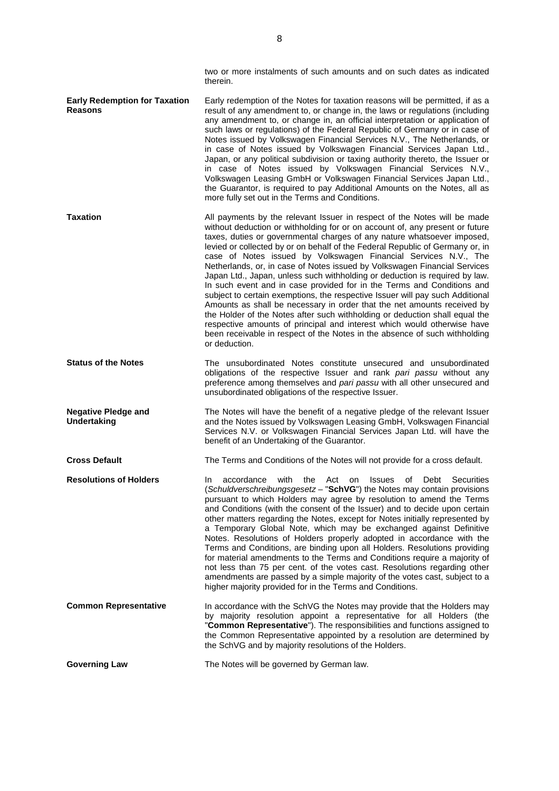|                                                        | two or more instalments of such amounts and on such dates as indicated<br>therein.                                                                                                                                                                                                                                                                                                                                                                                                                                                                                                                                                                                                                                                                                                                                                                                                                                                                                                                                                                 |
|--------------------------------------------------------|----------------------------------------------------------------------------------------------------------------------------------------------------------------------------------------------------------------------------------------------------------------------------------------------------------------------------------------------------------------------------------------------------------------------------------------------------------------------------------------------------------------------------------------------------------------------------------------------------------------------------------------------------------------------------------------------------------------------------------------------------------------------------------------------------------------------------------------------------------------------------------------------------------------------------------------------------------------------------------------------------------------------------------------------------|
| <b>Early Redemption for Taxation</b><br><b>Reasons</b> | Early redemption of the Notes for taxation reasons will be permitted, if as a<br>result of any amendment to, or change in, the laws or regulations (including<br>any amendment to, or change in, an official interpretation or application of<br>such laws or regulations) of the Federal Republic of Germany or in case of<br>Notes issued by Volkswagen Financial Services N.V., The Netherlands, or<br>in case of Notes issued by Volkswagen Financial Services Japan Ltd.,<br>Japan, or any political subdivision or taxing authority thereto, the Issuer or<br>in case of Notes issued by Volkswagen Financial Services N.V.,<br>Volkswagen Leasing GmbH or Volkswagen Financial Services Japan Ltd.,<br>the Guarantor, is required to pay Additional Amounts on the Notes, all as<br>more fully set out in the Terms and Conditions.                                                                                                                                                                                                         |
| <b>Taxation</b>                                        | All payments by the relevant Issuer in respect of the Notes will be made<br>without deduction or withholding for or on account of, any present or future<br>taxes, duties or governmental charges of any nature whatsoever imposed,<br>levied or collected by or on behalf of the Federal Republic of Germany or, in<br>case of Notes issued by Volkswagen Financial Services N.V., The<br>Netherlands, or, in case of Notes issued by Volkswagen Financial Services<br>Japan Ltd., Japan, unless such withholding or deduction is required by law.<br>In such event and in case provided for in the Terms and Conditions and<br>subject to certain exemptions, the respective Issuer will pay such Additional<br>Amounts as shall be necessary in order that the net amounts received by<br>the Holder of the Notes after such withholding or deduction shall equal the<br>respective amounts of principal and interest which would otherwise have<br>been receivable in respect of the Notes in the absence of such withholding<br>or deduction. |
| <b>Status of the Notes</b>                             | The unsubordinated Notes constitute unsecured and unsubordinated<br>obligations of the respective Issuer and rank pari passu without any<br>preference among themselves and pari passu with all other unsecured and<br>unsubordinated obligations of the respective Issuer.                                                                                                                                                                                                                                                                                                                                                                                                                                                                                                                                                                                                                                                                                                                                                                        |
| <b>Negative Pledge and</b><br><b>Undertaking</b>       | The Notes will have the benefit of a negative pledge of the relevant Issuer<br>and the Notes issued by Volkswagen Leasing GmbH, Volkswagen Financial<br>Services N.V. or Volkswagen Financial Services Japan Ltd. will have the<br>benefit of an Undertaking of the Guarantor.                                                                                                                                                                                                                                                                                                                                                                                                                                                                                                                                                                                                                                                                                                                                                                     |
| <b>Cross Default</b>                                   | The Terms and Conditions of the Notes will not provide for a cross default.                                                                                                                                                                                                                                                                                                                                                                                                                                                                                                                                                                                                                                                                                                                                                                                                                                                                                                                                                                        |
| <b>Resolutions of Holders</b>                          | with the Act on<br>Issues of<br>Debt Securities<br>accordance<br>In.<br>(Schuldverschreibungsgesetz - "SchVG") the Notes may contain provisions<br>pursuant to which Holders may agree by resolution to amend the Terms<br>and Conditions (with the consent of the Issuer) and to decide upon certain<br>other matters regarding the Notes, except for Notes initially represented by<br>a Temporary Global Note, which may be exchanged against Definitive<br>Notes. Resolutions of Holders properly adopted in accordance with the<br>Terms and Conditions, are binding upon all Holders. Resolutions providing<br>for material amendments to the Terms and Conditions require a majority of<br>not less than 75 per cent. of the votes cast. Resolutions regarding other<br>amendments are passed by a simple majority of the votes cast, subject to a<br>higher majority provided for in the Terms and Conditions.                                                                                                                             |
| <b>Common Representative</b>                           | In accordance with the SchVG the Notes may provide that the Holders may<br>by majority resolution appoint a representative for all Holders (the<br>"Common Representative"). The responsibilities and functions assigned to<br>the Common Representative appointed by a resolution are determined by<br>the SchVG and by majority resolutions of the Holders.                                                                                                                                                                                                                                                                                                                                                                                                                                                                                                                                                                                                                                                                                      |
| <b>Governing Law</b>                                   | The Notes will be governed by German law.                                                                                                                                                                                                                                                                                                                                                                                                                                                                                                                                                                                                                                                                                                                                                                                                                                                                                                                                                                                                          |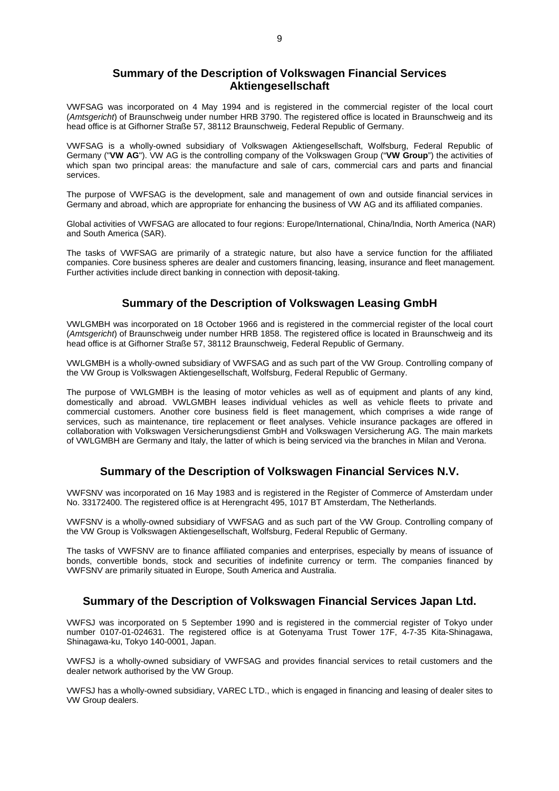# <span id="page-8-0"></span>**Summary of the Description of Volkswagen Financial Services Aktiengesellschaft**

VWFSAG was incorporated on 4 May 1994 and is registered in the commercial register of the local court (*Amtsgericht*) of Braunschweig under number HRB 3790. The registered office is located in Braunschweig and its head office is at Gifhorner Straße 57, 38112 Braunschweig, Federal Republic of Germany.

VWFSAG is a wholly-owned subsidiary of Volkswagen Aktiengesellschaft, Wolfsburg, Federal Republic of Germany ("**VW AG**"). VW AG is the controlling company of the Volkswagen Group ("**VW Group**") the activities of which span two principal areas: the manufacture and sale of cars, commercial cars and parts and financial services.

The purpose of VWFSAG is the development, sale and management of own and outside financial services in Germany and abroad, which are appropriate for enhancing the business of VW AG and its affiliated companies.

Global activities of VWFSAG are allocated to four regions: Europe/International, China/India, North America (NAR) and South America (SAR).

The tasks of VWFSAG are primarily of a strategic nature, but also have a service function for the affiliated companies. Core business spheres are dealer and customers financing, leasing, insurance and fleet management. Further activities include direct banking in connection with deposit-taking.

# <span id="page-8-1"></span>**Summary of the Description of Volkswagen Leasing GmbH**

VWLGMBH was incorporated on 18 October 1966 and is registered in the commercial register of the local court (*Amtsgericht*) of Braunschweig under number HRB 1858. The registered office is located in Braunschweig and its head office is at Gifhorner Straße 57, 38112 Braunschweig, Federal Republic of Germany.

VWLGMBH is a wholly-owned subsidiary of VWFSAG and as such part of the VW Group. Controlling company of the VW Group is Volkswagen Aktiengesellschaft, Wolfsburg, Federal Republic of Germany.

The purpose of VWLGMBH is the leasing of motor vehicles as well as of equipment and plants of any kind, domestically and abroad. VWLGMBH leases individual vehicles as well as vehicle fleets to private and commercial customers. Another core business field is fleet management, which comprises a wide range of services, such as maintenance, tire replacement or fleet analyses. Vehicle insurance packages are offered in collaboration with Volkswagen Versicherungsdienst GmbH and Volkswagen Versicherung AG. The main markets of VWLGMBH are Germany and Italy, the latter of which is being serviced via the branches in Milan and Verona.

# <span id="page-8-2"></span>**Summary of the Description of Volkswagen Financial Services N.V.**

VWFSNV was incorporated on 16 May 1983 and is registered in the Register of Commerce of Amsterdam under No. 33172400. The registered office is at Herengracht 495, 1017 BT Amsterdam, The Netherlands.

VWFSNV is a wholly-owned subsidiary of VWFSAG and as such part of the VW Group. Controlling company of the VW Group is Volkswagen Aktiengesellschaft, Wolfsburg, Federal Republic of Germany.

The tasks of VWFSNV are to finance affiliated companies and enterprises, especially by means of issuance of bonds, convertible bonds, stock and securities of indefinite currency or term. The companies financed by VWFSNV are primarily situated in Europe, South America and Australia.

# <span id="page-8-3"></span>**Summary of the Description of Volkswagen Financial Services Japan Ltd.**

VWFSJ was incorporated on 5 September 1990 and is registered in the commercial register of Tokyo under number 0107-01-024631. The registered office is at Gotenyama Trust Tower 17F, 4-7-35 Kita-Shinagawa, Shinagawa-ku, Tokyo 140-0001, Japan.

VWFSJ is a wholly-owned subsidiary of VWFSAG and provides financial services to retail customers and the dealer network authorised by the VW Group.

VWFSJ has a wholly-owned subsidiary, VAREC LTD., which is engaged in financing and leasing of dealer sites to VW Group dealers.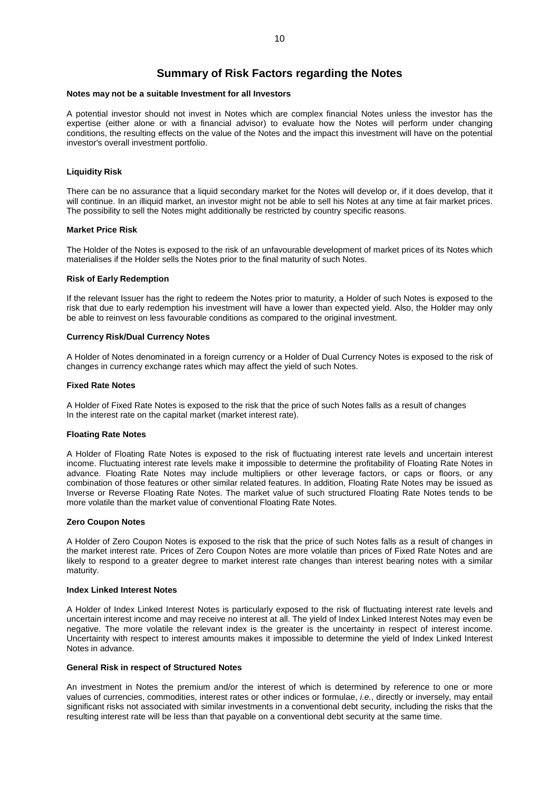# <span id="page-9-0"></span>**Summary of Risk Factors regarding the Notes**

#### **Notes may not be a suitable Investment for all Investors**

A potential investor should not invest in Notes which are complex financial Notes unless the investor has the expertise (either alone or with a financial advisor) to evaluate how the Notes will perform under changing conditions, the resulting effects on the value of the Notes and the impact this investment will have on the potential investor's overall investment portfolio.

# **Liquidity Risk**

There can be no assurance that a liquid secondary market for the Notes will develop or, if it does develop, that it will continue. In an illiquid market, an investor might not be able to sell his Notes at any time at fair market prices. The possibility to sell the Notes might additionally be restricted by country specific reasons.

### **Market Price Risk**

The Holder of the Notes is exposed to the risk of an unfavourable development of market prices of its Notes which materialises if the Holder sells the Notes prior to the final maturity of such Notes.

# **Risk of Early Redemption**

If the relevant Issuer has the right to redeem the Notes prior to maturity, a Holder of such Notes is exposed to the risk that due to early redemption his investment will have a lower than expected yield. Also, the Holder may only be able to reinvest on less favourable conditions as compared to the original investment.

# **Currency Risk/Dual Currency Notes**

A Holder of Notes denominated in a foreign currency or a Holder of Dual Currency Notes is exposed to the risk of changes in currency exchange rates which may affect the yield of such Notes.

# **Fixed Rate Notes**

A Holder of Fixed Rate Notes is exposed to the risk that the price of such Notes falls as a result of changes In the interest rate on the capital market (market interest rate).

#### **Floating Rate Notes**

A Holder of Floating Rate Notes is exposed to the risk of fluctuating interest rate levels and uncertain interest income. Fluctuating interest rate levels make it impossible to determine the profitability of Floating Rate Notes in advance. Floating Rate Notes may include multipliers or other leverage factors, or caps or floors, or any combination of those features or other similar related features. In addition, Floating Rate Notes may be issued as Inverse or Reverse Floating Rate Notes. The market value of such structured Floating Rate Notes tends to be more volatile than the market value of conventional Floating Rate Notes.

#### **Zero Coupon Notes**

A Holder of Zero Coupon Notes is exposed to the risk that the price of such Notes falls as a result of changes in the market interest rate. Prices of Zero Coupon Notes are more volatile than prices of Fixed Rate Notes and are likely to respond to a greater degree to market interest rate changes than interest bearing notes with a similar maturity.

### **Index Linked Interest Notes**

A Holder of Index Linked Interest Notes is particularly exposed to the risk of fluctuating interest rate levels and uncertain interest income and may receive no interest at all. The yield of Index Linked Interest Notes may even be negative. The more volatile the relevant index is the greater is the uncertainty in respect of interest income. Uncertainty with respect to interest amounts makes it impossible to determine the yield of Index Linked Interest Notes in advance.

#### **General Risk in respect of Structured Notes**

An investment in Notes the premium and/or the interest of which is determined by reference to one or more values of currencies, commodities, interest rates or other indices or formulae, *i.e.*, directly or inversely, may entail significant risks not associated with similar investments in a conventional debt security, including the risks that the resulting interest rate will be less than that payable on a conventional debt security at the same time.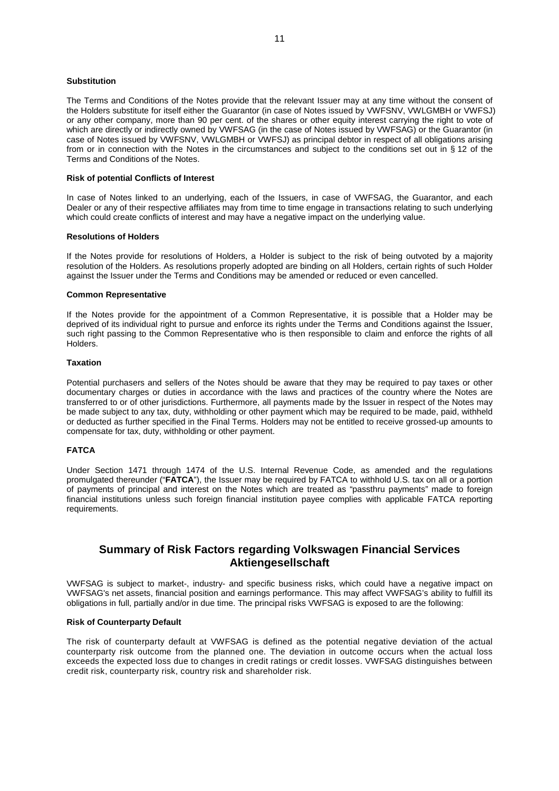### **Substitution**

The Terms and Conditions of the Notes provide that the relevant Issuer may at any time without the consent of the Holders substitute for itself either the Guarantor (in case of Notes issued by VWFSNV, VWLGMBH or VWFSJ) or any other company, more than 90 per cent. of the shares or other equity interest carrying the right to vote of which are directly or indirectly owned by VWFSAG (in the case of Notes issued by VWFSAG) or the Guarantor (in case of Notes issued by VWFSNV, VWLGMBH or VWFSJ) as principal debtor in respect of all obligations arising from or in connection with the Notes in the circumstances and subject to the conditions set out in § 12 of the Terms and Conditions of the Notes.

# **Risk of potential Conflicts of Interest**

In case of Notes linked to an underlying, each of the Issuers, in case of VWFSAG, the Guarantor, and each Dealer or any of their respective affiliates may from time to time engage in transactions relating to such underlying which could create conflicts of interest and may have a negative impact on the underlying value.

#### **Resolutions of Holders**

If the Notes provide for resolutions of Holders, a Holder is subject to the risk of being outvoted by a majority resolution of the Holders. As resolutions properly adopted are binding on all Holders, certain rights of such Holder against the Issuer under the Terms and Conditions may be amended or reduced or even cancelled.

#### **Common Representative**

If the Notes provide for the appointment of a Common Representative, it is possible that a Holder may be deprived of its individual right to pursue and enforce its rights under the Terms and Conditions against the Issuer, such right passing to the Common Representative who is then responsible to claim and enforce the rights of all Holders.

# **Taxation**

Potential purchasers and sellers of the Notes should be aware that they may be required to pay taxes or other documentary charges or duties in accordance with the laws and practices of the country where the Notes are transferred to or of other jurisdictions. Furthermore, all payments made by the Issuer in respect of the Notes may be made subject to any tax, duty, withholding or other payment which may be required to be made, paid, withheld or deducted as further specified in the Final Terms. Holders may not be entitled to receive grossed-up amounts to compensate for tax, duty, withholding or other payment.

# **FATCA**

Under Section 1471 through 1474 of the U.S. Internal Revenue Code, as amended and the regulations promulgated thereunder ("**FATCA**"), the Issuer may be required by FATCA to withhold U.S. tax on all or a portion of payments of principal and interest on the Notes which are treated as "passthru payments" made to foreign financial institutions unless such foreign financial institution payee complies with applicable FATCA reporting requirements.

# <span id="page-10-0"></span>**Summary of Risk Factors regarding Volkswagen Financial Services Aktiengesellschaft**

VWFSAG is subject to market-, industry- and specific business risks, which could have a negative impact on VWFSAG's net assets, financial position and earnings performance. This may affect VWFSAG's ability to fulfill its obligations in full, partially and/or in due time. The principal risks VWFSAG is exposed to are the following:

# **Risk of Counterparty Default**

The risk of counterparty default at VWFSAG is defined as the potential negative deviation of the actual counterparty risk outcome from the planned one. The deviation in outcome occurs when the actual loss exceeds the expected loss due to changes in credit ratings or credit losses. VWFSAG distinguishes between credit risk, counterparty risk, country risk and shareholder risk.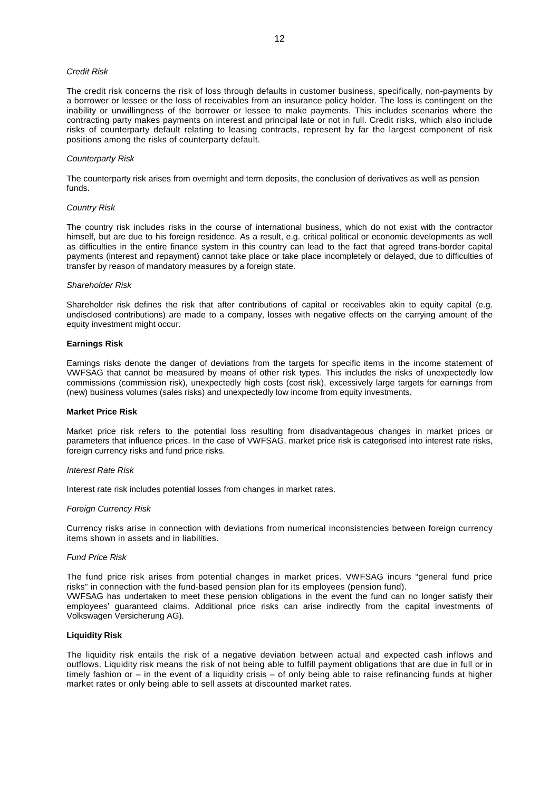# *Credit Risk*

The credit risk concerns the risk of loss through defaults in customer business, specifically, non-payments by a borrower or lessee or the loss of receivables from an insurance policy holder. The loss is contingent on the inability or unwillingness of the borrower or lessee to make payments. This includes scenarios where the contracting party makes payments on interest and principal late or not in full. Credit risks, which also include risks of counterparty default relating to leasing contracts, represent by far the largest component of risk positions among the risks of counterparty default.

#### *Counterparty Risk*

The counterparty risk arises from overnight and term deposits, the conclusion of derivatives as well as pension funds.

#### *Country Risk*

The country risk includes risks in the course of international business, which do not exist with the contractor himself, but are due to his foreign residence. As a result, e.g. critical political or economic developments as well as difficulties in the entire finance system in this country can lead to the fact that agreed trans-border capital payments (interest and repayment) cannot take place or take place incompletely or delayed, due to difficulties of transfer by reason of mandatory measures by a foreign state.

#### *Shareholder Risk*

Shareholder risk defines the risk that after contributions of capital or receivables akin to equity capital (e.g. undisclosed contributions) are made to a company, losses with negative effects on the carrying amount of the equity investment might occur.

# **Earnings Risk**

Earnings risks denote the danger of deviations from the targets for specific items in the income statement of VWFSAG that cannot be measured by means of other risk types. This includes the risks of unexpectedly low commissions (commission risk), unexpectedly high costs (cost risk), excessively large targets for earnings from (new) business volumes (sales risks) and unexpectedly low income from equity investments.

#### **Market Price Risk**

Market price risk refers to the potential loss resulting from disadvantageous changes in market prices or parameters that influence prices. In the case of VWFSAG, market price risk is categorised into interest rate risks, foreign currency risks and fund price risks.

# *Interest Rate Risk*

Interest rate risk includes potential losses from changes in market rates.

#### *Foreign Currency Risk*

Currency risks arise in connection with deviations from numerical inconsistencies between foreign currency items shown in assets and in liabilities.

#### *Fund Price Risk*

The fund price risk arises from potential changes in market prices. VWFSAG incurs "general fund price risks" in connection with the fund-based pension plan for its employees (pension fund). VWFSAG has undertaken to meet these pension obligations in the event the fund can no longer satisfy their employees' guaranteed claims. Additional price risks can arise indirectly from the capital investments of Volkswagen Versicherung AG).

#### **Liquidity Risk**

The liquidity risk entails the risk of a negative deviation between actual and expected cash inflows and outflows. Liquidity risk means the risk of not being able to fulfill payment obligations that are due in full or in timely fashion or – in the event of a liquidity crisis – of only being able to raise refinancing funds at higher market rates or only being able to sell assets at discounted market rates.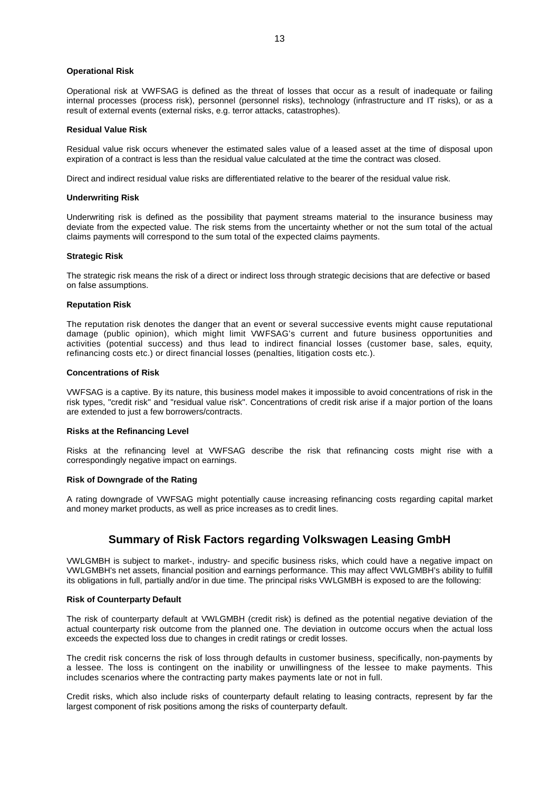# **Operational Risk**

Operational risk at VWFSAG is defined as the threat of losses that occur as a result of inadequate or failing internal processes (process risk), personnel (personnel risks), technology (infrastructure and IT risks), or as a result of external events (external risks, e.g. terror attacks, catastrophes).

# **Residual Value Risk**

Residual value risk occurs whenever the estimated sales value of a leased asset at the time of disposal upon expiration of a contract is less than the residual value calculated at the time the contract was closed.

Direct and indirect residual value risks are differentiated relative to the bearer of the residual value risk.

# **Underwriting Risk**

Underwriting risk is defined as the possibility that payment streams material to the insurance business may deviate from the expected value. The risk stems from the uncertainty whether or not the sum total of the actual claims payments will correspond to the sum total of the expected claims payments.

# **Strategic Risk**

The strategic risk means the risk of a direct or indirect loss through strategic decisions that are defective or based on false assumptions.

#### **Reputation Risk**

The reputation risk denotes the danger that an event or several successive events might cause reputational damage (public opinion), which might limit VWFSAG's current and future business opportunities and activities (potential success) and thus lead to indirect financial losses (customer base, sales, equity, refinancing costs etc.) or direct financial losses (penalties, litigation costs etc.).

#### **Concentrations of Risk**

VWFSAG is a captive. By its nature, this business model makes it impossible to avoid concentrations of risk in the risk types, "credit risk" and "residual value risk". Concentrations of credit risk arise if a major portion of the loans are extended to just a few borrowers/contracts.

### **Risks at the Refinancing Level**

Risks at the refinancing level at VWFSAG describe the risk that refinancing costs might rise with a correspondingly negative impact on earnings.

# **Risk of Downgrade of the Rating**

A rating downgrade of VWFSAG might potentially cause increasing refinancing costs regarding capital market and money market products, as well as price increases as to credit lines.

# <span id="page-12-0"></span>**Summary of Risk Factors regarding Volkswagen Leasing GmbH**

VWLGMBH is subject to market-, industry- and specific business risks, which could have a negative impact on VWLGMBH's net assets, financial position and earnings performance. This may affect VWLGMBH's ability to fulfill its obligations in full, partially and/or in due time. The principal risks VWLGMBH is exposed to are the following:

# **Risk of Counterparty Default**

The risk of counterparty default at VWLGMBH (credit risk) is defined as the potential negative deviation of the actual counterparty risk outcome from the planned one. The deviation in outcome occurs when the actual loss exceeds the expected loss due to changes in credit ratings or credit losses.

The credit risk concerns the risk of loss through defaults in customer business, specifically, non-payments by a lessee. The loss is contingent on the inability or unwillingness of the lessee to make payments. This includes scenarios where the contracting party makes payments late or not in full.

Credit risks, which also include risks of counterparty default relating to leasing contracts, represent by far the largest component of risk positions among the risks of counterparty default.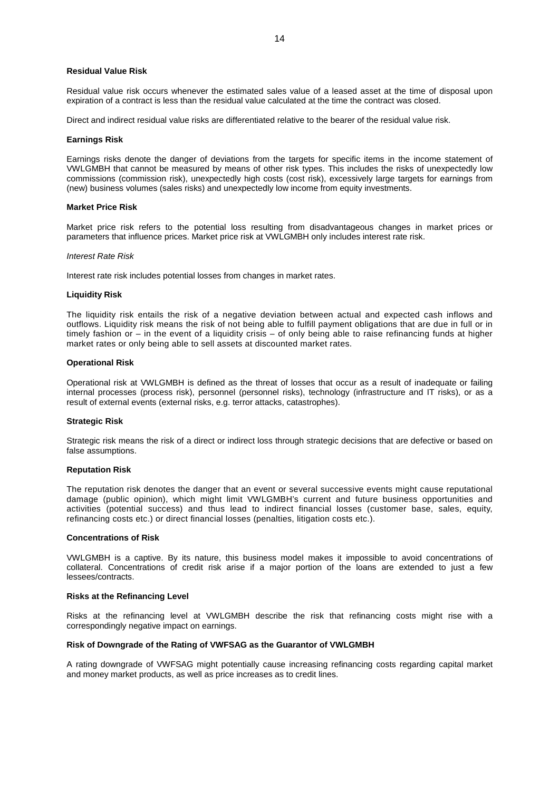#### **Residual Value Risk**

Residual value risk occurs whenever the estimated sales value of a leased asset at the time of disposal upon expiration of a contract is less than the residual value calculated at the time the contract was closed.

Direct and indirect residual value risks are differentiated relative to the bearer of the residual value risk.

#### **Earnings Risk**

Earnings risks denote the danger of deviations from the targets for specific items in the income statement of VWLGMBH that cannot be measured by means of other risk types. This includes the risks of unexpectedly low commissions (commission risk), unexpectedly high costs (cost risk), excessively large targets for earnings from (new) business volumes (sales risks) and unexpectedly low income from equity investments.

#### **Market Price Risk**

Market price risk refers to the potential loss resulting from disadvantageous changes in market prices or parameters that influence prices. Market price risk at VWLGMBH only includes interest rate risk.

#### *Interest Rate Risk*

Interest rate risk includes potential losses from changes in market rates.

#### **Liquidity Risk**

The liquidity risk entails the risk of a negative deviation between actual and expected cash inflows and outflows. Liquidity risk means the risk of not being able to fulfill payment obligations that are due in full or in timely fashion or – in the event of a liquidity crisis – of only being able to raise refinancing funds at higher market rates or only being able to sell assets at discounted market rates.

#### **Operational Risk**

Operational risk at VWLGMBH is defined as the threat of losses that occur as a result of inadequate or failing internal processes (process risk), personnel (personnel risks), technology (infrastructure and IT risks), or as a result of external events (external risks, e.g. terror attacks, catastrophes).

#### **Strategic Risk**

Strategic risk means the risk of a direct or indirect loss through strategic decisions that are defective or based on false assumptions.

#### **Reputation Risk**

The reputation risk denotes the danger that an event or several successive events might cause reputational damage (public opinion), which might limit VWLGMBH's current and future business opportunities and activities (potential success) and thus lead to indirect financial losses (customer base, sales, equity, refinancing costs etc.) or direct financial losses (penalties, litigation costs etc.).

### **Concentrations of Risk**

VWLGMBH is a captive. By its nature, this business model makes it impossible to avoid concentrations of collateral. Concentrations of credit risk arise if a major portion of the loans are extended to just a few lessees/contracts.

#### **Risks at the Refinancing Level**

Risks at the refinancing level at VWLGMBH describe the risk that refinancing costs might rise with a correspondingly negative impact on earnings.

# **Risk of Downgrade of the Rating of VWFSAG as the Guarantor of VWLGMBH**

<span id="page-13-0"></span>A rating downgrade of VWFSAG might potentially cause increasing refinancing costs regarding capital market and money market products, as well as price increases as to credit lines.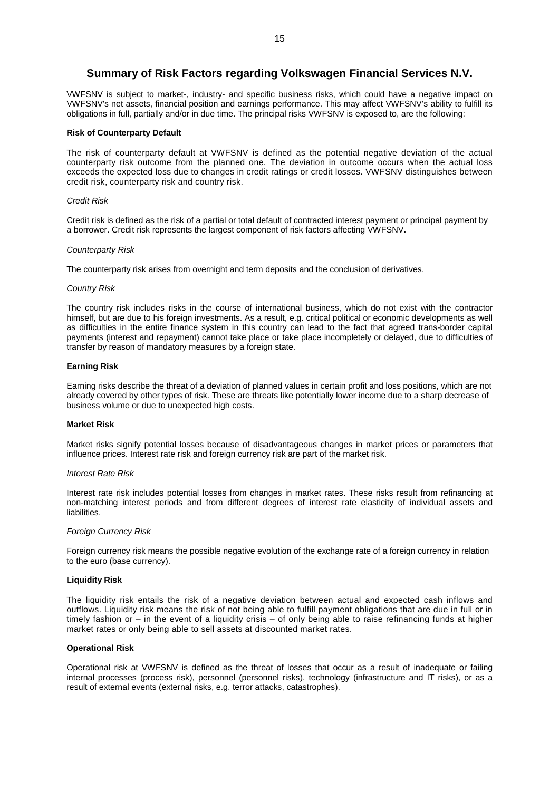# **Summary of Risk Factors regarding Volkswagen Financial Services N.V.**

VWFSNV is subject to market-, industry- and specific business risks, which could have a negative impact on VWFSNV's net assets, financial position and earnings performance. This may affect VWFSNV's ability to fulfill its obligations in full, partially and/or in due time. The principal risks VWFSNV is exposed to, are the following:

# **Risk of Counterparty Default**

The risk of counterparty default at VWFSNV is defined as the potential negative deviation of the actual counterparty risk outcome from the planned one. The deviation in outcome occurs when the actual loss exceeds the expected loss due to changes in credit ratings or credit losses. VWFSNV distinguishes between credit risk, counterparty risk and country risk.

# *Credit Risk*

Credit risk is defined as the risk of a partial or total default of contracted interest payment or principal payment by a borrower. Credit risk represents the largest component of risk factors affecting VWFSNV**.**

# *Counterparty Risk*

The counterparty risk arises from overnight and term deposits and the conclusion of derivatives.

# *Country Risk*

The country risk includes risks in the course of international business, which do not exist with the contractor himself, but are due to his foreign investments. As a result, e.g. critical political or economic developments as well as difficulties in the entire finance system in this country can lead to the fact that agreed trans-border capital payments (interest and repayment) cannot take place or take place incompletely or delayed, due to difficulties of transfer by reason of mandatory measures by a foreign state.

# **Earning Risk**

Earning risks describe the threat of a deviation of planned values in certain profit and loss positions, which are not already covered by other types of risk. These are threats like potentially lower income due to a sharp decrease of business volume or due to unexpected high costs.

#### **Market Risk**

Market risks signify potential losses because of disadvantageous changes in market prices or parameters that influence prices. Interest rate risk and foreign currency risk are part of the market risk.

#### *Interest Rate Risk*

Interest rate risk includes potential losses from changes in market rates. These risks result from refinancing at non-matching interest periods and from different degrees of interest rate elasticity of individual assets and liabilities.

# *Foreign Currency Risk*

Foreign currency risk means the possible negative evolution of the exchange rate of a foreign currency in relation to the euro (base currency).

# **Liquidity Risk**

The liquidity risk entails the risk of a negative deviation between actual and expected cash inflows and outflows. Liquidity risk means the risk of not being able to fulfill payment obligations that are due in full or in timely fashion or – in the event of a liquidity crisis – of only being able to raise refinancing funds at higher market rates or only being able to sell assets at discounted market rates.

#### **Operational Risk**

Operational risk at VWFSNV is defined as the threat of losses that occur as a result of inadequate or failing internal processes (process risk), personnel (personnel risks), technology (infrastructure and IT risks), or as a result of external events (external risks, e.g. terror attacks, catastrophes).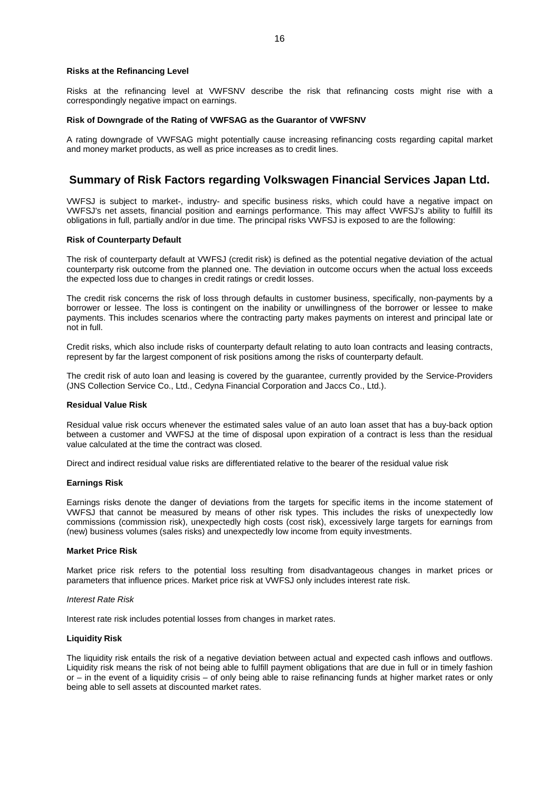#### **Risks at the Refinancing Level**

Risks at the refinancing level at VWFSNV describe the risk that refinancing costs might rise with a correspondingly negative impact on earnings.

# **Risk of Downgrade of the Rating of VWFSAG as the Guarantor of VWFSNV**

A rating downgrade of VWFSAG might potentially cause increasing refinancing costs regarding capital market and money market products, as well as price increases as to credit lines.

# <span id="page-15-0"></span>**Summary of Risk Factors regarding Volkswagen Financial Services Japan Ltd.**

VWFSJ is subject to market-, industry- and specific business risks, which could have a negative impact on VWFSJ's net assets, financial position and earnings performance. This may affect VWFSJ's ability to fulfill its obligations in full, partially and/or in due time. The principal risks VWFSJ is exposed to are the following:

# **Risk of Counterparty Default**

The risk of counterparty default at VWFSJ (credit risk) is defined as the potential negative deviation of the actual counterparty risk outcome from the planned one. The deviation in outcome occurs when the actual loss exceeds the expected loss due to changes in credit ratings or credit losses.

The credit risk concerns the risk of loss through defaults in customer business, specifically, non-payments by a borrower or lessee. The loss is contingent on the inability or unwillingness of the borrower or lessee to make payments. This includes scenarios where the contracting party makes payments on interest and principal late or not in full.

Credit risks, which also include risks of counterparty default relating to auto loan contracts and leasing contracts, represent by far the largest component of risk positions among the risks of counterparty default.

The credit risk of auto loan and leasing is covered by the guarantee, currently provided by the Service-Providers (JNS Collection Service Co., Ltd., Cedyna Financial Corporation and Jaccs Co., Ltd.).

# **Residual Value Risk**

Residual value risk occurs whenever the estimated sales value of an auto loan asset that has a buy-back option between a customer and VWFSJ at the time of disposal upon expiration of a contract is less than the residual value calculated at the time the contract was closed.

Direct and indirect residual value risks are differentiated relative to the bearer of the residual value risk

#### **Earnings Risk**

Earnings risks denote the danger of deviations from the targets for specific items in the income statement of VWFSJ that cannot be measured by means of other risk types. This includes the risks of unexpectedly low commissions (commission risk), unexpectedly high costs (cost risk), excessively large targets for earnings from (new) business volumes (sales risks) and unexpectedly low income from equity investments.

#### **Market Price Risk**

Market price risk refers to the potential loss resulting from disadvantageous changes in market prices or parameters that influence prices. Market price risk at VWFSJ only includes interest rate risk.

#### *Interest Rate Risk*

Interest rate risk includes potential losses from changes in market rates.

### **Liquidity Risk**

The liquidity risk entails the risk of a negative deviation between actual and expected cash inflows and outflows. Liquidity risk means the risk of not being able to fulfill payment obligations that are due in full or in timely fashion or – in the event of a liquidity crisis – of only being able to raise refinancing funds at higher market rates or only being able to sell assets at discounted market rates.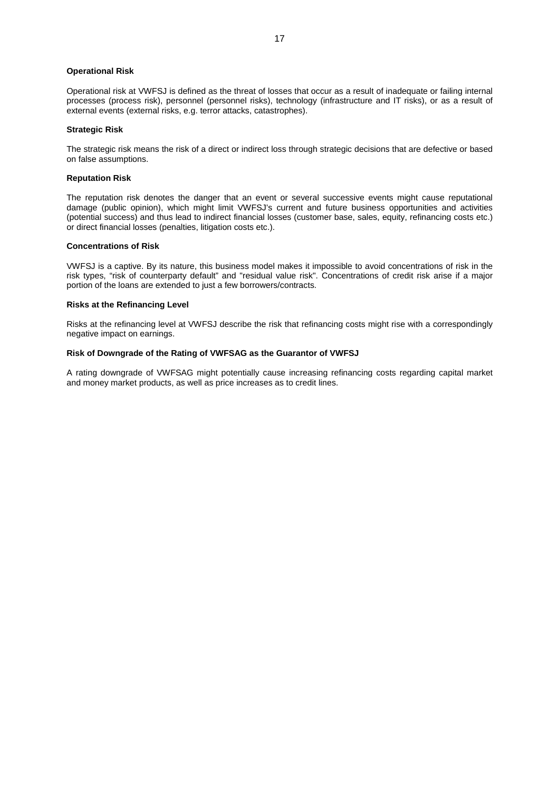# **Operational Risk**

Operational risk at VWFSJ is defined as the threat of losses that occur as a result of inadequate or failing internal processes (process risk), personnel (personnel risks), technology (infrastructure and IT risks), or as a result of external events (external risks, e.g. terror attacks, catastrophes).

# **Strategic Risk**

The strategic risk means the risk of a direct or indirect loss through strategic decisions that are defective or based on false assumptions.

#### **Reputation Risk**

The reputation risk denotes the danger that an event or several successive events might cause reputational damage (public opinion), which might limit VWFSJ's current and future business opportunities and activities (potential success) and thus lead to indirect financial losses (customer base, sales, equity, refinancing costs etc.) or direct financial losses (penalties, litigation costs etc.).

### **Concentrations of Risk**

VWFSJ is a captive. By its nature, this business model makes it impossible to avoid concentrations of risk in the risk types, "risk of counterparty default" and "residual value risk". Concentrations of credit risk arise if a major portion of the loans are extended to just a few borrowers/contracts.

### **Risks at the Refinancing Level**

Risks at the refinancing level at VWFSJ describe the risk that refinancing costs might rise with a correspondingly negative impact on earnings.

# **Risk of Downgrade of the Rating of VWFSAG as the Guarantor of VWFSJ**

A rating downgrade of VWFSAG might potentially cause increasing refinancing costs regarding capital market and money market products, as well as price increases as to credit lines.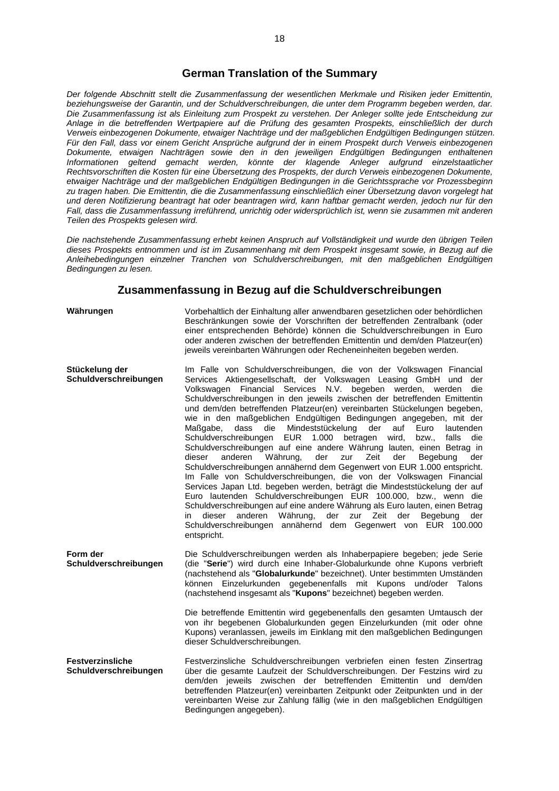# <span id="page-17-0"></span>**German Translation of the Summary**

*Der folgende Abschnitt stellt die Zusammenfassung der wesentlichen Merkmale und Risiken jeder Emittentin, beziehungsweise der Garantin, und der Schuldverschreibungen, die unter dem Programm begeben werden, dar. Die Zusammenfassung ist als Einleitung zum Prospekt zu verstehen. Der Anleger sollte jede Entscheidung zur Anlage in die betreffenden Wertpapiere auf die Prüfung des gesamten Prospekts, einschließlich der durch Verweis einbezogenen Dokumente, etwaiger Nachträge und der maßgeblichen Endgültigen Bedingungen stützen. Für den Fall, dass vor einem Gericht Ansprüche aufgrund der in einem Prospekt durch Verweis einbezogenen Dokumente, etwaigen Nachträgen sowie den in den jeweiligen Endgültigen Bedingungen enthaltenen Informationen geltend gemacht werden, könnte der klagende Anleger aufgrund einzelstaatlicher Rechtsvorschriften die Kosten für eine Übersetzung des Prospekts, der durch Verweis einbezogenen Dokumente, etwaiger Nachträge und der maßgeblichen Endgültigen Bedingungen in die Gerichtssprache vor Prozessbeginn zu tragen haben. Die Emittentin, die die Zusammenfassung einschließlich einer Übersetzung davon vorgelegt hat und deren Notifizierung beantragt hat oder beantragen wird, kann haftbar gemacht werden, jedoch nur für den Fall, dass die Zusammenfassung irreführend, unrichtig oder widersprüchlich ist, wenn sie zusammen mit anderen Teilen des Prospekts gelesen wird.*

*Die nachstehende Zusammenfassung erhebt keinen Anspruch auf Vollständigkeit und wurde den übrigen Teilen dieses Prospekts entnommen und ist im Zusammenhang mit dem Prospekt insgesamt sowie, in Bezug auf die Anleihebedingungen einzelner Tranchen von Schuldverschreibungen, mit den maßgeblichen Endgültigen Bedingungen zu lesen.*

# **Zusammenfassung in Bezug auf die Schuldverschreibungen**

**Währungen** Vorbehaltlich der Einhaltung aller anwendbaren gesetzlichen oder behördlichen Beschränkungen sowie der Vorschriften der betreffenden Zentralbank (oder einer entsprechenden Behörde) können die Schuldverschreibungen in Euro oder anderen zwischen der betreffenden Emittentin und dem/den Platzeur(en) jeweils vereinbarten Währungen oder Recheneinheiten begeben werden.

- **Stückelung der Schuldverschreibungen** Im Falle von Schuldverschreibungen, die von der Volkswagen Financial Services Aktiengesellschaft, der Volkswagen Leasing GmbH und der Volkswagen Financial Services N.V. begeben werden, werden die Schuldverschreibungen in den jeweils zwischen der betreffenden Emittentin und dem/den betreffenden Platzeur(en) vereinbarten Stückelungen begeben, wie in den maßgeblichen Endgültigen Bedingungen angegeben, mit der Maßgabe, dass die Mindeststückelung der auf Euro lautenden Schuldverschreibungen EUR 1.000 betragen wird, bzw., falls die Schuldverschreibungen auf eine andere Währung lauten, einen Betrag in dieser anderen Währung, der zur Zeit der Begebung der Schuldverschreibungen annähernd dem Gegenwert von EUR 1.000 entspricht. Im Falle von Schuldverschreibungen, die von der Volkswagen Financial Services Japan Ltd. begeben werden, beträgt die Mindeststückelung der auf Euro lautenden Schuldverschreibungen EUR 100.000, bzw., wenn die Schuldverschreibungen auf eine andere Währung als Euro lauten, einen Betrag in dieser anderen Währung, der zur Zeit der Begebung der Schuldverschreibungen annähernd dem Gegenwert von EUR 100.000 entspricht.
- **Form der Schuldverschreibungen** Die Schuldverschreibungen werden als Inhaberpapiere begeben; jede Serie (die "**Serie**") wird durch eine Inhaber-Globalurkunde ohne Kupons verbrieft (nachstehend als "**Globalurkunde**" bezeichnet). Unter bestimmten Umständen können Einzelurkunden gegebenenfalls mit Kupons und/oder Talons (nachstehend insgesamt als "**Kupons**" bezeichnet) begeben werden.

Die betreffende Emittentin wird gegebenenfalls den gesamten Umtausch der von ihr begebenen Globalurkunden gegen Einzelurkunden (mit oder ohne Kupons) veranlassen, jeweils im Einklang mit den maßgeblichen Bedingungen dieser Schuldverschreibungen.

**Festverzinsliche Schuldverschreibungen** Festverzinsliche Schuldverschreibungen verbriefen einen festen Zinsertrag über die gesamte Laufzeit der Schuldverschreibungen. Der Festzins wird zu dem/den jeweils zwischen der betreffenden Emittentin und dem/den betreffenden Platzeur(en) vereinbarten Zeitpunkt oder Zeitpunkten und in der vereinbarten Weise zur Zahlung fällig (wie in den maßgeblichen Endgültigen Bedingungen angegeben).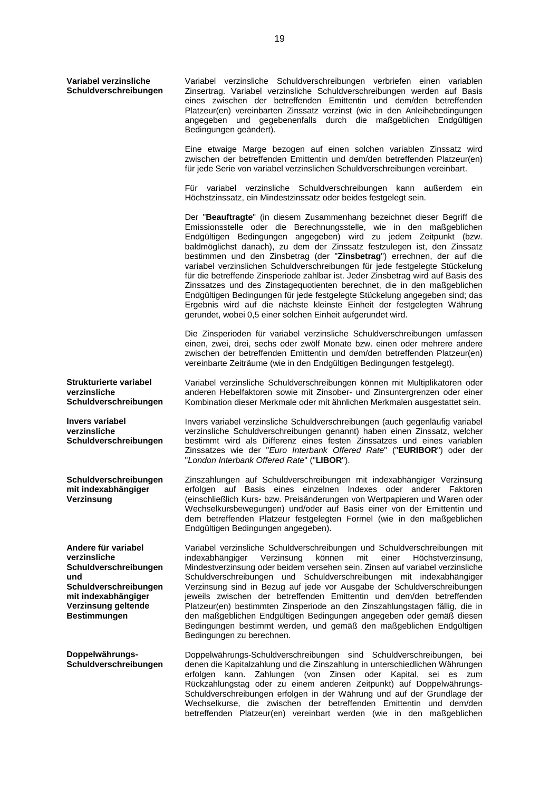| Variabel verzinsliche<br>Schuldverschreibungen                                                                                                                    | Variabel verzinsliche Schuldverschreibungen verbriefen einen variablen<br>Zinsertrag. Variabel verzinsliche Schuldverschreibungen werden auf Basis<br>eines zwischen der betreffenden Emittentin und dem/den betreffenden<br>Platzeur(en) vereinbarten Zinssatz verzinst (wie in den Anleihebedingungen<br>angegeben und gegebenenfalls durch die maßgeblichen Endgültigen<br>Bedingungen geändert).                                                                                                                                                                                                                                                                                                                                                                                                                                              |
|-------------------------------------------------------------------------------------------------------------------------------------------------------------------|---------------------------------------------------------------------------------------------------------------------------------------------------------------------------------------------------------------------------------------------------------------------------------------------------------------------------------------------------------------------------------------------------------------------------------------------------------------------------------------------------------------------------------------------------------------------------------------------------------------------------------------------------------------------------------------------------------------------------------------------------------------------------------------------------------------------------------------------------|
|                                                                                                                                                                   | Eine etwaige Marge bezogen auf einen solchen variablen Zinssatz wird<br>zwischen der betreffenden Emittentin und dem/den betreffenden Platzeur(en)<br>für jede Serie von variabel verzinslichen Schuldverschreibungen vereinbart.                                                                                                                                                                                                                                                                                                                                                                                                                                                                                                                                                                                                                 |
|                                                                                                                                                                   | Für variabel verzinsliche Schuldverschreibungen kann außerdem ein<br>Höchstzinssatz, ein Mindestzinssatz oder beides festgelegt sein.                                                                                                                                                                                                                                                                                                                                                                                                                                                                                                                                                                                                                                                                                                             |
|                                                                                                                                                                   | Der "Beauftragte" (in diesem Zusammenhang bezeichnet dieser Begriff die<br>Emissionsstelle oder die Berechnungsstelle, wie in den maßgeblichen<br>Endgültigen Bedingungen angegeben) wird zu jedem Zeitpunkt (bzw.<br>baldmöglichst danach), zu dem der Zinssatz festzulegen ist, den Zinssatz<br>bestimmen und den Zinsbetrag (der "Zinsbetrag") errechnen, der auf die<br>variabel verzinslichen Schuldverschreibungen für jede festgelegte Stückelung<br>für die betreffende Zinsperiode zahlbar ist. Jeder Zinsbetrag wird auf Basis des<br>Zinssatzes und des Zinstagequotienten berechnet, die in den maßgeblichen<br>Endgültigen Bedingungen für jede festgelegte Stückelung angegeben sind; das<br>Ergebnis wird auf die nächste kleinste Einheit der festgelegten Währung<br>gerundet, wobei 0,5 einer solchen Einheit aufgerundet wird. |
|                                                                                                                                                                   | Die Zinsperioden für variabel verzinsliche Schuldverschreibungen umfassen<br>einen, zwei, drei, sechs oder zwölf Monate bzw. einen oder mehrere andere<br>zwischen der betreffenden Emittentin und dem/den betreffenden Platzeur(en)<br>vereinbarte Zeiträume (wie in den Endgültigen Bedingungen festgelegt).                                                                                                                                                                                                                                                                                                                                                                                                                                                                                                                                    |
| Strukturierte variabel<br>verzinsliche<br>Schuldverschreibungen                                                                                                   | Variabel verzinsliche Schuldverschreibungen können mit Multiplikatoren oder<br>anderen Hebelfaktoren sowie mit Zinsober- und Zinsuntergrenzen oder einer<br>Kombination dieser Merkmale oder mit ähnlichen Merkmalen ausgestattet sein.                                                                                                                                                                                                                                                                                                                                                                                                                                                                                                                                                                                                           |
| <b>Invers variabel</b><br>verzinsliche<br>Schuldverschreibungen                                                                                                   | Invers variabel verzinsliche Schuldverschreibungen (auch gegenläufig variabel<br>verzinsliche Schuldverschreibungen genannt) haben einen Zinssatz, welcher<br>bestimmt wird als Differenz eines festen Zinssatzes und eines variablen<br>Zinssatzes wie der "Euro Interbank Offered Rate" ("EURIBOR") oder der<br>"London Interbank Offered Rate" ("LIBOR").                                                                                                                                                                                                                                                                                                                                                                                                                                                                                      |
| Schuldverschreibungen<br>mit indexabhängiger<br>Verzinsung                                                                                                        | Zinszahlungen auf Schuldverschreibungen mit indexabhängiger Verzinsung<br>erfolgen auf Basis eines einzelnen Indexes oder anderer Faktoren<br>(einschließlich Kurs- bzw. Preisänderungen von Wertpapieren und Waren oder<br>Wechselkursbewegungen) und/oder auf Basis einer von der Emittentin und<br>dem betreffenden Platzeur festgelegten Formel (wie in den maßgeblichen<br>Endgültigen Bedingungen angegeben).                                                                                                                                                                                                                                                                                                                                                                                                                               |
| Andere für variabel<br>verzinsliche<br>Schuldverschreibungen<br>und<br>Schuldverschreibungen<br>mit indexabhängiger<br>Verzinsung geltende<br><b>Bestimmungen</b> | Variabel verzinsliche Schuldverschreibungen und Schuldverschreibungen mit<br>Verzinsung<br>können<br>mit<br>einer<br>Höchstverzinsung,<br>indexabhängiger<br>Mindestverzinsung oder beidem versehen sein. Zinsen auf variabel verzinsliche<br>Schuldverschreibungen und Schuldverschreibungen mit indexabhängiger<br>Verzinsung sind in Bezug auf jede vor Ausgabe der Schuldverschreibungen<br>jeweils zwischen der betreffenden Emittentin und dem/den betreffenden<br>Platzeur(en) bestimmten Zinsperiode an den Zinszahlungstagen fällig, die in<br>den maßgeblichen Endgültigen Bedingungen angegeben oder gemäß diesen<br>Bedingungen bestimmt werden, und gemäß den maßgeblichen Endgültigen<br>Bedingungen zu berechnen.                                                                                                                  |
| Doppelwährungs-<br>Schuldverschreibungen                                                                                                                          | Doppelwährungs-Schuldverschreibungen sind Schuldverschreibungen,<br>bei<br>denen die Kapitalzahlung und die Zinszahlung in unterschiedlichen Währungen<br>erfolgen kann. Zahlungen (von Zinsen oder Kapital, sei es zum<br>Rückzahlungstag oder zu einem anderen Zeitpunkt) auf Doppelwährungs-<br>Schuldverschreibungen erfolgen in der Währung und auf der Grundlage der                                                                                                                                                                                                                                                                                                                                                                                                                                                                        |

Wechselkurse, die zwischen der betreffenden Emittentin und dem/den betreffenden Platzeur(en) vereinbart werden (wie in den maßgeblichen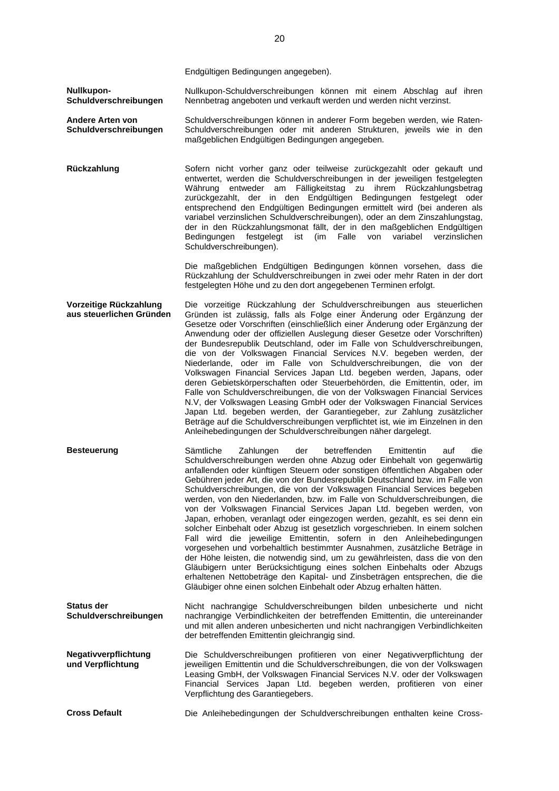Endgültigen Bedingungen angegeben).

**Nullkupon-Schuldverschreibungen** Nullkupon-Schuldverschreibungen können mit einem Abschlag auf ihren Nennbetrag angeboten und verkauft werden und werden nicht verzinst.

**Andere Arten von Schuldverschreibungen** Schuldverschreibungen können in anderer Form begeben werden, wie Raten-Schuldverschreibungen oder mit anderen Strukturen, jeweils wie in den maßgeblichen Endgültigen Bedingungen angegeben.

**Rückzahlung** Sofern nicht vorher ganz oder teilweise zurückgezahlt oder gekauft und entwertet, werden die Schuldverschreibungen in der jeweiligen festgelegten Währung entweder am Fälligkeitstag zu ihrem Rückzahlungsbetrag zurückgezahlt, der in den Endgültigen Bedingungen festgelegt oder entsprechend den Endgültigen Bedingungen ermittelt wird (bei anderen als variabel verzinslichen Schuldverschreibungen), oder an dem Zinszahlungstag, der in den Rückzahlungsmonat fällt, der in den maßgeblichen Endgültigen Bedingungen festgelegt ist (im Falle von variabel verzinslichen Schuldverschreibungen).

> Die maßgeblichen Endgültigen Bedingungen können vorsehen, dass die Rückzahlung der Schuldverschreibungen in zwei oder mehr Raten in der dort festgelegten Höhe und zu den dort angegebenen Terminen erfolgt.

**Vorzeitige Rückzahlung aus steuerlichen Gründen** Die vorzeitige Rückzahlung der Schuldverschreibungen aus steuerlichen Gründen ist zulässig, falls als Folge einer Änderung oder Ergänzung der Gesetze oder Vorschriften (einschließlich einer Änderung oder Ergänzung der Anwendung oder der offiziellen Auslegung dieser Gesetze oder Vorschriften) der Bundesrepublik Deutschland, oder im Falle von Schuldverschreibungen, die von der Volkswagen Financial Services N.V. begeben werden, der Niederlande, oder im Falle von Schuldverschreibungen, die von der Volkswagen Financial Services Japan Ltd. begeben werden, Japans, oder deren Gebietskörperschaften oder Steuerbehörden, die Emittentin, oder, im Falle von Schuldverschreibungen, die von der Volkswagen Financial Services N.V, der Volkswagen Leasing GmbH oder der Volkswagen Financial Services Japan Ltd. begeben werden, der Garantiegeber, zur Zahlung zusätzlicher Beträge auf die Schuldverschreibungen verpflichtet ist, wie im Einzelnen in den Anleihebedingungen der Schuldverschreibungen näher dargelegt.

**Besteuerung** Sämtliche Zahlungen der betreffenden Emittentin auf die Schuldverschreibungen werden ohne Abzug oder Einbehalt von gegenwärtig anfallenden oder künftigen Steuern oder sonstigen öffentlichen Abgaben oder Gebühren jeder Art, die von der Bundesrepublik Deutschland bzw. im Falle von Schuldverschreibungen, die von der Volkswagen Financial Services begeben werden, von den Niederlanden, bzw. im Falle von Schuldverschreibungen, die von der Volkswagen Financial Services Japan Ltd. begeben werden, von Japan, erhoben, veranlagt oder eingezogen werden, gezahlt, es sei denn ein solcher Einbehalt oder Abzug ist gesetzlich vorgeschrieben. In einem solchen Fall wird die jeweilige Emittentin, sofern in den Anleihebedingungen vorgesehen und vorbehaltlich bestimmter Ausnahmen, zusätzliche Beträge in der Höhe leisten, die notwendig sind, um zu gewährleisten, dass die von den Gläubigern unter Berücksichtigung eines solchen Einbehalts oder Abzugs erhaltenen Nettobeträge den Kapital- und Zinsbeträgen entsprechen, die die Gläubiger ohne einen solchen Einbehalt oder Abzug erhalten hätten.

**Status der Schuldverschreibungen** Nicht nachrangige Schuldverschreibungen bilden unbesicherte und nicht nachrangige Verbindlichkeiten der betreffenden Emittentin, die untereinander und mit allen anderen unbesicherten und nicht nachrangigen Verbindlichkeiten der betreffenden Emittentin gleichrangig sind.

**Negativverpflichtung und Verpflichtung** Die Schuldverschreibungen profitieren von einer Negativverpflichtung der jeweiligen Emittentin und die Schuldverschreibungen, die von der Volkswagen Leasing GmbH, der Volkswagen Financial Services N.V. oder der Volkswagen Financial Services Japan Ltd. begeben werden, profitieren von einer Verpflichtung des Garantiegebers.

**Cross Default** Die Anleihebedingungen der Schuldverschreibungen enthalten keine Cross-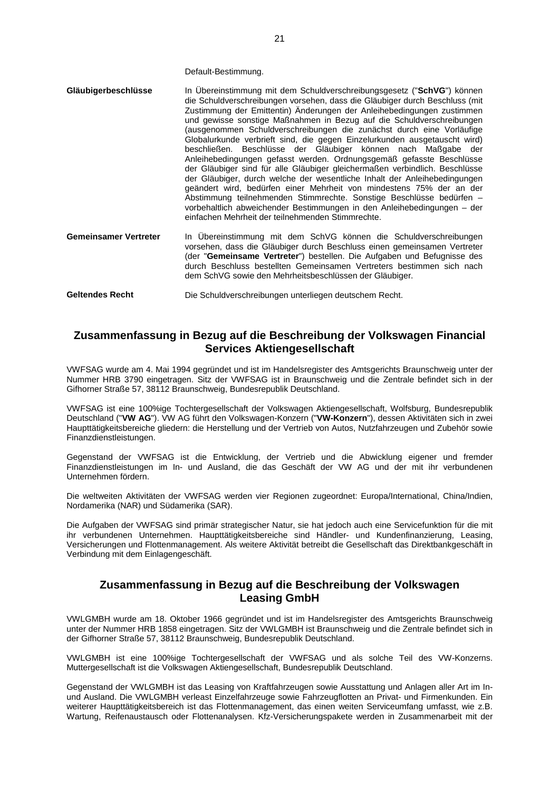Default-Bestimmung.

| Gläubigerbeschlüsse | In Ubereinstimmung mit dem Schuldverschreibungsgesetz ("SchVG") können<br>die Schuldverschreibungen vorsehen, dass die Gläubiger durch Beschluss (mit<br>Zustimmung der Emittentin) Änderungen der Anleihebedingungen zustimmen<br>und gewisse sonstige Maßnahmen in Bezug auf die Schuldverschreibungen<br>(ausgenommen Schuldverschreibungen die zunächst durch eine Vorläufige<br>Globalurkunde verbrieft sind, die gegen Einzelurkunden ausgetauscht wird)<br>beschließen. Beschlüsse der Gläubiger können nach Maßgabe der<br>Anleihebedingungen gefasst werden. Ordnungsgemäß gefasste Beschlüsse<br>der Gläubiger sind für alle Gläubiger gleichermaßen verbindlich. Beschlüsse<br>der Gläubiger, durch welche der wesentliche Inhalt der Anleihebedingungen<br>geändert wird, bedürfen einer Mehrheit von mindestens 75% der an der<br>Abstimmung teilnehmenden Stimmrechte. Sonstige Beschlüsse bedürfen -<br>vorbehaltlich abweichender Bestimmungen in den Anleihebedingungen - der<br>einfachen Mehrheit der teilnehmenden Stimmrechte. |
|---------------------|-----------------------------------------------------------------------------------------------------------------------------------------------------------------------------------------------------------------------------------------------------------------------------------------------------------------------------------------------------------------------------------------------------------------------------------------------------------------------------------------------------------------------------------------------------------------------------------------------------------------------------------------------------------------------------------------------------------------------------------------------------------------------------------------------------------------------------------------------------------------------------------------------------------------------------------------------------------------------------------------------------------------------------------------------------|
|---------------------|-----------------------------------------------------------------------------------------------------------------------------------------------------------------------------------------------------------------------------------------------------------------------------------------------------------------------------------------------------------------------------------------------------------------------------------------------------------------------------------------------------------------------------------------------------------------------------------------------------------------------------------------------------------------------------------------------------------------------------------------------------------------------------------------------------------------------------------------------------------------------------------------------------------------------------------------------------------------------------------------------------------------------------------------------------|

**Gemeinsamer Vertreter** In Übereinstimmung mit dem SchVG können die Schuldverschreibungen vorsehen, dass die Gläubiger durch Beschluss einen gemeinsamen Vertreter (der "**Gemeinsame Vertreter**") bestellen. Die Aufgaben und Befugnisse des durch Beschluss bestellten Gemeinsamen Vertreters bestimmen sich nach dem SchVG sowie den Mehrheitsbeschlüssen der Gläubiger.

**Geltendes Recht** Die Schuldverschreibungen unterliegen deutschem Recht.

# **Zusammenfassung in Bezug auf die Beschreibung der Volkswagen Financial Services Aktiengesellschaft**

VWFSAG wurde am 4. Mai 1994 gegründet und ist im Handelsregister des Amtsgerichts Braunschweig unter der Nummer HRB 3790 eingetragen. Sitz der VWFSAG ist in Braunschweig und die Zentrale befindet sich in der Gifhorner Straße 57, 38112 Braunschweig, Bundesrepublik Deutschland.

VWFSAG ist eine 100%ige Tochtergesellschaft der Volkswagen Aktiengesellschaft, Wolfsburg, Bundesrepublik Deutschland ("**VW AG**"). VW AG führt den Volkswagen-Konzern ("**VW-Konzern**"), dessen Aktivitäten sich in zwei Haupttätigkeitsbereiche gliedern: die Herstellung und der Vertrieb von Autos, Nutzfahrzeugen und Zubehör sowie Finanzdienstleistungen.

Gegenstand der VWFSAG ist die Entwicklung, der Vertrieb und die Abwicklung eigener und fremder Finanzdienstleistungen im In- und Ausland, die das Geschäft der VW AG und der mit ihr verbundenen Unternehmen fördern.

Die weltweiten Aktivitäten der VWFSAG werden vier Regionen zugeordnet: Europa/International, China/Indien, Nordamerika (NAR) und Südamerika (SAR).

Die Aufgaben der VWFSAG sind primär strategischer Natur, sie hat jedoch auch eine Servicefunktion für die mit ihr verbundenen Unternehmen. Haupttätigkeitsbereiche sind Händler- und Kundenfinanzierung, Leasing, Versicherungen und Flottenmanagement. Als weitere Aktivität betreibt die Gesellschaft das Direktbankgeschäft in Verbindung mit dem Einlagengeschäft.

# **Zusammenfassung in Bezug auf die Beschreibung der Volkswagen Leasing GmbH**

VWLGMBH wurde am 18. Oktober 1966 gegründet und ist im Handelsregister des Amtsgerichts Braunschweig unter der Nummer HRB 1858 eingetragen. Sitz der VWLGMBH ist Braunschweig und die Zentrale befindet sich in der Gifhorner Straße 57, 38112 Braunschweig, Bundesrepublik Deutschland.

VWLGMBH ist eine 100%ige Tochtergesellschaft der VWFSAG und als solche Teil des VW-Konzerns. Muttergesellschaft ist die Volkswagen Aktiengesellschaft, Bundesrepublik Deutschland.

Gegenstand der VWLGMBH ist das Leasing von Kraftfahrzeugen sowie Ausstattung und Anlagen aller Art im Inund Ausland. Die VWLGMBH verleast Einzelfahrzeuge sowie Fahrzeugflotten an Privat- und Firmenkunden. Ein weiterer Haupttätigkeitsbereich ist das Flottenmanagement, das einen weiten Serviceumfang umfasst, wie z.B. Wartung, Reifenaustausch oder Flottenanalysen. Kfz-Versicherungspakete werden in Zusammenarbeit mit der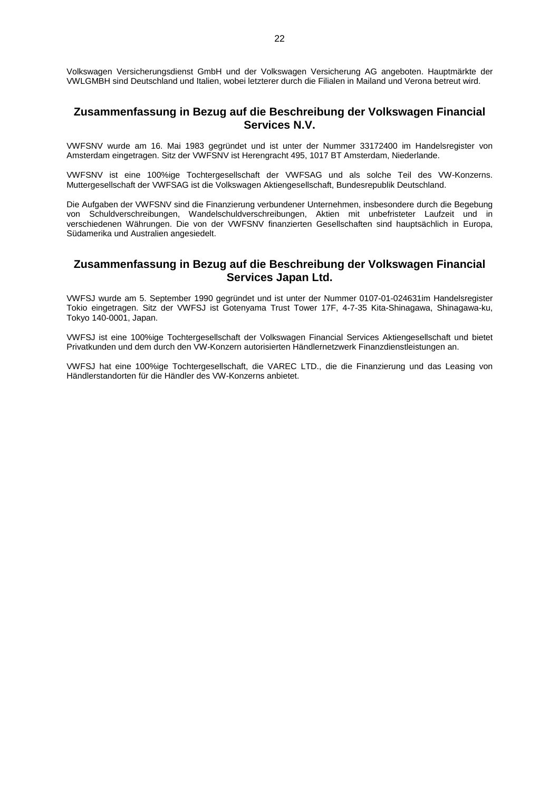Volkswagen Versicherungsdienst GmbH und der Volkswagen Versicherung AG angeboten. Hauptmärkte der VWLGMBH sind Deutschland und Italien, wobei letzterer durch die Filialen in Mailand und Verona betreut wird.

# **Zusammenfassung in Bezug auf die Beschreibung der Volkswagen Financial Services N.V.**

VWFSNV wurde am 16. Mai 1983 gegründet und ist unter der Nummer 33172400 im Handelsregister von Amsterdam eingetragen. Sitz der VWFSNV ist Herengracht 495, 1017 BT Amsterdam, Niederlande.

VWFSNV ist eine 100%ige Tochtergesellschaft der VWFSAG und als solche Teil des VW-Konzerns. Muttergesellschaft der VWFSAG ist die Volkswagen Aktiengesellschaft, Bundesrepublik Deutschland.

Die Aufgaben der VWFSNV sind die Finanzierung verbundener Unternehmen, insbesondere durch die Begebung von Schuldverschreibungen, Wandelschuldverschreibungen, Aktien mit unbefristeter Laufzeit und in verschiedenen Währungen. Die von der VWFSNV finanzierten Gesellschaften sind hauptsächlich in Europa, Südamerika und Australien angesiedelt.

# **Zusammenfassung in Bezug auf die Beschreibung der Volkswagen Financial Services Japan Ltd.**

VWFSJ wurde am 5. September 1990 gegründet und ist unter der Nummer 0107-01-024631im Handelsregister Tokio eingetragen. Sitz der VWFSJ ist Gotenyama Trust Tower 17F, 4-7-35 Kita-Shinagawa, Shinagawa-ku, Tokyo 140-0001, Japan.

VWFSJ ist eine 100%ige Tochtergesellschaft der Volkswagen Financial Services Aktiengesellschaft und bietet Privatkunden und dem durch den VW-Konzern autorisierten Händlernetzwerk Finanzdienstleistungen an.

VWFSJ hat eine 100%ige Tochtergesellschaft, die VAREC LTD., die die Finanzierung und das Leasing von Händlerstandorten für die Händler des VW-Konzerns anbietet.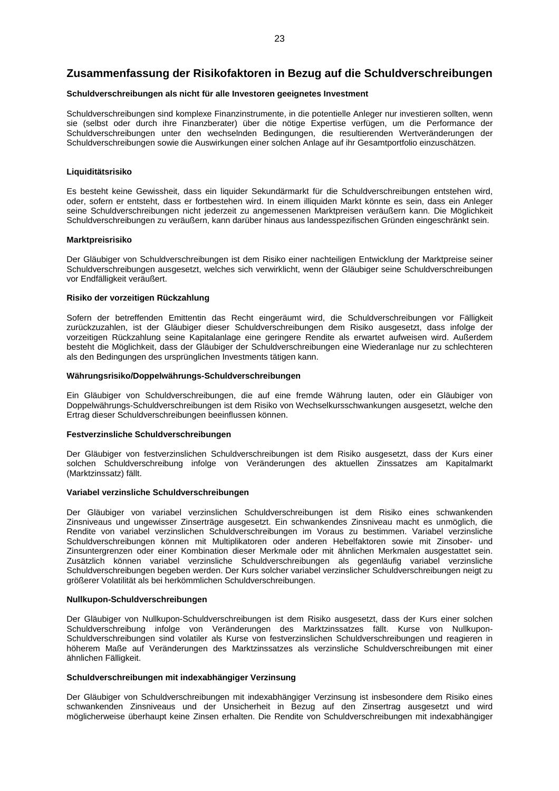# **Zusammenfassung der Risikofaktoren in Bezug auf die Schuldverschreibungen**

#### **Schuldverschreibungen als nicht für alle Investoren geeignetes Investment**

Schuldverschreibungen sind komplexe Finanzinstrumente, in die potentielle Anleger nur investieren sollten, wenn sie (selbst oder durch ihre Finanzberater) über die nötige Expertise verfügen, um die Performance der Schuldverschreibungen unter den wechselnden Bedingungen, die resultierenden Wertveränderungen der Schuldverschreibungen sowie die Auswirkungen einer solchen Anlage auf ihr Gesamtportfolio einzuschätzen.

# **Liquiditätsrisiko**

Es besteht keine Gewissheit, dass ein liquider Sekundärmarkt für die Schuldverschreibungen entstehen wird, oder, sofern er entsteht, dass er fortbestehen wird. In einem illiquiden Markt könnte es sein, dass ein Anleger seine Schuldverschreibungen nicht jederzeit zu angemessenen Marktpreisen veräußern kann. Die Möglichkeit Schuldverschreibungen zu veräußern, kann darüber hinaus aus landesspezifischen Gründen eingeschränkt sein.

#### **Marktpreisrisiko**

Der Gläubiger von Schuldverschreibungen ist dem Risiko einer nachteiligen Entwicklung der Marktpreise seiner Schuldverschreibungen ausgesetzt, welches sich verwirklicht, wenn der Gläubiger seine Schuldverschreibungen vor Endfälligkeit veräußert.

# **Risiko der vorzeitigen Rückzahlung**

Sofern der betreffenden Emittentin das Recht eingeräumt wird, die Schuldverschreibungen vor Fälligkeit zurückzuzahlen, ist der Gläubiger dieser Schuldverschreibungen dem Risiko ausgesetzt, dass infolge der vorzeitigen Rückzahlung seine Kapitalanlage eine geringere Rendite als erwartet aufweisen wird. Außerdem besteht die Möglichkeit, dass der Gläubiger der Schuldverschreibungen eine Wiederanlage nur zu schlechteren als den Bedingungen des ursprünglichen Investments tätigen kann.

# **Währungsrisiko/Doppelwährungs-Schuldverschreibungen**

Ein Gläubiger von Schuldverschreibungen, die auf eine fremde Währung lauten, oder ein Gläubiger von Doppelwährungs-Schuldverschreibungen ist dem Risiko von Wechselkursschwankungen ausgesetzt, welche den Ertrag dieser Schuldverschreibungen beeinflussen können.

# **Festverzinsliche Schuldverschreibungen**

Der Gläubiger von festverzinslichen Schuldverschreibungen ist dem Risiko ausgesetzt, dass der Kurs einer solchen Schuldverschreibung infolge von Veränderungen des aktuellen Zinssatzes am Kapitalmarkt (Marktzinssatz) fällt.

# **Variabel verzinsliche Schuldverschreibungen**

Der Gläubiger von variabel verzinslichen Schuldverschreibungen ist dem Risiko eines schwankenden Zinsniveaus und ungewisser Zinserträge ausgesetzt. Ein schwankendes Zinsniveau macht es unmöglich, die Rendite von variabel verzinslichen Schuldverschreibungen im Voraus zu bestimmen. Variabel verzinsliche Schuldverschreibungen können mit Multiplikatoren oder anderen Hebelfaktoren sowie mit Zinsober- und Zinsuntergrenzen oder einer Kombination dieser Merkmale oder mit ähnlichen Merkmalen ausgestattet sein. Zusätzlich können variabel verzinsliche Schuldverschreibungen als gegenläufig variabel verzinsliche Schuldverschreibungen begeben werden. Der Kurs solcher variabel verzinslicher Schuldverschreibungen neigt zu größerer Volatilität als bei herkömmlichen Schuldverschreibungen.

# **Nullkupon-Schuldverschreibungen**

Der Gläubiger von Nullkupon-Schuldverschreibungen ist dem Risiko ausgesetzt, dass der Kurs einer solchen Schuldverschreibung infolge von Veränderungen des Marktzinssatzes fällt. Kurse von Nullkupon-Schuldverschreibungen sind volatiler als Kurse von festverzinslichen Schuldverschreibungen und reagieren in höherem Maße auf Veränderungen des Marktzinssatzes als verzinsliche Schuldverschreibungen mit einer ähnlichen Fälligkeit.

#### **Schuldverschreibungen mit indexabhängiger Verzinsung**

Der Gläubiger von Schuldverschreibungen mit indexabhängiger Verzinsung ist insbesondere dem Risiko eines schwankenden Zinsniveaus und der Unsicherheit in Bezug auf den Zinsertrag ausgesetzt und wird möglicherweise überhaupt keine Zinsen erhalten. Die Rendite von Schuldverschreibungen mit indexabhängiger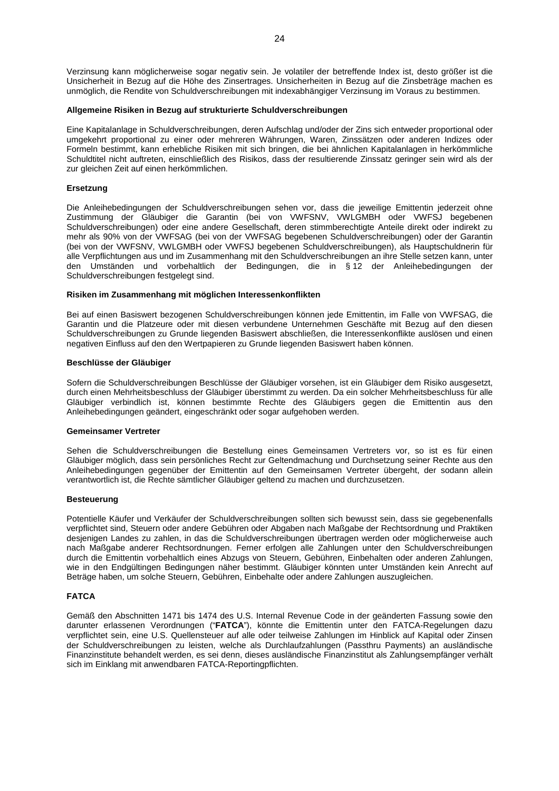Verzinsung kann möglicherweise sogar negativ sein. Je volatiler der betreffende Index ist, desto größer ist die Unsicherheit in Bezug auf die Höhe des Zinsertrages. Unsicherheiten in Bezug auf die Zinsbeträge machen es unmöglich, die Rendite von Schuldverschreibungen mit indexabhängiger Verzinsung im Voraus zu bestimmen.

### **Allgemeine Risiken in Bezug auf strukturierte Schuldverschreibungen**

Eine Kapitalanlage in Schuldverschreibungen, deren Aufschlag und/oder der Zins sich entweder proportional oder umgekehrt proportional zu einer oder mehreren Währungen, Waren, Zinssätzen oder anderen Indizes oder Formeln bestimmt, kann erhebliche Risiken mit sich bringen, die bei ähnlichen Kapitalanlagen in herkömmliche Schuldtitel nicht auftreten, einschließlich des Risikos, dass der resultierende Zinssatz geringer sein wird als der zur gleichen Zeit auf einen herkömmlichen.

# **Ersetzung**

Die Anleihebedingungen der Schuldverschreibungen sehen vor, dass die jeweilige Emittentin jederzeit ohne Zustimmung der Gläubiger die Garantin (bei von VWFSNV, VWLGMBH oder VWFSJ begebenen Schuldverschreibungen) oder eine andere Gesellschaft, deren stimmberechtigte Anteile direkt oder indirekt zu mehr als 90% von der VWFSAG (bei von der VWFSAG begebenen Schuldverschreibungen) oder der Garantin (bei von der VWFSNV, VWLGMBH oder VWFSJ begebenen Schuldverschreibungen), als Hauptschuldnerin für alle Verpflichtungen aus und im Zusammenhang mit den Schuldverschreibungen an ihre Stelle setzen kann, unter den Umständen und vorbehaltlich der Bedingungen, die in § 12 der Anleihebedingungen der Schuldverschreibungen festgelegt sind.

# **Risiken im Zusammenhang mit möglichen Interessenkonflikten**

Bei auf einen Basiswert bezogenen Schuldverschreibungen können jede Emittentin, im Falle von VWFSAG, die Garantin und die Platzeure oder mit diesen verbundene Unternehmen Geschäfte mit Bezug auf den diesen Schuldverschreibungen zu Grunde liegenden Basiswert abschließen, die Interessenkonflikte auslösen und einen negativen Einfluss auf den den Wertpapieren zu Grunde liegenden Basiswert haben können.

# **Beschlüsse der Gläubiger**

Sofern die Schuldverschreibungen Beschlüsse der Gläubiger vorsehen, ist ein Gläubiger dem Risiko ausgesetzt, durch einen Mehrheitsbeschluss der Gläubiger überstimmt zu werden. Da ein solcher Mehrheitsbeschluss für alle Gläubiger verbindlich ist, können bestimmte Rechte des Gläubigers gegen die Emittentin aus den Anleihebedingungen geändert, eingeschränkt oder sogar aufgehoben werden.

#### **Gemeinsamer Vertreter**

Sehen die Schuldverschreibungen die Bestellung eines Gemeinsamen Vertreters vor, so ist es für einen Gläubiger möglich, dass sein persönliches Recht zur Geltendmachung und Durchsetzung seiner Rechte aus den Anleihebedingungen gegenüber der Emittentin auf den Gemeinsamen Vertreter übergeht, der sodann allein verantwortlich ist, die Rechte sämtlicher Gläubiger geltend zu machen und durchzusetzen.

# **Besteuerung**

Potentielle Käufer und Verkäufer der Schuldverschreibungen sollten sich bewusst sein, dass sie gegebenenfalls verpflichtet sind, Steuern oder andere Gebühren oder Abgaben nach Maßgabe der Rechtsordnung und Praktiken desjenigen Landes zu zahlen, in das die Schuldverschreibungen übertragen werden oder möglicherweise auch nach Maßgabe anderer Rechtsordnungen. Ferner erfolgen alle Zahlungen unter den Schuldverschreibungen durch die Emittentin vorbehaltlich eines Abzugs von Steuern, Gebühren, Einbehalten oder anderen Zahlungen, wie in den Endgültingen Bedingungen näher bestimmt. Gläubiger könnten unter Umständen kein Anrecht auf Beträge haben, um solche Steuern, Gebühren, Einbehalte oder andere Zahlungen auszugleichen.

# **FATCA**

Gemäß den Abschnitten 1471 bis 1474 des U.S. Internal Revenue Code in der geänderten Fassung sowie den darunter erlassenen Verordnungen ("**FATCA**"), könnte die Emittentin unter den FATCA-Regelungen dazu verpflichtet sein, eine U.S. Quellensteuer auf alle oder teilweise Zahlungen im Hinblick auf Kapital oder Zinsen der Schuldverschreibungen zu leisten, welche als Durchlaufzahlungen (Passthru Payments) an ausländische Finanzinstitute behandelt werden, es sei denn, dieses ausländische Finanzinstitut als Zahlungsempfänger verhält sich im Einklang mit anwendbaren FATCA-Reportingpflichten.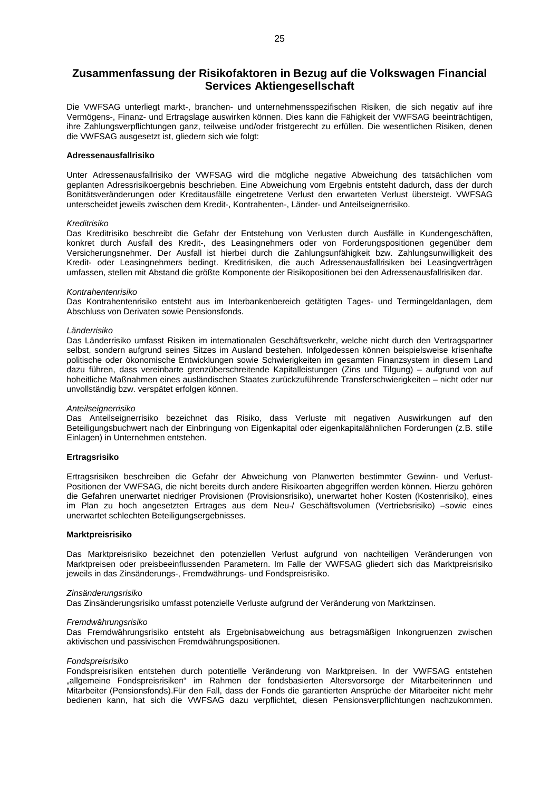# **Zusammenfassung der Risikofaktoren in Bezug auf die Volkswagen Financial Services Aktiengesellschaft**

Die VWFSAG unterliegt markt-, branchen- und unternehmensspezifischen Risiken, die sich negativ auf ihre Vermögens-, Finanz- und Ertragslage auswirken können. Dies kann die Fähigkeit der VWFSAG beeinträchtigen, ihre Zahlungsverpflichtungen ganz, teilweise und/oder fristgerecht zu erfüllen. Die wesentlichen Risiken, denen die VWFSAG ausgesetzt ist, gliedern sich wie folgt:

#### **Adressenausfallrisiko**

Unter Adressenausfallrisiko der VWFSAG wird die mögliche negative Abweichung des tatsächlichen vom geplanten Adressrisikoergebnis beschrieben. Eine Abweichung vom Ergebnis entsteht dadurch, dass der durch Bonitätsveränderungen oder Kreditausfälle eingetretene Verlust den erwarteten Verlust übersteigt. VWFSAG unterscheidet jeweils zwischen dem Kredit-, Kontrahenten-, Länder- und Anteilseignerrisiko.

#### *Kreditrisiko*

Das Kreditrisiko beschreibt die Gefahr der Entstehung von Verlusten durch Ausfälle in Kundengeschäften, konkret durch Ausfall des Kredit-, des Leasingnehmers oder von Forderungspositionen gegenüber dem Versicherungsnehmer. Der Ausfall ist hierbei durch die Zahlungsunfähigkeit bzw. Zahlungsunwilligkeit des Kredit- oder Leasingnehmers bedingt. Kreditrisiken, die auch Adressenausfallrisiken bei Leasingverträgen umfassen, stellen mit Abstand die größte Komponente der Risikopositionen bei den Adressenausfallrisiken dar.

#### *Kontrahentenrisiko*

Das Kontrahentenrisiko entsteht aus im Interbankenbereich getätigten Tages- und Termingeldanlagen, dem Abschluss von Derivaten sowie Pensionsfonds.

#### *Länderrisiko*

Das Länderrisiko umfasst Risiken im internationalen Geschäftsverkehr, welche nicht durch den Vertragspartner selbst, sondern aufgrund seines Sitzes im Ausland bestehen. Infolgedessen können beispielsweise krisenhafte politische oder ökonomische Entwicklungen sowie Schwierigkeiten im gesamten Finanzsystem in diesem Land dazu führen, dass vereinbarte grenzüberschreitende Kapitalleistungen (Zins und Tilgung) – aufgrund von auf hoheitliche Maßnahmen eines ausländischen Staates zurückzuführende Transferschwierigkeiten – nicht oder nur unvollständig bzw. verspätet erfolgen können.

#### *Anteilseignerrisiko*

Das Anteilseignerrisiko bezeichnet das Risiko, dass Verluste mit negativen Auswirkungen auf den Beteiligungsbuchwert nach der Einbringung von Eigenkapital oder eigenkapitalähnlichen Forderungen (z.B. stille Einlagen) in Unternehmen entstehen.

# **Ertragsrisiko**

Ertragsrisiken beschreiben die Gefahr der Abweichung von Planwerten bestimmter Gewinn- und Verlust-Positionen der VWFSAG, die nicht bereits durch andere Risikoarten abgegriffen werden können. Hierzu gehören die Gefahren unerwartet niedriger Provisionen (Provisionsrisiko), unerwartet hoher Kosten (Kostenrisiko), eines im Plan zu hoch angesetzten Ertrages aus dem Neu-/ Geschäftsvolumen (Vertriebsrisiko) –sowie eines unerwartet schlechten Beteiligungsergebnisses.

### **Marktpreisrisiko**

Das Marktpreisrisiko bezeichnet den potenziellen Verlust aufgrund von nachteiligen Veränderungen von Marktpreisen oder preisbeeinflussenden Parametern. Im Falle der VWFSAG gliedert sich das Marktpreisrisiko jeweils in das Zinsänderungs-, Fremdwährungs- und Fondspreisrisiko.

#### *Zinsänderungsrisiko*

Das Zinsänderungsrisiko umfasst potenzielle Verluste aufgrund der Veränderung von Marktzinsen.

### *Fremdwährungsrisiko*

Das Fremdwährungsrisiko entsteht als Ergebnisabweichung aus betragsmäßigen Inkongruenzen zwischen aktivischen und passivischen Fremdwährungspositionen.

# *Fondspreisrisiko*

Fondspreisrisiken entstehen durch potentielle Veränderung von Marktpreisen. In der VWFSAG entstehen "allgemeine Fondspreisrisiken" im Rahmen der fondsbasierten Altersvorsorge der Mitarbeiterinnen und Mitarbeiter (Pensionsfonds).Für den Fall, dass der Fonds die garantierten Ansprüche der Mitarbeiter nicht mehr bedienen kann, hat sich die VWFSAG dazu verpflichtet, diesen Pensionsverpflichtungen nachzukommen.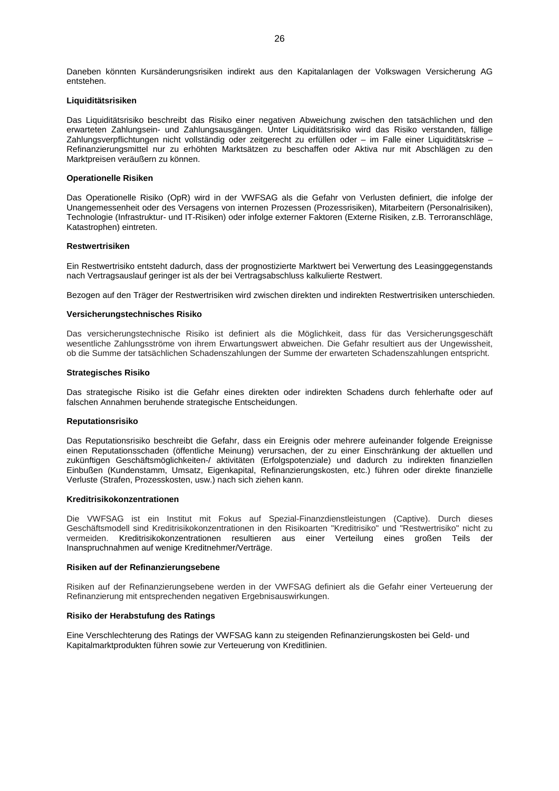Daneben könnten Kursänderungsrisiken indirekt aus den Kapitalanlagen der Volkswagen Versicherung AG entstehen.

# **Liquiditätsrisiken**

Das Liquiditätsrisiko beschreibt das Risiko einer negativen Abweichung zwischen den tatsächlichen und den erwarteten Zahlungsein- und Zahlungsausgängen. Unter Liquiditätsrisiko wird das Risiko verstanden, fällige Zahlungsverpflichtungen nicht vollständig oder zeitgerecht zu erfüllen oder – im Falle einer Liquiditätskrise – Refinanzierungsmittel nur zu erhöhten Marktsätzen zu beschaffen oder Aktiva nur mit Abschlägen zu den Marktpreisen veräußern zu können.

### **Operationelle Risiken**

Das Operationelle Risiko (OpR) wird in der VWFSAG als die Gefahr von Verlusten definiert, die infolge der Unangemessenheit oder des Versagens von internen Prozessen (Prozessrisiken), Mitarbeitern (Personalrisiken), Technologie (Infrastruktur- und IT-Risiken) oder infolge externer Faktoren (Externe Risiken, z.B. Terroranschläge, Katastrophen) eintreten.

#### **Restwertrisiken**

Ein Restwertrisiko entsteht dadurch, dass der prognostizierte Marktwert bei Verwertung des Leasinggegenstands nach Vertragsauslauf geringer ist als der bei Vertragsabschluss kalkulierte Restwert.

Bezogen auf den Träger der Restwertrisiken wird zwischen direkten und indirekten Restwertrisiken unterschieden.

# **Versicherungstechnisches Risiko**

Das versicherungstechnische Risiko ist definiert als die Möglichkeit, dass für das Versicherungsgeschäft wesentliche Zahlungsströme von ihrem Erwartungswert abweichen. Die Gefahr resultiert aus der Ungewissheit, ob die Summe der tatsächlichen Schadenszahlungen der Summe der erwarteten Schadenszahlungen entspricht.

# **Strategisches Risiko**

Das strategische Risiko ist die Gefahr eines direkten oder indirekten Schadens durch fehlerhafte oder auf falschen Annahmen beruhende strategische Entscheidungen.

#### **Reputationsrisiko**

Das Reputationsrisiko beschreibt die Gefahr, dass ein Ereignis oder mehrere aufeinander folgende Ereignisse einen Reputationsschaden (öffentliche Meinung) verursachen, der zu einer Einschränkung der aktuellen und zukünftigen Geschäftsmöglichkeiten-/ aktivitäten (Erfolgspotenziale) und dadurch zu indirekten finanziellen Einbußen (Kundenstamm, Umsatz, Eigenkapital, Refinanzierungskosten, etc.) führen oder direkte finanzielle Verluste (Strafen, Prozesskosten, usw.) nach sich ziehen kann.

# **Kreditrisikokonzentrationen**

Die VWFSAG ist ein Institut mit Fokus auf Spezial-Finanzdienstleistungen (Captive). Durch dieses Geschäftsmodell sind Kreditrisikokonzentrationen in den Risikoarten "Kreditrisiko" und "Restwertrisiko" nicht zu vermeiden. Kreditrisikokonzentrationen resultieren aus einer Verteilung eines großen Teils der Inanspruchnahmen auf wenige Kreditnehmer/Verträge.

#### **Risiken auf der Refinanzierungsebene**

Risiken auf der Refinanzierungsebene werden in der VWFSAG definiert als die Gefahr einer Verteuerung der Refinanzierung mit entsprechenden negativen Ergebnisauswirkungen.

# **Risiko der Herabstufung des Ratings**

Eine Verschlechterung des Ratings der VWFSAG kann zu steigenden Refinanzierungskosten bei Geld- und Kapitalmarktprodukten führen sowie zur Verteuerung von Kreditlinien.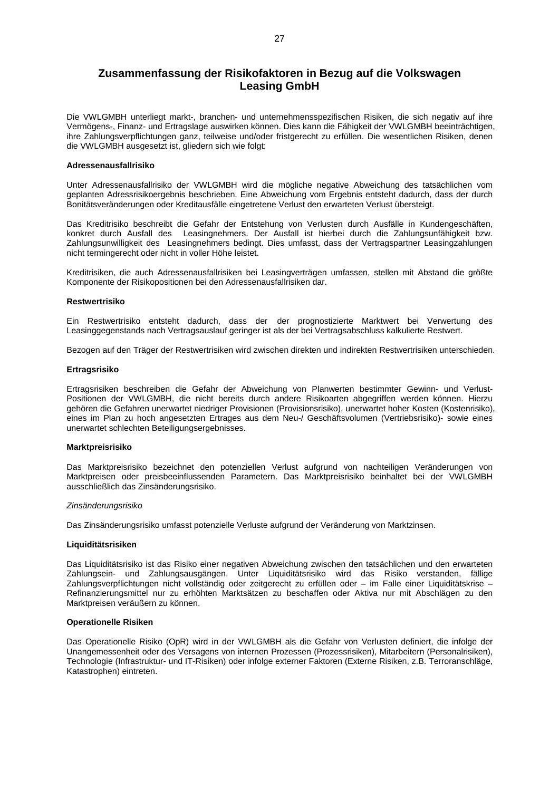# **Zusammenfassung der Risikofaktoren in Bezug auf die Volkswagen Leasing GmbH**

Die VWLGMBH unterliegt markt-, branchen- und unternehmensspezifischen Risiken, die sich negativ auf ihre Vermögens-, Finanz- und Ertragslage auswirken können. Dies kann die Fähigkeit der VWLGMBH beeinträchtigen, ihre Zahlungsverpflichtungen ganz, teilweise und/oder fristgerecht zu erfüllen. Die wesentlichen Risiken, denen die VWLGMBH ausgesetzt ist, gliedern sich wie folgt:

### **Adressenausfallrisiko**

Unter Adressenausfallrisiko der VWLGMBH wird die mögliche negative Abweichung des tatsächlichen vom geplanten Adressrisikoergebnis beschrieben. Eine Abweichung vom Ergebnis entsteht dadurch, dass der durch Bonitätsveränderungen oder Kreditausfälle eingetretene Verlust den erwarteten Verlust übersteigt.

Das Kreditrisiko beschreibt die Gefahr der Entstehung von Verlusten durch Ausfälle in Kundengeschäften, konkret durch Ausfall des Leasingnehmers. Der Ausfall ist hierbei durch die Zahlungsunfähigkeit bzw. Zahlungsunwilligkeit des Leasingnehmers bedingt. Dies umfasst, dass der Vertragspartner Leasingzahlungen nicht termingerecht oder nicht in voller Höhe leistet.

Kreditrisiken, die auch Adressenausfallrisiken bei Leasingverträgen umfassen, stellen mit Abstand die größte Komponente der Risikopositionen bei den Adressenausfallrisiken dar.

#### **Restwertrisiko**

Ein Restwertrisiko entsteht dadurch, dass der der prognostizierte Marktwert bei Verwertung des Leasinggegenstands nach Vertragsauslauf geringer ist als der bei Vertragsabschluss kalkulierte Restwert.

Bezogen auf den Träger der Restwertrisiken wird zwischen direkten und indirekten Restwertrisiken unterschieden.

# **Ertragsrisiko**

Ertragsrisiken beschreiben die Gefahr der Abweichung von Planwerten bestimmter Gewinn- und Verlust-Positionen der VWLGMBH, die nicht bereits durch andere Risikoarten abgegriffen werden können. Hierzu gehören die Gefahren unerwartet niedriger Provisionen (Provisionsrisiko), unerwartet hoher Kosten (Kostenrisiko), eines im Plan zu hoch angesetzten Ertrages aus dem Neu-/ Geschäftsvolumen (Vertriebsrisiko)- sowie eines unerwartet schlechten Beteiligungsergebnisses.

#### **Marktpreisrisiko**

Das Marktpreisrisiko bezeichnet den potenziellen Verlust aufgrund von nachteiligen Veränderungen von Marktpreisen oder preisbeeinflussenden Parametern. Das Marktpreisrisiko beinhaltet bei der VWLGMBH ausschließlich das Zinsänderungsrisiko.

#### *Zinsänderungsrisiko*

Das Zinsänderungsrisiko umfasst potenzielle Verluste aufgrund der Veränderung von Marktzinsen.

#### **Liquiditätsrisiken**

Das Liquiditätsrisiko ist das Risiko einer negativen Abweichung zwischen den tatsächlichen und den erwarteten Zahlungsein- und Zahlungsausgängen. Unter Liquiditätsrisiko wird das Risiko verstanden, fällige Zahlungsverpflichtungen nicht vollständig oder zeitgerecht zu erfüllen oder – im Falle einer Liquiditätskrise – Refinanzierungsmittel nur zu erhöhten Marktsätzen zu beschaffen oder Aktiva nur mit Abschlägen zu den Marktpreisen veräußern zu können.

# **Operationelle Risiken**

Das Operationelle Risiko (OpR) wird in der VWLGMBH als die Gefahr von Verlusten definiert, die infolge der Unangemessenheit oder des Versagens von internen Prozessen (Prozessrisiken), Mitarbeitern (Personalrisiken), Technologie (Infrastruktur- und IT-Risiken) oder infolge externer Faktoren (Externe Risiken, z.B. Terroranschläge, Katastrophen) eintreten.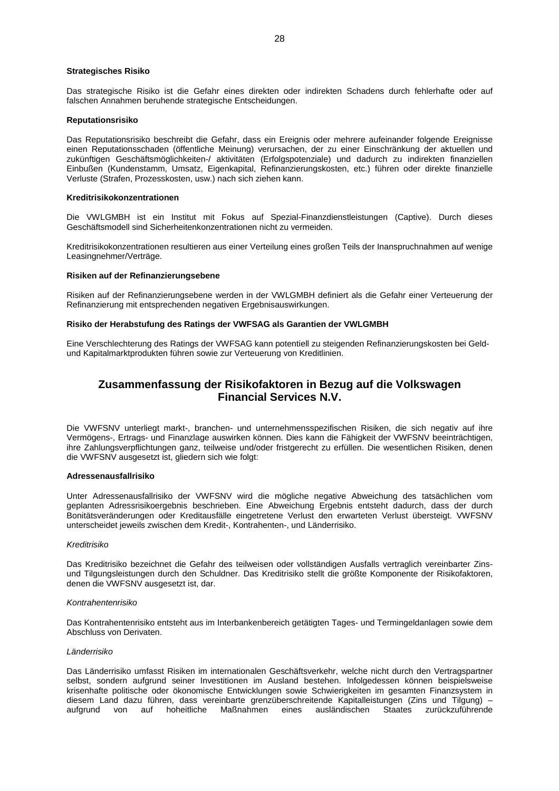# **Strategisches Risiko**

Das strategische Risiko ist die Gefahr eines direkten oder indirekten Schadens durch fehlerhafte oder auf falschen Annahmen beruhende strategische Entscheidungen.

# **Reputationsrisiko**

Das Reputationsrisiko beschreibt die Gefahr, dass ein Ereignis oder mehrere aufeinander folgende Ereignisse einen Reputationsschaden (öffentliche Meinung) verursachen, der zu einer Einschränkung der aktuellen und zukünftigen Geschäftsmöglichkeiten-/ aktivitäten (Erfolgspotenziale) und dadurch zu indirekten finanziellen Einbußen (Kundenstamm, Umsatz, Eigenkapital, Refinanzierungskosten, etc.) führen oder direkte finanzielle Verluste (Strafen, Prozesskosten, usw.) nach sich ziehen kann.

#### **Kreditrisikokonzentrationen**

Die VWLGMBH ist ein Institut mit Fokus auf Spezial-Finanzdienstleistungen (Captive). Durch dieses Geschäftsmodell sind Sicherheitenkonzentrationen nicht zu vermeiden.

Kreditrisikokonzentrationen resultieren aus einer Verteilung eines großen Teils der Inanspruchnahmen auf wenige Leasingnehmer/Verträge.

# **Risiken auf der Refinanzierungsebene**

Risiken auf der Refinanzierungsebene werden in der VWLGMBH definiert als die Gefahr einer Verteuerung der Refinanzierung mit entsprechenden negativen Ergebnisauswirkungen.

# **Risiko der Herabstufung des Ratings der VWFSAG als Garantien der VWLGMBH**

Eine Verschlechterung des Ratings der VWFSAG kann potentiell zu steigenden Refinanzierungskosten bei Geldund Kapitalmarktprodukten führen sowie zur Verteuerung von Kreditlinien.

# **Zusammenfassung der Risikofaktoren in Bezug auf die Volkswagen Financial Services N.V.**

Die VWFSNV unterliegt markt-, branchen- und unternehmensspezifischen Risiken, die sich negativ auf ihre Vermögens-, Ertrags- und Finanzlage auswirken können. Dies kann die Fähigkeit der VWFSNV beeinträchtigen, ihre Zahlungsverpflichtungen ganz, teilweise und/oder fristgerecht zu erfüllen. Die wesentlichen Risiken, denen die VWFSNV ausgesetzt ist, gliedern sich wie folgt:

# **Adressenausfallrisiko**

Unter Adressenausfallrisiko der VWFSNV wird die mögliche negative Abweichung des tatsächlichen vom geplanten Adressrisikoergebnis beschrieben. Eine Abweichung Ergebnis entsteht dadurch, dass der durch Bonitätsveränderungen oder Kreditausfälle eingetretene Verlust den erwarteten Verlust übersteigt. VWFSNV unterscheidet jeweils zwischen dem Kredit-, Kontrahenten-, und Länderrisiko.

#### *Kreditrisiko*

Das Kreditrisiko bezeichnet die Gefahr des teilweisen oder vollständigen Ausfalls vertraglich vereinbarter Zinsund Tilgungsleistungen durch den Schuldner. Das Kreditrisiko stellt die größte Komponente der Risikofaktoren, denen die VWFSNV ausgesetzt ist, dar.

#### *Kontrahentenrisiko*

Das Kontrahentenrisiko entsteht aus im Interbankenbereich getätigten Tages- und Termingeldanlagen sowie dem Abschluss von Derivaten.

# *Länderrisiko*

Das Länderrisiko umfasst Risiken im internationalen Geschäftsverkehr, welche nicht durch den Vertragspartner selbst, sondern aufgrund seiner Investitionen im Ausland bestehen. Infolgedessen können beispielsweise krisenhafte politische oder ökonomische Entwicklungen sowie Schwierigkeiten im gesamten Finanzsystem in diesem Land dazu führen, dass vereinbarte grenzüberschreitende Kapitalleistungen (Zins und Tilgung) – aufgrund von auf hoheitliche Maßnahmen eines ausländischen Staates zurückzuführende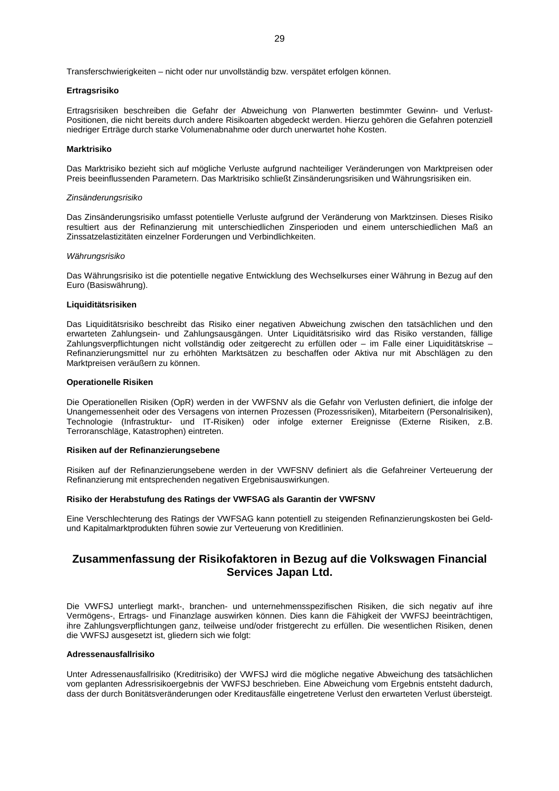Transferschwierigkeiten – nicht oder nur unvollständig bzw. verspätet erfolgen können.

# **Ertragsrisiko**

Ertragsrisiken beschreiben die Gefahr der Abweichung von Planwerten bestimmter Gewinn- und Verlust-Positionen, die nicht bereits durch andere Risikoarten abgedeckt werden. Hierzu gehören die Gefahren potenziell niedriger Erträge durch starke Volumenabnahme oder durch unerwartet hohe Kosten.

### **Marktrisiko**

Das Marktrisiko bezieht sich auf mögliche Verluste aufgrund nachteiliger Veränderungen von Marktpreisen oder Preis beeinflussenden Parametern. Das Marktrisiko schließt Zinsänderungsrisiken und Währungsrisiken ein.

#### *Zinsänderungsrisiko*

Das Zinsänderungsrisiko umfasst potentielle Verluste aufgrund der Veränderung von Marktzinsen. Dieses Risiko resultiert aus der Refinanzierung mit unterschiedlichen Zinsperioden und einem unterschiedlichen Maß an Zinssatzelastizitäten einzelner Forderungen und Verbindlichkeiten.

#### *Währungsrisiko*

Das Währungsrisiko ist die potentielle negative Entwicklung des Wechselkurses einer Währung in Bezug auf den Euro (Basiswährung).

### **Liquiditätsrisiken**

Das Liquiditätsrisiko beschreibt das Risiko einer negativen Abweichung zwischen den tatsächlichen und den erwarteten Zahlungsein- und Zahlungsausgängen. Unter Liquiditätsrisiko wird das Risiko verstanden, fällige Zahlungsverpflichtungen nicht vollständig oder zeitgerecht zu erfüllen oder – im Falle einer Liquiditätskrise – Refinanzierungsmittel nur zu erhöhten Marktsätzen zu beschaffen oder Aktiva nur mit Abschlägen zu den Marktpreisen veräußern zu können.

### **Operationelle Risiken**

Die Operationellen Risiken (OpR) werden in der VWFSNV als die Gefahr von Verlusten definiert, die infolge der Unangemessenheit oder des Versagens von internen Prozessen (Prozessrisiken), Mitarbeitern (Personalrisiken), Technologie (Infrastruktur- und IT-Risiken) oder infolge externer Ereignisse (Externe Risiken, z.B. Terroranschläge, Katastrophen) eintreten.

#### **Risiken auf der Refinanzierungsebene**

Risiken auf der Refinanzierungsebene werden in der VWFSNV definiert als die Gefahreiner Verteuerung der Refinanzierung mit entsprechenden negativen Ergebnisauswirkungen.

# **Risiko der Herabstufung des Ratings der VWFSAG als Garantin der VWFSNV**

Eine Verschlechterung des Ratings der VWFSAG kann potentiell zu steigenden Refinanzierungskosten bei Geldund Kapitalmarktprodukten führen sowie zur Verteuerung von Kreditlinien.

# **Zusammenfassung der Risikofaktoren in Bezug auf die Volkswagen Financial Services Japan Ltd.**

Die VWFSJ unterliegt markt-, branchen- und unternehmensspezifischen Risiken, die sich negativ auf ihre Vermögens-, Ertrags- und Finanzlage auswirken können. Dies kann die Fähigkeit der VWFSJ beeinträchtigen, ihre Zahlungsverpflichtungen ganz, teilweise und/oder fristgerecht zu erfüllen. Die wesentlichen Risiken, denen die VWFSJ ausgesetzt ist, gliedern sich wie folgt:

# **Adressenausfallrisiko**

Unter Adressenausfallrisiko (Kreditrisiko) der VWFSJ wird die mögliche negative Abweichung des tatsächlichen vom geplanten Adressrisikoergebnis der VWFSJ beschrieben. Eine Abweichung vom Ergebnis entsteht dadurch, dass der durch Bonitätsveränderungen oder Kreditausfälle eingetretene Verlust den erwarteten Verlust übersteigt.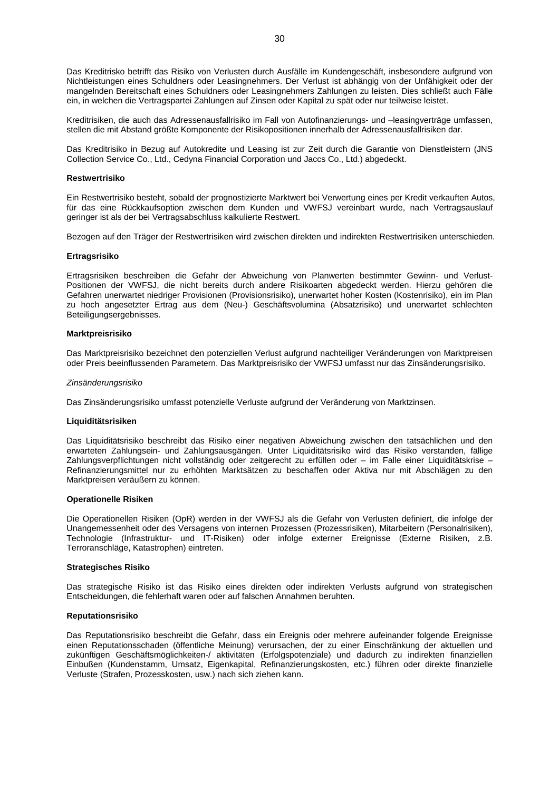Das Kreditrisko betrifft das Risiko von Verlusten durch Ausfälle im Kundengeschäft, insbesondere aufgrund von Nichtleistungen eines Schuldners oder Leasingnehmers. Der Verlust ist abhängig von der Unfähigkeit oder der mangelnden Bereitschaft eines Schuldners oder Leasingnehmers Zahlungen zu leisten. Dies schließt auch Fälle ein, in welchen die Vertragspartei Zahlungen auf Zinsen oder Kapital zu spät oder nur teilweise leistet.

Kreditrisiken, die auch das Adressenausfallrisiko im Fall von Autofinanzierungs- und –leasingverträge umfassen, stellen die mit Abstand größte Komponente der Risikopositionen innerhalb der Adressenausfallrisiken dar.

Das Kreditrisiko in Bezug auf Autokredite und Leasing ist zur Zeit durch die Garantie von Dienstleistern (JNS Collection Service Co., Ltd., Cedyna Financial Corporation und Jaccs Co., Ltd.) abgedeckt.

#### **Restwertrisiko**

Ein Restwertrisiko besteht, sobald der prognostizierte Marktwert bei Verwertung eines per Kredit verkauften Autos, für das eine Rückkaufsoption zwischen dem Kunden und VWFSJ vereinbart wurde, nach Vertragsauslauf geringer ist als der bei Vertragsabschluss kalkulierte Restwert.

Bezogen auf den Träger der Restwertrisiken wird zwischen direkten und indirekten Restwertrisiken unterschieden.

#### **Ertragsrisiko**

Ertragsrisiken beschreiben die Gefahr der Abweichung von Planwerten bestimmter Gewinn- und Verlust-Positionen der VWFSJ, die nicht bereits durch andere Risikoarten abgedeckt werden. Hierzu gehören die Gefahren unerwartet niedriger Provisionen (Provisionsrisiko), unerwartet hoher Kosten (Kostenrisiko), ein im Plan zu hoch angesetzter Ertrag aus dem (Neu-) Geschäftsvolumina (Absatzrisiko) und unerwartet schlechten Beteiligungsergebnisses.

#### **Marktpreisrisiko**

Das Marktpreisrisiko bezeichnet den potenziellen Verlust aufgrund nachteiliger Veränderungen von Marktpreisen oder Preis beeinflussenden Parametern. Das Marktpreisrisiko der VWFSJ umfasst nur das Zinsänderungsrisiko.

#### *Zinsänderungsrisiko*

Das Zinsänderungsrisiko umfasst potenzielle Verluste aufgrund der Veränderung von Marktzinsen.

#### **Liquiditätsrisiken**

Das Liquiditätsrisiko beschreibt das Risiko einer negativen Abweichung zwischen den tatsächlichen und den erwarteten Zahlungsein- und Zahlungsausgängen. Unter Liquiditätsrisiko wird das Risiko verstanden, fällige Zahlungsverpflichtungen nicht vollständig oder zeitgerecht zu erfüllen oder – im Falle einer Liquiditätskrise – Refinanzierungsmittel nur zu erhöhten Marktsätzen zu beschaffen oder Aktiva nur mit Abschlägen zu den Marktpreisen veräußern zu können.

# **Operationelle Risiken**

Die Operationellen Risiken (OpR) werden in der VWFSJ als die Gefahr von Verlusten definiert, die infolge der Unangemessenheit oder des Versagens von internen Prozessen (Prozessrisiken), Mitarbeitern (Personalrisiken), Technologie (Infrastruktur- und IT-Risiken) oder infolge externer Ereignisse (Externe Risiken, z.B. Terroranschläge, Katastrophen) eintreten.

#### **Strategisches Risiko**

Das strategische Risiko ist das Risiko eines direkten oder indirekten Verlusts aufgrund von strategischen Entscheidungen, die fehlerhaft waren oder auf falschen Annahmen beruhten.

# **Reputationsrisiko**

Das Reputationsrisiko beschreibt die Gefahr, dass ein Ereignis oder mehrere aufeinander folgende Ereignisse einen Reputationsschaden (öffentliche Meinung) verursachen, der zu einer Einschränkung der aktuellen und zukünftigen Geschäftsmöglichkeiten-/ aktivitäten (Erfolgspotenziale) und dadurch zu indirekten finanziellen Einbußen (Kundenstamm, Umsatz, Eigenkapital, Refinanzierungskosten, etc.) führen oder direkte finanzielle Verluste (Strafen, Prozesskosten, usw.) nach sich ziehen kann.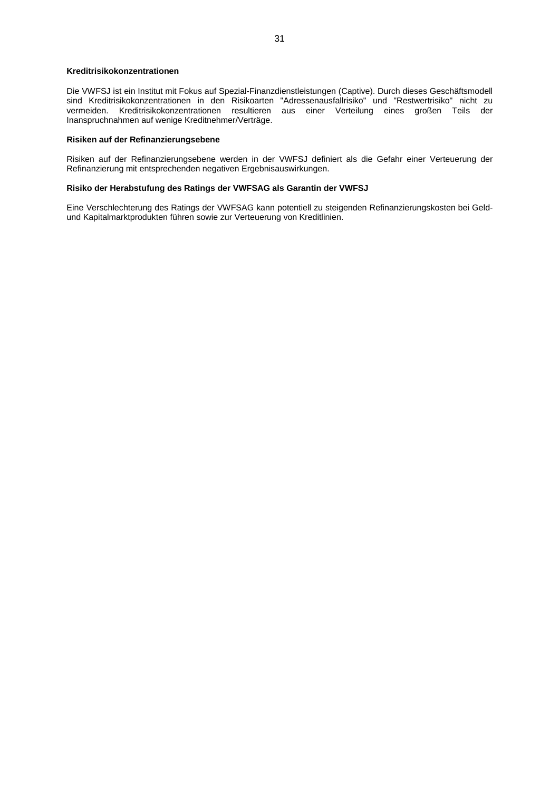# **Kreditrisikokonzentrationen**

Die VWFSJ ist ein Institut mit Fokus auf Spezial-Finanzdienstleistungen (Captive). Durch dieses Geschäftsmodell sind Kreditrisikokonzentrationen in den Risikoarten "Adressenausfallrisiko" und "Restwertrisiko" nicht zu vermeiden. Kreditrisikokonzentrationen resultieren aus einer Verteilung eines großen Teils der Inanspruchnahmen auf wenige Kreditnehmer/Verträge.

# **Risiken auf der Refinanzierungsebene**

Risiken auf der Refinanzierungsebene werden in der VWFSJ definiert als die Gefahr einer Verteuerung der Refinanzierung mit entsprechenden negativen Ergebnisauswirkungen.

# **Risiko der Herabstufung des Ratings der VWFSAG als Garantin der VWFSJ**

Eine Verschlechterung des Ratings der VWFSAG kann potentiell zu steigenden Refinanzierungskosten bei Geldund Kapitalmarktprodukten führen sowie zur Verteuerung von Kreditlinien.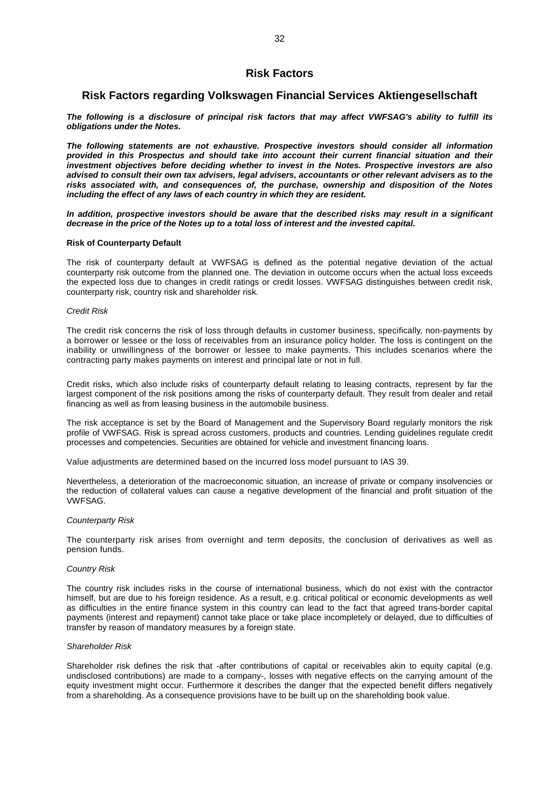# <span id="page-31-0"></span>**Risk Factors**

# <span id="page-31-1"></span>**Risk Factors regarding Volkswagen Financial Services Aktiengesellschaft**

*The following is a disclosure of principal risk factors that may affect VWFSAG's ability to fulfill its obligations under the Notes.*

*The following statements are not exhaustive. Prospective investors should consider all information provided in this Prospectus and should take into account their current financial situation and their investment objectives before deciding whether to invest in the Notes. Prospective investors are also advised to consult their own tax advisers, legal advisers, accountants or other relevant advisers as to the risks associated with, and consequences of, the purchase, ownership and disposition of the Notes including the effect of any laws of each country in which they are resident.*

*In addition, prospective investors should be aware that the described risks may result in a significant decrease in the price of the Notes up to a total loss of interest and the invested capital.*

# **Risk of Counterparty Default**

The risk of counterparty default at VWFSAG is defined as the potential negative deviation of the actual counterparty risk outcome from the planned one. The deviation in outcome occurs when the actual loss exceeds the expected loss due to changes in credit ratings or credit losses. VWFSAG distinguishes between credit risk, counterparty risk, country risk and shareholder risk.

#### *Credit Risk*

The credit risk concerns the risk of loss through defaults in customer business, specifically, non-payments by a borrower or lessee or the loss of receivables from an insurance policy holder. The loss is contingent on the inability or unwillingness of the borrower or lessee to make payments. This includes scenarios where the contracting party makes payments on interest and principal late or not in full.

Credit risks, which also include risks of counterparty default relating to leasing contracts, represent by far the largest component of the risk positions among the risks of counterparty default. They result from dealer and retail financing as well as from leasing business in the automobile business.

The risk acceptance is set by the Board of Management and the Supervisory Board regularly monitors the risk profile of VWFSAG. Risk is spread across customers, products and countries. Lending guidelines regulate credit processes and competencies. Securities are obtained for vehicle and investment financing loans.

Value adjustments are determined based on the incurred loss model pursuant to IAS 39.

Nevertheless, a deterioration of the macroeconomic situation, an increase of private or company insolvencies or the reduction of collateral values can cause a negative development of the financial and profit situation of the VWFSAG.

#### *Counterparty Risk*

The counterparty risk arises from overnight and term deposits, the conclusion of derivatives as well as pension funds.

### *Country Risk*

The country risk includes risks in the course of international business, which do not exist with the contractor himself, but are due to his foreign residence. As a result, e.g. critical political or economic developments as well as difficulties in the entire finance system in this country can lead to the fact that agreed trans-border capital payments (interest and repayment) cannot take place or take place incompletely or delayed, due to difficulties of transfer by reason of mandatory measures by a foreign state.

#### *Shareholder Risk*

Shareholder risk defines the risk that -after contributions of capital or receivables akin to equity capital (e.g. undisclosed contributions) are made to a company-, losses with negative effects on the carrying amount of the equity investment might occur. Furthermore it describes the danger that the expected benefit differs negatively from a shareholding. As a consequence provisions have to be built up on the shareholding book value.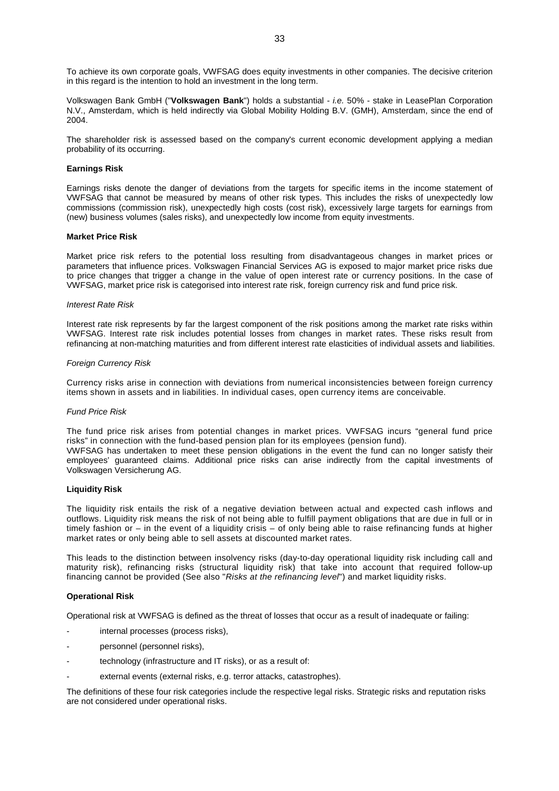To achieve its own corporate goals, VWFSAG does equity investments in other companies. The decisive criterion in this regard is the intention to hold an investment in the long term.

Volkswagen Bank GmbH ("**Volkswagen Bank**") holds a substantial - *i.e.* 50% - stake in LeasePlan Corporation N.V., Amsterdam, which is held indirectly via Global Mobility Holding B.V. (GMH), Amsterdam, since the end of 2004.

The shareholder risk is assessed based on the company's current economic development applying a median probability of its occurring.

# **Earnings Risk**

Earnings risks denote the danger of deviations from the targets for specific items in the income statement of VWFSAG that cannot be measured by means of other risk types. This includes the risks of unexpectedly low commissions (commission risk), unexpectedly high costs (cost risk), excessively large targets for earnings from (new) business volumes (sales risks), and unexpectedly low income from equity investments.

# **Market Price Risk**

Market price risk refers to the potential loss resulting from disadvantageous changes in market prices or parameters that influence prices. Volkswagen Financial Services AG is exposed to major market price risks due to price changes that trigger a change in the value of open interest rate or currency positions. In the case of VWFSAG, market price risk is categorised into interest rate risk, foreign currency risk and fund price risk.

#### *Interest Rate Risk*

Interest rate risk represents by far the largest component of the risk positions among the market rate risks within VWFSAG. Interest rate risk includes potential losses from changes in market rates. These risks result from refinancing at non-matching maturities and from different interest rate elasticities of individual assets and liabilities.

# *Foreign Currency Risk*

Currency risks arise in connection with deviations from numerical inconsistencies between foreign currency items shown in assets and in liabilities. In individual cases, open currency items are conceivable.

#### *Fund Price Risk*

The fund price risk arises from potential changes in market prices. VWFSAG incurs "general fund price risks" in connection with the fund-based pension plan for its employees (pension fund). VWFSAG has undertaken to meet these pension obligations in the event the fund can no longer satisfy their employees' guaranteed claims. Additional price risks can arise indirectly from the capital investments of

Volkswagen Versicherung AG.

#### **Liquidity Risk**

The liquidity risk entails the risk of a negative deviation between actual and expected cash inflows and outflows. Liquidity risk means the risk of not being able to fulfill payment obligations that are due in full or in timely fashion or – in the event of a liquidity crisis – of only being able to raise refinancing funds at higher market rates or only being able to sell assets at discounted market rates.

This leads to the distinction between insolvency risks (day-to-day operational liquidity risk including call and maturity risk), refinancing risks (structural liquidity risk) that take into account that required follow-up financing cannot be provided (See also "*Risks at the refinancing level*") and market liquidity risks.

# **Operational Risk**

Operational risk at VWFSAG is defined as the threat of losses that occur as a result of inadequate or failing:

- internal processes (process risks),
- personnel (personnel risks),
- technology (infrastructure and IT risks), or as a result of:
- external events (external risks, e.g. terror attacks, catastrophes).

The definitions of these four risk categories include the respective legal risks. Strategic risks and reputation risks are not considered under operational risks.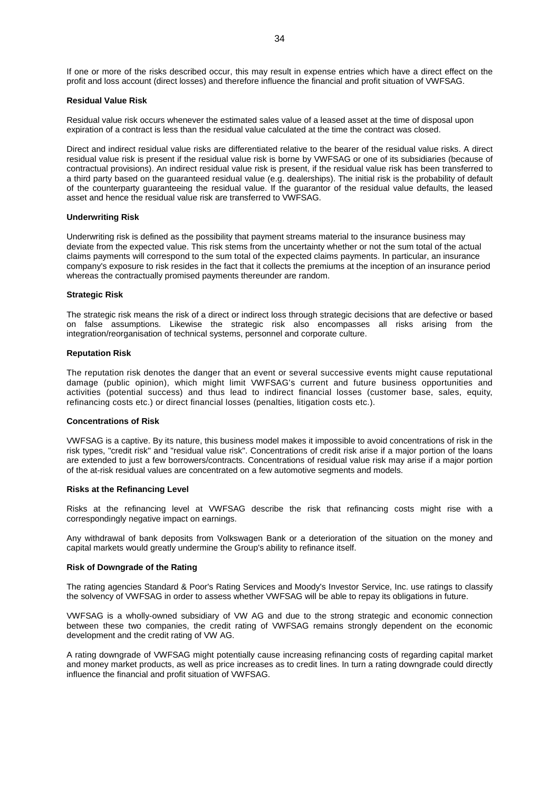If one or more of the risks described occur, this may result in expense entries which have a direct effect on the profit and loss account (direct losses) and therefore influence the financial and profit situation of VWFSAG.

### **Residual Value Risk**

Residual value risk occurs whenever the estimated sales value of a leased asset at the time of disposal upon expiration of a contract is less than the residual value calculated at the time the contract was closed.

Direct and indirect residual value risks are differentiated relative to the bearer of the residual value risks. A direct residual value risk is present if the residual value risk is borne by VWFSAG or one of its subsidiaries (because of contractual provisions). An indirect residual value risk is present, if the residual value risk has been transferred to a third party based on the guaranteed residual value (e.g. dealerships). The initial risk is the probability of default of the counterparty guaranteeing the residual value. If the guarantor of the residual value defaults, the leased asset and hence the residual value risk are transferred to VWFSAG.

# **Underwriting Risk**

Underwriting risk is defined as the possibility that payment streams material to the insurance business may deviate from the expected value. This risk stems from the uncertainty whether or not the sum total of the actual claims payments will correspond to the sum total of the expected claims payments. In particular, an insurance company's exposure to risk resides in the fact that it collects the premiums at the inception of an insurance period whereas the contractually promised payments thereunder are random.

#### **Strategic Risk**

The strategic risk means the risk of a direct or indirect loss through strategic decisions that are defective or based on false assumptions. Likewise the strategic risk also encompasses all risks arising from the integration/reorganisation of technical systems, personnel and corporate culture.

# **Reputation Risk**

The reputation risk denotes the danger that an event or several successive events might cause reputational damage (public opinion), which might limit VWFSAG's current and future business opportunities and activities (potential success) and thus lead to indirect financial losses (customer base, sales, equity, refinancing costs etc.) or direct financial losses (penalties, litigation costs etc.).

#### **Concentrations of Risk**

VWFSAG is a captive. By its nature, this business model makes it impossible to avoid concentrations of risk in the risk types, "credit risk" and "residual value risk". Concentrations of credit risk arise if a major portion of the loans are extended to just a few borrowers/contracts. Concentrations of residual value risk may arise if a major portion of the at-risk residual values are concentrated on a few automotive segments and models.

#### **Risks at the Refinancing Level**

Risks at the refinancing level at VWFSAG describe the risk that refinancing costs might rise with a correspondingly negative impact on earnings.

Any withdrawal of bank deposits from Volkswagen Bank or a deterioration of the situation on the money and capital markets would greatly undermine the Group's ability to refinance itself.

#### **Risk of Downgrade of the Rating**

The rating agencies Standard & Poor's Rating Services and Moody's Investor Service, Inc. use ratings to classify the solvency of VWFSAG in order to assess whether VWFSAG will be able to repay its obligations in future.

VWFSAG is a wholly-owned subsidiary of VW AG and due to the strong strategic and economic connection between these two companies, the credit rating of VWFSAG remains strongly dependent on the economic development and the credit rating of VW AG.

<span id="page-33-0"></span>A rating downgrade of VWFSAG might potentially cause increasing refinancing costs of regarding capital market and money market products, as well as price increases as to credit lines. In turn a rating downgrade could directly influence the financial and profit situation of VWFSAG.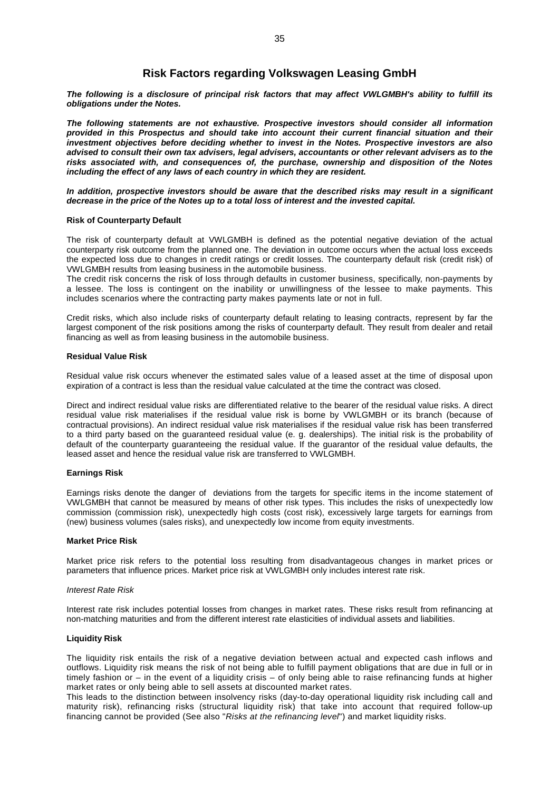# <span id="page-34-0"></span>**Risk Factors regarding Volkswagen Leasing GmbH**

*The following is a disclosure of principal risk factors that may affect VWLGMBH's ability to fulfill its obligations under the Notes.*

*The following statements are not exhaustive. Prospective investors should consider all information provided in this Prospectus and should take into account their current financial situation and their investment objectives before deciding whether to invest in the Notes. Prospective investors are also advised to consult their own tax advisers, legal advisers, accountants or other relevant advisers as to the risks associated with, and consequences of, the purchase, ownership and disposition of the Notes including the effect of any laws of each country in which they are resident.*

*In addition, prospective investors should be aware that the described risks may result in a significant decrease in the price of the Notes up to a total loss of interest and the invested capital.*

# **Risk of Counterparty Default**

The risk of counterparty default at VWLGMBH is defined as the potential negative deviation of the actual counterparty risk outcome from the planned one. The deviation in outcome occurs when the actual loss exceeds the expected loss due to changes in credit ratings or credit losses. The counterparty default risk (credit risk) of VWLGMBH results from leasing business in the automobile business.

The credit risk concerns the risk of loss through defaults in customer business, specifically, non-payments by a lessee. The loss is contingent on the inability or unwillingness of the lessee to make payments. This includes scenarios where the contracting party makes payments late or not in full.

Credit risks, which also include risks of counterparty default relating to leasing contracts, represent by far the largest component of the risk positions among the risks of counterparty default. They result from dealer and retail financing as well as from leasing business in the automobile business.

# **Residual Value Risk**

Residual value risk occurs whenever the estimated sales value of a leased asset at the time of disposal upon expiration of a contract is less than the residual value calculated at the time the contract was closed.

Direct and indirect residual value risks are differentiated relative to the bearer of the residual value risks. A direct residual value risk materialises if the residual value risk is borne by VWLGMBH or its branch (because of contractual provisions). An indirect residual value risk materialises if the residual value risk has been transferred to a third party based on the guaranteed residual value (e. g. dealerships). The initial risk is the probability of default of the counterparty guaranteeing the residual value. If the guarantor of the residual value defaults, the leased asset and hence the residual value risk are transferred to VWLGMBH.

#### **Earnings Risk**

Earnings risks denote the danger of deviations from the targets for specific items in the income statement of VWLGMBH that cannot be measured by means of other risk types. This includes the risks of unexpectedly low commission (commission risk), unexpectedly high costs (cost risk), excessively large targets for earnings from (new) business volumes (sales risks), and unexpectedly low income from equity investments.

# **Market Price Risk**

Market price risk refers to the potential loss resulting from disadvantageous changes in market prices or parameters that influence prices. Market price risk at VWLGMBH only includes interest rate risk.

### *Interest Rate Risk*

Interest rate risk includes potential losses from changes in market rates. These risks result from refinancing at non-matching maturities and from the different interest rate elasticities of individual assets and liabilities.

# **Liquidity Risk**

The liquidity risk entails the risk of a negative deviation between actual and expected cash inflows and outflows. Liquidity risk means the risk of not being able to fulfill payment obligations that are due in full or in timely fashion or – in the event of a liquidity crisis – of only being able to raise refinancing funds at higher market rates or only being able to sell assets at discounted market rates.

This leads to the distinction between insolvency risks (day-to-day operational liquidity risk including call and maturity risk), refinancing risks (structural liquidity risk) that take into account that required follow-up financing cannot be provided (See also "*Risks at the refinancing level*") and market liquidity risks.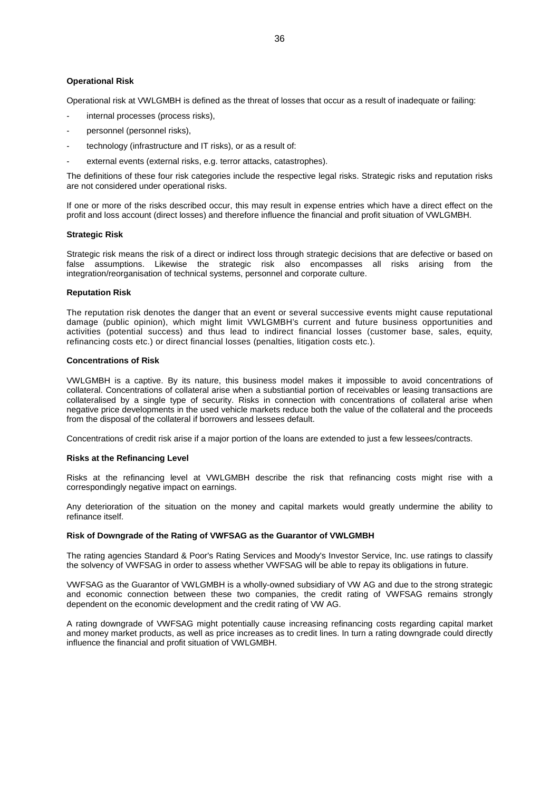# **Operational Risk**

Operational risk at VWLGMBH is defined as the threat of losses that occur as a result of inadequate or failing:

- internal processes (process risks),
- personnel (personnel risks),
- technology (infrastructure and IT risks), or as a result of:
- external events (external risks, e.g. terror attacks, catastrophes).

The definitions of these four risk categories include the respective legal risks. Strategic risks and reputation risks are not considered under operational risks.

If one or more of the risks described occur, this may result in expense entries which have a direct effect on the profit and loss account (direct losses) and therefore influence the financial and profit situation of VWLGMBH.

#### **Strategic Risk**

Strategic risk means the risk of a direct or indirect loss through strategic decisions that are defective or based on false assumptions. Likewise the strategic risk also encompasses all risks arising from the integration/reorganisation of technical systems, personnel and corporate culture.

#### **Reputation Risk**

The reputation risk denotes the danger that an event or several successive events might cause reputational damage (public opinion), which might limit VWLGMBH's current and future business opportunities and activities (potential success) and thus lead to indirect financial losses (customer base, sales, equity, refinancing costs etc.) or direct financial losses (penalties, litigation costs etc.).

#### **Concentrations of Risk**

VWLGMBH is a captive. By its nature, this business model makes it impossible to avoid concentrations of collateral. Concentrations of collateral arise when a substiantial portion of receivables or leasing transactions are collateralised by a single type of security. Risks in connection with concentrations of collateral arise when negative price developments in the used vehicle markets reduce both the value of the collateral and the proceeds from the disposal of the collateral if borrowers and lessees default.

Concentrations of credit risk arise if a major portion of the loans are extended to just a few lessees/contracts.

#### **Risks at the Refinancing Level**

Risks at the refinancing level at VWLGMBH describe the risk that refinancing costs might rise with a correspondingly negative impact on earnings.

Any deterioration of the situation on the money and capital markets would greatly undermine the ability to refinance itself.

# **Risk of Downgrade of the Rating of VWFSAG as the Guarantor of VWLGMBH**

The rating agencies Standard & Poor's Rating Services and Moody's Investor Service, Inc. use ratings to classify the solvency of VWFSAG in order to assess whether VWFSAG will be able to repay its obligations in future.

VWFSAG as the Guarantor of VWLGMBH is a wholly-owned subsidiary of VW AG and due to the strong strategic and economic connection between these two companies, the credit rating of VWFSAG remains strongly dependent on the economic development and the credit rating of VW AG.

<span id="page-35-0"></span>A rating downgrade of VWFSAG might potentially cause increasing refinancing costs regarding capital market and money market products, as well as price increases as to credit lines. In turn a rating downgrade could directly influence the financial and profit situation of VWLGMBH.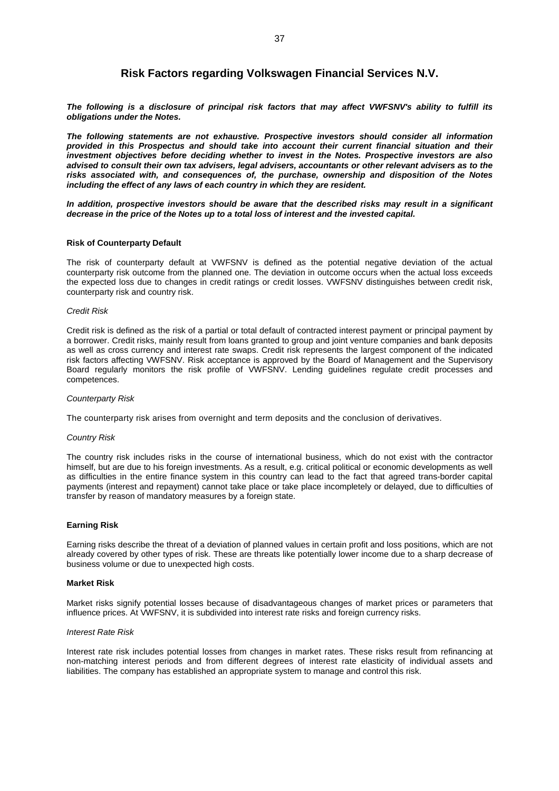## **Risk Factors regarding Volkswagen Financial Services N.V.**

*The following is a disclosure of principal risk factors that may affect VWFSNV's ability to fulfill its obligations under the Notes.*

*The following statements are not exhaustive. Prospective investors should consider all information provided in this Prospectus and should take into account their current financial situation and their investment objectives before deciding whether to invest in the Notes. Prospective investors are also advised to consult their own tax advisers, legal advisers, accountants or other relevant advisers as to the risks associated with, and consequences of, the purchase, ownership and disposition of the Notes including the effect of any laws of each country in which they are resident.*

*In addition, prospective investors should be aware that the described risks may result in a significant decrease in the price of the Notes up to a total loss of interest and the invested capital.*

## **Risk of Counterparty Default**

The risk of counterparty default at VWFSNV is defined as the potential negative deviation of the actual counterparty risk outcome from the planned one. The deviation in outcome occurs when the actual loss exceeds the expected loss due to changes in credit ratings or credit losses. VWFSNV distinguishes between credit risk, counterparty risk and country risk.

#### *Credit Risk*

Credit risk is defined as the risk of a partial or total default of contracted interest payment or principal payment by a borrower. Credit risks, mainly result from loans granted to group and joint venture companies and bank deposits as well as cross currency and interest rate swaps. Credit risk represents the largest component of the indicated risk factors affecting VWFSNV. Risk acceptance is approved by the Board of Management and the Supervisory Board regularly monitors the risk profile of VWFSNV. Lending guidelines regulate credit processes and competences.

#### *Counterparty Risk*

The counterparty risk arises from overnight and term deposits and the conclusion of derivatives.

#### *Country Risk*

The country risk includes risks in the course of international business, which do not exist with the contractor himself, but are due to his foreign investments. As a result, e.g. critical political or economic developments as well as difficulties in the entire finance system in this country can lead to the fact that agreed trans-border capital payments (interest and repayment) cannot take place or take place incompletely or delayed, due to difficulties of transfer by reason of mandatory measures by a foreign state.

#### **Earning Risk**

Earning risks describe the threat of a deviation of planned values in certain profit and loss positions, which are not already covered by other types of risk. These are threats like potentially lower income due to a sharp decrease of business volume or due to unexpected high costs.

#### **Market Risk**

Market risks signify potential losses because of disadvantageous changes of market prices or parameters that influence prices. At VWFSNV, it is subdivided into interest rate risks and foreign currency risks.

#### *Interest Rate Risk*

Interest rate risk includes potential losses from changes in market rates. These risks result from refinancing at non-matching interest periods and from different degrees of interest rate elasticity of individual assets and liabilities. The company has established an appropriate system to manage and control this risk.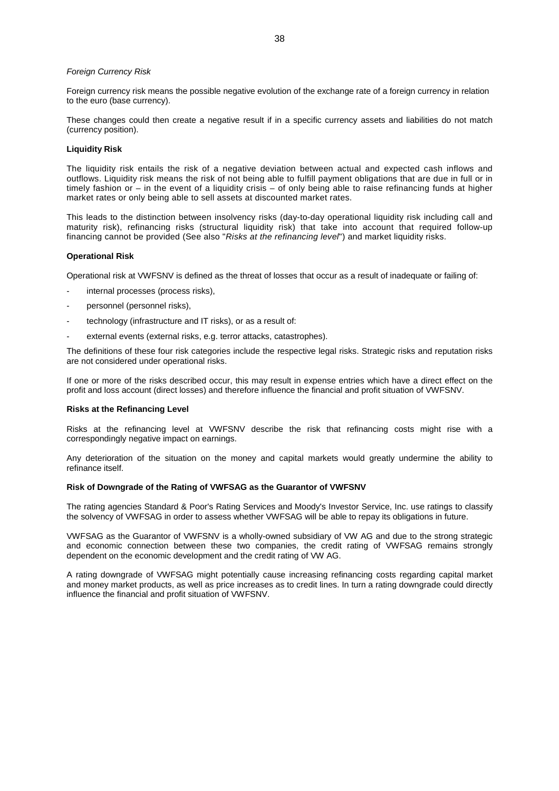#### *Foreign Currency Risk*

Foreign currency risk means the possible negative evolution of the exchange rate of a foreign currency in relation to the euro (base currency).

These changes could then create a negative result if in a specific currency assets and liabilities do not match (currency position).

## **Liquidity Risk**

The liquidity risk entails the risk of a negative deviation between actual and expected cash inflows and outflows. Liquidity risk means the risk of not being able to fulfill payment obligations that are due in full or in timely fashion or – in the event of a liquidity crisis – of only being able to raise refinancing funds at higher market rates or only being able to sell assets at discounted market rates.

This leads to the distinction between insolvency risks (day-to-day operational liquidity risk including call and maturity risk), refinancing risks (structural liquidity risk) that take into account that required follow-up financing cannot be provided (See also "*Risks at the refinancing level*") and market liquidity risks.

#### **Operational Risk**

Operational risk at VWFSNV is defined as the threat of losses that occur as a result of inadequate or failing of:

- internal processes (process risks),
- personnel (personnel risks),
- technology (infrastructure and IT risks), or as a result of:
- external events (external risks, e.g. terror attacks, catastrophes).

The definitions of these four risk categories include the respective legal risks. Strategic risks and reputation risks are not considered under operational risks.

If one or more of the risks described occur, this may result in expense entries which have a direct effect on the profit and loss account (direct losses) and therefore influence the financial and profit situation of VWFSNV.

#### **Risks at the Refinancing Level**

Risks at the refinancing level at VWFSNV describe the risk that refinancing costs might rise with a correspondingly negative impact on earnings.

Any deterioration of the situation on the money and capital markets would greatly undermine the ability to refinance itself.

#### **Risk of Downgrade of the Rating of VWFSAG as the Guarantor of VWFSNV**

The rating agencies Standard & Poor's Rating Services and Moody's Investor Service, Inc. use ratings to classify the solvency of VWFSAG in order to assess whether VWFSAG will be able to repay its obligations in future.

VWFSAG as the Guarantor of VWFSNV is a wholly-owned subsidiary of VW AG and due to the strong strategic and economic connection between these two companies, the credit rating of VWFSAG remains strongly dependent on the economic development and the credit rating of VW AG.

A rating downgrade of VWFSAG might potentially cause increasing refinancing costs regarding capital market and money market products, as well as price increases as to credit lines. In turn a rating downgrade could directly influence the financial and profit situation of VWFSNV.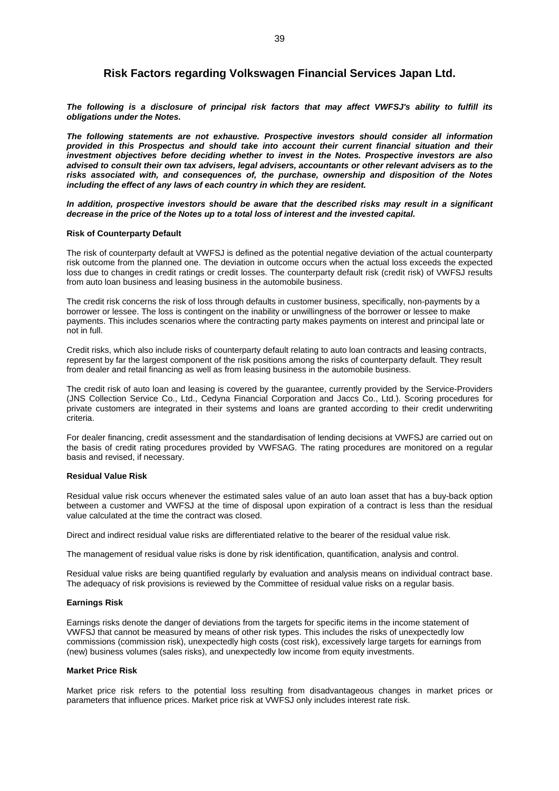## **Risk Factors regarding Volkswagen Financial Services Japan Ltd.**

*The following is a disclosure of principal risk factors that may affect VWFSJ's ability to fulfill its obligations under the Notes.*

*The following statements are not exhaustive. Prospective investors should consider all information provided in this Prospectus and should take into account their current financial situation and their investment objectives before deciding whether to invest in the Notes. Prospective investors are also advised to consult their own tax advisers, legal advisers, accountants or other relevant advisers as to the risks associated with, and consequences of, the purchase, ownership and disposition of the Notes including the effect of any laws of each country in which they are resident.*

*In addition, prospective investors should be aware that the described risks may result in a significant decrease in the price of the Notes up to a total loss of interest and the invested capital.*

#### **Risk of Counterparty Default**

The risk of counterparty default at VWFSJ is defined as the potential negative deviation of the actual counterparty risk outcome from the planned one. The deviation in outcome occurs when the actual loss exceeds the expected loss due to changes in credit ratings or credit losses. The counterparty default risk (credit risk) of VWFSJ results from auto loan business and leasing business in the automobile business.

The credit risk concerns the risk of loss through defaults in customer business, specifically, non-payments by a borrower or lessee. The loss is contingent on the inability or unwillingness of the borrower or lessee to make payments. This includes scenarios where the contracting party makes payments on interest and principal late or not in full.

Credit risks, which also include risks of counterparty default relating to auto loan contracts and leasing contracts, represent by far the largest component of the risk positions among the risks of counterparty default. They result from dealer and retail financing as well as from leasing business in the automobile business.

The credit risk of auto loan and leasing is covered by the guarantee, currently provided by the Service-Providers (JNS Collection Service Co., Ltd., Cedyna Financial Corporation and Jaccs Co., Ltd.). Scoring procedures for private customers are integrated in their systems and loans are granted according to their credit underwriting criteria.

For dealer financing, credit assessment and the standardisation of lending decisions at VWFSJ are carried out on the basis of credit rating procedures provided by VWFSAG. The rating procedures are monitored on a regular basis and revised, if necessary.

## **Residual Value Risk**

Residual value risk occurs whenever the estimated sales value of an auto loan asset that has a buy-back option between a customer and VWFSJ at the time of disposal upon expiration of a contract is less than the residual value calculated at the time the contract was closed.

Direct and indirect residual value risks are differentiated relative to the bearer of the residual value risk.

The management of residual value risks is done by risk identification, quantification, analysis and control.

Residual value risks are being quantified regularly by evaluation and analysis means on individual contract base. The adequacy of risk provisions is reviewed by the Committee of residual value risks on a regular basis.

## **Earnings Risk**

Earnings risks denote the danger of deviations from the targets for specific items in the income statement of VWFSJ that cannot be measured by means of other risk types. This includes the risks of unexpectedly low commissions (commission risk), unexpectedly high costs (cost risk), excessively large targets for earnings from (new) business volumes (sales risks), and unexpectedly low income from equity investments.

#### **Market Price Risk**

Market price risk refers to the potential loss resulting from disadvantageous changes in market prices or parameters that influence prices. Market price risk at VWFSJ only includes interest rate risk.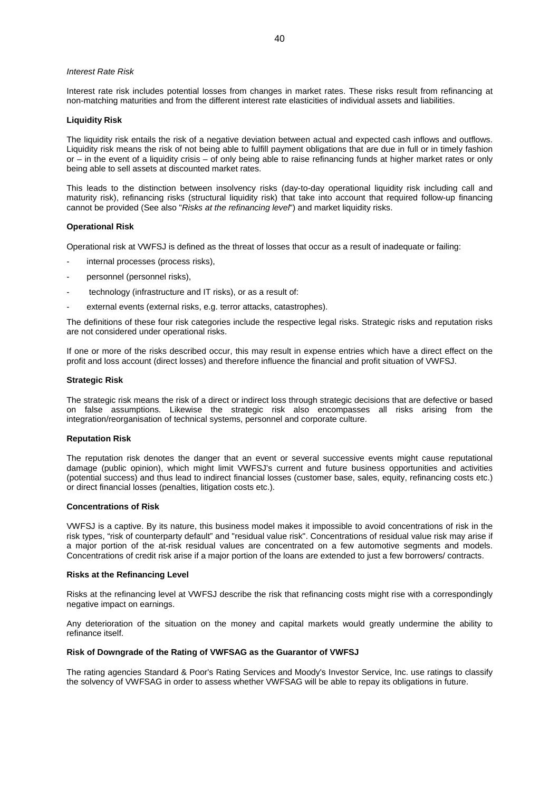#### *Interest Rate Risk*

Interest rate risk includes potential losses from changes in market rates. These risks result from refinancing at non-matching maturities and from the different interest rate elasticities of individual assets and liabilities.

## **Liquidity Risk**

The liquidity risk entails the risk of a negative deviation between actual and expected cash inflows and outflows. Liquidity risk means the risk of not being able to fulfill payment obligations that are due in full or in timely fashion or – in the event of a liquidity crisis – of only being able to raise refinancing funds at higher market rates or only being able to sell assets at discounted market rates.

This leads to the distinction between insolvency risks (day-to-day operational liquidity risk including call and maturity risk), refinancing risks (structural liquidity risk) that take into account that required follow-up financing cannot be provided (See also "*Risks at the refinancing level*") and market liquidity risks.

#### **Operational Risk**

Operational risk at VWFSJ is defined as the threat of losses that occur as a result of inadequate or failing:

- internal processes (process risks),
- personnel (personnel risks),
- technology (infrastructure and IT risks), or as a result of:
- external events (external risks, e.g. terror attacks, catastrophes).

The definitions of these four risk categories include the respective legal risks. Strategic risks and reputation risks are not considered under operational risks.

If one or more of the risks described occur, this may result in expense entries which have a direct effect on the profit and loss account (direct losses) and therefore influence the financial and profit situation of VWFSJ.

#### **Strategic Risk**

The strategic risk means the risk of a direct or indirect loss through strategic decisions that are defective or based on false assumptions. Likewise the strategic risk also encompasses all risks arising from the integration/reorganisation of technical systems, personnel and corporate culture.

#### **Reputation Risk**

The reputation risk denotes the danger that an event or several successive events might cause reputational damage (public opinion), which might limit VWFSJ's current and future business opportunities and activities (potential success) and thus lead to indirect financial losses (customer base, sales, equity, refinancing costs etc.) or direct financial losses (penalties, litigation costs etc.).

#### **Concentrations of Risk**

VWFSJ is a captive. By its nature, this business model makes it impossible to avoid concentrations of risk in the risk types, "risk of counterparty default" and "residual value risk". Concentrations of residual value risk may arise if a major portion of the at-risk residual values are concentrated on a few automotive segments and models. Concentrations of credit risk arise if a major portion of the loans are extended to just a few borrowers/ contracts.

#### **Risks at the Refinancing Level**

Risks at the refinancing level at VWFSJ describe the risk that refinancing costs might rise with a correspondingly negative impact on earnings.

Any deterioration of the situation on the money and capital markets would greatly undermine the ability to refinance itself.

#### **Risk of Downgrade of the Rating of VWFSAG as the Guarantor of VWFSJ**

The rating agencies Standard & Poor's Rating Services and Moody's Investor Service, Inc. use ratings to classify the solvency of VWFSAG in order to assess whether VWFSAG will be able to repay its obligations in future.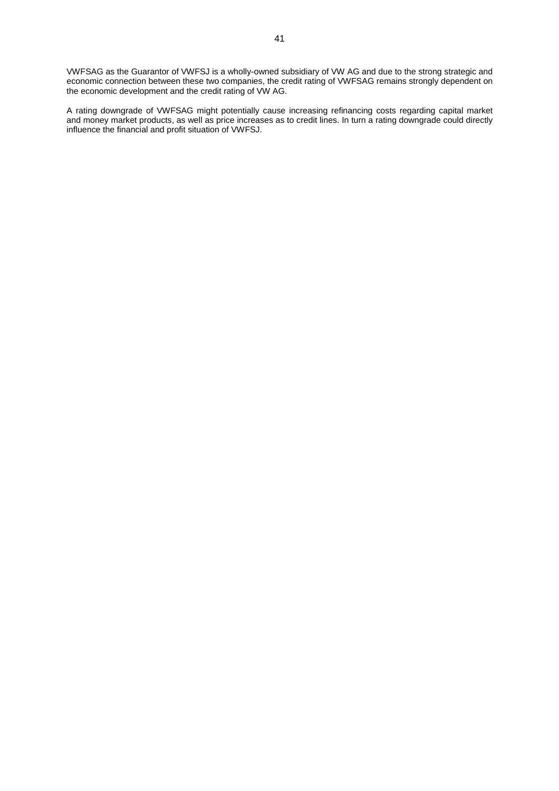VWFSAG as the Guarantor of VWFSJ is a wholly-owned subsidiary of VW AG and due to the strong strategic and economic connection between these two companies, the credit rating of VWFSAG remains strongly dependent on the economic development and the credit rating of VW AG.

A rating downgrade of VWFSAG might potentially cause increasing refinancing costs regarding capital market and money market products, as well as price increases as to credit lines. In turn a rating downgrade could directly influence the financial and profit situation of VWFSJ.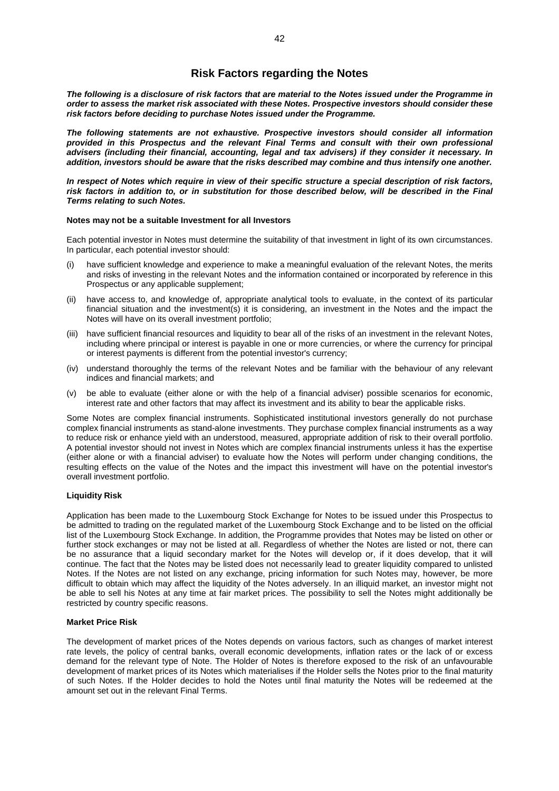## **Risk Factors regarding the Notes**

*The following is a disclosure of risk factors that are material to the Notes issued under the Programme in order to assess the market risk associated with these Notes. Prospective investors should consider these risk factors before deciding to purchase Notes issued under the Programme.*

*The following statements are not exhaustive. Prospective investors should consider all information provided in this Prospectus and the relevant Final Terms and consult with their own professional advisers (including their financial, accounting, legal and tax advisers) if they consider it necessary. In addition, investors should be aware that the risks described may combine and thus intensify one another.*

*In respect of Notes which require in view of their specific structure a special description of risk factors, risk factors in addition to, or in substitution for those described below, will be described in the Final Terms relating to such Notes.*

#### **Notes may not be a suitable Investment for all Investors**

Each potential investor in Notes must determine the suitability of that investment in light of its own circumstances. In particular, each potential investor should:

- (i) have sufficient knowledge and experience to make a meaningful evaluation of the relevant Notes, the merits and risks of investing in the relevant Notes and the information contained or incorporated by reference in this Prospectus or any applicable supplement;
- (ii) have access to, and knowledge of, appropriate analytical tools to evaluate, in the context of its particular financial situation and the investment(s) it is considering, an investment in the Notes and the impact the Notes will have on its overall investment portfolio;
- (iii) have sufficient financial resources and liquidity to bear all of the risks of an investment in the relevant Notes, including where principal or interest is payable in one or more currencies, or where the currency for principal or interest payments is different from the potential investor's currency;
- (iv) understand thoroughly the terms of the relevant Notes and be familiar with the behaviour of any relevant indices and financial markets; and
- (v) be able to evaluate (either alone or with the help of a financial adviser) possible scenarios for economic, interest rate and other factors that may affect its investment and its ability to bear the applicable risks.

Some Notes are complex financial instruments. Sophisticated institutional investors generally do not purchase complex financial instruments as stand-alone investments. They purchase complex financial instruments as a way to reduce risk or enhance yield with an understood, measured, appropriate addition of risk to their overall portfolio. A potential investor should not invest in Notes which are complex financial instruments unless it has the expertise (either alone or with a financial adviser) to evaluate how the Notes will perform under changing conditions, the resulting effects on the value of the Notes and the impact this investment will have on the potential investor's overall investment portfolio.

## **Liquidity Risk**

Application has been made to the Luxembourg Stock Exchange for Notes to be issued under this Prospectus to be admitted to trading on the regulated market of the Luxembourg Stock Exchange and to be listed on the official list of the Luxembourg Stock Exchange. In addition, the Programme provides that Notes may be listed on other or further stock exchanges or may not be listed at all. Regardless of whether the Notes are listed or not, there can be no assurance that a liquid secondary market for the Notes will develop or, if it does develop, that it will continue. The fact that the Notes may be listed does not necessarily lead to greater liquidity compared to unlisted Notes. If the Notes are not listed on any exchange, pricing information for such Notes may, however, be more difficult to obtain which may affect the liquidity of the Notes adversely. In an illiquid market, an investor might not be able to sell his Notes at any time at fair market prices. The possibility to sell the Notes might additionally be restricted by country specific reasons.

## **Market Price Risk**

The development of market prices of the Notes depends on various factors, such as changes of market interest rate levels, the policy of central banks, overall economic developments, inflation rates or the lack of or excess demand for the relevant type of Note. The Holder of Notes is therefore exposed to the risk of an unfavourable development of market prices of its Notes which materialises if the Holder sells the Notes prior to the final maturity of such Notes. If the Holder decides to hold the Notes until final maturity the Notes will be redeemed at the amount set out in the relevant Final Terms.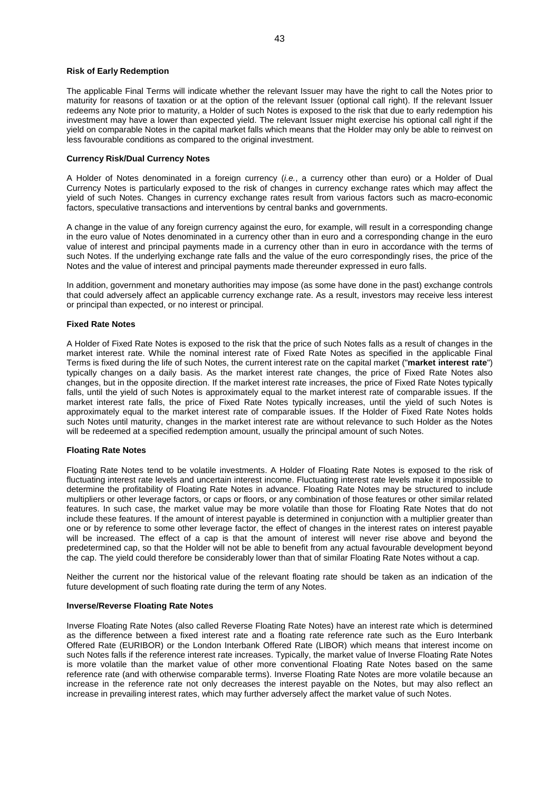#### **Risk of Early Redemption**

The applicable Final Terms will indicate whether the relevant Issuer may have the right to call the Notes prior to maturity for reasons of taxation or at the option of the relevant Issuer (optional call right). If the relevant Issuer redeems any Note prior to maturity, a Holder of such Notes is exposed to the risk that due to early redemption his investment may have a lower than expected yield. The relevant Issuer might exercise his optional call right if the yield on comparable Notes in the capital market falls which means that the Holder may only be able to reinvest on less favourable conditions as compared to the original investment.

## **Currency Risk/Dual Currency Notes**

A Holder of Notes denominated in a foreign currency (*i.e.*, a currency other than euro) or a Holder of Dual Currency Notes is particularly exposed to the risk of changes in currency exchange rates which may affect the yield of such Notes. Changes in currency exchange rates result from various factors such as macro-economic factors, speculative transactions and interventions by central banks and governments.

A change in the value of any foreign currency against the euro, for example, will result in a corresponding change in the euro value of Notes denominated in a currency other than in euro and a corresponding change in the euro value of interest and principal payments made in a currency other than in euro in accordance with the terms of such Notes. If the underlying exchange rate falls and the value of the euro correspondingly rises, the price of the Notes and the value of interest and principal payments made thereunder expressed in euro falls.

In addition, government and monetary authorities may impose (as some have done in the past) exchange controls that could adversely affect an applicable currency exchange rate. As a result, investors may receive less interest or principal than expected, or no interest or principal.

#### **Fixed Rate Notes**

A Holder of Fixed Rate Notes is exposed to the risk that the price of such Notes falls as a result of changes in the market interest rate. While the nominal interest rate of Fixed Rate Notes as specified in the applicable Final Terms is fixed during the life of such Notes, the current interest rate on the capital market ("**market interest rate**") typically changes on a daily basis. As the market interest rate changes, the price of Fixed Rate Notes also changes, but in the opposite direction. If the market interest rate increases, the price of Fixed Rate Notes typically falls, until the yield of such Notes is approximately equal to the market interest rate of comparable issues. If the market interest rate falls, the price of Fixed Rate Notes typically increases, until the yield of such Notes is approximately equal to the market interest rate of comparable issues. If the Holder of Fixed Rate Notes holds such Notes until maturity, changes in the market interest rate are without relevance to such Holder as the Notes will be redeemed at a specified redemption amount, usually the principal amount of such Notes.

#### **Floating Rate Notes**

Floating Rate Notes tend to be volatile investments. A Holder of Floating Rate Notes is exposed to the risk of fluctuating interest rate levels and uncertain interest income. Fluctuating interest rate levels make it impossible to determine the profitability of Floating Rate Notes in advance. Floating Rate Notes may be structured to include multipliers or other leverage factors, or caps or floors, or any combination of those features or other similar related features. In such case, the market value may be more volatile than those for Floating Rate Notes that do not include these features. If the amount of interest payable is determined in conjunction with a multiplier greater than one or by reference to some other leverage factor, the effect of changes in the interest rates on interest payable will be increased. The effect of a cap is that the amount of interest will never rise above and beyond the predetermined cap, so that the Holder will not be able to benefit from any actual favourable development beyond the cap. The yield could therefore be considerably lower than that of similar Floating Rate Notes without a cap.

Neither the current nor the historical value of the relevant floating rate should be taken as an indication of the future development of such floating rate during the term of any Notes.

#### **Inverse/Reverse Floating Rate Notes**

Inverse Floating Rate Notes (also called Reverse Floating Rate Notes) have an interest rate which is determined as the difference between a fixed interest rate and a floating rate reference rate such as the Euro Interbank Offered Rate (EURIBOR) or the London Interbank Offered Rate (LIBOR) which means that interest income on such Notes falls if the reference interest rate increases. Typically, the market value of Inverse Floating Rate Notes is more volatile than the market value of other more conventional Floating Rate Notes based on the same reference rate (and with otherwise comparable terms). Inverse Floating Rate Notes are more volatile because an increase in the reference rate not only decreases the interest payable on the Notes, but may also reflect an increase in prevailing interest rates, which may further adversely affect the market value of such Notes.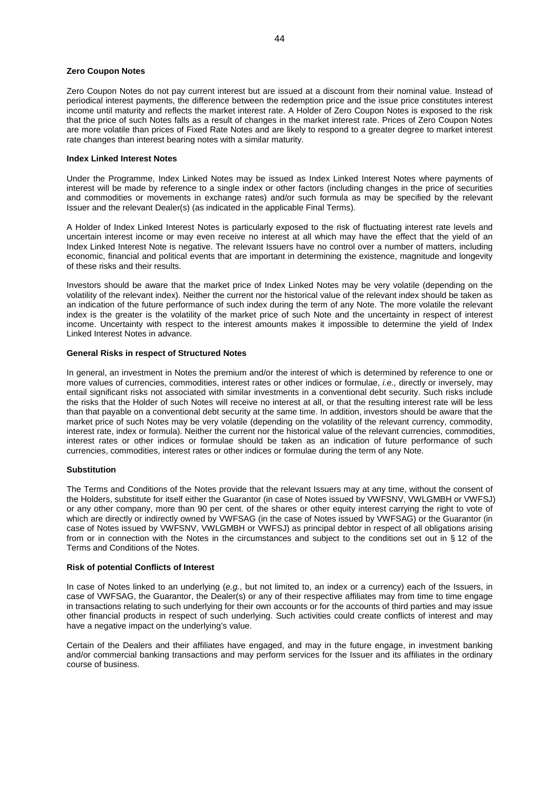#### **Zero Coupon Notes**

Zero Coupon Notes do not pay current interest but are issued at a discount from their nominal value. Instead of periodical interest payments, the difference between the redemption price and the issue price constitutes interest income until maturity and reflects the market interest rate. A Holder of Zero Coupon Notes is exposed to the risk that the price of such Notes falls as a result of changes in the market interest rate. Prices of Zero Coupon Notes are more volatile than prices of Fixed Rate Notes and are likely to respond to a greater degree to market interest rate changes than interest bearing notes with a similar maturity.

#### **Index Linked Interest Notes**

Under the Programme, Index Linked Notes may be issued as Index Linked Interest Notes where payments of interest will be made by reference to a single index or other factors (including changes in the price of securities and commodities or movements in exchange rates) and/or such formula as may be specified by the relevant Issuer and the relevant Dealer(s) (as indicated in the applicable Final Terms).

A Holder of Index Linked Interest Notes is particularly exposed to the risk of fluctuating interest rate levels and uncertain interest income or may even receive no interest at all which may have the effect that the yield of an Index Linked Interest Note is negative. The relevant Issuers have no control over a number of matters, including economic, financial and political events that are important in determining the existence, magnitude and longevity of these risks and their results.

Investors should be aware that the market price of Index Linked Notes may be very volatile (depending on the volatility of the relevant index). Neither the current nor the historical value of the relevant index should be taken as an indication of the future performance of such index during the term of any Note. The more volatile the relevant index is the greater is the volatility of the market price of such Note and the uncertainty in respect of interest income. Uncertainty with respect to the interest amounts makes it impossible to determine the yield of Index Linked Interest Notes in advance.

## **General Risks in respect of Structured Notes**

In general, an investment in Notes the premium and/or the interest of which is determined by reference to one or more values of currencies, commodities, interest rates or other indices or formulae, *i.e.,* directly or inversely, may entail significant risks not associated with similar investments in a conventional debt security. Such risks include the risks that the Holder of such Notes will receive no interest at all, or that the resulting interest rate will be less than that payable on a conventional debt security at the same time. In addition, investors should be aware that the market price of such Notes may be very volatile (depending on the volatility of the relevant currency, commodity, interest rate, index or formula). Neither the current nor the historical value of the relevant currencies, commodities, interest rates or other indices or formulae should be taken as an indication of future performance of such currencies, commodities, interest rates or other indices or formulae during the term of any Note.

## **Substitution**

The Terms and Conditions of the Notes provide that the relevant Issuers may at any time, without the consent of the Holders, substitute for itself either the Guarantor (in case of Notes issued by VWFSNV, VWLGMBH or VWFSJ) or any other company, more than 90 per cent. of the shares or other equity interest carrying the right to vote of which are directly or indirectly owned by VWFSAG (in the case of Notes issued by VWFSAG) or the Guarantor (in case of Notes issued by VWFSNV, VWLGMBH or VWFSJ) as principal debtor in respect of all obligations arising from or in connection with the Notes in the circumstances and subject to the conditions set out in § 12 of the Terms and Conditions of the Notes.

#### **Risk of potential Conflicts of Interest**

In case of Notes linked to an underlying (*e.g.*, but not limited to, an index or a currency) each of the Issuers, in case of VWFSAG, the Guarantor, the Dealer(s) or any of their respective affiliates may from time to time engage in transactions relating to such underlying for their own accounts or for the accounts of third parties and may issue other financial products in respect of such underlying. Such activities could create conflicts of interest and may have a negative impact on the underlying's value.

Certain of the Dealers and their affiliates have engaged, and may in the future engage, in investment banking and/or commercial banking transactions and may perform services for the Issuer and its affiliates in the ordinary course of business.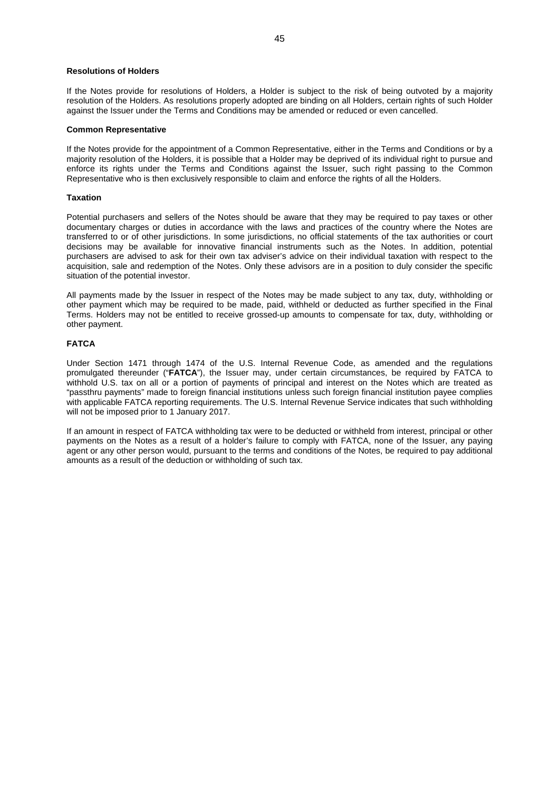#### **Resolutions of Holders**

If the Notes provide for resolutions of Holders, a Holder is subject to the risk of being outvoted by a majority resolution of the Holders. As resolutions properly adopted are binding on all Holders, certain rights of such Holder against the Issuer under the Terms and Conditions may be amended or reduced or even cancelled.

#### **Common Representative**

If the Notes provide for the appointment of a Common Representative, either in the Terms and Conditions or by a majority resolution of the Holders, it is possible that a Holder may be deprived of its individual right to pursue and enforce its rights under the Terms and Conditions against the Issuer, such right passing to the Common Representative who is then exclusively responsible to claim and enforce the rights of all the Holders.

#### **Taxation**

Potential purchasers and sellers of the Notes should be aware that they may be required to pay taxes or other documentary charges or duties in accordance with the laws and practices of the country where the Notes are transferred to or of other jurisdictions. In some jurisdictions, no official statements of the tax authorities or court decisions may be available for innovative financial instruments such as the Notes. In addition, potential purchasers are advised to ask for their own tax adviser's advice on their individual taxation with respect to the acquisition, sale and redemption of the Notes. Only these advisors are in a position to duly consider the specific situation of the potential investor.

All payments made by the Issuer in respect of the Notes may be made subject to any tax, duty, withholding or other payment which may be required to be made, paid, withheld or deducted as further specified in the Final Terms. Holders may not be entitled to receive grossed-up amounts to compensate for tax, duty, withholding or other payment.

## **FATCA**

Under Section 1471 through 1474 of the U.S. Internal Revenue Code, as amended and the regulations promulgated thereunder ("**FATCA**"), the Issuer may, under certain circumstances, be required by FATCA to withhold U.S. tax on all or a portion of payments of principal and interest on the Notes which are treated as "passthru payments" made to foreign financial institutions unless such foreign financial institution payee complies with applicable FATCA reporting requirements. The U.S. Internal Revenue Service indicates that such withholding will not be imposed prior to 1 January 2017.

If an amount in respect of FATCA withholding tax were to be deducted or withheld from interest, principal or other payments on the Notes as a result of a holder's failure to comply with FATCA, none of the Issuer, any paying agent or any other person would, pursuant to the terms and conditions of the Notes, be required to pay additional amounts as a result of the deduction or withholding of such tax.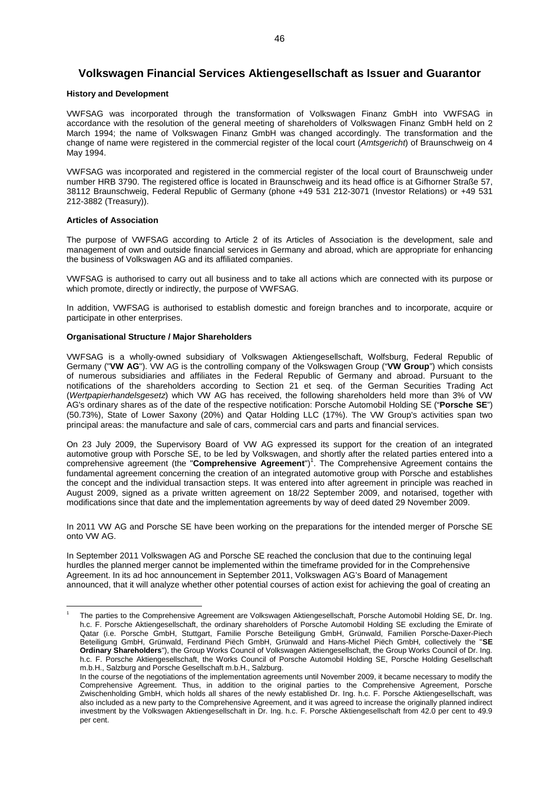## **Volkswagen Financial Services Aktiengesellschaft as Issuer and Guarantor**

#### **History and Development**

VWFSAG was incorporated through the transformation of Volkswagen Finanz GmbH into VWFSAG in accordance with the resolution of the general meeting of shareholders of Volkswagen Finanz GmbH held on 2 March 1994; the name of Volkswagen Finanz GmbH was changed accordingly. The transformation and the change of name were registered in the commercial register of the local court (*Amtsgericht*) of Braunschweig on 4 May 1994.

VWFSAG was incorporated and registered in the commercial register of the local court of Braunschweig under number HRB 3790. The registered office is located in Braunschweig and its head office is at Gifhorner Straße 57, 38112 Braunschweig, Federal Republic of Germany (phone +49 531 212-3071 (Investor Relations) or +49 531 212-3882 (Treasury)).

#### **Articles of Association**

The purpose of VWFSAG according to Article 2 of its Articles of Association is the development, sale and management of own and outside financial services in Germany and abroad, which are appropriate for enhancing the business of Volkswagen AG and its affiliated companies.

VWFSAG is authorised to carry out all business and to take all actions which are connected with its purpose or which promote, directly or indirectly, the purpose of VWFSAG.

In addition, VWFSAG is authorised to establish domestic and foreign branches and to incorporate, acquire or participate in other enterprises.

#### **Organisational Structure / Major Shareholders**

VWFSAG is a wholly-owned subsidiary of Volkswagen Aktiengesellschaft, Wolfsburg, Federal Republic of Germany ("**VW AG**"). VW AG is the controlling company of the Volkswagen Group ("**VW Group**") which consists of numerous subsidiaries and affiliates in the Federal Republic of Germany and abroad. Pursuant to the notifications of the shareholders according to Section 21 et seq. of the German Securities Trading Act (*Wertpapierhandelsgesetz*) which VW AG has received, the following shareholders held more than 3% of VW AG's ordinary shares as of the date of the respective notification: Porsche Automobil Holding SE ("**Porsche SE**") (50.73%), State of Lower Saxony (20%) and Qatar Holding LLC (17%). The VW Group's activities span two principal areas: the manufacture and sale of cars, commercial cars and parts and financial services.

On 23 July 2009, the Supervisory Board of VW AG expressed its support for the creation of an integrated automotive group with Porsche SE, to be led by Volkswagen, and shortly after the related parties entered into a comprehensive agreement (the "Comprehensive Agreement")<sup>[1](#page-45-0)</sup>. The Comprehensive Agreement contains the fundamental agreement concerning the creation of an integrated automotive group with Porsche and establishes the concept and the individual transaction steps. It was entered into after agreement in principle was reached in August 2009, signed as a private written agreement on 18/22 September 2009, and notarised, together with modifications since that date and the implementation agreements by way of deed dated 29 November 2009.

In 2011 VW AG and Porsche SE have been working on the preparations for the intended merger of Porsche SE onto VW AG.

In September 2011 Volkswagen AG and Porsche SE reached the conclusion that due to the continuing legal hurdles the planned merger cannot be implemented within the timeframe provided for in the Comprehensive Agreement. In its ad hoc announcement in September 2011, Volkswagen AG's Board of Management announced, that it will analyze whether other potential courses of action exist for achieving the goal of creating an

<span id="page-45-0"></span><sup>1</sup> The parties to the Comprehensive Agreement are Volkswagen Aktiengesellschaft, Porsche Automobil Holding SE, Dr. Ing. h.c. F. Porsche Aktiengesellschaft, the ordinary shareholders of Porsche Automobil Holding SE excluding the Emirate of Qatar (i.e. Porsche GmbH, Stuttgart, Familie Porsche Beteiligung GmbH, Grünwald, Familien Porsche-Daxer-Piech Beteiligung GmbH, Grünwald, Ferdinand Piëch GmbH, Grünwald and Hans-Michel Piëch GmbH, collectively the "**SE Ordinary Shareholders**"), the Group Works Council of Volkswagen Aktiengesellschaft, the Group Works Council of Dr. Ing. h.c. F. Porsche Aktiengesellschaft, the Works Council of Porsche Automobil Holding SE, Porsche Holding Gesellschaft m.b.H., Salzburg and Porsche Gesellschaft m.b.H., Salzburg.

In the course of the negotiations of the implementation agreements until November 2009, it became necessary to modify the Comprehensive Agreement. Thus, in addition to the original parties to the Comprehensive Agreement, Porsche Zwischenholding GmbH, which holds all shares of the newly established Dr. Ing. h.c. F. Porsche Aktiengesellschaft, was also included as a new party to the Comprehensive Agreement, and it was agreed to increase the originally planned indirect investment by the Volkswagen Aktiengesellschaft in Dr. Ing. h.c. F. Porsche Aktiengesellschaft from 42.0 per cent to 49.9 per cent.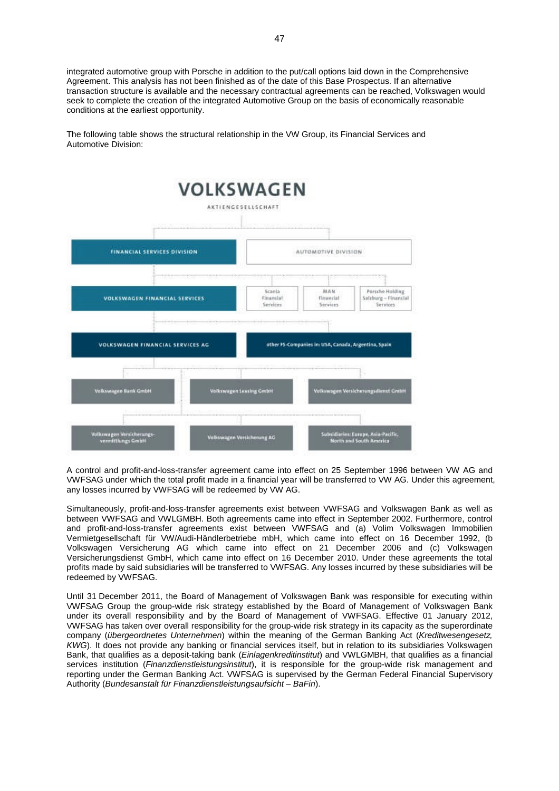integrated automotive group with Porsche in addition to the put/call options laid down in the Comprehensive Agreement. This analysis has not been finished as of the date of this Base Prospectus. If an alternative transaction structure is available and the necessary contractual agreements can be reached, Volkswagen would seek to complete the creation of the integrated Automotive Group on the basis of economically reasonable conditions at the earliest opportunity.

The following table shows the structural relationship in the VW Group, its Financial Services and Automotive Division:



A control and profit-and-loss-transfer agreement came into effect on 25 September 1996 between VW AG and VWFSAG under which the total profit made in a financial year will be transferred to VW AG. Under this agreement, any losses incurred by VWFSAG will be redeemed by VW AG.

Simultaneously, profit-and-loss-transfer agreements exist between VWFSAG and Volkswagen Bank as well as between VWFSAG and VWLGMBH. Both agreements came into effect in September 2002. Furthermore, control and profit-and-loss-transfer agreements exist between VWFSAG and (a) Volim Volkswagen Immobilien Vermietgesellschaft für VW/Audi-Händlerbetriebe mbH, which came into effect on 16 December 1992, (b Volkswagen Versicherung AG which came into effect on 21 December 2006 and (c) Volkswagen Versicherungsdienst GmbH, which came into effect on 16 December 2010. Under these agreements the total profits made by said subsidiaries will be transferred to VWFSAG. Any losses incurred by these subsidiaries will be redeemed by VWFSAG.

Until 31 December 2011, the Board of Management of Volkswagen Bank was responsible for executing within VWFSAG Group the group-wide risk strategy established by the Board of Management of Volkswagen Bank under its overall responsibility and by the Board of Management of VWFSAG. Effective 01 January 2012, VWFSAG has taken over overall responsibility for the group-wide risk strategy in its capacity as the superordinate company (*übergeordnetes Unternehmen*) within the meaning of the German Banking Act (*Kreditwesengesetz, KWG*). It does not provide any banking or financial services itself, but in relation to its subsidiaries Volkswagen Bank, that qualifies as a deposit-taking bank (*Einlagenkreditinstitut*) and VWLGMBH, that qualifies as a financial services institution (*Finanzdienstleistungsinstitut*), it is responsible for the group-wide risk management and reporting under the German Banking Act. VWFSAG is supervised by the German Federal Financial Supervisory Authority (*Bundesanstalt für Finanzdienstleistungsaufsicht – BaFin*).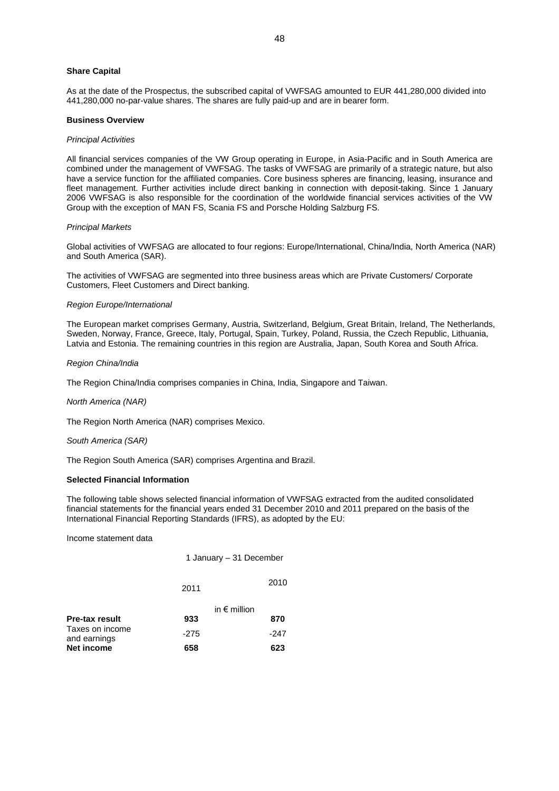## **Share Capital**

As at the date of the Prospectus, the subscribed capital of VWFSAG amounted to EUR 441,280,000 divided into 441,280,000 no-par-value shares. The shares are fully paid-up and are in bearer form.

#### **Business Overview**

#### *Principal Activities*

All financial services companies of the VW Group operating in Europe, in Asia-Pacific and in South America are combined under the management of VWFSAG. The tasks of VWFSAG are primarily of a strategic nature, but also have a service function for the affiliated companies. Core business spheres are financing, leasing, insurance and fleet management. Further activities include direct banking in connection with deposit-taking. Since 1 January 2006 VWFSAG is also responsible for the coordination of the worldwide financial services activities of the VW Group with the exception of MAN FS, Scania FS and Porsche Holding Salzburg FS.

#### *Principal Markets*

Global activities of VWFSAG are allocated to four regions: Europe/International, China/India, North America (NAR) and South America (SAR).

The activities of VWFSAG are segmented into three business areas which are Private Customers/ Corporate Customers, Fleet Customers and Direct banking.

#### *Region Europe/International*

The European market comprises Germany, Austria, Switzerland, Belgium, Great Britain, Ireland, The Netherlands, Sweden, Norway, France, Greece, Italy, Portugal, Spain, Turkey, Poland, Russia, the Czech Republic, Lithuania, Latvia and Estonia. The remaining countries in this region are Australia, Japan, South Korea and South Africa.

#### *Region China/India*

The Region China/India comprises companies in China, India, Singapore and Taiwan.

## *North America (NAR)*

The Region North America (NAR) comprises Mexico.

#### *South America (SAR)*

The Region South America (SAR) comprises Argentina and Brazil.

#### **Selected Financial Information**

The following table shows selected financial information of VWFSAG extracted from the audited consolidated financial statements for the financial years ended 31 December 2010 and 2011 prepared on the basis of the International Financial Reporting Standards (IFRS), as adopted by the EU:

Income statement data

|                                 | 1 January – 31 December |                       |
|---------------------------------|-------------------------|-----------------------|
|                                 | 2011                    | 2010                  |
|                                 |                         | in $\epsilon$ million |
| <b>Pre-tax result</b>           | 933                     | 870                   |
| Taxes on income<br>and earnings | $-275$                  | -247                  |
| <b>Net income</b>               | 658                     | 623                   |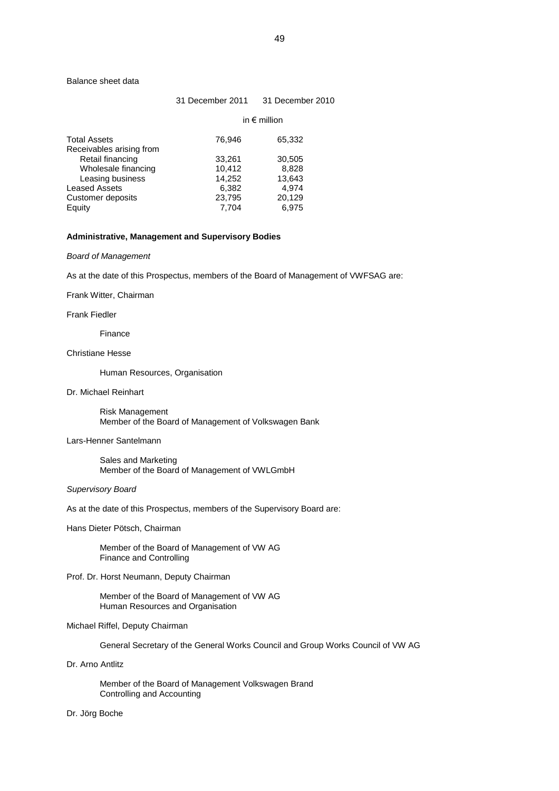#### Balance sheet data

### 31 December 2011 31 December 2010

|                                              |                  | in $\epsilon$ million |
|----------------------------------------------|------------------|-----------------------|
| <b>Total Assets</b>                          | 76,946           | 65,332                |
| Receivables arising from<br>Retail financing | 33,261           | 30,505                |
| Wholesale financing<br>Leasing business      | 10,412<br>14,252 | 8,828<br>13,643       |
| <b>Leased Assets</b>                         | 6,382            | 4,974                 |
| Customer deposits                            | 23,795           | 20,129                |
| Equity                                       | 7.704            | 6.975                 |

#### **Administrative, Management and Supervisory Bodies**

## *Board of Management*

As at the date of this Prospectus, members of the Board of Management of VWFSAG are:

#### Frank Witter, Chairman

## Frank Fiedler

Finance

## Christiane Hesse

Human Resources, Organisation

#### Dr. Michael Reinhart

Risk Management Member of the Board of Management of Volkswagen Bank

## Lars-Henner Santelmann

Sales and Marketing Member of the Board of Management of VWLGmbH

## *Supervisory Board*

As at the date of this Prospectus, members of the Supervisory Board are:

## Hans Dieter Pötsch, Chairman

Member of the Board of Management of VW AG Finance and Controlling

## Prof. Dr. Horst Neumann, Deputy Chairman

Member of the Board of Management of VW AG Human Resources and Organisation

## Michael Riffel, Deputy Chairman

General Secretary of the General Works Council and Group Works Council of VW AG

### Dr. Arno Antlitz

Member of the Board of Management Volkswagen Brand Controlling and Accounting

## Dr. Jörg Boche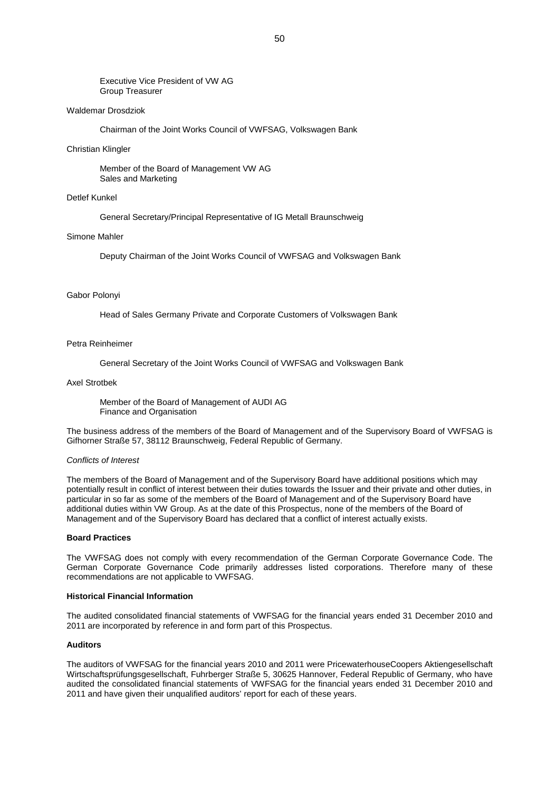#### Executive Vice President of VW AG Group Treasurer

### Waldemar Drosdziok

Chairman of the Joint Works Council of VWFSAG, Volkswagen Bank

#### Christian Klingler

Member of the Board of Management VW AG Sales and Marketing

## Detlef Kunkel

General Secretary/Principal Representative of IG Metall Braunschweig

#### Simone Mahler

Deputy Chairman of the Joint Works Council of VWFSAG and Volkswagen Bank

#### Gabor Polonyi

Head of Sales Germany Private and Corporate Customers of Volkswagen Bank

## Petra Reinheimer

General Secretary of the Joint Works Council of VWFSAG and Volkswagen Bank

#### Axel Strotbek

Member of the Board of Management of AUDI AG Finance and Organisation

The business address of the members of the Board of Management and of the Supervisory Board of VWFSAG is Gifhorner Straße 57, 38112 Braunschweig, Federal Republic of Germany.

### *Conflicts of Interest*

The members of the Board of Management and of the Supervisory Board have additional positions which may potentially result in conflict of interest between their duties towards the Issuer and their private and other duties, in particular in so far as some of the members of the Board of Management and of the Supervisory Board have additional duties within VW Group. As at the date of this Prospectus, none of the members of the Board of Management and of the Supervisory Board has declared that a conflict of interest actually exists.

#### **Board Practices**

The VWFSAG does not comply with every recommendation of the German Corporate Governance Code. The German Corporate Governance Code primarily addresses listed corporations. Therefore many of these recommendations are not applicable to VWFSAG.

## **Historical Financial Information**

The audited consolidated financial statements of VWFSAG for the financial years ended 31 December 2010 and 2011 are incorporated by reference in and form part of this Prospectus.

#### **Auditors**

The auditors of VWFSAG for the financial years 2010 and 2011 were PricewaterhouseCoopers Aktiengesellschaft Wirtschaftsprüfungsgesellschaft, Fuhrberger Straße 5, 30625 Hannover, Federal Republic of Germany, who have audited the consolidated financial statements of VWFSAG for the financial years ended 31 December 2010 and 2011 and have given their unqualified auditors' report for each of these years.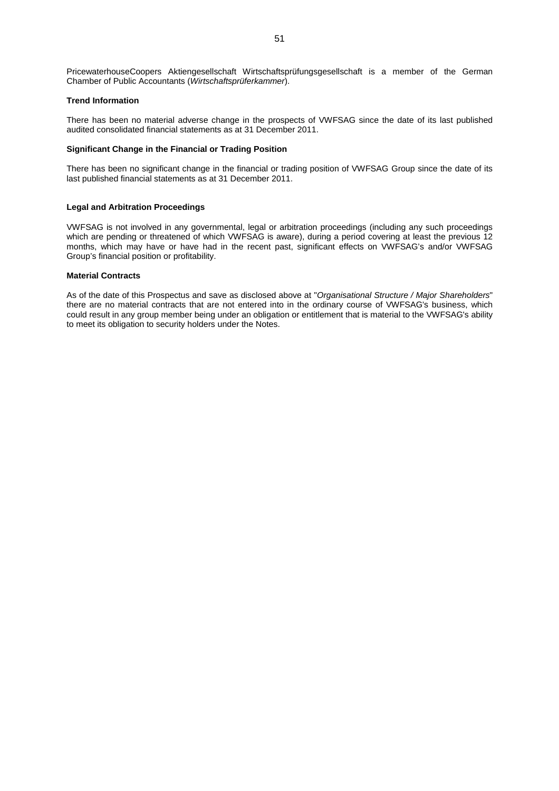PricewaterhouseCoopers Aktiengesellschaft Wirtschaftsprüfungsgesellschaft is a member of the German Chamber of Public Accountants (*Wirtschaftsprüferkammer*).

## **Trend Information**

There has been no material adverse change in the prospects of VWFSAG since the date of its last published audited consolidated financial statements as at 31 December 2011.

#### **Significant Change in the Financial or Trading Position**

There has been no significant change in the financial or trading position of VWFSAG Group since the date of its last published financial statements as at 31 December 2011.

#### **Legal and Arbitration Proceedings**

VWFSAG is not involved in any governmental, legal or arbitration proceedings (including any such proceedings which are pending or threatened of which VWFSAG is aware), during a period covering at least the previous 12 months, which may have or have had in the recent past, significant effects on VWFSAG's and/or VWFSAG Group's financial position or profitability.

## **Material Contracts**

As of the date of this Prospectus and save as disclosed above at "*Organisational Structure / Major Shareholders*" there are no material contracts that are not entered into in the ordinary course of VWFSAG's business, which could result in any group member being under an obligation or entitlement that is material to the VWFSAG's ability to meet its obligation to security holders under the Notes.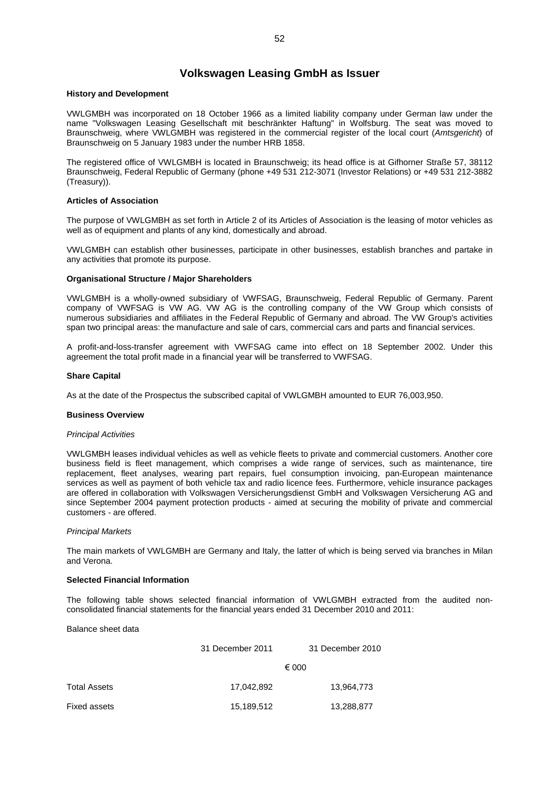## **Volkswagen Leasing GmbH as Issuer**

#### **History and Development**

VWLGMBH was incorporated on 18 October 1966 as a limited liability company under German law under the name "Volkswagen Leasing Gesellschaft mit beschränkter Haftung" in Wolfsburg. The seat was moved to Braunschweig, where VWLGMBH was registered in the commercial register of the local court (*Amtsgericht*) of Braunschweig on 5 January 1983 under the number HRB 1858.

The registered office of VWLGMBH is located in Braunschweig; its head office is at Gifhorner Straße 57, 38112 Braunschweig, Federal Republic of Germany (phone +49 531 212-3071 (Investor Relations) or +49 531 212-3882 (Treasury)).

## **Articles of Association**

The purpose of VWLGMBH as set forth in Article 2 of its Articles of Association is the leasing of motor vehicles as well as of equipment and plants of any kind, domestically and abroad.

VWLGMBH can establish other businesses, participate in other businesses, establish branches and partake in any activities that promote its purpose.

#### **Organisational Structure / Major Shareholders**

VWLGMBH is a wholly-owned subsidiary of VWFSAG, Braunschweig, Federal Republic of Germany. Parent company of VWFSAG is VW AG. VW AG is the controlling company of the VW Group which consists of numerous subsidiaries and affiliates in the Federal Republic of Germany and abroad. The VW Group's activities span two principal areas: the manufacture and sale of cars, commercial cars and parts and financial services.

A profit-and-loss-transfer agreement with VWFSAG came into effect on 18 September 2002. Under this agreement the total profit made in a financial year will be transferred to VWFSAG.

#### **Share Capital**

As at the date of the Prospectus the subscribed capital of VWLGMBH amounted to EUR 76,003,950.

## **Business Overview**

#### *Principal Activities*

VWLGMBH leases individual vehicles as well as vehicle fleets to private and commercial customers. Another core business field is fleet management, which comprises a wide range of services, such as maintenance, tire replacement, fleet analyses, wearing part repairs, fuel consumption invoicing, pan-European maintenance services as well as payment of both vehicle tax and radio licence fees. Furthermore, vehicle insurance packages are offered in collaboration with Volkswagen Versicherungsdienst GmbH and Volkswagen Versicherung AG and since September 2004 payment protection products - aimed at securing the mobility of private and commercial customers - are offered.

#### *Principal Markets*

The main markets of VWLGMBH are Germany and Italy, the latter of which is being served via branches in Milan and Verona.

## **Selected Financial Information**

The following table shows selected financial information of VWLGMBH extracted from the audited nonconsolidated financial statements for the financial years ended 31 December 2010 and 2011:

Balance sheet data

|              | 31 December 2011 | 31 December 2010 |
|--------------|------------------|------------------|
|              |                  | € 000            |
| Total Assets | 17,042,892       | 13,964,773       |
| Fixed assets | 15,189,512       | 13,288,877       |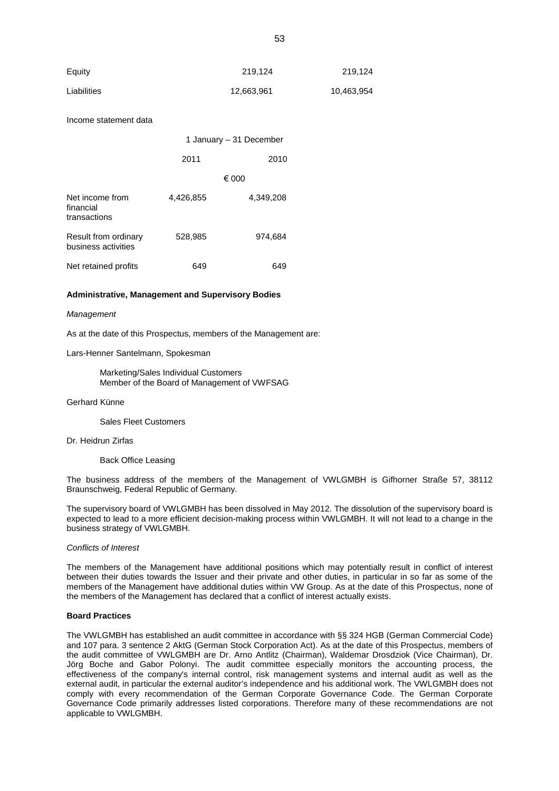| Equity      | 219.124    | 219.124    |
|-------------|------------|------------|
| Liabilities | 12,663,961 | 10,463,954 |

Income statement data

|                                              | 1 January – 31 December |           |
|----------------------------------------------|-------------------------|-----------|
|                                              | 2011                    | 2010      |
|                                              |                         | € 000     |
| Net income from<br>financial<br>transactions | 4,426,855               | 4,349,208 |
| Result from ordinary<br>business activities  | 528,985                 | 974,684   |
| Net retained profits                         | 649                     | 649       |

#### **Administrative, Management and Supervisory Bodies**

#### *Management*

As at the date of this Prospectus, members of the Management are:

Lars-Henner Santelmann, Spokesman

Marketing/Sales Individual Customers Member of the Board of Management of VWFSAG

Gerhard Künne

Sales Fleet Customers

#### Dr. Heidrun Zirfas

Back Office Leasing

The business address of the members of the Management of VWLGMBH is Gifhorner Straße 57, 38112 Braunschweig, Federal Republic of Germany.

The supervisory board of VWLGMBH has been dissolved in May 2012. The dissolution of the supervisory board is expected to lead to a more efficient decision-making process within VWLGMBH. It will not lead to a change in the business strategy of VWLGMBH.

#### *Conflicts of Interest*

The members of the Management have additional positions which may potentially result in conflict of interest between their duties towards the Issuer and their private and other duties, in particular in so far as some of the members of the Management have additional duties within VW Group. As at the date of this Prospectus, none of the members of the Management has declared that a conflict of interest actually exists.

## **Board Practices**

The VWLGMBH has established an audit committee in accordance with §§ 324 HGB (German Commercial Code) and 107 para. 3 sentence 2 AktG (German Stock Corporation Act). As at the date of this Prospectus, members of the audit committee of VWLGMBH are Dr. Arno Antlitz (Chairman), Waldemar Drosdziok (Vice Chairman), Dr. Jörg Boche and Gabor Polonyi. The audit committee especially monitors the accounting process, the effectiveness of the company's internal control, risk management systems and internal audit as well as the external audit, in particular the external auditor's independence and his additional work. The VWLGMBH does not comply with every recommendation of the German Corporate Governance Code. The German Corporate Governance Code primarily addresses listed corporations. Therefore many of these recommendations are not applicable to VWLGMBH.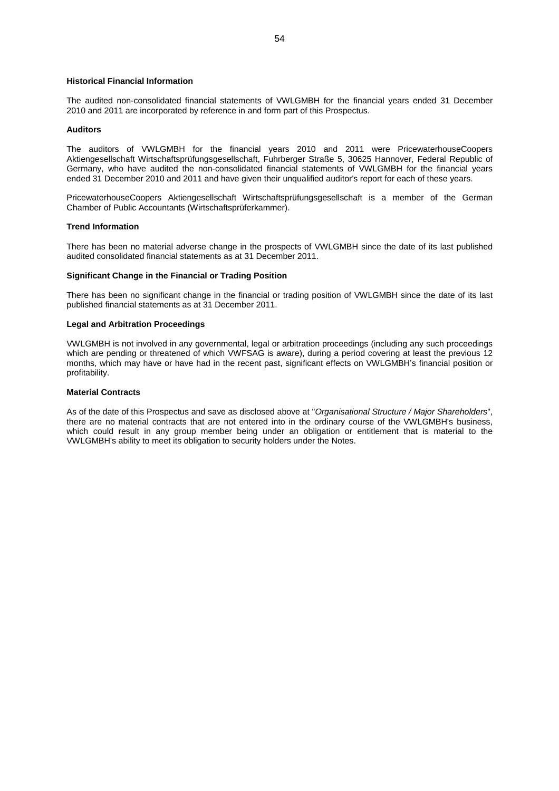## **Historical Financial Information**

The audited non-consolidated financial statements of VWLGMBH for the financial years ended 31 December 2010 and 2011 are incorporated by reference in and form part of this Prospectus.

## **Auditors**

The auditors of VWLGMBH for the financial years 2010 and 2011 were PricewaterhouseCoopers Aktiengesellschaft Wirtschaftsprüfungsgesellschaft, Fuhrberger Straße 5, 30625 Hannover, Federal Republic of Germany, who have audited the non-consolidated financial statements of VWLGMBH for the financial years ended 31 December 2010 and 2011 and have given their unqualified auditor's report for each of these years.

PricewaterhouseCoopers Aktiengesellschaft Wirtschaftsprüfungsgesellschaft is a member of the German Chamber of Public Accountants (Wirtschaftsprüferkammer).

#### **Trend Information**

There has been no material adverse change in the prospects of VWLGMBH since the date of its last published audited consolidated financial statements as at 31 December 2011.

## **Significant Change in the Financial or Trading Position**

There has been no significant change in the financial or trading position of VWLGMBH since the date of its last published financial statements as at 31 December 2011.

#### **Legal and Arbitration Proceedings**

VWLGMBH is not involved in any governmental, legal or arbitration proceedings (including any such proceedings which are pending or threatened of which VWFSAG is aware), during a period covering at least the previous 12 months, which may have or have had in the recent past, significant effects on VWLGMBH's financial position or profitability.

#### **Material Contracts**

As of the date of this Prospectus and save as disclosed above at "*Organisational Structure / Major Shareholders*", there are no material contracts that are not entered into in the ordinary course of the VWLGMBH's business, which could result in any group member being under an obligation or entitlement that is material to the VWLGMBH's ability to meet its obligation to security holders under the Notes.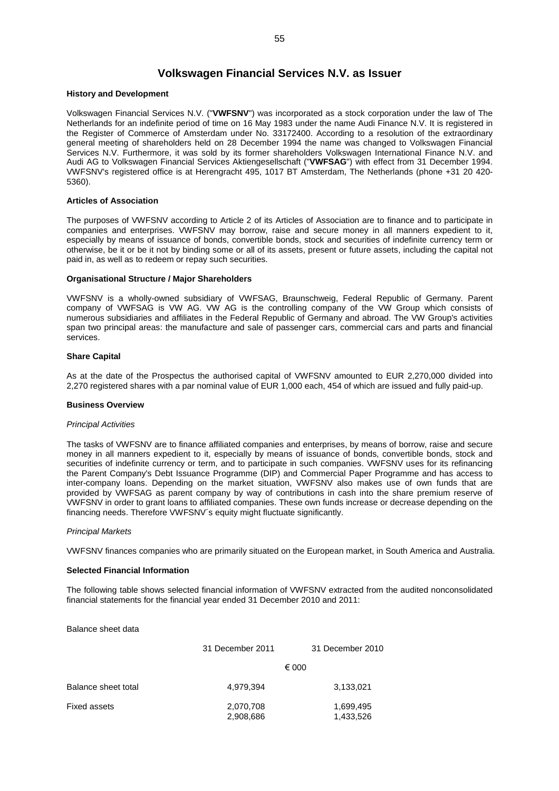## **Volkswagen Financial Services N.V. as Issuer**

### **History and Development**

Volkswagen Financial Services N.V. ("**VWFSNV**") was incorporated as a stock corporation under the law of The Netherlands for an indefinite period of time on 16 May 1983 under the name Audi Finance N.V. It is registered in the Register of Commerce of Amsterdam under No. 33172400. According to a resolution of the extraordinary general meeting of shareholders held on 28 December 1994 the name was changed to Volkswagen Financial Services N.V. Furthermore, it was sold by its former shareholders Volkswagen International Finance N.V. and Audi AG to Volkswagen Financial Services Aktiengesellschaft ("**VWFSAG**") with effect from 31 December 1994. VWFSNV's registered office is at Herengracht 495, 1017 BT Amsterdam, The Netherlands (phone +31 20 420- 5360).

## **Articles of Association**

The purposes of VWFSNV according to Article 2 of its Articles of Association are to finance and to participate in companies and enterprises. VWFSNV may borrow, raise and secure money in all manners expedient to it, especially by means of issuance of bonds, convertible bonds, stock and securities of indefinite currency term or otherwise, be it or be it not by binding some or all of its assets, present or future assets, including the capital not paid in, as well as to redeem or repay such securities.

#### **Organisational Structure / Major Shareholders**

VWFSNV is a wholly-owned subsidiary of VWFSAG, Braunschweig, Federal Republic of Germany. Parent company of VWFSAG is VW AG. VW AG is the controlling company of the VW Group which consists of numerous subsidiaries and affiliates in the Federal Republic of Germany and abroad. The VW Group's activities span two principal areas: the manufacture and sale of passenger cars, commercial cars and parts and financial services.

## **Share Capital**

As at the date of the Prospectus the authorised capital of VWFSNV amounted to EUR 2,270,000 divided into 2,270 registered shares with a par nominal value of EUR 1,000 each, 454 of which are issued and fully paid-up.

#### **Business Overview**

#### *Principal Activities*

The tasks of VWFSNV are to finance affiliated companies and enterprises, by means of borrow, raise and secure money in all manners expedient to it, especially by means of issuance of bonds, convertible bonds, stock and securities of indefinite currency or term, and to participate in such companies. VWFSNV uses for its refinancing the Parent Company's Debt Issuance Programme (DIP) and Commercial Paper Programme and has access to inter-company loans. Depending on the market situation, VWFSNV also makes use of own funds that are provided by VWFSAG as parent company by way of contributions in cash into the share premium reserve of VWFSNV in order to grant loans to affiliated companies. These own funds increase or decrease depending on the financing needs. Therefore VWFSNV´s equity might fluctuate significantly.

#### *Principal Markets*

VWFSNV finances companies who are primarily situated on the European market, in South America and Australia.

## **Selected Financial Information**

The following table shows selected financial information of VWFSNV extracted from the audited nonconsolidated financial statements for the financial year ended 31 December 2010 and 2011:

Balance sheet data

|                     | 31 December 2011       | 31 December 2010       |
|---------------------|------------------------|------------------------|
|                     |                        | € 000                  |
| Balance sheet total | 4,979,394              | 3,133,021              |
| Fixed assets        | 2,070,708<br>2,908,686 | 1,699,495<br>1,433,526 |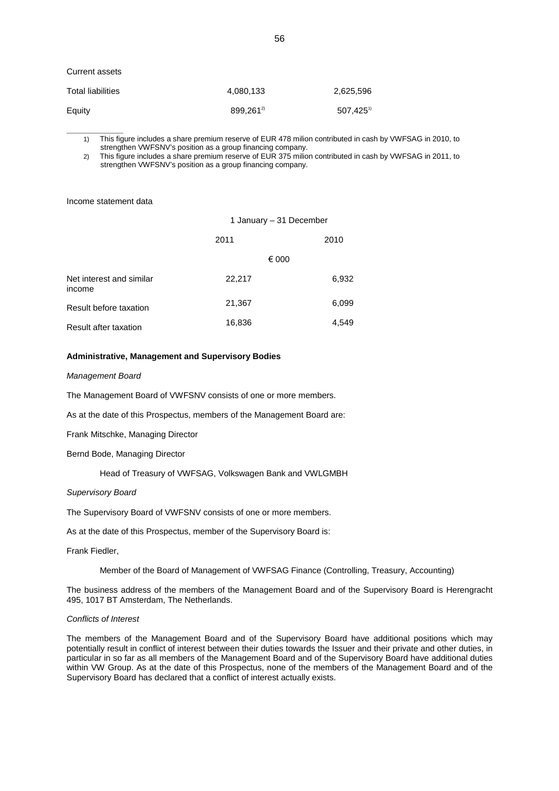### Current assets

| Total liabilities | 4,080,133             | 2,625,596               |
|-------------------|-----------------------|-------------------------|
| Equity            | 899.261 <sup>2)</sup> | $507.425$ <sup>1)</sup> |

**\_\_\_\_\_\_\_\_\_\_\_\_** 1) This figure includes a share premium reserve of EUR 478 milion contributed in cash by VWFSAG in 2010, to strengthen VWFSNV's position as a group financing company.

2) This figure includes a share premium reserve of EUR 375 milion contributed in cash by VWFSAG in 2011, to strengthen VWFSNV's position as a group financing company.

Income statement data

|                                    | 1 January - 31 December |       |
|------------------------------------|-------------------------|-------|
|                                    | 2011                    | 2010  |
|                                    | € 000                   |       |
| Net interest and similar<br>income | 22,217                  | 6,932 |
| Result before taxation             | 21,367                  | 6,099 |
| Result after taxation              | 16,836                  | 4,549 |
|                                    |                         |       |

## **Administrative, Management and Supervisory Bodies**

#### *Management Board*

The Management Board of VWFSNV consists of one or more members.

As at the date of this Prospectus, members of the Management Board are:

Frank Mitschke, Managing Director

Bernd Bode, Managing Director

Head of Treasury of VWFSAG, Volkswagen Bank and VWLGMBH

#### *Supervisory Board*

The Supervisory Board of VWFSNV consists of one or more members.

As at the date of this Prospectus, member of the Supervisory Board is:

Frank Fiedler,

Member of the Board of Management of VWFSAG Finance (Controlling, Treasury, Accounting)

The business address of the members of the Management Board and of the Supervisory Board is Herengracht 495, 1017 BT Amsterdam, The Netherlands.

## *Conflicts of Interest*

The members of the Management Board and of the Supervisory Board have additional positions which may potentially result in conflict of interest between their duties towards the Issuer and their private and other duties, in particular in so far as all members of the Management Board and of the Supervisory Board have additional duties within VW Group. As at the date of this Prospectus, none of the members of the Management Board and of the Supervisory Board has declared that a conflict of interest actually exists.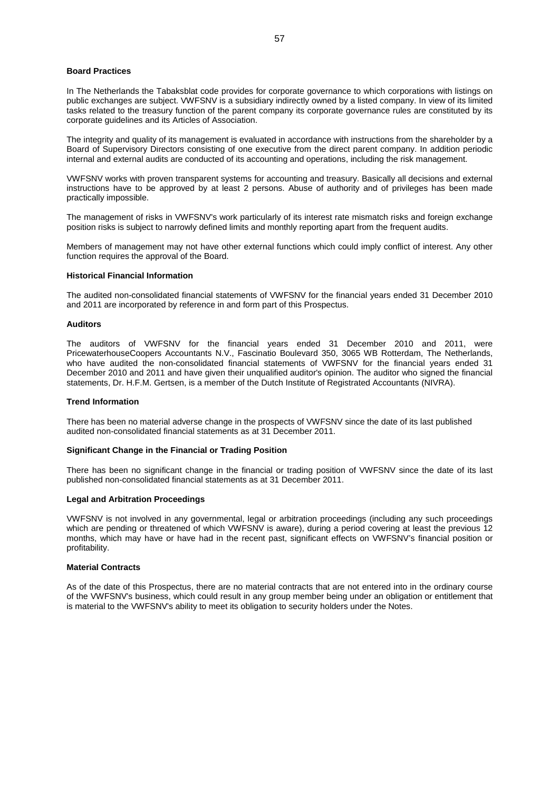#### **Board Practices**

In The Netherlands the Tabaksblat code provides for corporate governance to which corporations with listings on public exchanges are subject. VWFSNV is a subsidiary indirectly owned by a listed company. In view of its limited tasks related to the treasury function of the parent company its corporate governance rules are constituted by its corporate guidelines and its Articles of Association.

The integrity and quality of its management is evaluated in accordance with instructions from the shareholder by a Board of Supervisory Directors consisting of one executive from the direct parent company. In addition periodic internal and external audits are conducted of its accounting and operations, including the risk management.

VWFSNV works with proven transparent systems for accounting and treasury. Basically all decisions and external instructions have to be approved by at least 2 persons. Abuse of authority and of privileges has been made practically impossible.

The management of risks in VWFSNV's work particularly of its interest rate mismatch risks and foreign exchange position risks is subject to narrowly defined limits and monthly reporting apart from the frequent audits.

Members of management may not have other external functions which could imply conflict of interest. Any other function requires the approval of the Board.

## **Historical Financial Information**

The audited non-consolidated financial statements of VWFSNV for the financial years ended 31 December 2010 and 2011 are incorporated by reference in and form part of this Prospectus.

#### **Auditors**

The auditors of VWFSNV for the financial years ended 31 December 2010 and 2011, were PricewaterhouseCoopers Accountants N.V., Fascinatio Boulevard 350, 3065 WB Rotterdam, The Netherlands, who have audited the non-consolidated financial statements of VWFSNV for the financial years ended 31 December 2010 and 2011 and have given their unqualified auditor's opinion. The auditor who signed the financial statements, Dr. H.F.M. Gertsen, is a member of the Dutch Institute of Registrated Accountants (NIVRA).

#### **Trend Information**

There has been no material adverse change in the prospects of VWFSNV since the date of its last published audited non-consolidated financial statements as at 31 December 2011.

#### **Significant Change in the Financial or Trading Position**

There has been no significant change in the financial or trading position of VWFSNV since the date of its last published non-consolidated financial statements as at 31 December 2011.

## **Legal and Arbitration Proceedings**

VWFSNV is not involved in any governmental, legal or arbitration proceedings (including any such proceedings which are pending or threatened of which VWFSNV is aware), during a period covering at least the previous 12 months, which may have or have had in the recent past, significant effects on VWFSNV's financial position or profitability.

#### **Material Contracts**

As of the date of this Prospectus, there are no material contracts that are not entered into in the ordinary course of the VWFSNV's business, which could result in any group member being under an obligation or entitlement that is material to the VWFSNV's ability to meet its obligation to security holders under the Notes.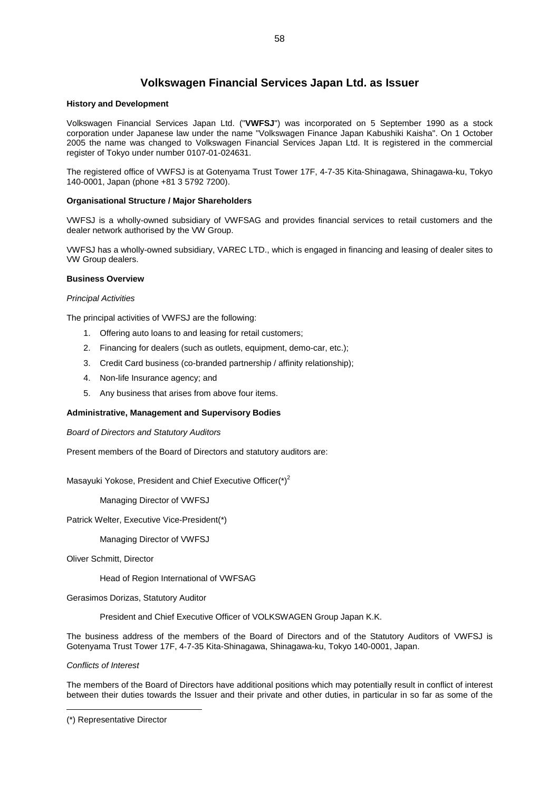## **Volkswagen Financial Services Japan Ltd. as Issuer**

## **History and Development**

Volkswagen Financial Services Japan Ltd. ("**VWFSJ**") was incorporated on 5 September 1990 as a stock corporation under Japanese law under the name "Volkswagen Finance Japan Kabushiki Kaisha". On 1 October 2005 the name was changed to Volkswagen Financial Services Japan Ltd. It is registered in the commercial register of Tokyo under number 0107-01-024631.

The registered office of VWFSJ is at Gotenyama Trust Tower 17F, 4-7-35 Kita-Shinagawa, Shinagawa-ku, Tokyo 140-0001, Japan (phone +81 3 5792 7200).

## **Organisational Structure / Major Shareholders**

VWFSJ is a wholly-owned subsidiary of VWFSAG and provides financial services to retail customers and the dealer network authorised by the VW Group.

VWFSJ has a wholly-owned subsidiary, VAREC LTD., which is engaged in financing and leasing of dealer sites to VW Group dealers.

#### **Business Overview**

#### *Principal Activities*

The principal activities of VWFSJ are the following:

- 1. Offering auto loans to and leasing for retail customers;
- 2. Financing for dealers (such as outlets, equipment, demo-car, etc.);
- 3. Credit Card business (co-branded partnership / affinity relationship);
- 4. Non-life Insurance agency; and
- 5. Any business that arises from above four items.

### **Administrative, Management and Supervisory Bodies**

*Board of Directors and Statutory Auditors*

Present members of the Board of Directors and statutory auditors are:

Masayuki Yokose, President and Chief Executive Officer( $^*$ )<sup>[2](#page-57-0)</sup>

Managing Director of VWFSJ

Patrick Welter, Executive Vice-President(\*)

Managing Director of VWFSJ

Oliver Schmitt, Director

Head of Region International of VWFSAG

Gerasimos Dorizas, Statutory Auditor

President and Chief Executive Officer of VOLKSWAGEN Group Japan K.K.

The business address of the members of the Board of Directors and of the Statutory Auditors of VWFSJ is Gotenyama Trust Tower 17F, 4-7-35 Kita-Shinagawa, Shinagawa-ku, Tokyo 140-0001, Japan.

*Conflicts of Interest*

The members of the Board of Directors have additional positions which may potentially result in conflict of interest between their duties towards the Issuer and their private and other duties, in particular in so far as some of the

<span id="page-57-0"></span><sup>(\*)</sup> Representative Director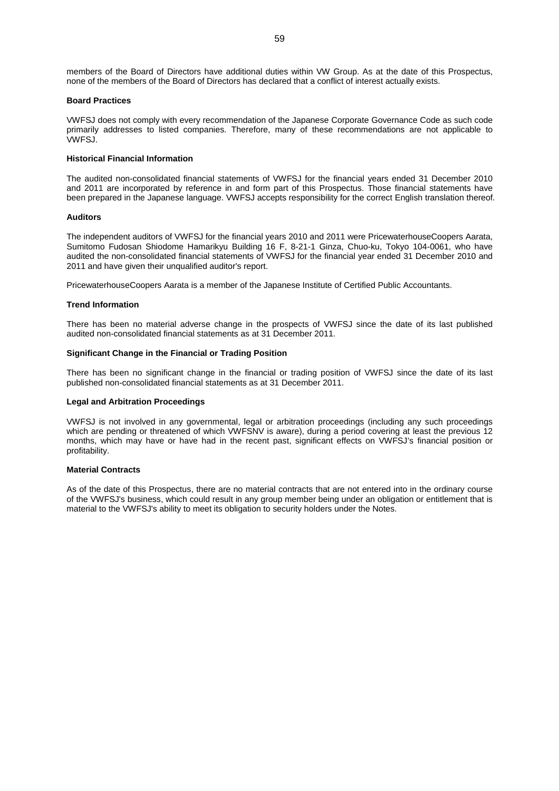members of the Board of Directors have additional duties within VW Group. As at the date of this Prospectus, none of the members of the Board of Directors has declared that a conflict of interest actually exists.

#### **Board Practices**

VWFSJ does not comply with every recommendation of the Japanese Corporate Governance Code as such code primarily addresses to listed companies. Therefore, many of these recommendations are not applicable to VWFSJ.

## **Historical Financial Information**

The audited non-consolidated financial statements of VWFSJ for the financial years ended 31 December 2010 and 2011 are incorporated by reference in and form part of this Prospectus. Those financial statements have been prepared in the Japanese language. VWFSJ accepts responsibility for the correct English translation thereof.

#### **Auditors**

The independent auditors of VWFSJ for the financial years 2010 and 2011 were PricewaterhouseCoopers Aarata, Sumitomo Fudosan Shiodome Hamarikyu Building 16 F, 8-21-1 Ginza, Chuo-ku, Tokyo 104-0061, who have audited the non-consolidated financial statements of VWFSJ for the financial year ended 31 December 2010 and 2011 and have given their unqualified auditor's report.

PricewaterhouseCoopers Aarata is a member of the Japanese Institute of Certified Public Accountants.

#### **Trend Information**

There has been no material adverse change in the prospects of VWFSJ since the date of its last published audited non-consolidated financial statements as at 31 December 2011.

## **Significant Change in the Financial or Trading Position**

There has been no significant change in the financial or trading position of VWFSJ since the date of its last published non-consolidated financial statements as at 31 December 2011.

#### **Legal and Arbitration Proceedings**

VWFSJ is not involved in any governmental, legal or arbitration proceedings (including any such proceedings which are pending or threatened of which VWFSNV is aware), during a period covering at least the previous 12 months, which may have or have had in the recent past, significant effects on VWFSJ's financial position or profitability.

## **Material Contracts**

As of the date of this Prospectus, there are no material contracts that are not entered into in the ordinary course of the VWFSJ's business, which could result in any group member being under an obligation or entitlement that is material to the VWFSJ's ability to meet its obligation to security holders under the Notes.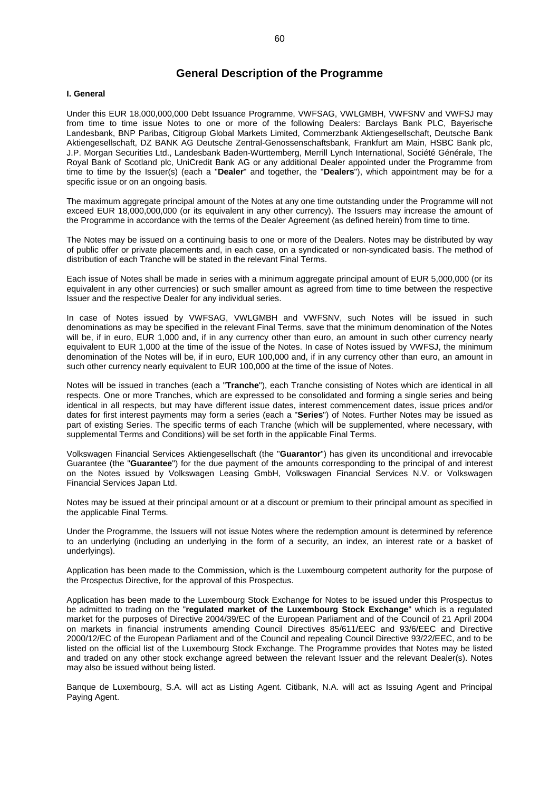## **General Description of the Programme**

#### **I. General**

Under this EUR 18,000,000,000 Debt Issuance Programme, VWFSAG, VWLGMBH, VWFSNV and VWFSJ may from time to time issue Notes to one or more of the following Dealers: Barclays Bank PLC, Bayerische Landesbank, BNP Paribas, Citigroup Global Markets Limited, Commerzbank Aktiengesellschaft, Deutsche Bank Aktiengesellschaft, DZ BANK AG Deutsche Zentral-Genossenschaftsbank, Frankfurt am Main, HSBC Bank plc, J.P. Morgan Securities Ltd., Landesbank Baden-Württemberg, Merrill Lynch International, Société Générale, The Royal Bank of Scotland plc, UniCredit Bank AG or any additional Dealer appointed under the Programme from time to time by the Issuer(s) (each a "**Dealer**" and together, the "**Dealers**"), which appointment may be for a specific issue or on an ongoing basis.

The maximum aggregate principal amount of the Notes at any one time outstanding under the Programme will not exceed EUR 18,000,000,000 (or its equivalent in any other currency). The Issuers may increase the amount of the Programme in accordance with the terms of the Dealer Agreement (as defined herein) from time to time.

The Notes may be issued on a continuing basis to one or more of the Dealers. Notes may be distributed by way of public offer or private placements and, in each case, on a syndicated or non-syndicated basis. The method of distribution of each Tranche will be stated in the relevant Final Terms.

Each issue of Notes shall be made in series with a minimum aggregate principal amount of EUR 5,000,000 (or its equivalent in any other currencies) or such smaller amount as agreed from time to time between the respective Issuer and the respective Dealer for any individual series.

In case of Notes issued by VWFSAG, VWLGMBH and VWFSNV, such Notes will be issued in such denominations as may be specified in the relevant Final Terms, save that the minimum denomination of the Notes will be, if in euro, EUR 1,000 and, if in any currency other than euro, an amount in such other currency nearly equivalent to EUR 1,000 at the time of the issue of the Notes. In case of Notes issued by VWFSJ, the minimum denomination of the Notes will be, if in euro, EUR 100,000 and, if in any currency other than euro, an amount in such other currency nearly equivalent to EUR 100,000 at the time of the issue of Notes.

Notes will be issued in tranches (each a "**Tranche**"), each Tranche consisting of Notes which are identical in all respects. One or more Tranches, which are expressed to be consolidated and forming a single series and being identical in all respects, but may have different issue dates, interest commencement dates, issue prices and/or dates for first interest payments may form a series (each a "**Series**") of Notes. Further Notes may be issued as part of existing Series. The specific terms of each Tranche (which will be supplemented, where necessary, with supplemental Terms and Conditions) will be set forth in the applicable Final Terms.

Volkswagen Financial Services Aktiengesellschaft (the "**Guarantor**") has given its unconditional and irrevocable Guarantee (the "**Guarantee**") for the due payment of the amounts corresponding to the principal of and interest on the Notes issued by Volkswagen Leasing GmbH, Volkswagen Financial Services N.V. or Volkswagen Financial Services Japan Ltd.

Notes may be issued at their principal amount or at a discount or premium to their principal amount as specified in the applicable Final Terms.

Under the Programme, the Issuers will not issue Notes where the redemption amount is determined by reference to an underlying (including an underlying in the form of a security, an index, an interest rate or a basket of underlyings).

Application has been made to the Commission, which is the Luxembourg competent authority for the purpose of the Prospectus Directive, for the approval of this Prospectus.

Application has been made to the Luxembourg Stock Exchange for Notes to be issued under this Prospectus to be admitted to trading on the "**regulated market of the Luxembourg Stock Exchange**" which is a regulated market for the purposes of Directive 2004/39/EC of the European Parliament and of the Council of 21 April 2004 on markets in financial instruments amending Council Directives 85/611/EEC and 93/6/EEC and Directive 2000/12/EC of the European Parliament and of the Council and repealing Council Directive 93/22/EEC, and to be listed on the official list of the Luxembourg Stock Exchange. The Programme provides that Notes may be listed and traded on any other stock exchange agreed between the relevant Issuer and the relevant Dealer(s). Notes may also be issued without being listed.

Banque de Luxembourg, S.A. will act as Listing Agent. Citibank, N.A. will act as Issuing Agent and Principal Paying Agent.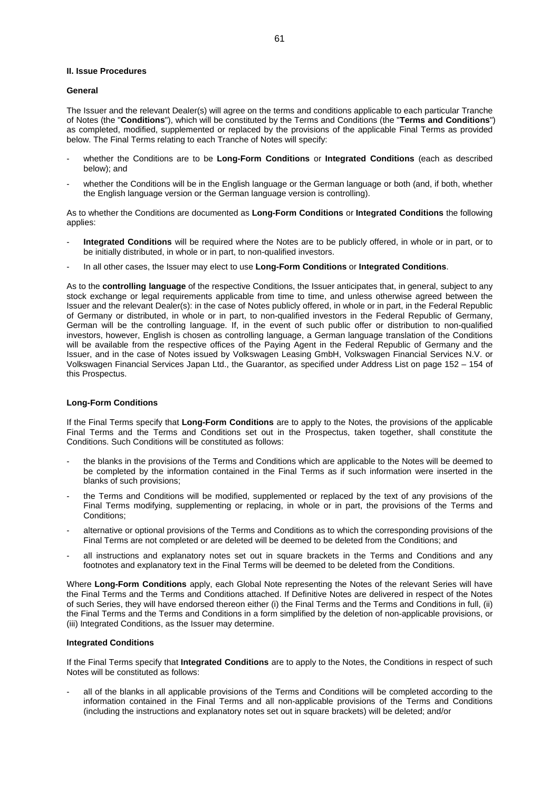#### **II. Issue Procedures**

## **General**

The Issuer and the relevant Dealer(s) will agree on the terms and conditions applicable to each particular Tranche of Notes (the "**Conditions**"), which will be constituted by the Terms and Conditions (the "**Terms and Conditions**") as completed, modified, supplemented or replaced by the provisions of the applicable Final Terms as provided below. The Final Terms relating to each Tranche of Notes will specify:

- whether the Conditions are to be **Long-Form Conditions** or **Integrated Conditions** (each as described below); and
- whether the Conditions will be in the English language or the German language or both (and, if both, whether the English language version or the German language version is controlling).

As to whether the Conditions are documented as **Long-Form Conditions** or **Integrated Conditions** the following applies:

- **Integrated Conditions** will be required where the Notes are to be publicly offered, in whole or in part, or to be initially distributed, in whole or in part, to non-qualified investors.
- In all other cases, the Issuer may elect to use **Long-Form Conditions** or **Integrated Conditions**.

As to the **controlling language** of the respective Conditions, the Issuer anticipates that, in general, subject to any stock exchange or legal requirements applicable from time to time, and unless otherwise agreed between the Issuer and the relevant Dealer(s): in the case of Notes publicly offered, in whole or in part, in the Federal Republic of Germany or distributed, in whole or in part, to non-qualified investors in the Federal Republic of Germany, German will be the controlling language. If, in the event of such public offer or distribution to non-qualified investors, however, English is chosen as controlling language, a German language translation of the Conditions will be available from the respective offices of the Paying Agent in the Federal Republic of Germany and the Issuer, and in the case of Notes issued by Volkswagen Leasing GmbH, Volkswagen Financial Services N.V. or Volkswagen Financial Services Japan Ltd., the Guarantor, as specified under Address List on page 152 – 154 of this Prospectus.

## **Long-Form Conditions**

If the Final Terms specify that **Long-Form Conditions** are to apply to the Notes, the provisions of the applicable Final Terms and the Terms and Conditions set out in the Prospectus, taken together, shall constitute the Conditions. Such Conditions will be constituted as follows:

- the blanks in the provisions of the Terms and Conditions which are applicable to the Notes will be deemed to be completed by the information contained in the Final Terms as if such information were inserted in the blanks of such provisions;
- the Terms and Conditions will be modified, supplemented or replaced by the text of any provisions of the Final Terms modifying, supplementing or replacing, in whole or in part, the provisions of the Terms and Conditions:
- alternative or optional provisions of the Terms and Conditions as to which the corresponding provisions of the Final Terms are not completed or are deleted will be deemed to be deleted from the Conditions; and
- all instructions and explanatory notes set out in square brackets in the Terms and Conditions and any footnotes and explanatory text in the Final Terms will be deemed to be deleted from the Conditions.

Where **Long-Form Conditions** apply, each Global Note representing the Notes of the relevant Series will have the Final Terms and the Terms and Conditions attached. If Definitive Notes are delivered in respect of the Notes of such Series, they will have endorsed thereon either (i) the Final Terms and the Terms and Conditions in full, (ii) the Final Terms and the Terms and Conditions in a form simplified by the deletion of non-applicable provisions, or (iii) Integrated Conditions, as the Issuer may determine.

## **Integrated Conditions**

If the Final Terms specify that **Integrated Conditions** are to apply to the Notes, the Conditions in respect of such Notes will be constituted as follows:

all of the blanks in all applicable provisions of the Terms and Conditions will be completed according to the information contained in the Final Terms and all non-applicable provisions of the Terms and Conditions (including the instructions and explanatory notes set out in square brackets) will be deleted; and/or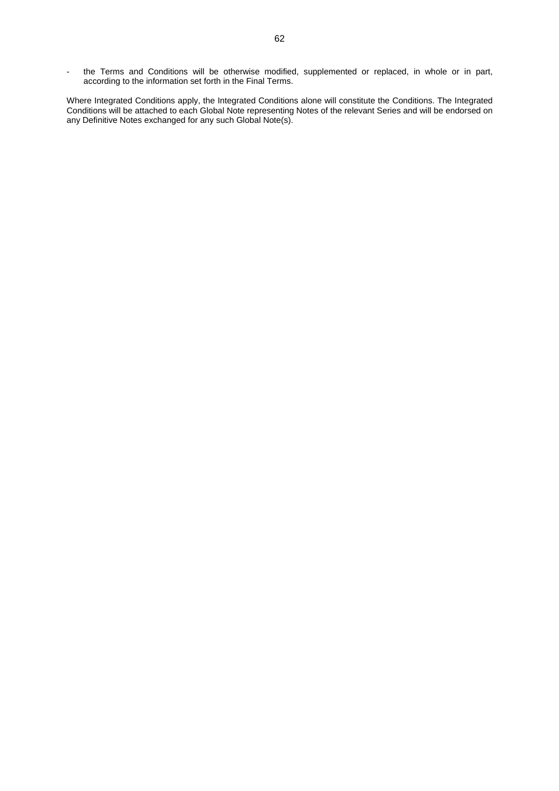- the Terms and Conditions will be otherwise modified, supplemented or replaced, in whole or in part, according to the information set forth in the Final Terms.

Where Integrated Conditions apply, the Integrated Conditions alone will constitute the Conditions. The Integrated Conditions will be attached to each Global Note representing Notes of the relevant Series and will be endorsed on any Definitive Notes exchanged for any such Global Note(s).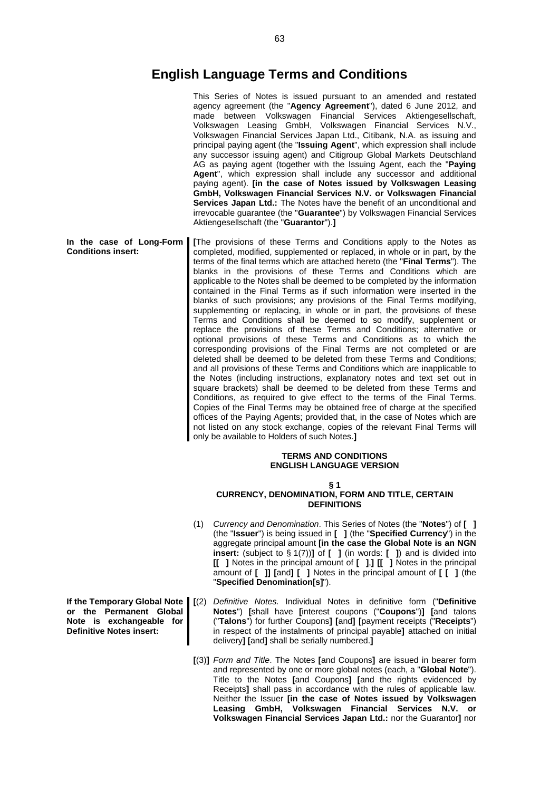# **English Language Terms and Conditions**

|                                                                                                      | This Series of Notes is issued pursuant to an amended and restated<br>agency agreement (the "Agency Agreement"), dated 6 June 2012, and<br>made between Volkswagen Financial Services Aktiengesellschaft,<br>Volkswagen Leasing GmbH, Volkswagen Financial Services N.V.,<br>Volkswagen Financial Services Japan Ltd., Citibank, N.A. as issuing and<br>principal paying agent (the "Issuing Agent", which expression shall include<br>any successor issuing agent) and Citigroup Global Markets Deutschland<br>AG as paying agent (together with the Issuing Agent, each the "Paying<br>Agent", which expression shall include any successor and additional<br>paying agent). [in the case of Notes issued by Volkswagen Leasing<br>GmbH, Volkswagen Financial Services N.V. or Volkswagen Financial<br>Services Japan Ltd.: The Notes have the benefit of an unconditional and<br>irrevocable guarantee (the "Guarantee") by Volkswagen Financial Services<br>Aktiengesellschaft (the "Guarantor").]                                                                                                                                                                                                                                                                                                                                                                                                                                                                                                                                                                                        |
|------------------------------------------------------------------------------------------------------|-----------------------------------------------------------------------------------------------------------------------------------------------------------------------------------------------------------------------------------------------------------------------------------------------------------------------------------------------------------------------------------------------------------------------------------------------------------------------------------------------------------------------------------------------------------------------------------------------------------------------------------------------------------------------------------------------------------------------------------------------------------------------------------------------------------------------------------------------------------------------------------------------------------------------------------------------------------------------------------------------------------------------------------------------------------------------------------------------------------------------------------------------------------------------------------------------------------------------------------------------------------------------------------------------------------------------------------------------------------------------------------------------------------------------------------------------------------------------------------------------------------------------------------------------------------------------------------------------|
| In the case of Long-Form<br><b>Conditions insert:</b>                                                | [The provisions of these Terms and Conditions apply to the Notes as<br>completed, modified, supplemented or replaced, in whole or in part, by the<br>terms of the final terms which are attached hereto (the "Final Terms"). The<br>blanks in the provisions of these Terms and Conditions which are<br>applicable to the Notes shall be deemed to be completed by the information<br>contained in the Final Terms as if such information were inserted in the<br>blanks of such provisions; any provisions of the Final Terms modifying,<br>supplementing or replacing, in whole or in part, the provisions of these<br>Terms and Conditions shall be deemed to so modify, supplement or<br>replace the provisions of these Terms and Conditions; alternative or<br>optional provisions of these Terms and Conditions as to which the<br>corresponding provisions of the Final Terms are not completed or are<br>deleted shall be deemed to be deleted from these Terms and Conditions;<br>and all provisions of these Terms and Conditions which are inapplicable to<br>the Notes (including instructions, explanatory notes and text set out in<br>square brackets) shall be deemed to be deleted from these Terms and<br>Conditions, as required to give effect to the terms of the Final Terms.<br>Copies of the Final Terms may be obtained free of charge at the specified<br>offices of the Paying Agents; provided that, in the case of Notes which are<br>not listed on any stock exchange, copies of the relevant Final Terms will<br>only be available to Holders of such Notes.] |
|                                                                                                      | <b>TERMS AND CONDITIONS</b><br><b>ENGLISH LANGUAGE VERSION</b>                                                                                                                                                                                                                                                                                                                                                                                                                                                                                                                                                                                                                                                                                                                                                                                                                                                                                                                                                                                                                                                                                                                                                                                                                                                                                                                                                                                                                                                                                                                                |
|                                                                                                      | § 1<br><b>CURRENCY, DENOMINATION, FORM AND TITLE, CERTAIN</b><br><b>DEFINITIONS</b>                                                                                                                                                                                                                                                                                                                                                                                                                                                                                                                                                                                                                                                                                                                                                                                                                                                                                                                                                                                                                                                                                                                                                                                                                                                                                                                                                                                                                                                                                                           |
|                                                                                                      | (1)<br>Currency and Denomination. This Series of Notes (the "Notes") of [ ]<br>(the "Issuer") is being issued in [1] (the "Specified Currency") in the<br>aggregate principal amount [in the case the Global Note is an NGN<br><b>insert:</b> (subject to $\S 1(7)$ )] of [ ] (in words: [ ]) and is divided into<br>[[ ] Notes in the principal amount of [ ],] [[ ] Notes in the principal<br>amount of [ ]] [and] [ ] Notes in the principal amount of [ [ ] (the<br>"Specified Denomination[s]").                                                                                                                                                                                                                                                                                                                                                                                                                                                                                                                                                                                                                                                                                                                                                                                                                                                                                                                                                                                                                                                                                         |
| If the Temporary Global Note $\parallel$ [(2)<br>or the Permanent Global<br>Note is exchangeable for | Definitive Notes. Individual Notes in definitive form ("Definitive<br>Notes") [shall have [interest coupons ("Coupons")] [and talons<br>("Talons") for further Coupons] [and] [payment receipts ("Receipts")                                                                                                                                                                                                                                                                                                                                                                                                                                                                                                                                                                                                                                                                                                                                                                                                                                                                                                                                                                                                                                                                                                                                                                                                                                                                                                                                                                                  |

**[**(3)**]** *Form and Title*. The Notes **[**and Coupons**]** are issued in bearer form and represented by one or more global notes (each, a "**Global Note**"). Title to the Notes **[**and Coupons**] [**and the rights evidenced by Receipts**]** shall pass in accordance with the rules of applicable law. Neither the Issuer **[in the case of Notes issued by Volkswagen Leasing GmbH, Volkswagen Financial Services N.V. or Volkswagen Financial Services Japan Ltd.:** nor the Guarantor**]** nor

delivery**] [**and**]** shall be serially numbered.**]**

in respect of the instalments of principal payable**]** attached on initial

**Note is exchangeable Definitive Notes insert:**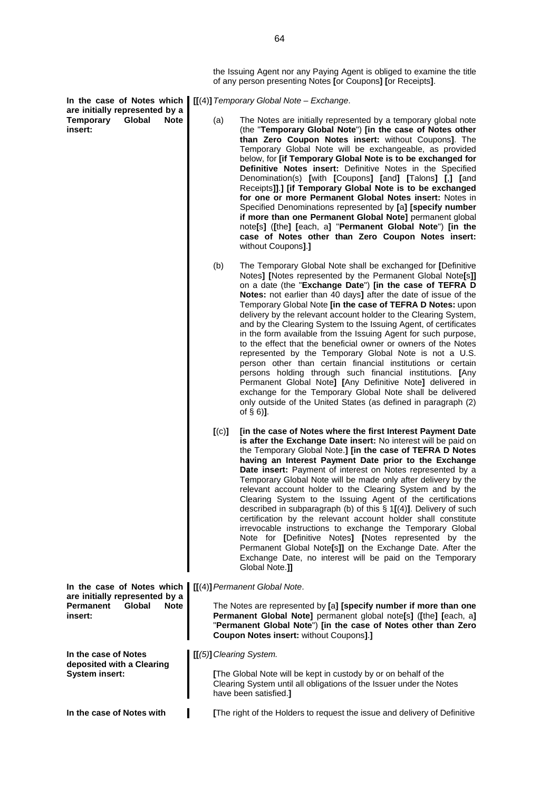**In the case of Notes which are initially represented by a Temporary Global Note insert:**

| are mnuany representeu by a<br>Global<br>Temporary<br>Note<br>insert:                                                       | (a)                                                                                                                                                                                                                                                | The Notes are initially represented by a temporary global note<br>(the "Temporary Global Note") [in the case of Notes other<br>than Zero Coupon Notes insert: without Coupons]. The<br>Temporary Global Note will be exchangeable, as provided<br>below, for [if Temporary Global Note is to be exchanged for<br>Definitive Notes insert: Definitive Notes in the Specified<br>Denomination(s) [with [Coupons] [and] [Talons] [,] [and<br>Receipts]].] [if Temporary Global Note is to be exchanged<br>for one or more Permanent Global Notes insert: Notes in<br>Specified Denominations represented by [a] [specify number<br>if more than one Permanent Global Note] permanent global<br>note[s] ([the] [each, a] "Permanent Global Note") [in the<br>case of Notes other than Zero Coupon Notes insert:<br>without Coupons1.1                                                                                                                                                                  |
|-----------------------------------------------------------------------------------------------------------------------------|----------------------------------------------------------------------------------------------------------------------------------------------------------------------------------------------------------------------------------------------------|----------------------------------------------------------------------------------------------------------------------------------------------------------------------------------------------------------------------------------------------------------------------------------------------------------------------------------------------------------------------------------------------------------------------------------------------------------------------------------------------------------------------------------------------------------------------------------------------------------------------------------------------------------------------------------------------------------------------------------------------------------------------------------------------------------------------------------------------------------------------------------------------------------------------------------------------------------------------------------------------------|
|                                                                                                                             | (b)                                                                                                                                                                                                                                                | The Temporary Global Note shall be exchanged for [Definitive<br>Notes] [Notes represented by the Permanent Global Note[s]]<br>on a date (the "Exchange Date") [in the case of TEFRA D<br>Notes: not earlier than 40 days] after the date of issue of the<br>Temporary Global Note [in the case of TEFRA D Notes: upon<br>delivery by the relevant account holder to the Clearing System,<br>and by the Clearing System to the Issuing Agent, of certificates<br>in the form available from the Issuing Agent for such purpose,<br>to the effect that the beneficial owner or owners of the Notes<br>represented by the Temporary Global Note is not a U.S.<br>person other than certain financial institutions or certain<br>persons holding through such financial institutions. [Any<br>Permanent Global Note] [Any Definitive Note] delivered in<br>exchange for the Temporary Global Note shall be delivered<br>only outside of the United States (as defined in paragraph (2)<br>of $\S$ 6)]. |
|                                                                                                                             | [(c)]                                                                                                                                                                                                                                              | [in the case of Notes where the first Interest Payment Date<br>is after the Exchange Date insert: No interest will be paid on<br>the Temporary Global Note.] [in the case of TEFRA D Notes<br>having an Interest Payment Date prior to the Exchange<br>Date insert: Payment of interest on Notes represented by a<br>Temporary Global Note will be made only after delivery by the<br>relevant account holder to the Clearing System and by the<br>Clearing System to the Issuing Agent of the certifications<br>described in subparagraph (b) of this $\S 1[(4)]$ . Delivery of such<br>certification by the relevant account holder shall constitute<br>irrevocable instructions to exchange the Temporary Global<br>Note for [Definitive Notes] [Notes represented by the<br>Permanent Global Note[s]] on the Exchange Date. After the<br>Exchange Date, no interest will be paid on the Temporary<br>Global Note.]]                                                                            |
| In the case of Notes which $\left[ \left[ \left( 4\right) \right]$ Permanent Global Note.<br>are initially represented by a |                                                                                                                                                                                                                                                    |                                                                                                                                                                                                                                                                                                                                                                                                                                                                                                                                                                                                                                                                                                                                                                                                                                                                                                                                                                                                    |
| <b>Permanent</b><br>Global<br><b>Note</b><br>insert:                                                                        | The Notes are represented by [a] [specify number if more than one<br>Permanent Global Note] permanent global note[s] ([the] [each, a]<br>"Permanent Global Note") [in the case of Notes other than Zero<br>Coupon Notes insert: without Coupons].] |                                                                                                                                                                                                                                                                                                                                                                                                                                                                                                                                                                                                                                                                                                                                                                                                                                                                                                                                                                                                    |
| In the case of Notes<br>deposited with a Clearing                                                                           | [[(5)] Clearing System.                                                                                                                                                                                                                            |                                                                                                                                                                                                                                                                                                                                                                                                                                                                                                                                                                                                                                                                                                                                                                                                                                                                                                                                                                                                    |
| <b>System insert:</b>                                                                                                       |                                                                                                                                                                                                                                                    | [The Global Note will be kept in custody by or on behalf of the<br>Clearing System until all obligations of the Issuer under the Notes<br>have been satisfied.]                                                                                                                                                                                                                                                                                                                                                                                                                                                                                                                                                                                                                                                                                                                                                                                                                                    |

In the case of Notes with **[1] [The right of the Holders to request the issue and delivery of Definitive** 

**[[**(4)**]***Temporary Global Note – Exchange*.

the Issuing Agent nor any Paying Agent is obliged to examine the title

of any person presenting Notes **[**or Coupons**] [**or Receipts**]**.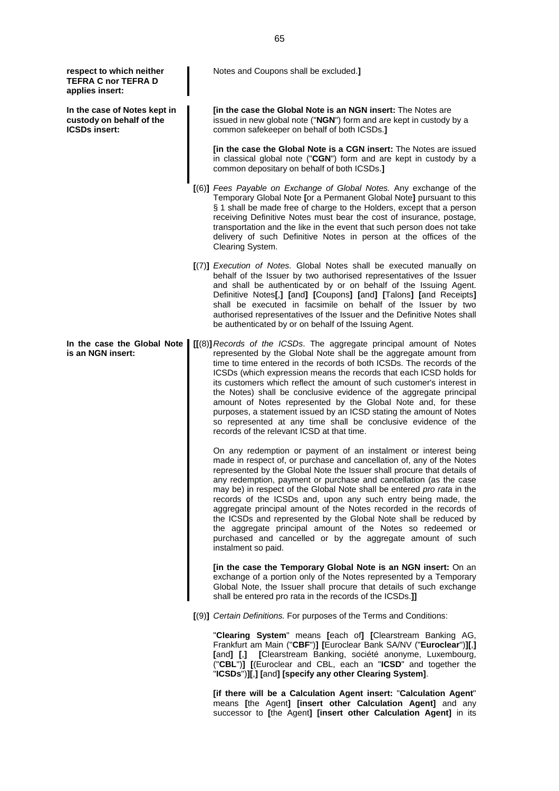**respect to which neither TEFRA C nor TEFRA D applies insert:**

**In the case of Notes kept in custody on behalf of the ICSDs insert:**

**In the case the Global Note is an NGN insert:**

Notes and Coupons shall be excluded.**]**

**[in the case the Global Note is an NGN insert:** The Notes are issued in new global note ("**NGN**") form and are kept in custody by a common safekeeper on behalf of both ICSDs.**]**

**[in the case the Global Note is a CGN insert:** The Notes are issued in classical global note ("**CGN**") form and are kept in custody by a common depositary on behalf of both ICSDs.**]**

- **[**(6)**]** *Fees Payable on Exchange of Global Notes.* Any exchange of the Temporary Global Note **[**or a Permanent Global Note**]** pursuant to this § 1 shall be made free of charge to the Holders, except that a person receiving Definitive Notes must bear the cost of insurance, postage, transportation and the like in the event that such person does not take delivery of such Definitive Notes in person at the offices of the Clearing System.
- **[**(7)**]** *Execution of Notes.* Global Notes shall be executed manually on behalf of the Issuer by two authorised representatives of the Issuer and shall be authenticated by or on behalf of the Issuing Agent. Definitive Notes**[**,**] [**and**] [**Coupons**] [**and**] [**Talons**] [**and Receipts**]** shall be executed in facsimile on behalf of the Issuer by two authorised representatives of the Issuer and the Definitive Notes shall be authenticated by or on behalf of the Issuing Agent.

**[[**(8)**]***Records of the ICSDs*. The aggregate principal amount of Notes represented by the Global Note shall be the aggregate amount from time to time entered in the records of both ICSDs. The records of the ICSDs (which expression means the records that each ICSD holds for its customers which reflect the amount of such customer's interest in the Notes) shall be conclusive evidence of the aggregate principal amount of Notes represented by the Global Note and, for these purposes, a statement issued by an ICSD stating the amount of Notes so represented at any time shall be conclusive evidence of the records of the relevant ICSD at that time.

On any redemption or payment of an instalment or interest being made in respect of, or purchase and cancellation of, any of the Notes represented by the Global Note the Issuer shall procure that details of any redemption, payment or purchase and cancellation (as the case may be) in respect of the Global Note shall be entered *pro rata* in the records of the ICSDs and, upon any such entry being made, the aggregate principal amount of the Notes recorded in the records of the ICSDs and represented by the Global Note shall be reduced by the aggregate principal amount of the Notes so redeemed or purchased and cancelled or by the aggregate amount of such instalment so paid.

**[in the case the Temporary Global Note is an NGN insert:** On an exchange of a portion only of the Notes represented by a Temporary Global Note, the Issuer shall procure that details of such exchange shall be entered pro rata in the records of the ICSDs.**]]**

**[**(9)**]** *Certain Definitions.* For purposes of the Terms and Conditions:

"**Clearing System**" means **[**each of**] [**Clearstream Banking AG, Frankfurt am Main ("**CBF**")**] [**Euroclear Bank SA/NV ("**Euroclear**")**][**,**] [**and**] [**,**] [**Clearstream Banking, société anonyme, Luxembourg, ("**CBL**")**] [**(Euroclear and CBL, each an "**ICSD**" and together the "**ICSDs**")**][**,**] [**and**] [specify any other Clearing System]**.

**[if there will be a Calculation Agent insert:** "**Calculation Agent**" means **[**the Agent**] [insert other Calculation Agent]** and any successor to **[**the Agent**] [insert other Calculation Agent]** in its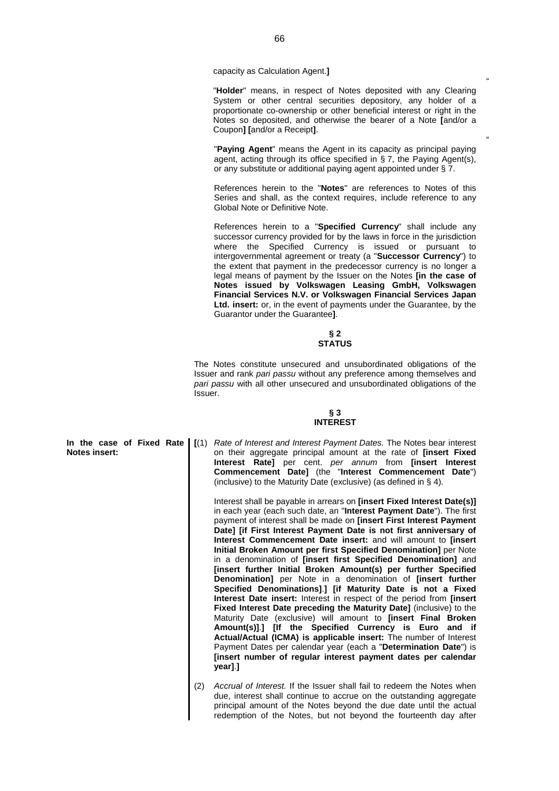capacity as Calculation Agent.**]**

"**Holder**" means, in respect of Notes deposited with any Clearing System or other central securities depository, any holder of a proportionate co-ownership or other beneficial interest or right in the Notes so deposited, and otherwise the bearer of a Note **[**and/or a Coupon**] [**and/or a Receipt**]**.

"

"

"**Paying Agent**" means the Agent in its capacity as principal paying agent, acting through its office specified in § 7, the Paying Agent(s), or any substitute or additional paying agent appointed under § 7.

References herein to the "**Notes**" are references to Notes of this Series and shall, as the context requires, include reference to any Global Note or Definitive Note.

References herein to a "**Specified Currency**" shall include any successor currency provided for by the laws in force in the jurisdiction where the Specified Currency is issued or pursuant to intergovernmental agreement or treaty (a "**Successor Currency**") to the extent that payment in the predecessor currency is no longer a legal means of payment by the Issuer on the Notes **[in the case of Notes issued by Volkswagen Leasing GmbH, Volkswagen Financial Services N.V. or Volkswagen Financial Services Japan Ltd. insert:** or, in the event of payments under the Guarantee, by the Guarantor under the Guarantee**]**.

#### **§ 2 STATUS**

The Notes constitute unsecured and unsubordinated obligations of the Issuer and rank *pari passu* without any preference among themselves and *pari passu* with all other unsecured and unsubordinated obligations of the Issuer.

## **§ 3 INTEREST**

**In the case of Fixed Rate Notes insert: [**(1) *Rate of Interest and Interest Payment Dates.* The Notes bear interest on their aggregate principal amount at the rate of **[insert Fixed Interest Rate]** per cent. *per annum* from **[insert Interest Commencement Date]** (the "**Interest Commencement Date**") (inclusive) to the Maturity Date (exclusive) (as defined in § 4).

> Interest shall be payable in arrears on **[insert Fixed Interest Date(s)]** in each year (each such date, an "**Interest Payment Date**"). The first payment of interest shall be made on **[insert First Interest Payment Date] [if First Interest Payment Date is not first anniversary of Interest Commencement Date insert:** and will amount to **[insert Initial Broken Amount per first Specified Denomination]** per Note in a denomination of **[insert first Specified Denomination]** and **[insert further Initial Broken Amount(s) per further Specified Denomination]** per Note in a denomination of **[insert further Specified Denominations]**.**] [if Maturity Date is not a Fixed Interest Date insert:** Interest in respect of the period from **[insert Fixed Interest Date preceding the Maturity Date]** (inclusive) to the Maturity Date (exclusive) will amount to **[insert Final Broken Amount(s)]**.**] [If the Specified Currency is Euro and if Actual/Actual (ICMA) is applicable insert:** The number of Interest Payment Dates per calendar year (each a "**Determination Date**") is **[insert number of regular interest payment dates per calendar year]**.**]**

(2) *Accrual of Interest.* If the Issuer shall fail to redeem the Notes when due, interest shall continue to accrue on the outstanding aggregate principal amount of the Notes beyond the due date until the actual redemption of the Notes, but not beyond the fourteenth day after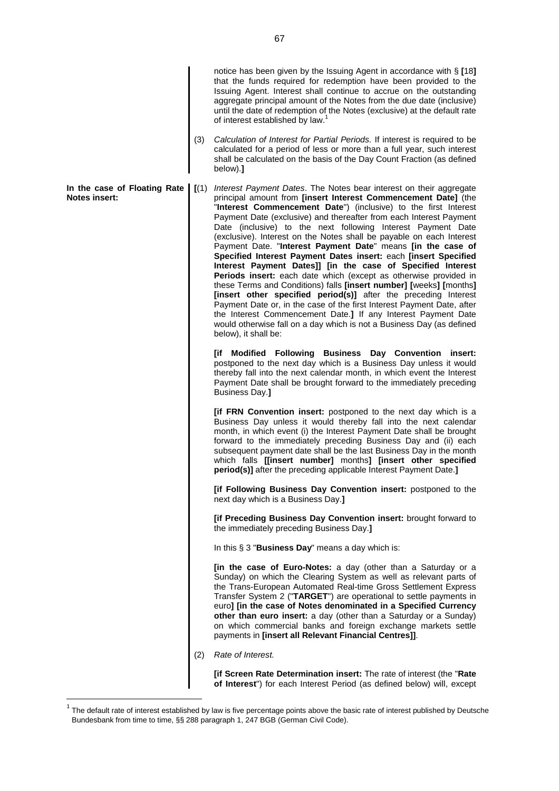that the funds required for redemption have been provided to the Issuing Agent. Interest shall continue to accrue on the outstanding aggregate principal amount of the Notes from the due date (inclusive) until the date of redemption of the Notes (exclusive) at the default rate ofinterest established by law[.](#page-66-0)<sup>1</sup> (3) *Calculation of Interest for Partial Periods.* If interest is required to be calculated for a period of less or more than a full year, such interest shall be calculated on the basis of the Day Count Fraction (as defined below).**] In the case of Floating Rate Notes insert: [**(1) *Interest Payment Dates*. The Notes bear interest on their aggregate principal amount from **[insert Interest Commencement Date]** (the "**Interest Commencement Date**") (inclusive) to the first Interest Payment Date (exclusive) and thereafter from each Interest Payment Date (inclusive) to the next following Interest Payment Date (exclusive). Interest on the Notes shall be payable on each Interest Payment Date. "**Interest Payment Date**" means **[in the case of Specified Interest Payment Dates insert:** each **[insert Specified Interest Payment Dates]] [in the case of Specified Interest Periods insert:** each date which (except as otherwise provided in these Terms and Conditions) falls **[insert number] [**weeks**] [**months**] [insert other specified period(s)]** after the preceding Interest Payment Date or, in the case of the first Interest Payment Date, after the Interest Commencement Date.**]** If any Interest Payment Date would otherwise fall on a day which is not a Business Day (as defined below), it shall be: **[if Modified Following Business Day Convention insert:** postponed to the next day which is a Business Day unless it would thereby fall into the next calendar month, in which event the Interest Payment Date shall be brought forward to the immediately preceding Business Day.**] [if FRN Convention insert:** postponed to the next day which is a Business Day unless it would thereby fall into the next calendar month, in which event (i) the Interest Payment Date shall be brought forward to the immediately preceding Business Day and (ii) each subsequent payment date shall be the last Business Day in the month which falls **[[insert number]** months**] [insert other specified period(s)]** after the preceding applicable Interest Payment Date.**] [if Following Business Day Convention insert:** postponed to the next day which is a Business Day.**] [if Preceding Business Day Convention insert:** brought forward to the immediately preceding Business Day.**]** In this § 3 "**Business Day**" means a day which is: **[in the case of Euro-Notes:** a day (other than a Saturday or a Sunday) on which the Clearing System as well as relevant parts of the Trans-European Automated Real-time Gross Settlement Express Transfer System 2 ("**TARGET**") are operational to settle payments in euro**] [in the case of Notes denominated in a Specified Currency other than euro insert:** a day (other than a Saturday or a Sunday) on which commercial banks and foreign exchange markets settle payments in **[insert all Relevant Financial Centres]]**. (2) *Rate of Interest.* **[if Screen Rate Determination insert:** The rate of interest (the "**Rate of Interest**") for each Interest Period (as defined below) will, except

notice has been given by the Issuing Agent in accordance with § **[**18**]**

<span id="page-66-0"></span> $^{\rm 1}$  The default rate of interest established by law is five percentage points above the basic rate of interest published by Deutsche Bundesbank from time to time, §§ 288 paragraph 1, 247 BGB (German Civil Code).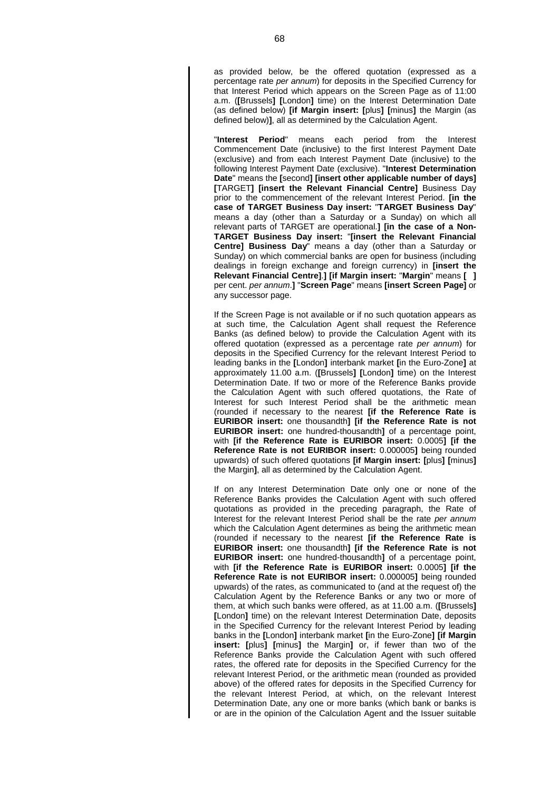as provided below, be the offered quotation (expressed as a percentage rate *per annum*) for deposits in the Specified Currency for that Interest Period which appears on the Screen Page as of 11:00 a.m. (**[**Brussels**] [**London**]** time) on the Interest Determination Date (as defined below) **[if Margin insert: [**plus**] [**minus**]** the Margin (as defined below)**]**, all as determined by the Calculation Agent.

"**Interest Period**" means each period from the Interest Commencement Date (inclusive) to the first Interest Payment Date (exclusive) and from each Interest Payment Date (inclusive) to the following Interest Payment Date (exclusive). "**Interest Determination Date**" means the **[**second**] [insert other applicable number of days] [**TARGET**] [insert the Relevant Financial Centre]** Business Day prior to the commencement of the relevant Interest Period. **[in the case of TARGET Business Day insert:** "**TARGET Business Day**" means a day (other than a Saturday or a Sunday) on which all relevant parts of TARGET are operational.**] [in the case of a Non-TARGET Business Day insert:** "**[insert the Relevant Financial Centre] Business Day**" means a day (other than a Saturday or Sunday) on which commercial banks are open for business (including dealings in foreign exchange and foreign currency) in **[insert the Relevant Financial Centre]**.**] [if Margin insert:** "**Margin**" means **[ ]** per cent. *per annum*.**]** "**Screen Page**" means **[insert Screen Page]** or any successor page.

If the Screen Page is not available or if no such quotation appears as at such time, the Calculation Agent shall request the Reference Banks (as defined below) to provide the Calculation Agent with its offered quotation (expressed as a percentage rate *per annum*) for deposits in the Specified Currency for the relevant Interest Period to leading banks in the **[**London**]** interbank market **[**in the Euro-Zone**]** at approximately 11.00 a.m. (**[**Brussels**] [**London**]** time) on the Interest Determination Date. If two or more of the Reference Banks provide the Calculation Agent with such offered quotations, the Rate of Interest for such Interest Period shall be the arithmetic mean (rounded if necessary to the nearest **[if the Reference Rate is EURIBOR insert:** one thousandth**] [if the Reference Rate is not EURIBOR insert:** one hundred-thousandth**]** of a percentage point, with **[if the Reference Rate is EURIBOR insert:** 0.0005**] [if the Reference Rate is not EURIBOR insert:** 0.000005**]** being rounded upwards) of such offered quotations **[if Margin insert: [**plus**] [**minus**]** the Margin**]**, all as determined by the Calculation Agent.

If on any Interest Determination Date only one or none of the Reference Banks provides the Calculation Agent with such offered quotations as provided in the preceding paragraph, the Rate of Interest for the relevant Interest Period shall be the rate *per annum* which the Calculation Agent determines as being the arithmetic mean (rounded if necessary to the nearest **[if the Reference Rate is EURIBOR insert:** one thousandth**] [if the Reference Rate is not EURIBOR insert:** one hundred-thousandth**]** of a percentage point, with **[if the Reference Rate is EURIBOR insert:** 0.0005**] [if the Reference Rate is not EURIBOR insert:** 0.000005**]** being rounded upwards) of the rates, as communicated to (and at the request of) the Calculation Agent by the Reference Banks or any two or more of them, at which such banks were offered, as at 11.00 a.m. (**[**Brussels**] [**London**]** time) on the relevant Interest Determination Date, deposits in the Specified Currency for the relevant Interest Period by leading banks in the **[**London**]** interbank market **[**in the Euro-Zone**] [if Margin insert: [**plus**] [**minus**]** the Margin**]** or, if fewer than two of the Reference Banks provide the Calculation Agent with such offered rates, the offered rate for deposits in the Specified Currency for the relevant Interest Period, or the arithmetic mean (rounded as provided above) of the offered rates for deposits in the Specified Currency for the relevant Interest Period, at which, on the relevant Interest Determination Date, any one or more banks (which bank or banks is or are in the opinion of the Calculation Agent and the Issuer suitable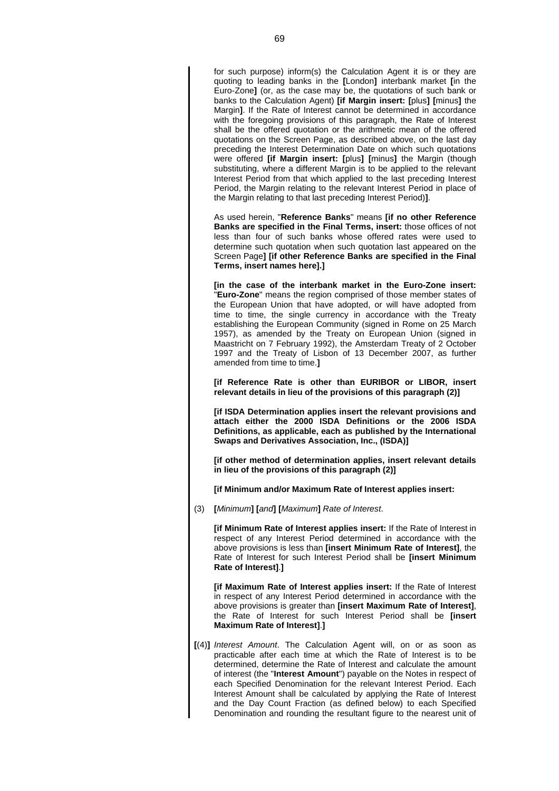for such purpose) inform(s) the Calculation Agent it is or they are quoting to leading banks in the **[**London**]** interbank market **[**in the Euro-Zone**]** (or, as the case may be, the quotations of such bank or banks to the Calculation Agent) **[if Margin insert: [**plus**] [**minus**]** the Margin**]**. If the Rate of Interest cannot be determined in accordance with the foregoing provisions of this paragraph, the Rate of Interest shall be the offered quotation or the arithmetic mean of the offered quotations on the Screen Page, as described above, on the last day preceding the Interest Determination Date on which such quotations were offered **[if Margin insert: [**plus**] [**minus**]** the Margin (though substituting, where a different Margin is to be applied to the relevant Interest Period from that which applied to the last preceding Interest Period, the Margin relating to the relevant Interest Period in place of the Margin relating to that last preceding Interest Period)**]**.

As used herein, "**Reference Banks**" means **[if no other Reference Banks are specified in the Final Terms, insert:** those offices of not less than four of such banks whose offered rates were used to determine such quotation when such quotation last appeared on the Screen Page**] [if other Reference Banks are specified in the Final Terms, insert names here].]**

**[in the case of the interbank market in the Euro-Zone insert:** "**Euro-Zone**" means the region comprised of those member states of the European Union that have adopted, or will have adopted from time to time, the single currency in accordance with the Treaty establishing the European Community (signed in Rome on 25 March 1957), as amended by the Treaty on European Union (signed in Maastricht on 7 February 1992), the Amsterdam Treaty of 2 October 1997 and the Treaty of Lisbon of 13 December 2007, as further amended from time to time.**]**

**[if Reference Rate is other than EURIBOR or LIBOR, insert relevant details in lieu of the provisions of this paragraph (2)]**

**[if ISDA Determination applies insert the relevant provisions and attach either the 2000 ISDA Definitions or the 2006 ISDA Definitions, as applicable, each as published by the International Swaps and Derivatives Association, Inc., (ISDA)]**

**[if other method of determination applies, insert relevant details in lieu of the provisions of this paragraph (2)]**

**[if Minimum and/or Maximum Rate of Interest applies insert:**

(3) **[***Minimum***] [***and***] [***Maximum***]** *Rate of Interest*.

**[if Minimum Rate of Interest applies insert:** If the Rate of Interest in respect of any Interest Period determined in accordance with the above provisions is less than **[insert Minimum Rate of Interest]**, the Rate of Interest for such Interest Period shall be **[insert Minimum Rate of Interest]**.**]**

**[if Maximum Rate of Interest applies insert:** If the Rate of Interest in respect of any Interest Period determined in accordance with the above provisions is greater than **[insert Maximum Rate of Interest]**, the Rate of Interest for such Interest Period shall be **[insert Maximum Rate of Interest]**.**]**

**[**(4)**]** *Interest Amount*. The Calculation Agent will, on or as soon as practicable after each time at which the Rate of Interest is to be determined, determine the Rate of Interest and calculate the amount of interest (the "**Interest Amount**") payable on the Notes in respect of each Specified Denomination for the relevant Interest Period. Each Interest Amount shall be calculated by applying the Rate of Interest and the Day Count Fraction (as defined below) to each Specified Denomination and rounding the resultant figure to the nearest unit of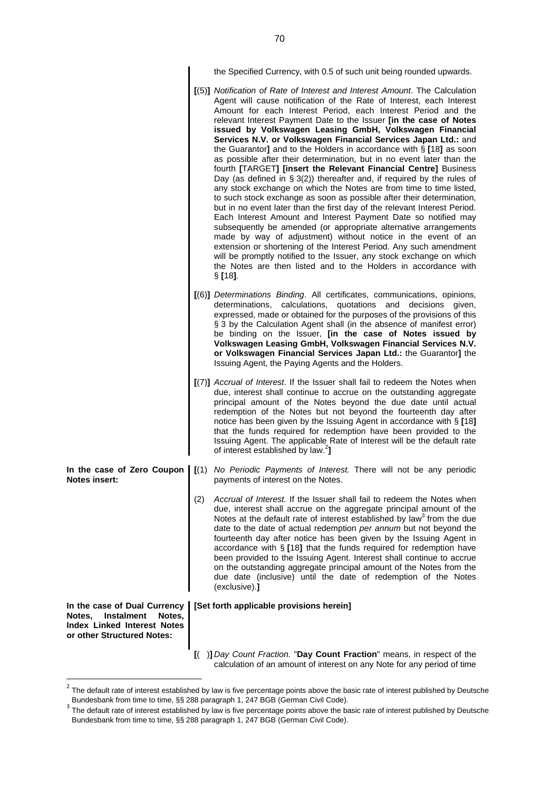the Specified Currency, with 0.5 of such unit being rounded upwards.

- **[**(5)**]** *Notification of Rate of Interest and Interest Amount*. The Calculation Agent will cause notification of the Rate of Interest, each Interest Amount for each Interest Period, each Interest Period and the relevant Interest Payment Date to the Issuer **[in the case of Notes issued by Volkswagen Leasing GmbH, Volkswagen Financial Services N.V. or Volkswagen Financial Services Japan Ltd.:** and the Guarantor**]** and to the Holders in accordance with § **[**18**]** as soon as possible after their determination, but in no event later than the fourth **[**TARGET**] [insert the Relevant Financial Centre]** Business Day (as defined in § 3(2)) thereafter and, if required by the rules of any stock exchange on which the Notes are from time to time listed, to such stock exchange as soon as possible after their determination, but in no event later than the first day of the relevant Interest Period. Each Interest Amount and Interest Payment Date so notified may subsequently be amended (or appropriate alternative arrangements made by way of adjustment) without notice in the event of an extension or shortening of the Interest Period. Any such amendment will be promptly notified to the Issuer, any stock exchange on which the Notes are then listed and to the Holders in accordance with § **[**18**]**. **[**(6)**]** *Determinations Binding*. All certificates, communications, opinions, determinations, calculations, quotations and decisions given, expressed, made or obtained for the purposes of the provisions of this § 3 by the Calculation Agent shall (in the absence of manifest error) be binding on the Issuer, **[in the case of Notes issued by Volkswagen Leasing GmbH, Volkswagen Financial Services N.V. or Volkswagen Financial Services Japan Ltd.:** the Guarantor**]** the Issuing Agent, the Paying Agents and the Holders. **[**(7)**]** *Accrual of Interest*. If the Issuer shall fail to redeem the Notes when due, interest shall continue to accrue on the outstanding aggregate principal amount of the Notes beyond the due date until actual redemption of the Notes but not beyond the fourteenth day after notice has been given by the Issuing Agent in accordance with § **[**18**]** that the funds required for redemption have been provided to the Issuing Agent. The applicable Rate of Interest will be the default rate of interest established bylaw[.](#page-69-0)<sup>2</sup> **] In the case of Zero Coupon Notes insert: [**(1) *No Periodic Payments of Interest.* There will not be any periodic payments of interest on the Notes. (2) *Accrual of Interest.* If the Issuer shall fail to redeem the Notes when due, interest shall accrue on the aggregate principal amount of the Notesat the default rate of interest established by law<sup>3</sup> from the due date to the date of actual redemption *per annum* but not beyond the fourteenth day after notice has been given by the Issuing Agent in accordance with § **[**18**]** that the funds required for redemption have been provided to the Issuing Agent. Interest shall continue to accrue on the outstanding aggregate principal amount of the Notes from the due date (inclusive) until the date of redemption of the Notes (exclusive).**] In the case of Dual Currency Notes, Instalment Notes, Index Linked Interest Notes or other Structured Notes: [Set forth applicable provisions herein]**
	- **[**( )**]** *Day Count Fraction.* "**Day Count Fraction**" means, in respect of the calculation of an amount of interest on any Note for any period of time

<span id="page-69-0"></span> $^2$  The default rate of interest established by law is five percentage points above the basic rate of interest published by Deutsche Bundesbank from time to time, §§ 288 paragraph 1, 247 BGB (German Civil Code).

<span id="page-69-1"></span><sup>&</sup>lt;sup>3</sup> The default rate of interest established by law is five percentage points above the basic rate of interest published by Deutsche Bundesbank from time to time, §§ 288 paragraph 1, 247 BGB (German Civil Code).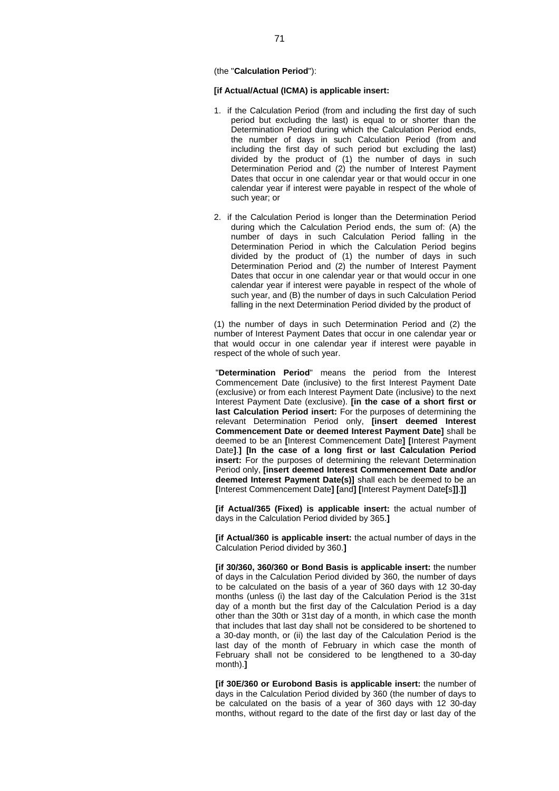(the "**Calculation Period**"):

## **[if Actual/Actual (ICMA) is applicable insert:**

- 1. if the Calculation Period (from and including the first day of such period but excluding the last) is equal to or shorter than the Determination Period during which the Calculation Period ends, the number of days in such Calculation Period (from and including the first day of such period but excluding the last) divided by the product of (1) the number of days in such Determination Period and (2) the number of Interest Payment Dates that occur in one calendar year or that would occur in one calendar year if interest were payable in respect of the whole of such year; or
- 2. if the Calculation Period is longer than the Determination Period during which the Calculation Period ends, the sum of: (A) the number of days in such Calculation Period falling in the Determination Period in which the Calculation Period begins divided by the product of (1) the number of days in such Determination Period and (2) the number of Interest Payment Dates that occur in one calendar year or that would occur in one calendar year if interest were payable in respect of the whole of such year, and (B) the number of days in such Calculation Period falling in the next Determination Period divided by the product of

(1) the number of days in such Determination Period and (2) the number of Interest Payment Dates that occur in one calendar year or that would occur in one calendar year if interest were payable in respect of the whole of such year.

"**Determination Period**" means the period from the Interest Commencement Date (inclusive) to the first Interest Payment Date (exclusive) or from each Interest Payment Date (inclusive) to the next Interest Payment Date (exclusive). **[in the case of a short first or last Calculation Period insert:** For the purposes of determining the relevant Determination Period only, **[insert deemed Interest Commencement Date or deemed Interest Payment Date]** shall be deemed to be an **[**Interest Commencement Date**] [**Interest Payment Date**]**.**] [In the case of a long first or last Calculation Period insert:** For the purposes of determining the relevant Determination Period only, **[insert deemed Interest Commencement Date and/or deemed Interest Payment Date(s)]** shall each be deemed to be an **[**Interest Commencement Date**] [**and**] [**Interest Payment Date**[**s**]]**.**]]**

**[if Actual/365 (Fixed) is applicable insert:** the actual number of days in the Calculation Period divided by 365.**]**

**[if Actual/360 is applicable insert:** the actual number of days in the Calculation Period divided by 360.**]**

**[if 30/360, 360/360 or Bond Basis is applicable insert:** the number of days in the Calculation Period divided by 360, the number of days to be calculated on the basis of a year of 360 days with 12 30-day months (unless (i) the last day of the Calculation Period is the 31st day of a month but the first day of the Calculation Period is a day other than the 30th or 31st day of a month, in which case the month that includes that last day shall not be considered to be shortened to a 30-day month, or (ii) the last day of the Calculation Period is the last day of the month of February in which case the month of February shall not be considered to be lengthened to a 30-day month).**]**

**[if 30E/360 or Eurobond Basis is applicable insert:** the number of days in the Calculation Period divided by 360 (the number of days to be calculated on the basis of a year of 360 days with 12 30-day months, without regard to the date of the first day or last day of the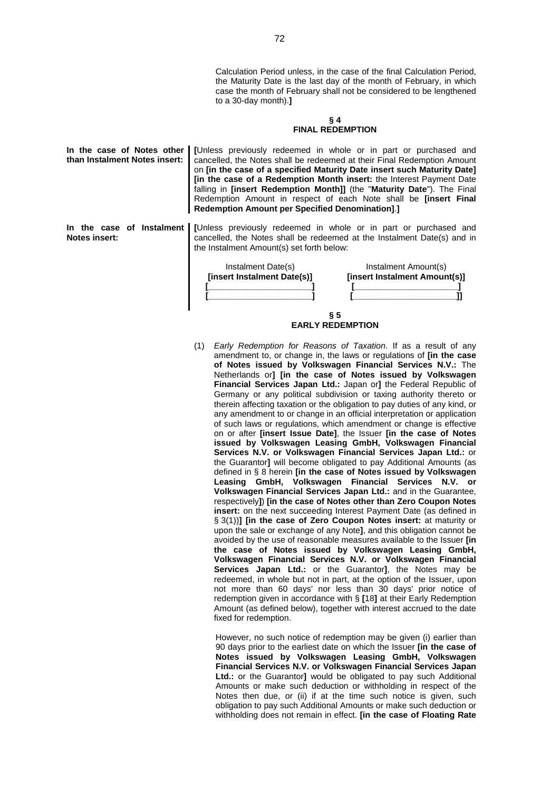Calculation Period unless, in the case of the final Calculation Period, the Maturity Date is the last day of the month of February, in which case the month of February shall not be considered to be lengthened to a 30-day month).**]**

## **§ 4 FINAL REDEMPTION**

| In the case of Notes other<br>than Instalment Notes insert: | <b>Redemption Amount per Specified Denomination].]</b>                                                | <b>[Unless previously redeemed in whole or in part or purchased and</b><br>cancelled, the Notes shall be redeemed at their Final Redemption Amount<br>on [in the case of a specified Maturity Date insert such Maturity Date]<br>[in the case of a Redemption Month insert: the Interest Payment Date<br>falling in <i>[insert Redemption Month]]</i> (the "Maturity Date"). The Final<br>Redemption Amount in respect of each Note shall be <b>[insert Final</b> |
|-------------------------------------------------------------|-------------------------------------------------------------------------------------------------------|-------------------------------------------------------------------------------------------------------------------------------------------------------------------------------------------------------------------------------------------------------------------------------------------------------------------------------------------------------------------------------------------------------------------------------------------------------------------|
| <b>Notes insert:</b>                                        | the Instalment Amount(s) set forth below:<br>Instalment Date(s)<br><b>[insert Instalment Date(s)]</b> | In the case of Instalment [Unless previously redeemed in whole or in part or purchased and<br>cancelled, the Notes shall be redeemed at the Instalment Date(s) and in<br>Instalment Amount(s)<br><b>[insert Instalment Amount(s)]</b>                                                                                                                                                                                                                             |

**§ 5 EARLY REDEMPTION**

(1) *Early Redemption for Reasons of Taxation*. If as a result of any amendment to, or change in, the laws or regulations of **[in the case of Notes issued by Volkswagen Financial Services N.V.:** The Netherlands or**] [in the case of Notes issued by Volkswagen Financial Services Japan Ltd.:** Japan or**]** the Federal Republic of Germany or any political subdivision or taxing authority thereto or therein affecting taxation or the obligation to pay duties of any kind, or any amendment to or change in an official interpretation or application of such laws or regulations, which amendment or change is effective on or after **[insert Issue Date]**, the Issuer **[in the case of Notes issued by Volkswagen Leasing GmbH, Volkswagen Financial Services N.V. or Volkswagen Financial Services Japan Ltd.:** or the Guarantor**]** will become obligated to pay Additional Amounts (as defined in § 8 herein **[in the case of Notes issued by Volkswagen Leasing GmbH, Volkswagen Financial Services N.V. or Volkswagen Financial Services Japan Ltd.:** and in the Guarantee, respectively**]**) **[in the case of Notes other than Zero Coupon Notes insert:** on the next succeeding Interest Payment Date (as defined in § 3(1))] [in the case of Zero Coupon Notes insert: at maturity or upon the sale or exchange of any Note**]**, and this obligation cannot be avoided by the use of reasonable measures available to the Issuer **[in the case of Notes issued by Volkswagen Leasing GmbH, Volkswagen Financial Services N.V. or Volkswagen Financial Services Japan Ltd.:** or the Guarantor**]**, the Notes may be redeemed, in whole but not in part, at the option of the Issuer, upon not more than 60 days' nor less than 30 days' prior notice of redemption given in accordance with § **[**18**]** at their Early Redemption Amount (as defined below), together with interest accrued to the date fixed for redemption.

However, no such notice of redemption may be given (i) earlier than 90 days prior to the earliest date on which the Issuer **[in the case of Notes issued by Volkswagen Leasing GmbH, Volkswagen Financial Services N.V. or Volkswagen Financial Services Japan Ltd.:** or the Guarantor**]** would be obligated to pay such Additional Amounts or make such deduction or withholding in respect of the Notes then due, or (ii) if at the time such notice is given, such obligation to pay such Additional Amounts or make such deduction or withholding does not remain in effect. **[in the case of Floating Rate**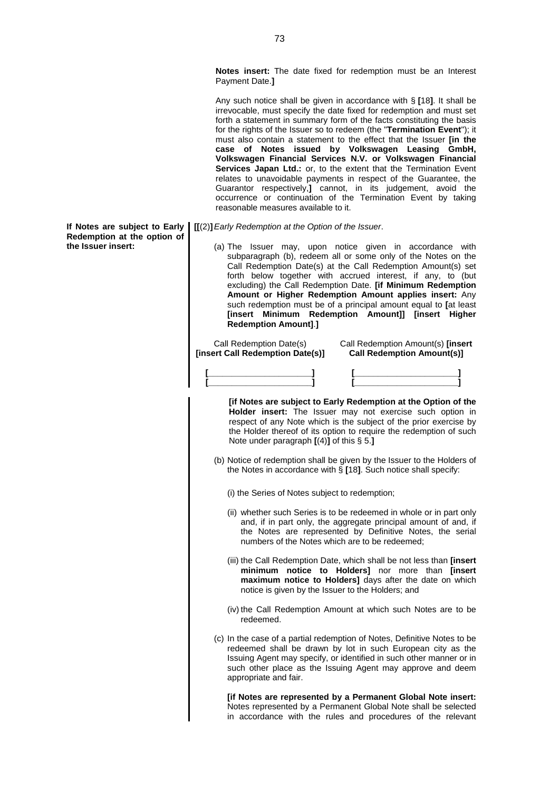**Notes insert:** The date fixed for redemption must be an Interest Payment Date.**]**

Any such notice shall be given in accordance with § **[**18**]**. It shall be irrevocable, must specify the date fixed for redemption and must set forth a statement in summary form of the facts constituting the basis for the rights of the Issuer so to redeem (the "**Termination Event**"); it must also contain a statement to the effect that the Issuer **[in the case of Notes issued by Volkswagen Leasing GmbH, Volkswagen Financial Services N.V. or Volkswagen Financial Services Japan Ltd.:** or, to the extent that the Termination Event relates to unavoidable payments in respect of the Guarantee, the Guarantor respectively,**]** cannot, in its judgement, avoid the occurrence or continuation of the Termination Event by taking reasonable measures available to it.

- **[[**(2)**]***Early Redemption at the Option of the Issuer*.
	- (a) The Issuer may, upon notice given in accordance with subparagraph (b), redeem all or some only of the Notes on the Call Redemption Date(s) at the Call Redemption Amount(s) set forth below together with accrued interest, if any, to (but excluding) the Call Redemption Date. **[if Minimum Redemption Amount or Higher Redemption Amount applies insert:** Any such redemption must be of a principal amount equal to **[**at least **[insert Minimum Redemption Amount]] [insert Higher Redemption Amount]**.**]**

Call Redemption Date(s) **[insert Call Redemption Date(s)]** Call Redemption Amount(s) **[insert Call Redemption Amount(s)]**

| - |  |
|---|--|

**[if Notes are subject to Early Redemption at the Option of the Holder insert:** The Issuer may not exercise such option in respect of any Note which is the subject of the prior exercise by the Holder thereof of its option to require the redemption of such Note under paragraph **[**(4)**]** of this § 5.**]**

(b) Notice of redemption shall be given by the Issuer to the Holders of the Notes in accordance with § **[**18**]**. Such notice shall specify:

(i) the Series of Notes subject to redemption;

- (ii) whether such Series is to be redeemed in whole or in part only and, if in part only, the aggregate principal amount of and, if the Notes are represented by Definitive Notes, the serial numbers of the Notes which are to be redeemed;
- (iii) the Call Redemption Date, which shall be not less than **[insert minimum notice to Holders]** nor more than **[insert maximum notice to Holders]** days after the date on which notice is given by the Issuer to the Holders; and
- (iv) the Call Redemption Amount at which such Notes are to be redeemed.
- (c) In the case of a partial redemption of Notes, Definitive Notes to be redeemed shall be drawn by lot in such European city as the Issuing Agent may specify, or identified in such other manner or in such other place as the Issuing Agent may approve and deem appropriate and fair.

**[if Notes are represented by a Permanent Global Note insert:** Notes represented by a Permanent Global Note shall be selected in accordance with the rules and procedures of the relevant

**If Notes are subject to Early Redemption at the option of the Issuer insert:**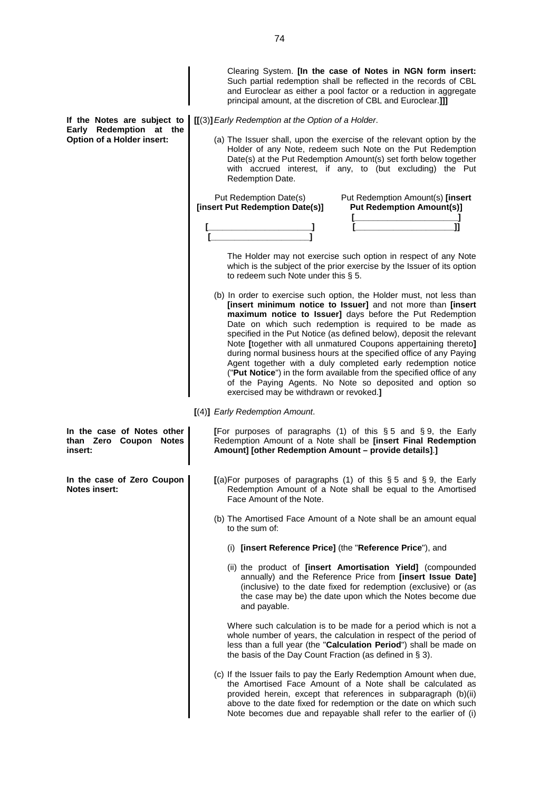Such partial redemption shall be reflected in the records of CBL and Euroclear as either a pool factor or a reduction in aggregate principal amount, at the discretion of CBL and Euroclear.**]]] If the Notes are subject to [[**(3)**]***Early Redemption at the Option of a Holder*. **Early Redemption at the Option of a Holder insert:** (a) The Issuer shall, upon the exercise of the relevant option by the Holder of any Note, redeem such Note on the Put Redemption Date(s) at the Put Redemption Amount(s) set forth below together with accrued interest, if any, to (but excluding) the Put Redemption Date. Put Redemption Date(s) **[insert Put Redemption Date(s)] [\_\_\_\_\_\_\_\_\_\_\_\_\_\_\_\_\_\_\_\_\_\_] [\_\_\_\_\_\_\_\_\_\_\_\_\_\_\_\_\_\_\_\_\_]** Put Redemption Amount(s) **[insert Put Redemption Amount(s)] [\_\_\_\_\_\_\_\_\_\_\_\_\_\_\_\_\_\_\_\_\_\_] [\_\_\_\_\_\_\_\_\_\_\_\_\_\_\_\_\_\_\_\_\_]]** The Holder may not exercise such option in respect of any Note which is the subject of the prior exercise by the Issuer of its option to redeem such Note under this § 5. (b) In order to exercise such option, the Holder must, not less than **[insert minimum notice to Issuer]** and not more than **[insert maximum notice to Issuer]** days before the Put Redemption Date on which such redemption is required to be made as specified in the Put Notice (as defined below), deposit the relevant Note **[**together with all unmatured Coupons appertaining thereto**]** during normal business hours at the specified office of any Paying Agent together with a duly completed early redemption notice ("**Put Notice**") in the form available from the specified office of any of the Paying Agents. No Note so deposited and option so exercised may be withdrawn or revoked.**] [**(4)**]** *Early Redemption Amount*. **In the case of Notes other than Zero Coupon Notes insert: [**For purposes of paragraphs (1) of this § 5 and § 9, the Early Redemption Amount of a Note shall be **[insert Final Redemption Amount] [other Redemption Amount – provide details]**.**] In the case of Zero Coupon Notes insert: [**(a)For purposes of paragraphs (1) of this § 5 and § 9, the Early Redemption Amount of a Note shall be equal to the Amortised Face Amount of the Note. (b) The Amortised Face Amount of a Note shall be an amount equal to the sum of: (i) **[insert Reference Price]** (the "**Reference Price**"), and (ii) the product of **[insert Amortisation Yield]** (compounded annually) and the Reference Price from **[insert Issue Date]** (inclusive) to the date fixed for redemption (exclusive) or (as the case may be) the date upon which the Notes become due and payable. Where such calculation is to be made for a period which is not a whole number of years, the calculation in respect of the period of less than a full year (the "**Calculation Period**") shall be made on the basis of the Day Count Fraction (as defined in § 3). (c) If the Issuer fails to pay the Early Redemption Amount when due, the Amortised Face Amount of a Note shall be calculated as provided herein, except that references in subparagraph (b)(ii) above to the date fixed for redemption or the date on which such Note becomes due and repayable shall refer to the earlier of (i)

Clearing System. **[In the case of Notes in NGN form insert:**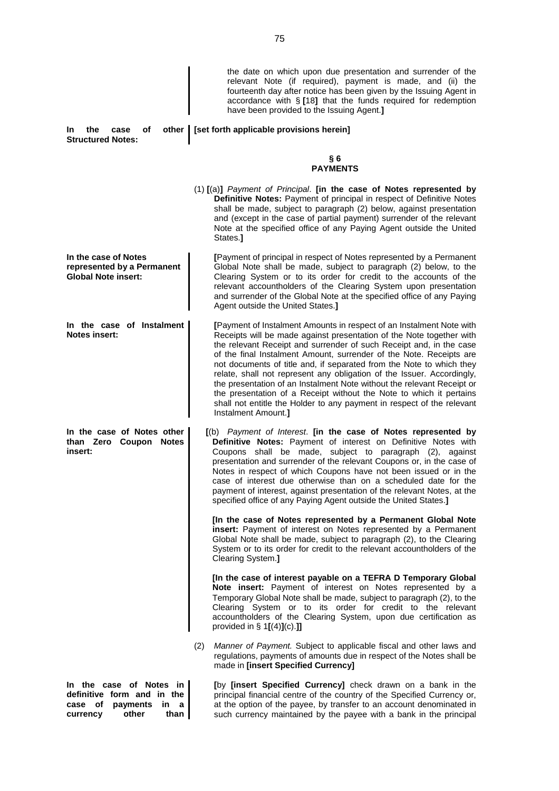| the<br>оf<br>In.<br>case<br>other  <br><b>Structured Notes:</b>                                                   | the date on which upon due presentation and surrender of the<br>relevant Note (if required), payment is made, and (ii) the<br>fourteenth day after notice has been given by the Issuing Agent in<br>accordance with $\S$ [18] that the funds required for redemption<br>have been provided to the Issuing Agent.]<br>[set forth applicable provisions herein]                                                                                                                                                                                                                                                                                                                                                                                                                                                                                                          |
|-------------------------------------------------------------------------------------------------------------------|------------------------------------------------------------------------------------------------------------------------------------------------------------------------------------------------------------------------------------------------------------------------------------------------------------------------------------------------------------------------------------------------------------------------------------------------------------------------------------------------------------------------------------------------------------------------------------------------------------------------------------------------------------------------------------------------------------------------------------------------------------------------------------------------------------------------------------------------------------------------|
|                                                                                                                   | §6<br><b>PAYMENTS</b>                                                                                                                                                                                                                                                                                                                                                                                                                                                                                                                                                                                                                                                                                                                                                                                                                                                  |
|                                                                                                                   | (1) [(a)] Payment of Principal. [in the case of Notes represented by<br>Definitive Notes: Payment of principal in respect of Definitive Notes<br>shall be made, subject to paragraph (2) below, against presentation<br>and (except in the case of partial payment) surrender of the relevant<br>Note at the specified office of any Paying Agent outside the United<br>States.]                                                                                                                                                                                                                                                                                                                                                                                                                                                                                       |
| In the case of Notes<br>represented by a Permanent<br><b>Global Note insert:</b>                                  | [Payment of principal in respect of Notes represented by a Permanent<br>Global Note shall be made, subject to paragraph (2) below, to the<br>Clearing System or to its order for credit to the accounts of the<br>relevant accountholders of the Clearing System upon presentation<br>and surrender of the Global Note at the specified office of any Paying<br>Agent outside the United States.]                                                                                                                                                                                                                                                                                                                                                                                                                                                                      |
| In the case of Instalment<br><b>Notes insert:</b>                                                                 | [Payment of Instalment Amounts in respect of an Instalment Note with<br>Receipts will be made against presentation of the Note together with<br>the relevant Receipt and surrender of such Receipt and, in the case<br>of the final Instalment Amount, surrender of the Note. Receipts are<br>not documents of title and, if separated from the Note to which they<br>relate, shall not represent any obligation of the Issuer. Accordingly,<br>the presentation of an Instalment Note without the relevant Receipt or<br>the presentation of a Receipt without the Note to which it pertains<br>shall not entitle the Holder to any payment in respect of the relevant<br>Instalment Amount.]                                                                                                                                                                         |
| In the case of Notes other<br>than Zero Coupon Notes<br>insert:                                                   | [(b) Payment of Interest. [in the case of Notes represented by<br>Definitive Notes: Payment of interest on Definitive Notes with<br>Coupons shall be made, subject to paragraph (2), against<br>presentation and surrender of the relevant Coupons or, in the case of<br>Notes in respect of which Coupons have not been issued or in the<br>case of interest due otherwise than on a scheduled date for the<br>payment of interest, against presentation of the relevant Notes, at the<br>specified office of any Paying Agent outside the United States.]<br>[In the case of Notes represented by a Permanent Global Note<br>insert: Payment of interest on Notes represented by a Permanent<br>Global Note shall be made, subject to paragraph (2), to the Clearing<br>System or to its order for credit to the relevant accountholders of the<br>Clearing System.] |
|                                                                                                                   | [In the case of interest payable on a TEFRA D Temporary Global<br>Note insert: Payment of interest on Notes represented by a<br>Temporary Global Note shall be made, subject to paragraph (2), to the<br>Clearing System or to its order for credit to the relevant<br>accountholders of the Clearing System, upon due certification as<br>provided in $\S 1[(4)](c)$ .]<br>(2)<br>Manner of Payment. Subject to applicable fiscal and other laws and                                                                                                                                                                                                                                                                                                                                                                                                                  |
| In the case of Notes in<br>definitive form and in the<br>case of<br>payments in<br>a<br>other<br>currency<br>than | regulations, payments of amounts due in respect of the Notes shall be<br>made in [insert Specified Currency]<br>[by [insert Specified Currency] check drawn on a bank in the<br>principal financial centre of the country of the Specified Currency or,<br>at the option of the payee, by transfer to an account denominated in<br>such currency maintained by the payee with a bank in the principal                                                                                                                                                                                                                                                                                                                                                                                                                                                                  |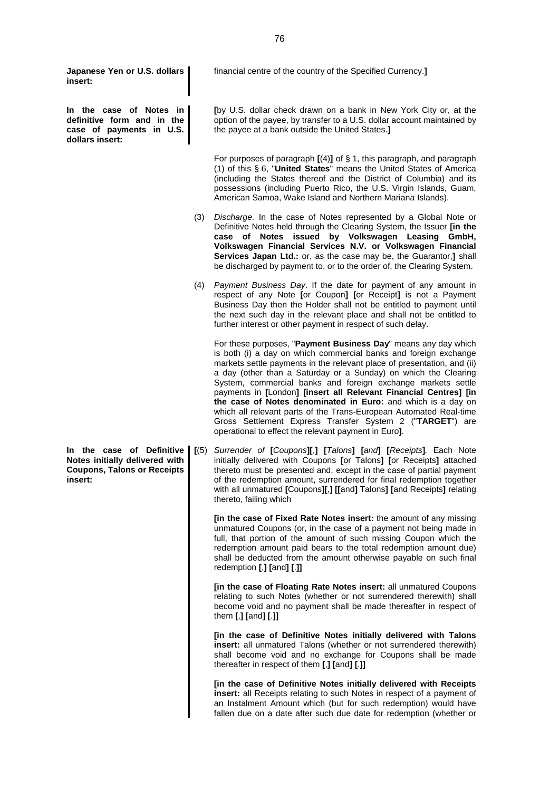**Japanese Yen or U.S. dollars insert:**

**In the case of Notes in definitive form and in the case of payments in U.S. dollars insert:**

financial centre of the country of the Specified Currency.**]**

**[**by U.S. dollar check drawn on a bank in New York City or, at the option of the payee, by transfer to a U.S. dollar account maintained by the payee at a bank outside the United States.**]**

For purposes of paragraph **[**(4)**]** of § 1, this paragraph, and paragraph (1) of this § 6, "**United States**" means the United States of America (including the States thereof and the District of Columbia) and its possessions (including Puerto Rico, the U.S. Virgin Islands, Guam, American Samoa, Wake Island and Northern Mariana Islands).

- (3) *Discharge.* In the case of Notes represented by a Global Note or Definitive Notes held through the Clearing System, the Issuer **[in the case of Notes issued by Volkswagen Leasing GmbH, Volkswagen Financial Services N.V. or Volkswagen Financial Services Japan Ltd.:** or, as the case may be, the Guarantor,**]** shall be discharged by payment to, or to the order of, the Clearing System.
- (4) *Payment Business Day*. If the date for payment of any amount in respect of any Note **[**or Coupon**] [**or Receipt**]** is not a Payment Business Day then the Holder shall not be entitled to payment until the next such day in the relevant place and shall not be entitled to further interest or other payment in respect of such delay.

For these purposes, "**Payment Business Day**" means any day which is both (i) a day on which commercial banks and foreign exchange markets settle payments in the relevant place of presentation, and (ii) a day (other than a Saturday or a Sunday) on which the Clearing System, commercial banks and foreign exchange markets settle payments in **[**London**] [insert all Relevant Financial Centres] [in the case of Notes denominated in Euro:** and which is a day on which all relevant parts of the Trans-European Automated Real-time Gross Settlement Express Transfer System 2 ("**TARGET**") are operational to effect the relevant payment in Euro**]**.

**[**(5) *Surrender of* **[***Coupons***][**,**] [***Talons***] [***and***] [***Receipts***]***.* Each Note initially delivered with Coupons **[**or Talons**] [**or Receipts**]** attached thereto must be presented and, except in the case of partial payment of the redemption amount, surrendered for final redemption together with all unmatured **[**Coupons**][**,**] [[**and**]** Talons**] [**and Receipts**]** relating thereto, failing which

**[in the case of Fixed Rate Notes insert:** the amount of any missing unmatured Coupons (or, in the case of a payment not being made in full, that portion of the amount of such missing Coupon which the redemption amount paid bears to the total redemption amount due) shall be deducted from the amount otherwise payable on such final redemption **[**,**] [**and**] [**.**]]**

**[in the case of Floating Rate Notes insert:** all unmatured Coupons relating to such Notes (whether or not surrendered therewith) shall become void and no payment shall be made thereafter in respect of them **[**,**] [**and**] [**.**]]**

**[in the case of Definitive Notes initially delivered with Talons insert:** all unmatured Talons (whether or not surrendered therewith) shall become void and no exchange for Coupons shall be made thereafter in respect of them **[**,**] [**and**] [**.**]]**

**[in the case of Definitive Notes initially delivered with Receipts insert:** all Receipts relating to such Notes in respect of a payment of an Instalment Amount which (but for such redemption) would have fallen due on a date after such due date for redemption (whether or

**In the case of Definitive Notes initially delivered with Coupons, Talons or Receipts insert:**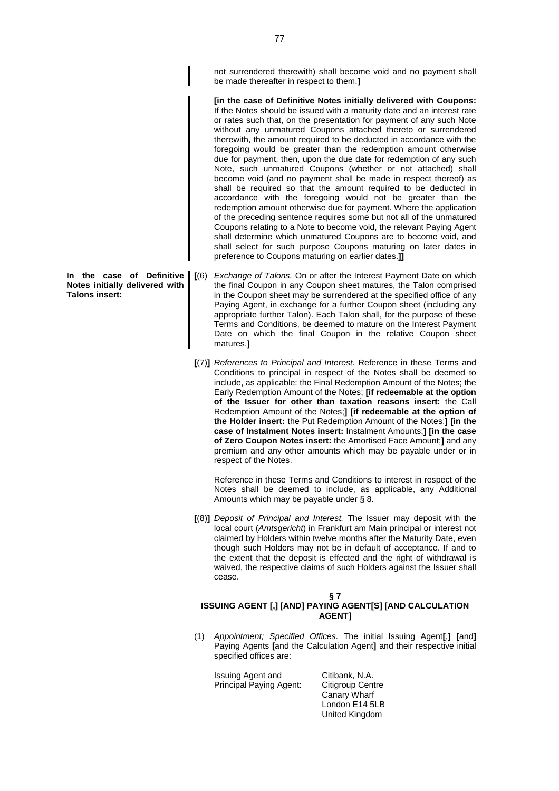not surrendered therewith) shall become void and no payment shall be made thereafter in respect to them.**]**

**[in the case of Definitive Notes initially delivered with Coupons:** If the Notes should be issued with a maturity date and an interest rate or rates such that, on the presentation for payment of any such Note without any unmatured Coupons attached thereto or surrendered therewith, the amount required to be deducted in accordance with the foregoing would be greater than the redemption amount otherwise due for payment, then, upon the due date for redemption of any such Note, such unmatured Coupons (whether or not attached) shall become void (and no payment shall be made in respect thereof) as shall be required so that the amount required to be deducted in accordance with the foregoing would not be greater than the redemption amount otherwise due for payment. Where the application of the preceding sentence requires some but not all of the unmatured Coupons relating to a Note to become void, the relevant Paying Agent shall determine which unmatured Coupons are to become void, and shall select for such purpose Coupons maturing on later dates in preference to Coupons maturing on earlier dates.**]]**

- **[**(6) *Exchange of Talons.* On or after the Interest Payment Date on which the final Coupon in any Coupon sheet matures, the Talon comprised in the Coupon sheet may be surrendered at the specified office of any Paying Agent, in exchange for a further Coupon sheet (including any appropriate further Talon). Each Talon shall, for the purpose of these Terms and Conditions, be deemed to mature on the Interest Payment Date on which the final Coupon in the relative Coupon sheet matures.**]**
	- **[**(7)**]** *References to Principal and Interest.* Reference in these Terms and Conditions to principal in respect of the Notes shall be deemed to include, as applicable: the Final Redemption Amount of the Notes; the Early Redemption Amount of the Notes; **[if redeemable at the option of the Issuer for other than taxation reasons insert:** the Call Redemption Amount of the Notes;**] [if redeemable at the option of the Holder insert:** the Put Redemption Amount of the Notes;**] [in the case of Instalment Notes insert:** Instalment Amounts;**] [in the case of Zero Coupon Notes insert:** the Amortised Face Amount;**]** and any premium and any other amounts which may be payable under or in respect of the Notes.

Reference in these Terms and Conditions to interest in respect of the Notes shall be deemed to include, as applicable, any Additional Amounts which may be payable under § 8.

**[**(8)**]** *Deposit of Principal and Interest.* The Issuer may deposit with the local court (*Amtsgericht*) in Frankfurt am Main principal or interest not claimed by Holders within twelve months after the Maturity Date, even though such Holders may not be in default of acceptance. If and to the extent that the deposit is effected and the right of withdrawal is waived, the respective claims of such Holders against the Issuer shall cease.

# **§ 7**

## **ISSUING AGENT [,] [AND] PAYING AGENT[S] [AND CALCULATION AGENT]**

(1) *Appointment; Specified Offices.* The initial Issuing Agent**[**,**] [**and**]** Paying Agents **[**and the Calculation Agent**]** and their respective initial specified offices are:

Issuing Agent and Principal Paying Agent: Citibank, N.A. Citigroup Centre Canary Wharf London E14 5LB United Kingdom

**In the case of Definitive Notes initially delivered with Talons insert:**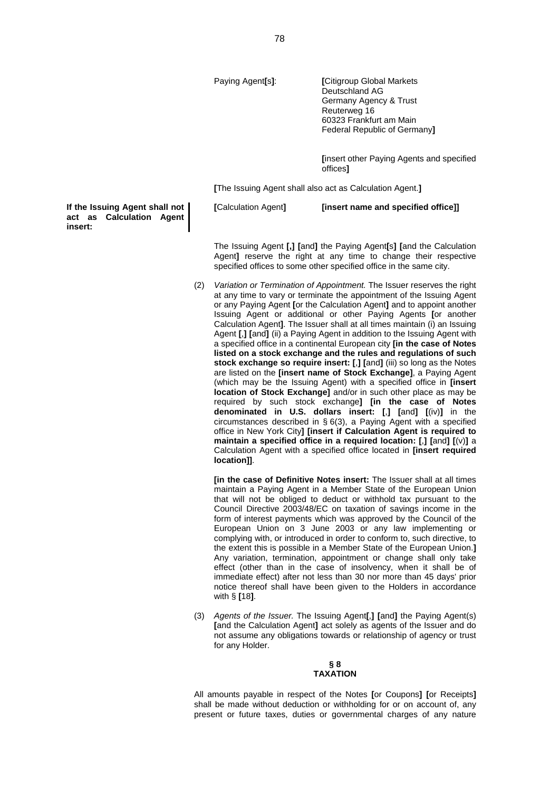Paying Agent**[**s**]**: **[**Citigroup Global Markets Deutschland AG Germany Agency & Trust Reuterweg 16 60323 Frankfurt am Main Federal Republic of Germany**]**

> **[**insert other Paying Agents and specified offices**]**

**[**The Issuing Agent shall also act as Calculation Agent.**]**

**[**Calculation Agent**] [insert name and specified office]]**

The Issuing Agent **[,] [**and**]** the Paying Agent**[**s**] [**and the Calculation Agent**]** reserve the right at any time to change their respective

(2) *Variation or Termination of Appointment.* The Issuer reserves the right at any time to vary or terminate the appointment of the Issuing Agent or any Paying Agent **[**or the Calculation Agent**]** and to appoint another Issuing Agent or additional or other Paying Agents **[**or another Calculation Agent**]**. The Issuer shall at all times maintain (i) an Issuing Agent **[**,**] [**and**]** (ii) a Paying Agent in addition to the Issuing Agent with a specified office in a continental European city **[in the case of Notes listed on a stock exchange and the rules and regulations of such stock exchange so require insert: [**,**] [**and**]** (iii) so long as the Notes are listed on the **[insert name of Stock Exchange]**, a Paying Agent (which may be the Issuing Agent) with a specified office in **[insert location of Stock Exchange]** and/or in such other place as may be required by such stock exchange**] [in the case of Notes denominated in U.S. dollars insert: [**,**] [**and**] [**(iv)**]** in the circumstances described in § 6(3), a Paying Agent with a specified office in New York City**] [insert if Calculation Agent is required to maintain a specified office in a required location: [**,**] [**and**] [**(v)**]** a Calculation Agent with a specified office located in **[insert required location]]**.

specified offices to some other specified office in the same city.

**[in the case of Definitive Notes insert:** The Issuer shall at all times maintain a Paying Agent in a Member State of the European Union that will not be obliged to deduct or withhold tax pursuant to the Council Directive 2003/48/EC on taxation of savings income in the form of interest payments which was approved by the Council of the European Union on 3 June 2003 or any law implementing or complying with, or introduced in order to conform to, such directive, to the extent this is possible in a Member State of the European Union.**]** Any variation, termination, appointment or change shall only take effect (other than in the case of insolvency, when it shall be of immediate effect) after not less than 30 nor more than 45 days' prior notice thereof shall have been given to the Holders in accordance with § **[**18**]**.

(3) *Agents of the Issuer.* The Issuing Agent**[**,**] [**and**]** the Paying Agent(s) **[**and the Calculation Agent**]** act solely as agents of the Issuer and do not assume any obligations towards or relationship of agency or trust for any Holder.

#### **§ 8 TAXATION**

All amounts payable in respect of the Notes **[**or Coupons**] [**or Receipts**]** shall be made without deduction or withholding for or on account of, any present or future taxes, duties or governmental charges of any nature

**If the Issuing Agent shall not act as Calculation Agent insert:**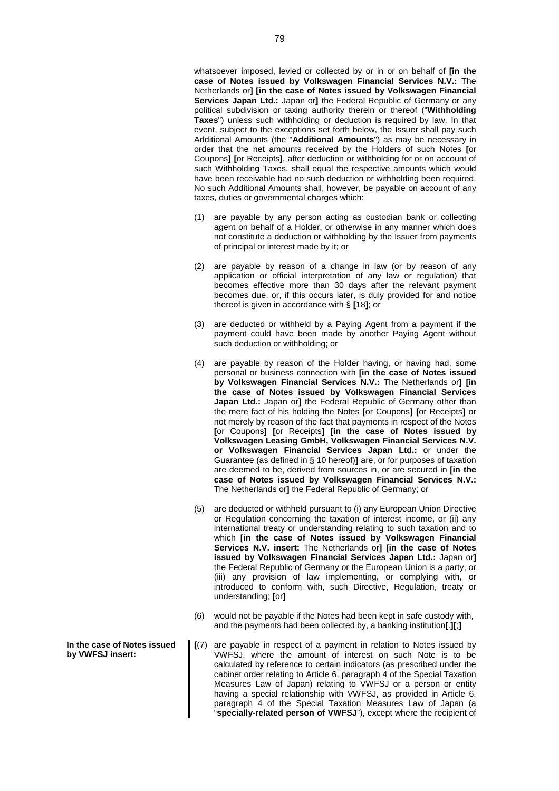whatsoever imposed, levied or collected by or in or on behalf of **[in the case of Notes issued by Volkswagen Financial Services N.V.:** The Netherlands or**] [in the case of Notes issued by Volkswagen Financial Services Japan Ltd.:** Japan or**]** the Federal Republic of Germany or any political subdivision or taxing authority therein or thereof ("**Withholding Taxes**") unless such withholding or deduction is required by law. In that event, subject to the exceptions set forth below, the Issuer shall pay such Additional Amounts (the "**Additional Amounts**") as may be necessary in order that the net amounts received by the Holders of such Notes **[**or Coupons**] [**or Receipts**]**, after deduction or withholding for or on account of such Withholding Taxes, shall equal the respective amounts which would have been receivable had no such deduction or withholding been required. No such Additional Amounts shall, however, be payable on account of any taxes, duties or governmental charges which:

- (1) are payable by any person acting as custodian bank or collecting agent on behalf of a Holder, or otherwise in any manner which does not constitute a deduction or withholding by the Issuer from payments of principal or interest made by it; or
- (2) are payable by reason of a change in law (or by reason of any application or official interpretation of any law or regulation) that becomes effective more than 30 days after the relevant payment becomes due, or, if this occurs later, is duly provided for and notice thereof is given in accordance with § **[**18**]**; or
- (3) are deducted or withheld by a Paying Agent from a payment if the payment could have been made by another Paying Agent without such deduction or withholding; or
- (4) are payable by reason of the Holder having, or having had, some personal or business connection with **[in the case of Notes issued by Volkswagen Financial Services N.V.:** The Netherlands or**] [in the case of Notes issued by Volkswagen Financial Services Japan Ltd.:** Japan or**]** the Federal Republic of Germany other than the mere fact of his holding the Notes **[**or Coupons**] [**or Receipts**]** or not merely by reason of the fact that payments in respect of the Notes **[**or Coupons**] [**or Receipts**] [in the case of Notes issued by Volkswagen Leasing GmbH, Volkswagen Financial Services N.V. or Volkswagen Financial Services Japan Ltd.:** or under the Guarantee (as defined in § 10 hereof)**]** are, or for purposes of taxation are deemed to be, derived from sources in, or are secured in **[in the case of Notes issued by Volkswagen Financial Services N.V.:** The Netherlands or**]** the Federal Republic of Germany; or
- (5) are deducted or withheld pursuant to (i) any European Union Directive or Regulation concerning the taxation of interest income, or (ii) any international treaty or understanding relating to such taxation and to which **[in the case of Notes issued by Volkswagen Financial Services N.V. insert:** The Netherlands or**] [in the case of Notes issued by Volkswagen Financial Services Japan Ltd.:** Japan or**]** the Federal Republic of Germany or the European Union is a party, or (iii) any provision of law implementing, or complying with, or introduced to conform with, such Directive, Regulation, treaty or understanding; **[**or**]**
- (6) would not be payable if the Notes had been kept in safe custody with, and the payments had been collected by, a banking institution**[**.**][**;**]**
- **[**(7) are payable in respect of a payment in relation to Notes issued by VWFSJ, where the amount of interest on such Note is to be calculated by reference to certain indicators (as prescribed under the cabinet order relating to Article 6, paragraph 4 of the Special Taxation Measures Law of Japan) relating to VWFSJ or a person or entity having a special relationship with VWFSJ, as provided in Article 6, paragraph 4 of the Special Taxation Measures Law of Japan (a "**specially-related person of VWFSJ**"), except where the recipient of

**In the case of Notes issued by VWFSJ insert:**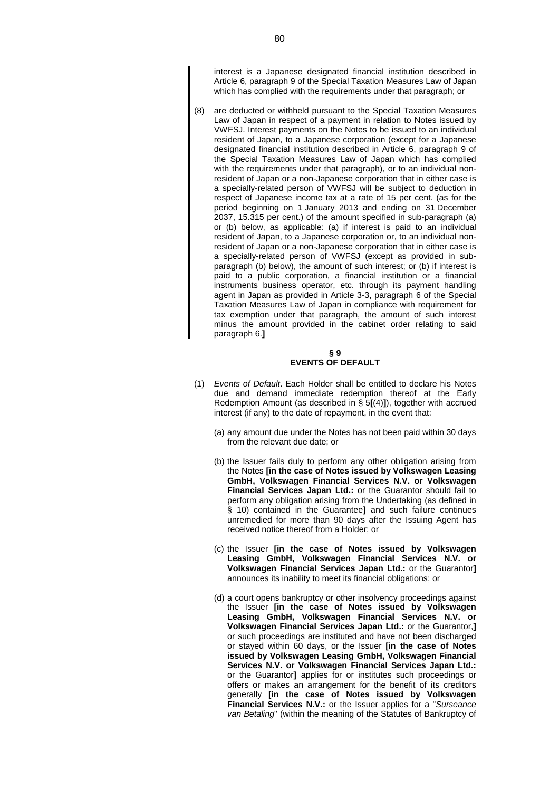interest is a Japanese designated financial institution described in Article 6, paragraph 9 of the Special Taxation Measures Law of Japan which has complied with the requirements under that paragraph; or

are deducted or withheld pursuant to the Special Taxation Measures Law of Japan in respect of a payment in relation to Notes issued by VWFSJ. Interest payments on the Notes to be issued to an individual resident of Japan, to a Japanese corporation (except for a Japanese designated financial institution described in Article 6, paragraph 9 of the Special Taxation Measures Law of Japan which has complied with the requirements under that paragraph), or to an individual nonresident of Japan or a non-Japanese corporation that in either case is a specially-related person of VWFSJ will be subject to deduction in respect of Japanese income tax at a rate of 15 per cent. (as for the period beginning on 1 January 2013 and ending on 31 December 2037, 15.315 per cent.) of the amount specified in sub-paragraph (a) or (b) below, as applicable: (a) if interest is paid to an individual resident of Japan, to a Japanese corporation or, to an individual nonresident of Japan or a non-Japanese corporation that in either case is a specially-related person of VWFSJ (except as provided in subparagraph (b) below), the amount of such interest; or (b) if interest is paid to a public corporation, a financial institution or a financial instruments business operator, etc. through its payment handling agent in Japan as provided in Article 3-3, paragraph 6 of the Special Taxation Measures Law of Japan in compliance with requirement for tax exemption under that paragraph, the amount of such interest minus the amount provided in the cabinet order relating to said paragraph 6.**]**

## **§ 9 EVENTS OF DEFAULT**

- (1) *Events of Default*. Each Holder shall be entitled to declare his Notes due and demand immediate redemption thereof at the Early Redemption Amount (as described in § 5**[**(4)**]**), together with accrued interest (if any) to the date of repayment, in the event that:
	- (a) any amount due under the Notes has not been paid within 30 days from the relevant due date; or
	- (b) the Issuer fails duly to perform any other obligation arising from the Notes **[in the case of Notes issued by Volkswagen Leasing GmbH, Volkswagen Financial Services N.V. or Volkswagen Financial Services Japan Ltd.:** or the Guarantor should fail to perform any obligation arising from the Undertaking (as defined in § 10) contained in the Guarantee**]** and such failure continues unremedied for more than 90 days after the Issuing Agent has received notice thereof from a Holder; or
	- (c) the Issuer **[in the case of Notes issued by Volkswagen Leasing GmbH, Volkswagen Financial Services N.V. or Volkswagen Financial Services Japan Ltd.:** or the Guarantor**]** announces its inability to meet its financial obligations; or
	- (d) a court opens bankruptcy or other insolvency proceedings against the Issuer **[in the case of Notes issued by Volkswagen Leasing GmbH, Volkswagen Financial Services N.V. or Volkswagen Financial Services Japan Ltd.:** or the Guarantor,**]** or such proceedings are instituted and have not been discharged or stayed within 60 days, or the Issuer **[in the case of Notes issued by Volkswagen Leasing GmbH, Volkswagen Financial Services N.V. or Volkswagen Financial Services Japan Ltd.:** or the Guarantor**]** applies for or institutes such proceedings or offers or makes an arrangement for the benefit of its creditors generally **[in the case of Notes issued by Volkswagen Financial Services N.V.:** or the Issuer applies for a "*Surseance van Betaling*" (within the meaning of the Statutes of Bankruptcy of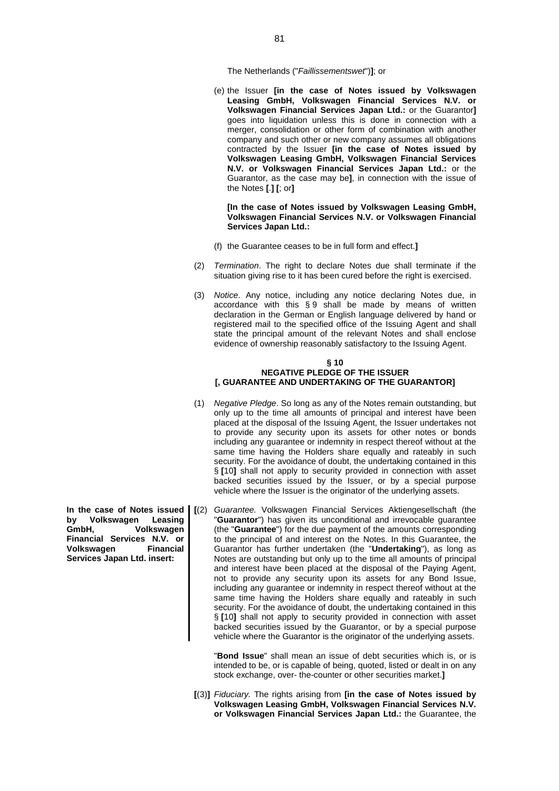The Netherlands ("*Faillissementswet*")**]**; or

(e) the Issuer **[in the case of Notes issued by Volkswagen Leasing GmbH, Volkswagen Financial Services N.V. or Volkswagen Financial Services Japan Ltd.:** or the Guarantor**]** goes into liquidation unless this is done in connection with a merger, consolidation or other form of combination with another company and such other or new company assumes all obligations contracted by the Issuer **[in the case of Notes issued by Volkswagen Leasing GmbH, Volkswagen Financial Services N.V. or Volkswagen Financial Services Japan Ltd.:** or the Guarantor, as the case may be**]**, in connection with the issue of the Notes **[**.**] [**; or**]**

**[In the case of Notes issued by Volkswagen Leasing GmbH, Volkswagen Financial Services N.V. or Volkswagen Financial Services Japan Ltd.:**

- (f) the Guarantee ceases to be in full form and effect.**]**
- (2) *Termination*. The right to declare Notes due shall terminate if the situation giving rise to it has been cured before the right is exercised.
- (3) *Notice*. Any notice, including any notice declaring Notes due, in accordance with this § 9 shall be made by means of written declaration in the German or English language delivered by hand or registered mail to the specified office of the Issuing Agent and shall state the principal amount of the relevant Notes and shall enclose evidence of ownership reasonably satisfactory to the Issuing Agent.

#### **§ 10 NEGATIVE PLEDGE OF THE ISSUER [, GUARANTEE AND UNDERTAKING OF THE GUARANTOR]**

- (1) *Negative Pledge*. So long as any of the Notes remain outstanding, but only up to the time all amounts of principal and interest have been placed at the disposal of the Issuing Agent, the Issuer undertakes not to provide any security upon its assets for other notes or bonds including any guarantee or indemnity in respect thereof without at the same time having the Holders share equally and rateably in such security. For the avoidance of doubt, the undertaking contained in this § **[**10**]** shall not apply to security provided in connection with asset backed securities issued by the Issuer, or by a special purpose vehicle where the Issuer is the originator of the underlying assets.
- **In the case of Notes issued [**(2) *Guarantee.* Volkswagen Financial Services Aktiengesellschaft (the "**Guarantor**") has given its unconditional and irrevocable guarantee (the "**Guarantee**") for the due payment of the amounts corresponding to the principal of and interest on the Notes. In this Guarantee, the Guarantor has further undertaken (the "**Undertaking**"), as long as Notes are outstanding but only up to the time all amounts of principal and interest have been placed at the disposal of the Paying Agent, not to provide any security upon its assets for any Bond Issue, including any guarantee or indemnity in respect thereof without at the same time having the Holders share equally and rateably in such security. For the avoidance of doubt, the undertaking contained in this § **[**10**]** shall not apply to security provided in connection with asset backed securities issued by the Guarantor, or by a special purpose vehicle where the Guarantor is the originator of the underlying assets.

"**Bond Issue**" shall mean an issue of debt securities which is, or is intended to be, or is capable of being, quoted, listed or dealt in on any stock exchange, over- the-counter or other securities market.**]**

**[**(3)**]** *Fiduciary.* The rights arising from **[in the case of Notes issued by Volkswagen Leasing GmbH, Volkswagen Financial Services N.V. or Volkswagen Financial Services Japan Ltd.:** the Guarantee, the

**by Volkswagen Leasing GmbH, Volkswagen Financial Services N.V. or Volkswagen Financial Services Japan Ltd. insert:**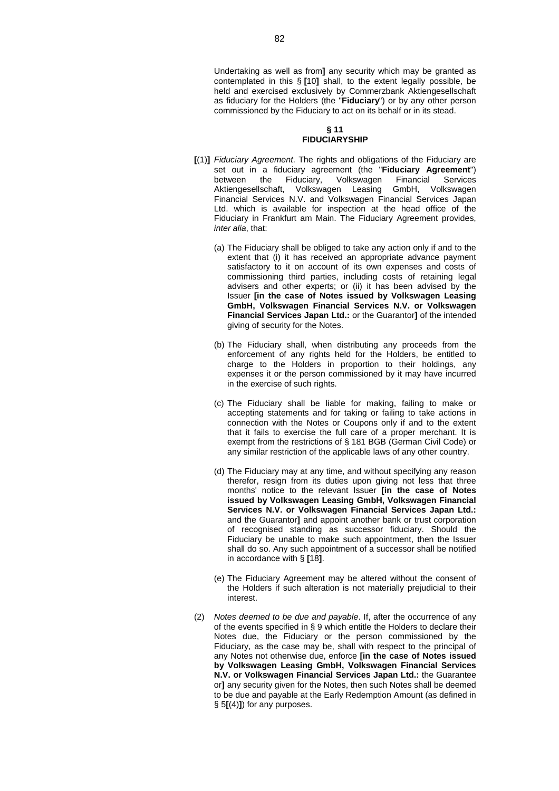Undertaking as well as from**]** any security which may be granted as contemplated in this § **[**10**]** shall, to the extent legally possible, be held and exercised exclusively by Commerzbank Aktiengesellschaft as fiduciary for the Holders (the "**Fiduciary**") or by any other person commissioned by the Fiduciary to act on its behalf or in its stead.

#### **§ 11 FIDUCIARYSHIP**

- **[**(1)**]** *Fiduciary Agreement*. The rights and obligations of the Fiduciary are set out in a fiduciary agreement (the "**Fiduciary Agreement**") between the Fiduciary, Volkswagen Financial Services Aktiengesellschaft, Volkswagen Leasing GmbH, Volkswagen Financial Services N.V. and Volkswagen Financial Services Japan Ltd. which is available for inspection at the head office of the Fiduciary in Frankfurt am Main. The Fiduciary Agreement provides, *inter alia*, that:
	- (a) The Fiduciary shall be obliged to take any action only if and to the extent that (i) it has received an appropriate advance payment satisfactory to it on account of its own expenses and costs of commissioning third parties, including costs of retaining legal advisers and other experts; or (ii) it has been advised by the Issuer **[in the case of Notes issued by Volkswagen Leasing GmbH, Volkswagen Financial Services N.V. or Volkswagen Financial Services Japan Ltd.:** or the Guarantor**]** of the intended giving of security for the Notes.
	- (b) The Fiduciary shall, when distributing any proceeds from the enforcement of any rights held for the Holders, be entitled to charge to the Holders in proportion to their holdings, any expenses it or the person commissioned by it may have incurred in the exercise of such rights.
	- (c) The Fiduciary shall be liable for making, failing to make or accepting statements and for taking or failing to take actions in connection with the Notes or Coupons only if and to the extent that it fails to exercise the full care of a proper merchant. It is exempt from the restrictions of § 181 BGB (German Civil Code) or any similar restriction of the applicable laws of any other country.
	- (d) The Fiduciary may at any time, and without specifying any reason therefor, resign from its duties upon giving not less that three months' notice to the relevant Issuer **[in the case of Notes issued by Volkswagen Leasing GmbH, Volkswagen Financial Services N.V. or Volkswagen Financial Services Japan Ltd.:** and the Guarantor**]** and appoint another bank or trust corporation of recognised standing as successor fiduciary. Should the Fiduciary be unable to make such appointment, then the Issuer shall do so. Any such appointment of a successor shall be notified in accordance with § **[**18**]**.
	- (e) The Fiduciary Agreement may be altered without the consent of the Holders if such alteration is not materially prejudicial to their interest.
- (2) *Notes deemed to be due and payable*. If, after the occurrence of any of the events specified in § 9 which entitle the Holders to declare their Notes due, the Fiduciary or the person commissioned by the Fiduciary, as the case may be, shall with respect to the principal of any Notes not otherwise due, enforce **[in the case of Notes issued by Volkswagen Leasing GmbH, Volkswagen Financial Services N.V. or Volkswagen Financial Services Japan Ltd.:** the Guarantee or**]** any security given for the Notes, then such Notes shall be deemed to be due and payable at the Early Redemption Amount (as defined in § 5**[**(4)**]**) for any purposes.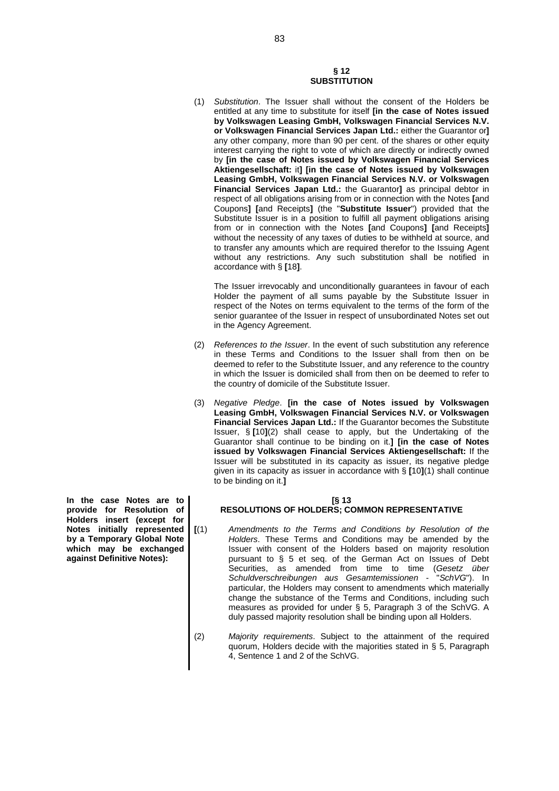# **§ 12 SUBSTITUTION**

(1) *Substitution*. The Issuer shall without the consent of the Holders be entitled at any time to substitute for itself **[in the case of Notes issued by Volkswagen Leasing GmbH, Volkswagen Financial Services N.V. or Volkswagen Financial Services Japan Ltd.:** either the Guarantor or**]** any other company, more than 90 per cent. of the shares or other equity interest carrying the right to vote of which are directly or indirectly owned by **[in the case of Notes issued by Volkswagen Financial Services Aktiengesellschaft:** it**] [in the case of Notes issued by Volkswagen Leasing GmbH, Volkswagen Financial Services N.V. or Volkswagen Financial Services Japan Ltd.:** the Guarantor**]** as principal debtor in respect of all obligations arising from or in connection with the Notes **[**and Coupons**] [**and Receipts**]** (the "**Substitute Issuer**") provided that the Substitute Issuer is in a position to fulfill all payment obligations arising from or in connection with the Notes **[**and Coupons**] [**and Receipts**]** without the necessity of any taxes of duties to be withheld at source, and to transfer any amounts which are required therefor to the Issuing Agent without any restrictions. Any such substitution shall be notified in accordance with § **[**18**]**.

The Issuer irrevocably and unconditionally guarantees in favour of each Holder the payment of all sums payable by the Substitute Issuer in respect of the Notes on terms equivalent to the terms of the form of the senior guarantee of the Issuer in respect of unsubordinated Notes set out in the Agency Agreement.

- (2) *References to the Issuer*. In the event of such substitution any reference in these Terms and Conditions to the Issuer shall from then on be deemed to refer to the Substitute Issuer, and any reference to the country in which the Issuer is domiciled shall from then on be deemed to refer to the country of domicile of the Substitute Issuer.
- (3) *Negative Pledge*. **[in the case of Notes issued by Volkswagen Leasing GmbH, Volkswagen Financial Services N.V. or Volkswagen Financial Services Japan Ltd.:** If the Guarantor becomes the Substitute Issuer, § **[**10**]**(2) shall cease to apply, but the Undertaking of the Guarantor shall continue to be binding on it.**] [in the case of Notes issued by Volkswagen Financial Services Aktiengesellschaft:** If the Issuer will be substituted in its capacity as issuer, its negative pledge given in its capacity as issuer in accordance with § **[**10**]**(1) shall continue to be binding on it.**]**

## **[§ 13**

# **RESOLUTIONS OF HOLDERS; COMMON REPRESENTATIVE**

- **[**(1) *Amendments to the Terms and Conditions by Resolution of the Holders*. These Terms and Conditions may be amended by the Issuer with consent of the Holders based on majority resolution pursuant to § 5 et seq. of the German Act on Issues of Debt Securities, as amended from time to time (*Gesetz über Schuldverschreibungen aus Gesamtemissionen* - "*SchVG*"). In particular, the Holders may consent to amendments which materially change the substance of the Terms and Conditions, including such measures as provided for under § 5, Paragraph 3 of the SchVG. A duly passed majority resolution shall be binding upon all Holders.
- (2) *Majority requirements*. Subject to the attainment of the required quorum, Holders decide with the majorities stated in § 5, Paragraph 4, Sentence 1 and 2 of the SchVG.

**In the case Notes are to provide for Resolution of Holders insert (except for Notes initially represented by a Temporary Global Note which may be exchanged against Definitive Notes):**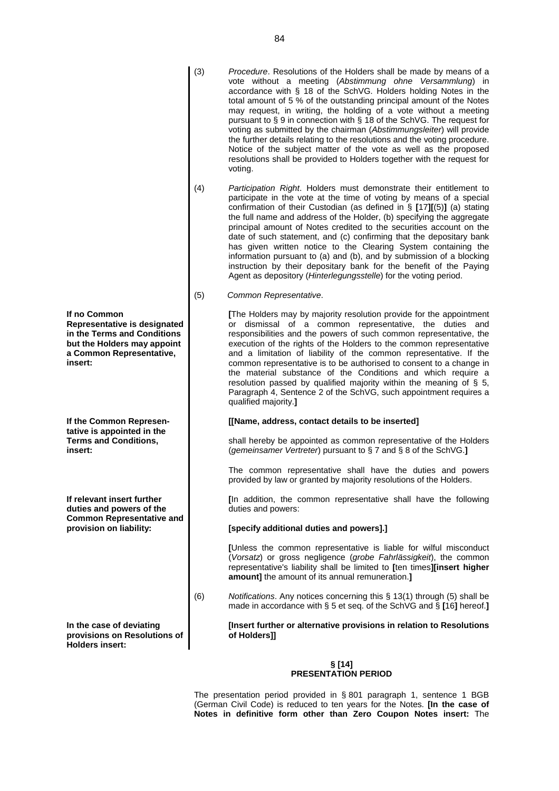- (3) *Procedure*. Resolutions of the Holders shall be made by means of a vote without a meeting (*Abstimmung ohne Versammlung*) in accordance with § 18 of the SchVG. Holders holding Notes in the total amount of 5 % of the outstanding principal amount of the Notes may request, in writing, the holding of a vote without a meeting pursuant to § 9 in connection with § 18 of the SchVG. The request for voting as submitted by the chairman (*Abstimmungsleiter*) will provide the further details relating to the resolutions and the voting procedure. Notice of the subject matter of the vote as well as the proposed resolutions shall be provided to Holders together with the request for voting.
- (4) *Participation Right*. Holders must demonstrate their entitlement to participate in the vote at the time of voting by means of a special confirmation of their Custodian (as defined in § **[**17**][**(5)**]** (a) stating the full name and address of the Holder, (b) specifying the aggregate principal amount of Notes credited to the securities account on the date of such statement, and (c) confirming that the depositary bank has given written notice to the Clearing System containing the information pursuant to (a) and (b), and by submission of a blocking instruction by their depositary bank for the benefit of the Paying Agent as depository (*Hinterlegungsstelle*) for the voting period.
- (5) *Common Representative*.

**[**The Holders may by majority resolution provide for the appointment or dismissal of a common representative, the duties and responsibilities and the powers of such common representative, the execution of the rights of the Holders to the common representative and a limitation of liability of the common representative. If the common representative is to be authorised to consent to a change in the material substance of the Conditions and which require a resolution passed by qualified majority within the meaning of § 5, Paragraph 4, Sentence 2 of the SchVG, such appointment requires a qualified majority.**]**

#### **[[Name, address, contact details to be inserted]**

shall hereby be appointed as common representative of the Holders (*gemeinsamer Vertreter*) pursuant to § 7 and § 8 of the SchVG.**]**

The common representative shall have the duties and powers provided by law or granted by majority resolutions of the Holders.

**[**In addition, the common representative shall have the following duties and powers:

## **[specify additional duties and powers].]**

**[**Unless the common representative is liable for wilful misconduct (*Vorsatz*) or gross negligence (*grobe Fahrlässigkeit*), the common representative's liability shall be limited to **[**ten times**][insert higher amount]** the amount of its annual remuneration.**]**

(6) *Notifications*. Any notices concerning this § 13(1) through (5) shall be made in accordance with § 5 et seq. of the SchVG and § **[**16**]** hereof.**]**

> **[Insert further or alternative provisions in relation to Resolutions of Holders]]**

#### **§ [14] PRESENTATION PERIOD**

The presentation period provided in § 801 paragraph 1, sentence 1 BGB (German Civil Code) is reduced to ten years for the Notes. **[In the case of Notes in definitive form other than Zero Coupon Notes insert:** The

**If no Common Representative is designated in the Terms and Conditions but the Holders may appoint a Common Representative, insert:**

**If the Common Representative is appointed in the Terms and Conditions, insert:**

**If relevant insert further duties and powers of the Common Representative and provision on liability:**

**In the case of deviating provisions on Resolutions of Holders insert:**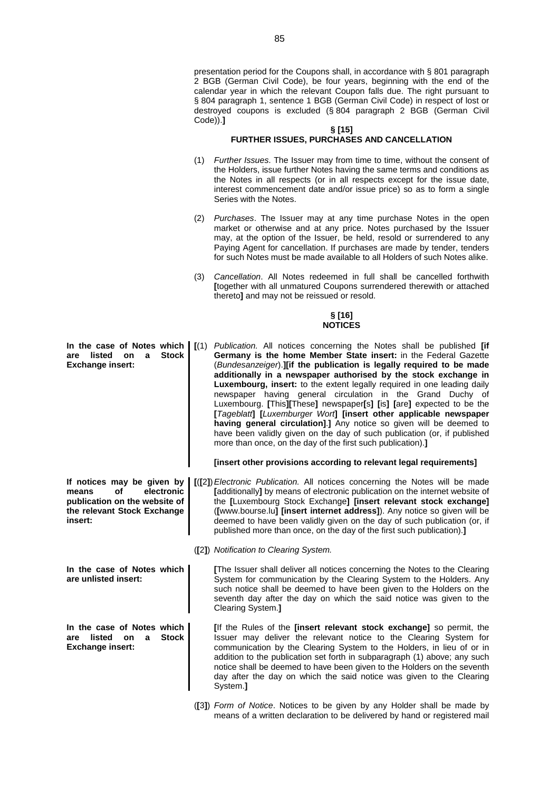presentation period for the Coupons shall, in accordance with § 801 paragraph 2 BGB (German Civil Code), be four years, beginning with the end of the calendar year in which the relevant Coupon falls due. The right pursuant to § 804 paragraph 1, sentence 1 BGB (German Civil Code) in respect of lost or destroyed coupons is excluded (§ 804 paragraph 2 BGB (German Civil Code)).**]**

#### **§ [15] FURTHER ISSUES, PURCHASES AND CANCELLATION**

- (1) *Further Issues*. The Issuer may from time to time, without the consent of the Holders, issue further Notes having the same terms and conditions as the Notes in all respects (or in all respects except for the issue date, interest commencement date and/or issue price) so as to form a single Series with the Notes.
- (2) *Purchases*. The Issuer may at any time purchase Notes in the open market or otherwise and at any price. Notes purchased by the Issuer may, at the option of the Issuer, be held, resold or surrendered to any Paying Agent for cancellation. If purchases are made by tender, tenders for such Notes must be made available to all Holders of such Notes alike.
- (3) *Cancellation*. All Notes redeemed in full shall be cancelled forthwith **[**together with all unmatured Coupons surrendered therewith or attached thereto**]** and may not be reissued or resold.

#### **§ [16] NOTICES**

**In the case of Notes which** (1) *Publication*. All notices concerning the Notes shall be published [if **Germany is the home Member State insert:** in the Federal Gazette (*Bundesanzeiger*).**][if the publication is legally required to be made additionally in a newspaper authorised by the stock exchange in Luxembourg, insert:** to the extent legally required in one leading daily newspaper having general circulation in the Grand Duchy of Luxembourg. **[**This**][**These**]** newspaper**[**s**] [**is**] [**are**]** expected to be the **[***Tageblatt***] [***Luxemburger Wort***] [insert other applicable newspaper having general circulation]**.**]** Any notice so given will be deemed to have been validly given on the day of such publication (or, if published more than once, on the day of the first such publication).**]**

## **[insert other provisions according to relevant legal requirements]**

- **[**(**[**2**]**)*Electronic Publication.* All notices concerning the Notes will be made **[**additionally**]** by means of electronic publication on the internet website of the **[**Luxembourg Stock Exchange**] [insert relevant stock exchange]** (**[**www.bourse.lu**] [insert internet address]**). Any notice so given will be deemed to have been validly given on the day of such publication (or, if published more than once, on the day of the first such publication).**]**
	- (**[**2**]**) *Notification to Clearing System.*

**[**The Issuer shall deliver all notices concerning the Notes to the Clearing System for communication by the Clearing System to the Holders. Any such notice shall be deemed to have been given to the Holders on the seventh day after the day on which the said notice was given to the Clearing System.**]**

**[**If the Rules of the **[insert relevant stock exchange]** so permit, the Issuer may deliver the relevant notice to the Clearing System for communication by the Clearing System to the Holders, in lieu of or in addition to the publication set forth in subparagraph (1) above; any such notice shall be deemed to have been given to the Holders on the seventh day after the day on which the said notice was given to the Clearing System.**]**

(**[**3**]**) *Form of Notice*. Notices to be given by any Holder shall be made by means of a written declaration to be delivered by hand or registered mail

**are listed on a Stock Exchange insert:**

**If notices may be given by means of electronic publication on the website of the relevant Stock Exchange insert:**

**In the case of Notes which are unlisted insert:**

**In the case of Notes which are listed on a Stock Exchange insert:**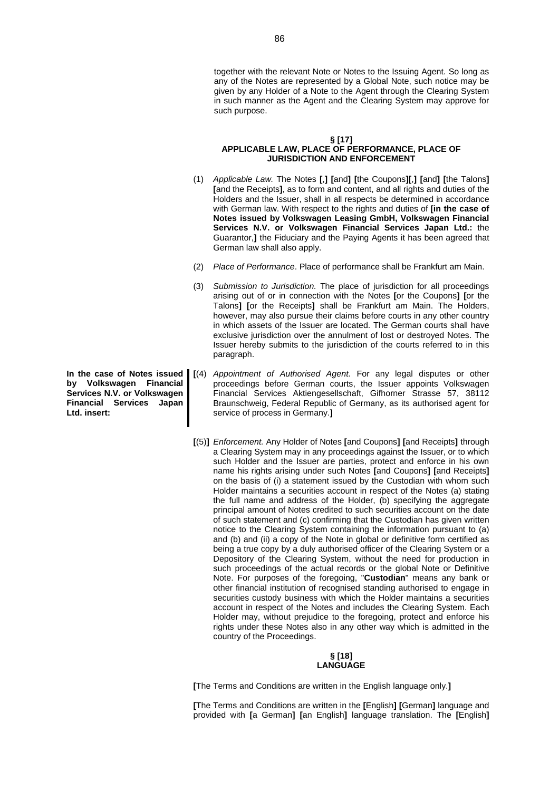together with the relevant Note or Notes to the Issuing Agent. So long as any of the Notes are represented by a Global Note, such notice may be given by any Holder of a Note to the Agent through the Clearing System in such manner as the Agent and the Clearing System may approve for such purpose.

#### **§ [17] APPLICABLE LAW, PLACE OF PERFORMANCE, PLACE OF JURISDICTION AND ENFORCEMENT**

- (1) *Applicable Law.* The Notes **[**,**] [**and**] [**the Coupons**][**,**] [**and**] [**the Talons**] [**and the Receipts**]**, as to form and content, and all rights and duties of the Holders and the Issuer, shall in all respects be determined in accordance with German law. With respect to the rights and duties of **[in the case of Notes issued by Volkswagen Leasing GmbH, Volkswagen Financial Services N.V. or Volkswagen Financial Services Japan Ltd.:** the Guarantor,**]** the Fiduciary and the Paying Agents it has been agreed that German law shall also apply.
- (2) *Place of Performance*. Place of performance shall be Frankfurt am Main.
- (3) *Submission to Jurisdiction.* The place of jurisdiction for all proceedings arising out of or in connection with the Notes **[**or the Coupons**] [**or the Talons**] [**or the Receipts**]** shall be Frankfurt am Main. The Holders, however, may also pursue their claims before courts in any other country in which assets of the Issuer are located. The German courts shall have exclusive jurisdiction over the annulment of lost or destroyed Notes. The Issuer hereby submits to the jurisdiction of the courts referred to in this paragraph.
- **[**(4) *Appointment of Authorised Agent.* For any legal disputes or other proceedings before German courts, the Issuer appoints Volkswagen Financial Services Aktiengesellschaft, Gifhorner Strasse 57, 38112 Braunschweig, Federal Republic of Germany, as its authorised agent for service of process in Germany.**]**
- **[**(5)**]** *Enforcement.* Any Holder of Notes **[**and Coupons**] [**and Receipts**]** through a Clearing System may in any proceedings against the Issuer, or to which such Holder and the Issuer are parties, protect and enforce in his own name his rights arising under such Notes **[**and Coupons**] [**and Receipts**]** on the basis of (i) a statement issued by the Custodian with whom such Holder maintains a securities account in respect of the Notes (a) stating the full name and address of the Holder, (b) specifying the aggregate principal amount of Notes credited to such securities account on the date of such statement and (c) confirming that the Custodian has given written notice to the Clearing System containing the information pursuant to (a) and (b) and (ii) a copy of the Note in global or definitive form certified as being a true copy by a duly authorised officer of the Clearing System or a Depository of the Clearing System, without the need for production in such proceedings of the actual records or the global Note or Definitive Note. For purposes of the foregoing, "**Custodian**" means any bank or other financial institution of recognised standing authorised to engage in securities custody business with which the Holder maintains a securities account in respect of the Notes and includes the Clearing System. Each Holder may, without prejudice to the foregoing, protect and enforce his rights under these Notes also in any other way which is admitted in the country of the Proceedings.

#### **§ [18] LANGUAGE**

**[**The Terms and Conditions are written in the English language only.**]**

**[**The Terms and Conditions are written in the **[**English**] [**German**]** language and provided with **[**a German**] [**an English**]** language translation. The **[**English**]**

**In the case of Notes issued by Volkswagen Financial Services N.V. or Volkswagen Financial Services Japan Ltd. insert:**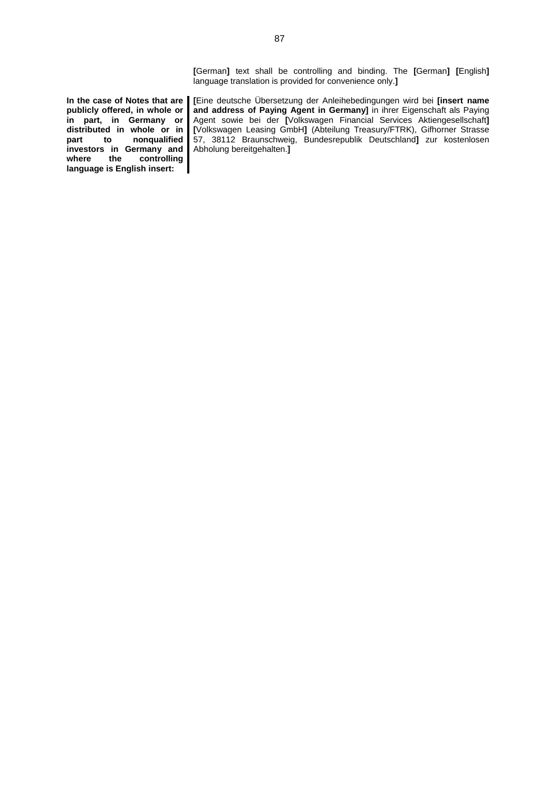**[**German**]** text shall be controlling and binding. The **[**German**] [**English**]** language translation is provided for convenience only.**]**

**In the case of Notes that are publicly offered, in whole or in part, in Germany or distributed in whole or in part to nonqualified investors in Germany and where the controlling language is English insert:**

**[**Eine deutsche Übersetzung der Anleihebedingungen wird bei **[insert name and address of Paying Agent in Germany]** in ihrer Eigenschaft als Paying Agent sowie bei der **[**Volkswagen Financial Services Aktiengesellschaft**] [**Volkswagen Leasing GmbH**]** (Abteilung Treasury/FTRK), Gifhorner Strasse 57, 38112 Braunschweig, Bundesrepublik Deutschland**]** zur kostenlosen Abholung bereitgehalten.**]**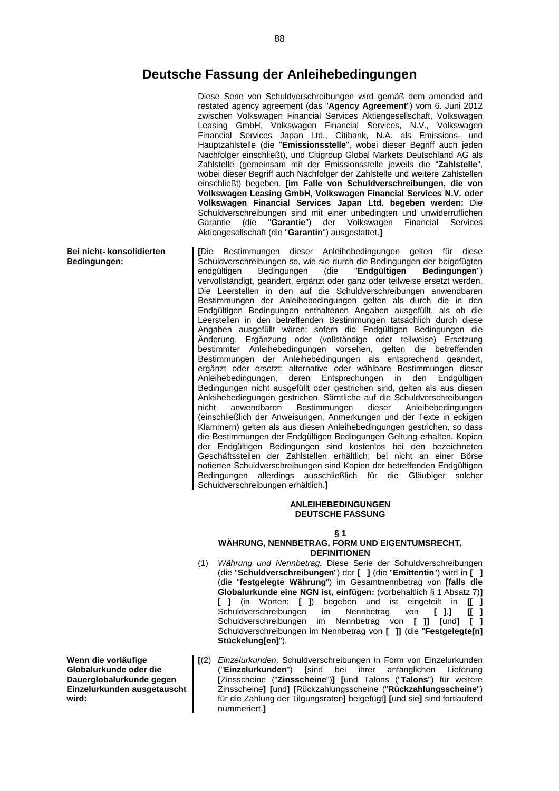# **Deutsche Fassung der Anleihebedingungen**

Diese Serie von Schuldverschreibungen wird gemäß dem amended and restated agency agreement (das "**Agency Agreement**") vom 6. Juni 2012 zwischen Volkswagen Financial Services Aktiengesellschaft, Volkswagen Leasing GmbH, Volkswagen Financial Services, N.V., Volkswagen Financial Services Japan Ltd., Citibank, N.A. als Emissions- und Hauptzahlstelle (die "**Emissionsstelle**", wobei dieser Begriff auch jeden Nachfolger einschließt), und Citigroup Global Markets Deutschland AG als Zahlstelle (gemeinsam mit der Emissionsstelle jeweils die "**Zahlstelle**", wobei dieser Begriff auch Nachfolger der Zahlstelle und weitere Zahlstellen einschließt) begeben. **[im Falle von Schuldverschreibungen, die von Volkswagen Leasing GmbH, Volkswagen Financial Services N.V. oder Volkswagen Financial Services Japan Ltd. begeben werden:** Die Schuldverschreibungen sind mit einer unbedingten und unwiderruflichen Garantie (die "**Garantie**") der Volkswagen Financial Services Aktiengesellschaft (die "**Garantin**") ausgestattet.**]**

**[**Die Bestimmungen dieser Anleihebedingungen gelten für diese Schuldverschreibungen so, wie sie durch die Bedingungen der beigefügten endgültigen Bedingungen (die "**Endgültigen Bedingungen**") vervollständigt, geändert, ergänzt oder ganz oder teilweise ersetzt werden. Die Leerstellen in den auf die Schuldverschreibungen anwendbaren Bestimmungen der Anleihebedingungen gelten als durch die in den Endgültigen Bedingungen enthaltenen Angaben ausgefüllt, als ob die Leerstellen in den betreffenden Bestimmungen tatsächlich durch diese Angaben ausgefüllt wären; sofern die Endgültigen Bedingungen die Änderung, Ergänzung oder (vollständige oder teilweise) Ersetzung bestimmter Anleihebedingungen vorsehen, gelten die betreffenden Bestimmungen der Anleihebedingungen als entsprechend geändert, ergänzt oder ersetzt; alternative oder wählbare Bestimmungen dieser Anleihebedingungen, deren Entsprechungen in den Endgültigen Bedingungen nicht ausgefüllt oder gestrichen sind, gelten als aus diesen Anleihebedingungen gestrichen. Sämtliche auf die Schuldverschreibungen nicht anwendbaren Bestimmungen dieser Anleihebedingungen nicht anwendbaren Bestimmungen dieser Anleihebedingungen (einschließlich der Anweisungen, Anmerkungen und der Texte in eckigen Klammern) gelten als aus diesen Anleihebedingungen gestrichen, so dass die Bestimmungen der Endgültigen Bedingungen Geltung erhalten. Kopien der Endgültigen Bedingungen sind kostenlos bei den bezeichneten Geschäftsstellen der Zahlstellen erhältlich; bei nicht an einer Börse notierten Schuldverschreibungen sind Kopien der betreffenden Endgültigen Bedingungen allerdings ausschließlich für die Gläubiger solcher Schuldverschreibungen erhältlich.**]**

## **ANLEIHEBEDINGUNGEN DEUTSCHE FASSUNG**

#### **§ 1**

## **WÄHRUNG, NENNBETRAG, FORM UND EIGENTUMSRECHT, DEFINITIONEN**

- (1) *Währung und Nennbetrag.* Diese Serie der Schuldverschreibungen (die "**Schuldverschreibungen**") der **[ ]** (die "**Emittentin**") wird in **[ ]** (die "**festgelegte Währung**") im Gesamtnennbetrag von **[falls die Globalurkunde eine NGN ist, einfügen:** (vorbehaltlich § 1 Absatz 7)**] [ ]** (in Worten: **[ ]**) begeben und ist eingeteilt in **[[ ]** Schuldverschreibungen im Nennbetrag von **[ ]**,**] [[ ]** Schuldverschreibungen im Nennbetrag von **[ ]] [**und**] [ ]** Schuldverschreibungen im Nennbetrag von **[ ]]** (die "**Festgelegte[n] Stückelung[en]**").
- **[**(2) *Einzelurkunden*. Schuldverschreibungen in Form von Einzelurkunden ("**Einzelurkunden**") **[**sind bei ihrer anfänglichen Lieferung **[**Zinsscheine ("**Zinsscheine**")**] [**und Talons ("**Talons**") für weitere Zinsscheine**] [**und**] [**Rückzahlungsscheine ("**Rückzahlungsscheine**") für die Zahlung der Tilgungsraten**]** beigefügt**] [**und sie**]** sind fortlaufend nummeriert.**]**

**Bei nicht- konsolidierten Bedingungen:**

**Wenn die vorläufige Globalurkunde oder die Dauerglobalurkunde gegen Einzelurkunden ausgetauscht wird:**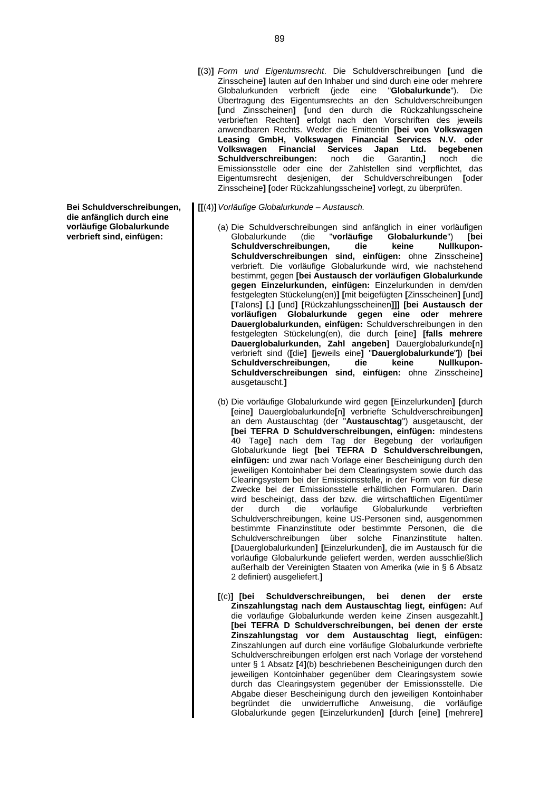- **[**(3)**]** *Form und Eigentumsrecht*. Die Schuldverschreibungen **[**und die Zinsscheine**]** lauten auf den Inhaber und sind durch eine oder mehrere Globalurkunden verbrieft (jede eine "**Globalurkunde**"). Die Übertragung des Eigentumsrechts an den Schuldverschreibungen **[**und Zinsscheinen**] [**und den durch die Rückzahlungsscheine verbrieften Rechten**]** erfolgt nach den Vorschriften des jeweils anwendbaren Rechts. Weder die Emittentin **[bei von Volkswagen Leasing GmbH, Volkswagen Financial Services N.V. oder Volkswagen Financial Services Japan Ltd. begebenen Schuldverschreibungen:** noch die Garantin,**]** noch die Emissionsstelle oder eine der Zahlstellen sind verpflichtet, das Eigentumsrecht desjenigen, der Schuldverschreibungen **[**oder Zinsscheine**] [**oder Rückzahlungsscheine**]** vorlegt, zu überprüfen.
- **[[**(4)**]***Vorläufige Globalurkunde Austausch.*
	- (a) Die Schuldverschreibungen sind anfänglich in einer vorläufigen Globalurkunde (die "**vorläufige Globalurkunde**") **[bei Schuldverschreibungen, die keine Nullkupon-Schuldverschreibungen sind, einfügen:** ohne Zinsscheine**]** verbrieft. Die vorläufige Globalurkunde wird, wie nachstehend bestimmt, gegen **[bei Austausch der vorläufigen Globalurkunde gegen Einzelurkunden, einfügen:** Einzelurkunden in dem/den festgelegten Stückelung(en)**] [**mit beigefügten **[**Zinsscheinen**] [**und**] [**Talons**] [**,**] [**und**] [**Rückzahlungsscheinen**]]] [bei Austausch der vorläufigen Globalurkunde gegen eine oder mehrere Dauerglobalurkunden, einfügen:** Schuldverschreibungen in den festgelegten Stückelung(en), die durch **[**eine**] [falls mehrere Dauerglobalurkunden, Zahl angeben]** Dauerglobalurkunde**[**n**]** verbrieft sind (**[**die**] [**jeweils eine**]** "**Dauerglobalurkunde**"**]**) **[bei Schuldverschreibungen, die keine Nullkupon-Schuldverschreibungen sind, einfügen:** ohne Zinsscheine**]** ausgetauscht.**]**
	- (b) Die vorläufige Globalurkunde wird gegen **[**Einzelurkunden**] [**durch **[**eine**]** Dauerglobalurkunde**[**n**]** verbriefte Schuldverschreibungen**]** an dem Austauschtag (der "**Austauschtag**") ausgetauscht, der **[bei TEFRA D Schuldverschreibungen, einfügen:** mindestens 40 Tage**]** nach dem Tag der Begebung der vorläufigen Globalurkunde liegt **[bei TEFRA D Schuldverschreibungen, einfügen:** und zwar nach Vorlage einer Bescheinigung durch den jeweiligen Kontoinhaber bei dem Clearingsystem sowie durch das Clearingsystem bei der Emissionsstelle, in der Form von für diese Zwecke bei der Emissionsstelle erhältlichen Formularen. Darin wird bescheinigt, dass der bzw. die wirtschaftlichen Eigentümer der durch die vorläufige Globalurkunde verbrieften Schuldverschreibungen, keine US-Personen sind, ausgenommen bestimmte Finanzinstitute oder bestimmte Personen, die die Schuldverschreibungen über solche Finanzinstitute halten. **[**Dauerglobalurkunden**] [**Einzelurkunden**]**, die im Austausch für die vorläufige Globalurkunde geliefert werden, werden ausschließlich außerhalb der Vereinigten Staaten von Amerika (wie in § 6 Absatz 2 definiert) ausgeliefert.**]**
	- **[**(c)**] [bei Schuldverschreibungen, bei denen der erste Zinszahlungstag nach dem Austauschtag liegt, einfügen:** Auf die vorläufige Globalurkunde werden keine Zinsen ausgezahlt.**] [bei TEFRA D Schuldverschreibungen, bei denen der erste Zinszahlungstag vor dem Austauschtag liegt, einfügen:** Zinszahlungen auf durch eine vorläufige Globalurkunde verbriefte Schuldverschreibungen erfolgen erst nach Vorlage der vorstehend unter § 1 Absatz **[**4**]**(b) beschriebenen Bescheinigungen durch den jeweiligen Kontoinhaber gegenüber dem Clearingsystem sowie durch das Clearingsystem gegenüber der Emissionsstelle. Die Abgabe dieser Bescheinigung durch den jeweiligen Kontoinhaber begründet die unwiderrufliche Anweisung, die vorläufige Globalurkunde gegen **[**Einzelurkunden**] [**durch **[**eine**] [**mehrere**]**

**Bei Schuldverschreibungen, die anfänglich durch eine vorläufige Globalurkunde verbrieft sind, einfügen:**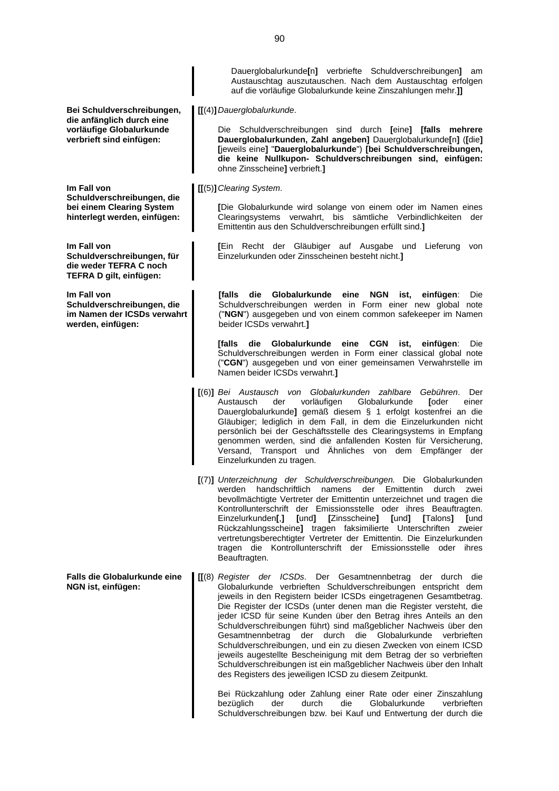**Bei Schuldverschreibungen, die anfänglich durch eine vorläufige Globalurkunde verbrieft sind einfügen: [[**(4)**]***Dauerglobalurkunde*. ohne Zinsscheine**]** verbrieft.**] Im Fall von Schuldverschreibungen, die bei einem Clearing System hinterlegt werden, einfügen: [[**(5)**]***Clearing System*. Emittentin aus den Schuldverschreibungen erfüllt sind.**] Im Fall von Schuldverschreibungen, für die weder TEFRA C noch TEFRA D gilt, einfügen:** Einzelurkunden oder Zinsscheinen besteht nicht.**] Im Fall von Schuldverschreibungen, die im Namen der ICSDs verwahrt werden, einfügen:** beider ICSDs verwahrt.**]** Namen beider ICSDs verwahrt.**]** Einzelurkunden zu tragen. Beauftragten. **Falls die Globalurkunde eine NGN ist, einfügen:**

> Bei Rückzahlung oder Zahlung einer Rate oder einer Zinszahlung bezüglich der durch die Globalurkunde verbrieften Schuldverschreibungen bzw. bei Kauf und Entwertung der durch die

Dauerglobalurkunde**[**n**]** verbriefte Schuldverschreibungen**]** am Austauschtag auszutauschen. Nach dem Austauschtag erfolgen auf die vorläufige Globalurkunde keine Zinszahlungen mehr.**]]**

Die Schuldverschreibungen sind durch **[**eine**] [falls mehrere Dauerglobalurkunden, Zahl angeben]** Dauerglobalurkunde**[**n**]** (**[**die**] [**jeweils eine**]** "**Dauerglobalurkunde**") **[bei Schuldverschreibungen, die keine Nullkupon- Schuldverschreibungen sind, einfügen:**

**[**Die Globalurkunde wird solange von einem oder im Namen eines Clearingsystems verwahrt, bis sämtliche Verbindlichkeiten der

**[**Ein Recht der Gläubiger auf Ausgabe und Lieferung von

**[falls die Globalurkunde eine NGN ist, einfügen**: Die Schuldverschreibungen werden in Form einer new global note ("**NGN**") ausgegeben und von einem common safekeeper im Namen

**[falls die Globalurkunde eine CGN ist, einfügen**: Die Schuldverschreibungen werden in Form einer classical global note ("**CGN**") ausgegeben und von einer gemeinsamen Verwahrstelle im

- **[**(6)**]** *Bei Austausch von Globalurkunden zahlbare Gebühren*. Der Austausch der vorläufigen Globalurkunde **[**oder einer Dauerglobalurkunde**]** gemäß diesem § 1 erfolgt kostenfrei an die Gläubiger; lediglich in dem Fall, in dem die Einzelurkunden nicht persönlich bei der Geschäftsstelle des Clearingsystems in Empfang genommen werden, sind die anfallenden Kosten für Versicherung, Versand, Transport und Ähnliches von dem Empfänger der
- **[**(7)**]** *Unterzeichnung der Schuldverschreibungen.* Die Globalurkunden werden handschriftlich namens der Emittentin durch zwei bevollmächtigte Vertreter der Emittentin unterzeichnet und tragen die Kontrollunterschrift der Emissionsstelle oder ihres Beauftragten. Einzelurkunden**[**,**] [**und**] [**Zinsscheine**] [**und**] [**Talons**] [**und Rückzahlungsscheine**]** tragen faksimilierte Unterschriften zweier vertretungsberechtigter Vertreter der Emittentin. Die Einzelurkunden tragen die Kontrollunterschrift der Emissionsstelle oder ihres
- **[[**(8) *Register der ICSDs*. Der Gesamtnennbetrag der durch die Globalurkunde verbrieften Schuldverschreibungen entspricht dem jeweils in den Registern beider ICSDs eingetragenen Gesamtbetrag. Die Register der ICSDs (unter denen man die Register versteht, die jeder ICSD für seine Kunden über den Betrag ihres Anteils an den Schuldverschreibungen führt) sind maßgeblicher Nachweis über den Gesamtnennbetrag der durch die Globalurkunde verbrieften Schuldverschreibungen, und ein zu diesen Zwecken von einem ICSD jeweils augestellte Bescheinigung mit dem Betrag der so verbrieften Schuldverschreibungen ist ein maßgeblicher Nachweis über den Inhalt des Registers des jeweiligen ICSD zu diesem Zeitpunkt.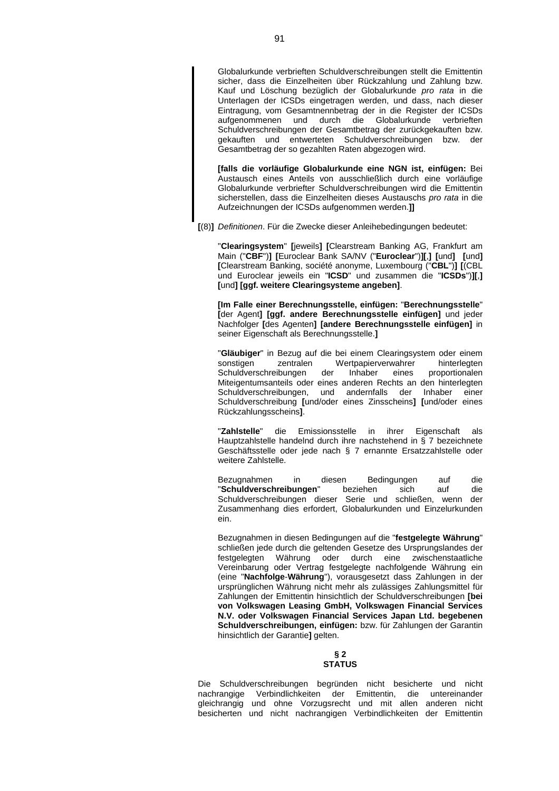Globalurkunde verbrieften Schuldverschreibungen stellt die Emittentin sicher, dass die Einzelheiten über Rückzahlung und Zahlung bzw. Kauf und Löschung bezüglich der Globalurkunde *pro rata* in die Unterlagen der ICSDs eingetragen werden, und dass, nach dieser Eintragung, vom Gesamtnennbetrag der in die Register der ICSDs aufgenommenen und durch die Globalurkunde verbrieften Schuldverschreibungen der Gesamtbetrag der zurückgekauften bzw. gekauften und entwerteten Schuldverschreibungen bzw. der Gesamtbetrag der so gezahlten Raten abgezogen wird.

**[falls die vorläufige Globalurkunde eine NGN ist, einfügen:** Bei Austausch eines Anteils von ausschließlich durch eine vorläufige Globalurkunde verbriefter Schuldverschreibungen wird die Emittentin sicherstellen, dass die Einzelheiten dieses Austauschs *pro rata* in die Aufzeichnungen der ICSDs aufgenommen werden.**]]**

**[**(8)**]** *Definitionen*. Für die Zwecke dieser Anleihebedingungen bedeutet:

"**Clearingsystem**" **[**jeweils**] [**Clearstream Banking AG, Frankfurt am Main ("**CBF**")**] [**Euroclear Bank SA/NV ("**Euroclear**")**][**,**] [**und**] [**und**] [**Clearstream Banking, société anonyme, Luxembourg ("**CBL**")**] [**(CBL und Euroclear jeweils ein "**ICSD**" und zusammen die "**ICSDs**")**][**,**] [**und**] [ggf. weitere Clearingsysteme angeben]**.

**[Im Falle einer Berechnungsstelle, einfügen:** "**Berechnungsstelle**" **[**der Agent**] [ggf. andere Berechnungsstelle einfügen]** und jeder Nachfolger **[**des Agenten**] [andere Berechnungsstelle einfügen]** in seiner Eigenschaft als Berechnungsstelle.**]**

"**Gläubiger**" in Bezug auf die bei einem Clearingsystem oder einem sonstigen zentralen Wertpapierverwahrer hinterlegten Schuldverschreibungen der Inhaber eines proportionalen Miteigentumsanteils oder eines anderen Rechts an den hinterlegten Schuldverschreibungen, und andernfalls der Inhaber einer Schuldverschreibung **[**und/oder eines Zinsscheins**] [**und/oder eines Rückzahlungsscheins**]**.

"**Zahlstelle**" die Emissionsstelle in ihrer Eigenschaft als Hauptzahlstelle handelnd durch ihre nachstehend in § 7 bezeichnete Geschäftsstelle oder jede nach § 7 ernannte Ersatzzahlstelle oder weitere Zahlstelle.

Bezugnahmen in diesen Bedingungen auf die "**Schuldverschreibungen**" beziehen sich auf die Schuldverschreibungen dieser Serie und schließen, wenn der Zusammenhang dies erfordert, Globalurkunden und Einzelurkunden ein.

Bezugnahmen in diesen Bedingungen auf die "**festgelegte Währung**" schließen jede durch die geltenden Gesetze des Ursprungslandes der festgelegten Währung oder durch eine zwischenstaatliche Vereinbarung oder Vertrag festgelegte nachfolgende Währung ein (eine "**Nachfolge**-**Währung**"), vorausgesetzt dass Zahlungen in der ursprünglichen Währung nicht mehr als zulässiges Zahlungsmittel für Zahlungen der Emittentin hinsichtlich der Schuldverschreibungen **[bei von Volkswagen Leasing GmbH, Volkswagen Financial Services N.V. oder Volkswagen Financial Services Japan Ltd. begebenen Schuldverschreibungen, einfügen:** bzw. für Zahlungen der Garantin hinsichtlich der Garantie**]** gelten.

#### **§ 2 STATUS**

Die Schuldverschreibungen begründen nicht besicherte und nicht nachrangige Verbindlichkeiten der Emittentin, die untereinander gleichrangig und ohne Vorzugsrecht und mit allen anderen nicht besicherten und nicht nachrangigen Verbindlichkeiten der Emittentin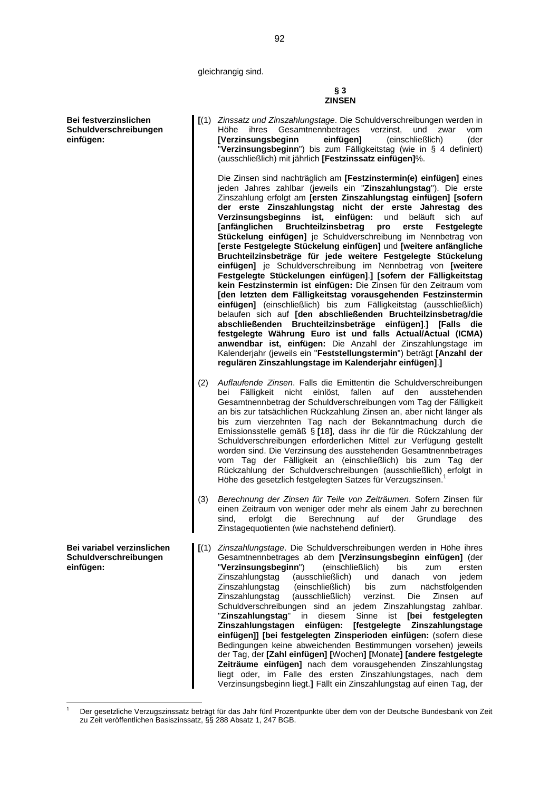gleichrangig sind.

**Bei festverzinslichen Schuldverschreibungen einfügen:**

**Bei variabel verzinslichen Schuldverschreibungen**

**einfügen:**

**[**(1) *Zinssatz und Zinszahlungstage*. Die Schuldverschreibungen werden in Höhe ihres Gesamtnennbetrages verzinst, und zwar vom **[Verzinsungsbeginn einfügen]** (einschließlich) (der "**Verzinsungsbeginn**") bis zum Fälligkeitstag (wie in § 4 definiert) (ausschließlich) mit jährlich **[Festzinssatz einfügen]**%. Die Zinsen sind nachträglich am **[Festzinstermin(e) einfügen]** eines jeden Jahres zahlbar (jeweils ein "**Zinszahlungstag**"). Die erste Zinszahlung erfolgt am **[ersten Zinszahlungstag einfügen] [sofern der erste Zinszahlungstag nicht der erste Jahrestag des Verzinsungsbeginns ist, einfügen:** und beläuft sich auf **[anfänglichen Bruchteilzinsbetrag pro erste Festgelegte Stückelung einfügen]** je Schuldverschreibung im Nennbetrag von **[erste Festgelegte Stückelung einfügen]** und **[weitere anfängliche Bruchteilzinsbeträge für jede weitere Festgelegte Stückelung einfügen]** je Schuldverschreibung im Nennbetrag von **[weitere Festgelegte Stückelungen einfügen]**.**] [sofern der Fälligkeitstag kein Festzinstermin ist einfügen:** Die Zinsen für den Zeitraum vom **[den letzten dem Fälligkeitstag vorausgehenden Festzinstermin einfügen]** (einschließlich) bis zum Fälligkeitstag (ausschließlich) belaufen sich auf **[den abschließenden Bruchteilzinsbetrag/die abschließenden Bruchteilzinsbeträge einfügen]**.**] [Falls die festgelegte Währung Euro ist und falls Actual/Actual (ICMA) anwendbar ist, einfügen:** Die Anzahl der Zinszahlungstage im Kalenderjahr (jeweils ein "**Feststellungstermin**") beträgt **[Anzahl der regulären Zinszahlungstage im Kalenderjahr einfügen]**.**]** (2) *Auflaufende Zinsen*. Falls die Emittentin die Schuldverschreibungen

- bei Fälligkeit nicht einlöst, fallen auf den ausstehenden Gesamtnennbetrag der Schuldverschreibungen vom Tag der Fälligkeit an bis zur tatsächlichen Rückzahlung Zinsen an, aber nicht länger als bis zum vierzehnten Tag nach der Bekanntmachung durch die Emissionsstelle gemäß § **[**18**]**, dass ihr die für die Rückzahlung der Schuldverschreibungen erforderlichen Mittel zur Verfügung gestellt worden sind. Die Verzinsung des ausstehenden Gesamtnennbetrages vom Tag der Fälligkeit an (einschließlich) bis zum Tag der Rückzahlung der Schuldverschreibungen (ausschließlich) erfolgt in Höhe des gesetzlich festgelegten Satzes für Verzugszinsen.
- (3) *Berechnung der Zinsen für Teile von Zeiträumen*. Sofern Zinsen für einen Zeitraum von weniger oder mehr als einem Jahr zu berechnen sind, erfolgt die Berechnung auf der Grundlage Zinstagequotienten (wie nachstehend definiert).
- **[**(1) *Zinszahlungstage*. Die Schuldverschreibungen werden in Höhe ihres Gesamtnennbetrages ab dem **[Verzinsungsbeginn einfügen]** (der "**Verzinsungsbeginn**") (einschließlich) bis zum ersten Zinszahlungstag (ausschließlich) und danach von jedem Zinszahlungstag (einschließlich) bis zum nächstfolgenden Zinszahlungstag (ausschließlich) verzinst. Die Zinsen auf Schuldverschreibungen sind an jedem Zinszahlungstag zahlbar.<br>"Zinszahlungstag" in diesem Sinne ist [bei festgelegten "Zinszahlungstag" in diesem Sinne **Zinszahlungstagen einfügen: [festgelegte Zinszahlungstage einfügen]] [bei festgelegten Zinsperioden einfügen:** (sofern diese Bedingungen keine abweichenden Bestimmungen vorsehen) jeweils der Tag, der **[Zahl einfügen] [**Wochen**] [**Monate**] [andere festgelegte Zeiträume einfügen]** nach dem vorausgehenden Zinszahlungstag liegt oder, im Falle des ersten Zinszahlungstages, nach dem Verzinsungsbeginn liegt.**]** Fällt ein Zinszahlungstag auf einen Tag, der

**§ 3 ZINSEN**

<span id="page-91-0"></span>Der gesetzliche Verzugszinssatz beträgt für das Jahr fünf Prozentpunkte über dem von der Deutsche Bundesbank von Zeit zu Zeit veröffentlichen Basiszinssatz, §§ 288 Absatz 1, 247 BGB.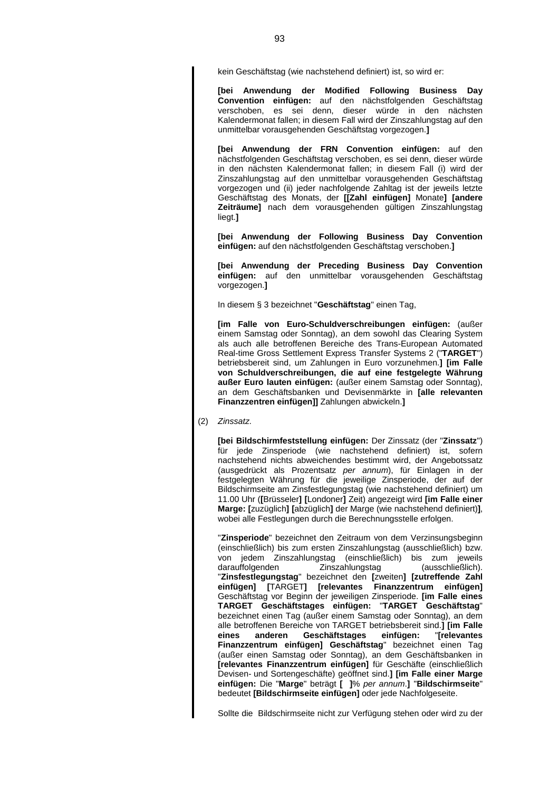kein Geschäftstag (wie nachstehend definiert) ist, so wird er:

**[bei Anwendung der Modified Following Business Day Convention einfügen:** auf den nächstfolgenden Geschäftstag verschoben, es sei denn, dieser würde in den nächsten Kalendermonat fallen; in diesem Fall wird der Zinszahlungstag auf den unmittelbar vorausgehenden Geschäftstag vorgezogen.**]**

**[bei Anwendung der FRN Convention einfügen:** auf den nächstfolgenden Geschäftstag verschoben, es sei denn, dieser würde in den nächsten Kalendermonat fallen; in diesem Fall (i) wird der Zinszahlungstag auf den unmittelbar vorausgehenden Geschäftstag vorgezogen und (ii) jeder nachfolgende Zahltag ist der jeweils letzte Geschäftstag des Monats, der **[[Zahl einfügen]** Monate**] [andere Zeiträume]** nach dem vorausgehenden gültigen Zinszahlungstag liegt.**]**

**[bei Anwendung der Following Business Day Convention einfügen:** auf den nächstfolgenden Geschäftstag verschoben.**]**

**[bei Anwendung der Preceding Business Day Convention einfügen:** auf den unmittelbar vorausgehenden Geschäftstag vorgezogen.**]**

In diesem § 3 bezeichnet "**Geschäftstag**" einen Tag,

**[im Falle von Euro-Schuldverschreibungen einfügen:** (außer einem Samstag oder Sonntag), an dem sowohl das Clearing System als auch alle betroffenen Bereiche des Trans-European Automated Real-time Gross Settlement Express Transfer Systems 2 ("**TARGET**") betriebsbereit sind, um Zahlungen in Euro vorzunehmen.**] [im Falle von Schuldverschreibungen, die auf eine festgelegte Währung außer Euro lauten einfügen:** (außer einem Samstag oder Sonntag), an dem Geschäftsbanken und Devisenmärkte in **[alle relevanten Finanzzentren einfügen]]** Zahlungen abwickeln.**]**

(2) *Zinssatz*.

**[bei Bildschirmfeststellung einfügen:** Der Zinssatz (der "**Zinssatz**") für jede Zinsperiode (wie nachstehend definiert) ist, sofern nachstehend nichts abweichendes bestimmt wird, der Angebotssatz (ausgedrückt als Prozentsatz *per annum*), für Einlagen in der festgelegten Währung für die jeweilige Zinsperiode, der auf der Bildschirmseite am Zinsfestlegungstag (wie nachstehend definiert) um 11.00 Uhr (**[**Brüsseler**] [**Londoner**]** Zeit) angezeigt wird **[im Falle einer Marge: [**zuzüglich**] [**abzüglich**]** der Marge (wie nachstehend definiert)**]**, wobei alle Festlegungen durch die Berechnungsstelle erfolgen.

"**Zinsperiode**" bezeichnet den Zeitraum von dem Verzinsungsbeginn (einschließlich) bis zum ersten Zinszahlungstag (ausschließlich) bzw. von jedem Zinszahlungstag (einschließlich) bis zum jeweils darauffolgenden Zinszahlungstag "**Zinsfestlegungstag**" bezeichnet den **[**zweiten**] [zutreffende Zahl einfügen] [**TARGET**] [relevantes Finanzzentrum einfügen]** Geschäftstag vor Beginn der jeweiligen Zinsperiode. **[im Falle eines TARGET Geschäftstages einfügen:** "**TARGET Geschäftstag**" bezeichnet einen Tag (außer einem Samstag oder Sonntag), an dem alle betroffenen Bereiche von TARGET betriebsbereit sind.**] [im Falle eines anderen Geschäftstages einfügen:** "**[relevantes Finanzzentrum einfügen] Geschäftstag**" bezeichnet einen Tag (außer einen Samstag oder Sonntag), an dem Geschäftsbanken in **[relevantes Finanzzentrum einfügen]** für Geschäfte (einschließlich Devisen- und Sortengeschäfte) geöffnet sind.**] [im Falle einer Marge einfügen:** Die "**Marge**" beträgt **[ ]**% *per annum*.**]** "**Bildschirmseite**" bedeutet **[Bildschirmseite einfügen]** oder jede Nachfolgeseite.

Sollte die Bildschirmseite nicht zur Verfügung stehen oder wird zu der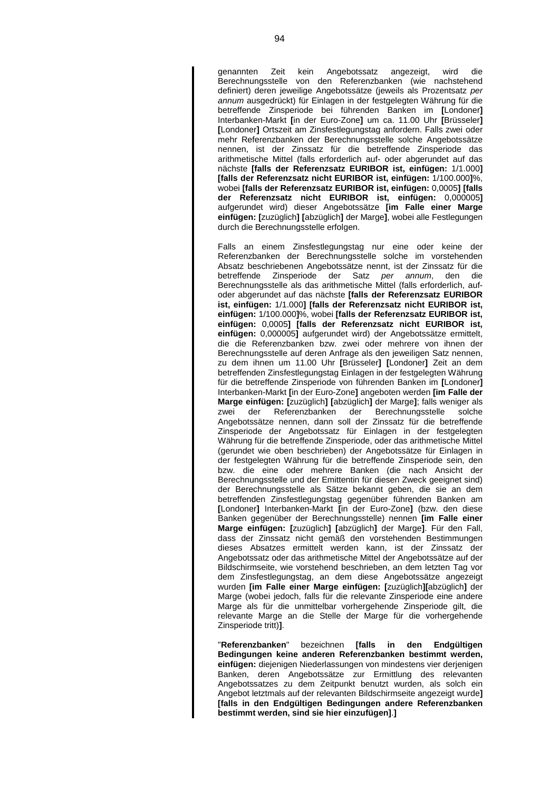genannten Zeit kein Angebotssatz angezeigt, wird die Berechnungsstelle von den Referenzbanken (wie nachstehend definiert) deren jeweilige Angebotssätze (jeweils als Prozentsatz *per annum* ausgedrückt) für Einlagen in der festgelegten Währung für die betreffende Zinsperiode bei führenden Banken im **[**Londoner**]** Interbanken-Markt **[**in der Euro-Zone**]** um ca. 11.00 Uhr **[**Brüsseler**] [**Londoner**]** Ortszeit am Zinsfestlegungstag anfordern. Falls zwei oder mehr Referenzbanken der Berechnungsstelle solche Angebotssätze nennen, ist der Zinssatz für die betreffende Zinsperiode das arithmetische Mittel (falls erforderlich auf- oder abgerundet auf das nächste **[falls der Referenzsatz EURIBOR ist, einfügen:** 1/1.000**] [falls der Referenzsatz nicht EURIBOR ist, einfügen:** 1/100.000**]**%, wobei **[falls der Referenzsatz EURIBOR ist, einfügen:** 0,0005**] [falls der Referenzsatz nicht EURIBOR ist, einfügen:** 0,000005**]** aufgerundet wird) dieser Angebotssätze **[im Falle einer Marge einfügen: [**zuzüglich**] [**abzüglich**]** der Marge**]**, wobei alle Festlegungen durch die Berechnungsstelle erfolgen.

Falls an einem Zinsfestlegungstag nur eine oder keine der Referenzbanken der Berechnungsstelle solche im vorstehenden Absatz beschriebenen Angebotssätze nennt, ist der Zinssatz für die betreffende Zinsperiode der Satz *per annum*, den die Berechnungsstelle als das arithmetische Mittel (falls erforderlich, aufoder abgerundet auf das nächste **[falls der Referenzsatz EURIBOR ist, einfügen:** 1/1.000**] [falls der Referenzsatz nicht EURIBOR ist, einfügen:** 1/100.000**]**%, wobei **[falls der Referenzsatz EURIBOR ist, einfügen:** 0,0005**] [falls der Referenzsatz nicht EURIBOR ist, einfügen:** 0,000005**]** aufgerundet wird) der Angebotssätze ermittelt, die die Referenzbanken bzw. zwei oder mehrere von ihnen der Berechnungsstelle auf deren Anfrage als den jeweiligen Satz nennen, zu dem ihnen um 11.00 Uhr **[**Brüsseler**] [**Londoner**]** Zeit an dem betreffenden Zinsfestlegungstag Einlagen in der festgelegten Währung für die betreffende Zinsperiode von führenden Banken im **[**Londoner**]** Interbanken-Markt **[**in der Euro-Zone**]** angeboten werden **[im Falle der Marge einfügen: [**zuzüglich**] [**abzüglich**]** der Marge**]**; falls weniger als zwei der Referenzbanken der Berechnungsstelle solche Angebotssätze nennen, dann soll der Zinssatz für die betreffende Zinsperiode der Angebotssatz für Einlagen in der festgelegten Währung für die betreffende Zinsperiode, oder das arithmetische Mittel (gerundet wie oben beschrieben) der Angebotssätze für Einlagen in der festgelegten Währung für die betreffende Zinsperiode sein, den bzw. die eine oder mehrere Banken (die nach Ansicht der Berechnungsstelle und der Emittentin für diesen Zweck geeignet sind) der Berechnungsstelle als Sätze bekannt geben, die sie an dem betreffenden Zinsfestlegungstag gegenüber führenden Banken am **[**Londoner**]** Interbanken-Markt **[**in der Euro-Zone**]** (bzw. den diese Banken gegenüber der Berechnungsstelle) nennen **[im Falle einer Marge einfügen: [**zuzüglich**] [**abzüglich**]** der Marge**]**. Für den Fall, dass der Zinssatz nicht gemäß den vorstehenden Bestimmungen dieses Absatzes ermittelt werden kann, ist der Zinssatz der Angebotssatz oder das arithmetische Mittel der Angebotssätze auf der Bildschirmseite, wie vorstehend beschrieben, an dem letzten Tag vor dem Zinsfestlegungstag, an dem diese Angebotssätze angezeigt wurden **[im Falle einer Marge einfügen: [**zuzüglich**][**abzüglich**]** der Marge (wobei jedoch, falls für die relevante Zinsperiode eine andere Marge als für die unmittelbar vorhergehende Zinsperiode gilt, die relevante Marge an die Stelle der Marge für die vorhergehende Zinsperiode tritt)**]**.

"**Referenzbanken**" bezeichnen **[falls in den Endgültigen Bedingungen keine anderen Referenzbanken bestimmt werden, einfügen:** diejenigen Niederlassungen von mindestens vier derjenigen Banken, deren Angebotssätze zur Ermittlung des relevanten Angebotssatzes zu dem Zeitpunkt benutzt wurden, als solch ein Angebot letztmals auf der relevanten Bildschirmseite angezeigt wurde**] [falls in den Endgültigen Bedingungen andere Referenzbanken bestimmt werden, sind sie hier einzufügen]**.**]**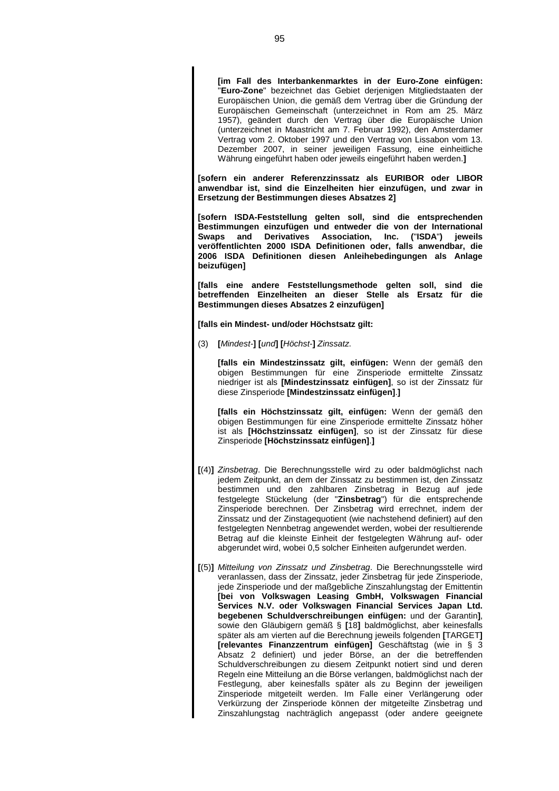**[im Fall des Interbankenmarktes in der Euro-Zone einfügen:** "**Euro-Zone**" bezeichnet das Gebiet derjenigen Mitgliedstaaten der Europäischen Union, die gemäß dem Vertrag über die Gründung der Europäischen Gemeinschaft (unterzeichnet in Rom am 25. März 1957), geändert durch den Vertrag über die Europäische Union (unterzeichnet in Maastricht am 7. Februar 1992), den Amsterdamer Vertrag vom 2. Oktober 1997 und den Vertrag von Lissabon vom 13. Dezember 2007, in seiner jeweiligen Fassung, eine einheitliche Währung eingeführt haben oder jeweils eingeführt haben werden.**]**

**[sofern ein anderer Referenzzinssatz als EURIBOR oder LIBOR anwendbar ist, sind die Einzelheiten hier einzufügen, und zwar in Ersetzung der Bestimmungen dieses Absatzes 2]**

**[sofern ISDA-Feststellung gelten soll, sind die entsprechenden Bestimmungen einzufügen und entweder die von der International Swaps and Derivatives Association, Inc. (**"**ISDA**"**) jeweils veröffentlichten 2000 ISDA Definitionen oder, falls anwendbar, die 2006 ISDA Definitionen diesen Anleihebedingungen als Anlage beizufügen]**

**[falls eine andere Feststellungsmethode gelten soll, sind die betreffenden Einzelheiten an dieser Stelle als Ersatz für die Bestimmungen dieses Absatzes 2 einzufügen]**

**[falls ein Mindest- und/oder Höchstsatz gilt:**

(3) **[***Mindest-***] [***und***] [***Höchst-***]** *Zinssatz*.

**[falls ein Mindestzinssatz gilt, einfügen:** Wenn der gemäß den obigen Bestimmungen für eine Zinsperiode ermittelte Zinssatz niedriger ist als **[Mindestzinssatz einfügen]**, so ist der Zinssatz für diese Zinsperiode **[Mindestzinssatz einfügen]**.**]**

**[falls ein Höchstzinssatz gilt, einfügen:** Wenn der gemäß den obigen Bestimmungen für eine Zinsperiode ermittelte Zinssatz höher ist als **[Höchstzinssatz einfügen]**, so ist der Zinssatz für diese Zinsperiode **[Höchstzinssatz einfügen]**.**]**

- **[**(4)**]** *Zinsbetrag*. Die Berechnungsstelle wird zu oder baldmöglichst nach jedem Zeitpunkt, an dem der Zinssatz zu bestimmen ist, den Zinssatz bestimmen und den zahlbaren Zinsbetrag in Bezug auf jede festgelegte Stückelung (der "**Zinsbetrag**") für die entsprechende Zinsperiode berechnen. Der Zinsbetrag wird errechnet, indem der Zinssatz und der Zinstagequotient (wie nachstehend definiert) auf den festgelegten Nennbetrag angewendet werden, wobei der resultierende Betrag auf die kleinste Einheit der festgelegten Währung auf- oder abgerundet wird, wobei 0,5 solcher Einheiten aufgerundet werden.
- **[**(5)**]** *Mitteilung von Zinssatz und Zinsbetrag*. Die Berechnungsstelle wird veranlassen, dass der Zinssatz, jeder Zinsbetrag für jede Zinsperiode, jede Zinsperiode und der maßgebliche Zinszahlungstag der Emittentin **[bei von Volkswagen Leasing GmbH, Volkswagen Financial Services N.V. oder Volkswagen Financial Services Japan Ltd. begebenen Schuldverschreibungen einfügen:** und der Garantin**]**, sowie den Gläubigern gemäß § **[**18**]** baldmöglichst, aber keinesfalls später als am vierten auf die Berechnung jeweils folgenden **[**TARGET**] [relevantes Finanzzentrum einfügen]** Geschäftstag (wie in § 3 Absatz 2 definiert) und jeder Börse, an der die betreffenden Schuldverschreibungen zu diesem Zeitpunkt notiert sind und deren Regeln eine Mitteilung an die Börse verlangen, baldmöglichst nach der Festlegung, aber keinesfalls später als zu Beginn der jeweiligen Zinsperiode mitgeteilt werden. Im Falle einer Verlängerung oder Verkürzung der Zinsperiode können der mitgeteilte Zinsbetrag und Zinszahlungstag nachträglich angepasst (oder andere geeignete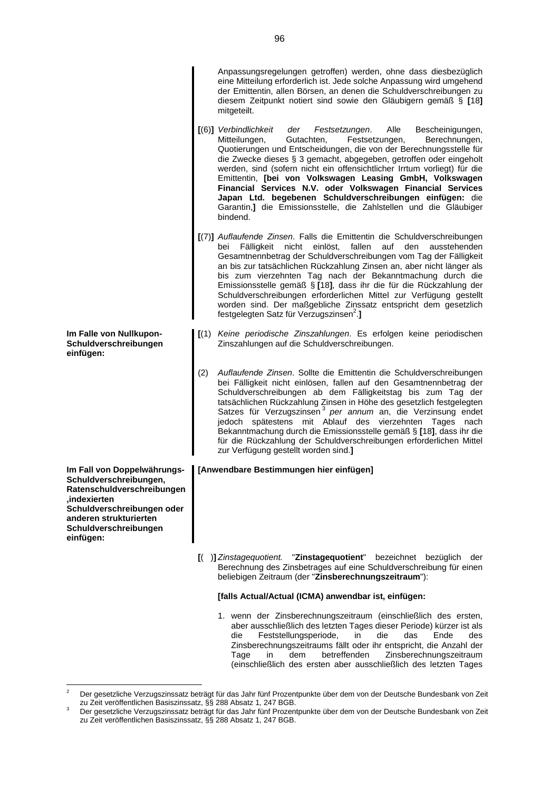|                                                                                                                                                                                                   |     | Anpassungsregelungen getroffen) werden, ohne dass diesbezüglich<br>eine Mitteilung erforderlich ist. Jede solche Anpassung wird umgehend<br>der Emittentin, allen Börsen, an denen die Schuldverschreibungen zu<br>diesem Zeitpunkt notiert sind sowie den Gläubigern gemäß § [18]<br>mitgeteilt.                                                                                                                                                                                                                                                                                                                                           |
|---------------------------------------------------------------------------------------------------------------------------------------------------------------------------------------------------|-----|---------------------------------------------------------------------------------------------------------------------------------------------------------------------------------------------------------------------------------------------------------------------------------------------------------------------------------------------------------------------------------------------------------------------------------------------------------------------------------------------------------------------------------------------------------------------------------------------------------------------------------------------|
|                                                                                                                                                                                                   |     | [(6)] Verbindlichkeit<br>Alle<br>der<br>Festsetzungen.<br>Bescheinigungen,<br>Mitteilungen,<br>Gutachten,<br>Festsetzungen,<br>Berechnungen,<br>Quotierungen und Entscheidungen, die von der Berechnungsstelle für<br>die Zwecke dieses § 3 gemacht, abgegeben, getroffen oder eingeholt<br>werden, sind (sofern nicht ein offensichtlicher Irrtum vorliegt) für die<br>Emittentin, [bei von Volkswagen Leasing GmbH, Volkswagen<br>Financial Services N.V. oder Volkswagen Financial Services<br>Japan Ltd. begebenen Schuldverschreibungen einfügen: die<br>Garantin,] die Emissionsstelle, die Zahlstellen und die Gläubiger<br>bindend. |
|                                                                                                                                                                                                   |     | [(7)] Auflaufende Zinsen. Falls die Emittentin die Schuldverschreibungen<br>bei Fälligkeit nicht einlöst,<br>fallen auf den<br>ausstehenden<br>Gesamtnennbetrag der Schuldverschreibungen vom Tag der Fälligkeit<br>an bis zur tatsächlichen Rückzahlung Zinsen an, aber nicht länger als<br>bis zum vierzehnten Tag nach der Bekanntmachung durch die<br>Emissionsstelle gemäß § [18], dass ihr die für die Rückzahlung der<br>Schuldverschreibungen erforderlichen Mittel zur Verfügung gestellt<br>worden sind. Der maßgebliche Zinssatz entspricht dem gesetzlich<br>festgelegten Satz für Verzugszinsen <sup>2</sup> .]                |
| Im Falle von Nullkupon-<br>Schuldverschreibungen<br>einfügen:                                                                                                                                     |     | [(1) Keine periodische Zinszahlungen. Es erfolgen keine periodischen<br>Zinszahlungen auf die Schuldverschreibungen.                                                                                                                                                                                                                                                                                                                                                                                                                                                                                                                        |
|                                                                                                                                                                                                   | (2) | Auflaufende Zinsen. Sollte die Emittentin die Schuldverschreibungen<br>bei Fälligkeit nicht einlösen, fallen auf den Gesamtnennbetrag der<br>Schuldverschreibungen ab dem Fälligkeitstag bis zum Tag der<br>tatsächlichen Rückzahlung Zinsen in Höhe des gesetzlich festgelegten<br>Satzes für Verzugszinsen <sup>3</sup> per annum an, die Verzinsung endet<br>jedoch spätestens mit Ablauf des vierzehnten Tages nach<br>Bekanntmachung durch die Emissionsstelle gemäß § [18], dass ihr die<br>für die Rückzahlung der Schuldverschreibungen erforderlichen Mittel<br>zur Verfügung gestellt worden sind.]                               |
| Im Fall von Doppelwährungs-<br>Schuldverschreibungen,<br>Ratenschuldverschreibungen<br>.indexierten<br>Schuldverschreibungen oder<br>anderen strukturierten<br>Schuldverschreibungen<br>einfügen: |     | [Anwendbare Bestimmungen hier einfügen]                                                                                                                                                                                                                                                                                                                                                                                                                                                                                                                                                                                                     |
|                                                                                                                                                                                                   |     | [( )] Zinstagequotient. "Zinstagequotient"<br>bezeichnet bezüglich<br>der<br>Berechnung des Zinsbetrages auf eine Schuldverschreibung für einen<br>beliebigen Zeitraum (der "Zinsberechnungszeitraum"):                                                                                                                                                                                                                                                                                                                                                                                                                                     |
|                                                                                                                                                                                                   |     | [falls Actual/Actual (ICMA) anwendbar ist, einfügen:                                                                                                                                                                                                                                                                                                                                                                                                                                                                                                                                                                                        |
|                                                                                                                                                                                                   |     | 1. wenn der Zinsberechnungszeitraum (einschließlich des ersten,<br>aber ausschließlich des letzten Tages dieser Periode) kürzer ist als                                                                                                                                                                                                                                                                                                                                                                                                                                                                                                     |

aber ausschließlich des letzten Tages dieser Periode) kürzer ist als die Feststellungsperiode, in die das Ende des Zinsberechnungszeitraums fällt oder ihr entspricht, die Anzahl der Zinsberechnungszeitraum (einschließlich des ersten aber ausschließlich des letzten Tages

<span id="page-95-0"></span> $2^2$  Der gesetzliche Verzugszinssatz beträgt für das Jahr fünf Prozentpunkte über dem von der Deutsche Bundesbank von Zeit zu Zeit veröffentlichen Basiszinssatz, §§ 288 Absatz 1, 247 BGB.

<span id="page-95-1"></span> $3$  Der gesetzliche Verzugszinssatz beträgt für das Jahr fünf Prozentpunkte über dem von der Deutsche Bundesbank von Zeit zu Zeit veröffentlichen Basiszinssatz, §§ 288 Absatz 1, 247 BGB.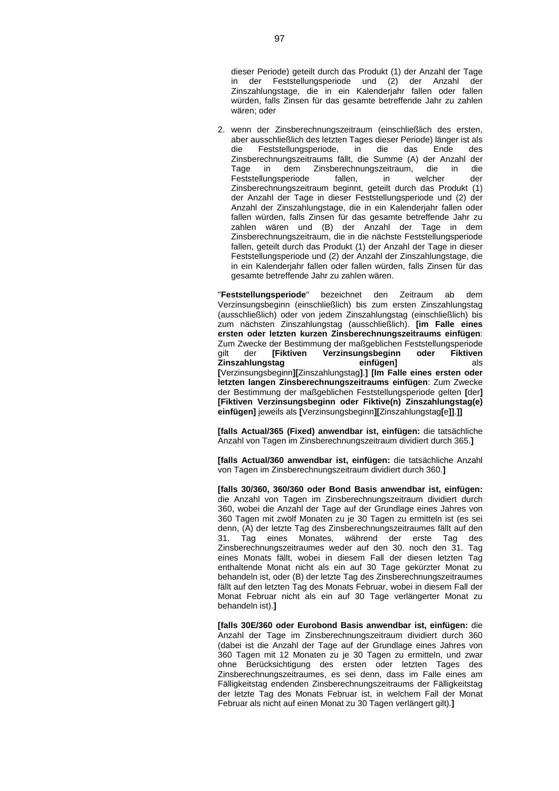dieser Periode) geteilt durch das Produkt (1) der Anzahl der Tage in der Feststellungsperiode und (2) der Anzahl der Zinszahlungstage, die in ein Kalenderjahr fallen oder fallen würden, falls Zinsen für das gesamte betreffende Jahr zu zahlen wären; oder

2. wenn der Zinsberechnungszeitraum (einschließlich des ersten, aber ausschließlich des letzten Tages dieser Periode) länger ist als die Feststellungsperiode, in die das Ende des Zinsberechnungszeitraums fällt, die Summe (A) der Anzahl der Tage in dem Zinsberechnungszeitraum, die in die Feststellungsperiode fallen, in welcher der Zinsberechnungszeitraum beginnt, geteilt durch das Produkt (1) der Anzahl der Tage in dieser Feststellungsperiode und (2) der Anzahl der Zinszahlungstage, die in ein Kalenderjahr fallen oder fallen würden, falls Zinsen für das gesamte betreffende Jahr zu zahlen wären und (B) der Anzahl der Tage in dem Zinsberechnungszeitraum, die in die nächste Feststellungsperiode fallen, geteilt durch das Produkt (1) der Anzahl der Tage in dieser Feststellungsperiode und (2) der Anzahl der Zinszahlungstage, die in ein Kalenderjahr fallen oder fallen würden, falls Zinsen für das gesamte betreffende Jahr zu zahlen wären.

"Feststellungsperiode" bezeichnet den Zeitraum ab Verzinsungsbeginn (einschließlich) bis zum ersten Zinszahlungstag (ausschließlich) oder von jedem Zinszahlungstag (einschließlich) bis zum nächsten Zinszahlungstag (ausschließlich). **[im Falle eines ersten oder letzten kurzen Zinsberechnungszeitraums einfügen**: Zum Zwecke der Bestimmung der maßgeblichen Feststellungsperiode<br>
gilt der [Fiktiven Verzinsungsbeginn oder Fiktiven der **[Fiktiven Verzinsungsbeginn oder Fiktiven Zinszahlungstag einfügen]** als **[**Verzinsungsbeginn**][**Zinszahlungstag**]**.**] [Im Falle eines ersten oder letzten langen Zinsberechnungszeitraums einfügen**: Zum Zwecke der Bestimmung der maßgeblichen Feststellungsperiode gelten **[**der**] [Fiktiven Verzinsungsbeginn oder Fiktive(n) Zinszahlungstag(e) einfügen]** jeweils als **[**Verzinsungsbeginn**][**Zinszahlungstag**[**e**]]**.**]]**

**[falls Actual/365 (Fixed) anwendbar ist, einfügen:** die tatsächliche Anzahl von Tagen im Zinsberechnungszeitraum dividiert durch 365.**]**

**[falls Actual/360 anwendbar ist, einfügen:** die tatsächliche Anzahl von Tagen im Zinsberechnungszeitraum dividiert durch 360.**]**

**[falls 30/360, 360/360 oder Bond Basis anwendbar ist, einfügen:** die Anzahl von Tagen im Zinsberechnungszeitraum dividiert durch 360, wobei die Anzahl der Tage auf der Grundlage eines Jahres von 360 Tagen mit zwölf Monaten zu je 30 Tagen zu ermitteln ist (es sei denn, (A) der letzte Tag des Zinsberechnungszeitraumes fällt auf den 31. Tag eines Monates, während der erste Tag des Zinsberechnungszeitraumes weder auf den 30. noch den 31. Tag eines Monats fällt, wobei in diesem Fall der diesen letzten Tag enthaltende Monat nicht als ein auf 30 Tage gekürzter Monat zu behandeln ist, oder (B) der letzte Tag des Zinsberechnungszeitraumes fällt auf den letzten Tag des Monats Februar, wobei in diesem Fall der Monat Februar nicht als ein auf 30 Tage verlängerter Monat zu behandeln ist).**]**

**[falls 30E/360 oder Eurobond Basis anwendbar ist, einfügen:** die Anzahl der Tage im Zinsberechnungszeitraum dividiert durch 360 (dabei ist die Anzahl der Tage auf der Grundlage eines Jahres von 360 Tagen mit 12 Monaten zu je 30 Tagen zu ermitteln, und zwar ohne Berücksichtigung des ersten oder letzten Tages des Zinsberechnungszeitraumes, es sei denn, dass im Falle eines am Fälligkeitstag endenden Zinsberechnungszeitraums der Fälligkeitstag der letzte Tag des Monats Februar ist, in welchem Fall der Monat Februar als nicht auf einen Monat zu 30 Tagen verlängert gilt).**]**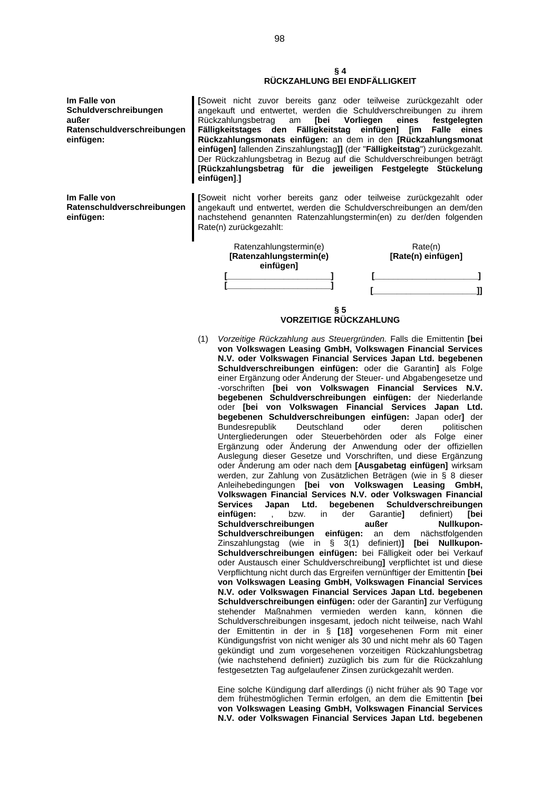#### **§ 4 RÜCKZAHLUNG BEI ENDFÄLLIGKEIT**

**Im Falle von Schuldverschreibungen außer Ratenschuldverschreibungen einfügen: [**Soweit nicht zuvor bereits ganz oder teilweise zurückgezahlt oder angekauft und entwertet, werden die Schuldverschreibungen zu ihrem<br>Rückzahlungsbetrag am [bei Vorliegen eines festgelegten Rückzahlungsbetrag am **[bei Vorliegen eines festgelegten Fälligkeitstages den Fälligkeitstag einfügen] [im Falle eines Rückzahlungsmonats einfügen:** an dem in den **[Rückzahlungsmonat einfügen]** fallenden Zinszahlungstag**]]** (der "**Fälligkeitstag**") zurückgezahlt. Der Rückzahlungsbetrag in Bezug auf die Schuldverschreibungen beträgt **[Rückzahlungsbetrag für die jeweiligen Festgelegte Stückelung einfügen]**.**] Im Falle von [**Soweit nicht vorher bereits ganz oder teilweise zurückgezahlt oder

angekauft und entwertet, werden die Schuldverschreibungen an dem/den nachstehend genannten Ratenzahlungstermin(en) zu der/den folgenden Rate(n) zurückgezahlt:



**VORZEITIGE RÜCKZAHLUNG**

(1) *Vorzeitige Rückzahlung aus Steuergründen.* Falls die Emittentin **[bei von Volkswagen Leasing GmbH, Volkswagen Financial Services N.V. oder Volkswagen Financial Services Japan Ltd. begebenen Schuldverschreibungen einfügen:** oder die Garantin**]** als Folge einer Ergänzung oder Änderung der Steuer- und Abgabengesetze und -vorschriften **[bei von Volkswagen Financial Services N.V. begebenen Schuldverschreibungen einfügen:** der Niederlande oder **[bei von Volkswagen Financial Services Japan Ltd. begebenen Schuldverschreibungen einfügen:** Japan oder**]** der Bundesrepublik Deutschland oder deren politischen Untergliederungen oder Steuerbehörden oder als Folge einer Ergänzung oder Änderung der Anwendung oder der offiziellen Auslegung dieser Gesetze und Vorschriften, und diese Ergänzung oder Änderung am oder nach dem **[Ausgabetag einfügen]** wirksam werden, zur Zahlung von Zusätzlichen Beträgen (wie in § 8 dieser Anleihebedingungen **[bei von Volkswagen Leasing GmbH, Volkswagen Financial Services N.V. oder Volkswagen Financial Services Japan Ltd. begebenen Schuldverschreibungen einfügen:** , bzw. in der Garantie**]** definiert) **[bei Schuldverschreibungen außer Nullkupon-**<br> **Schuldverschreibungen einfügen:** an dem nächstfolgenden Schuldverschreibungen einfügen: an dem Zinszahlungstag (wie in § 3(1) definiert)**] [bei Nullkupon-Schuldverschreibungen einfügen:** bei Fälligkeit oder bei Verkauf oder Austausch einer Schuldverschreibung**]** verpflichtet ist und diese Verpflichtung nicht durch das Ergreifen vernünftiger der Emittentin **[bei von Volkswagen Leasing GmbH, Volkswagen Financial Services N.V. oder Volkswagen Financial Services Japan Ltd. begebenen Schuldverschreibungen einfügen:** oder der Garantin**]** zur Verfügung stehender Maßnahmen vermieden werden kann, können die Schuldverschreibungen insgesamt, jedoch nicht teilweise, nach Wahl der Emittentin in der in § **[**18**]** vorgesehenen Form mit einer Kündigungsfrist von nicht weniger als 30 und nicht mehr als 60 Tagen gekündigt und zum vorgesehenen vorzeitigen Rückzahlungsbetrag (wie nachstehend definiert) zuzüglich bis zum für die Rückzahlung festgesetzten Tag aufgelaufener Zinsen zurückgezahlt werden.

Eine solche Kündigung darf allerdings (i) nicht früher als 90 Tage vor dem frühestmöglichen Termin erfolgen, an dem die Emittentin **[bei von Volkswagen Leasing GmbH, Volkswagen Financial Services N.V. oder Volkswagen Financial Services Japan Ltd. begebenen**

**Ratenschuldverschreibungen einfügen:**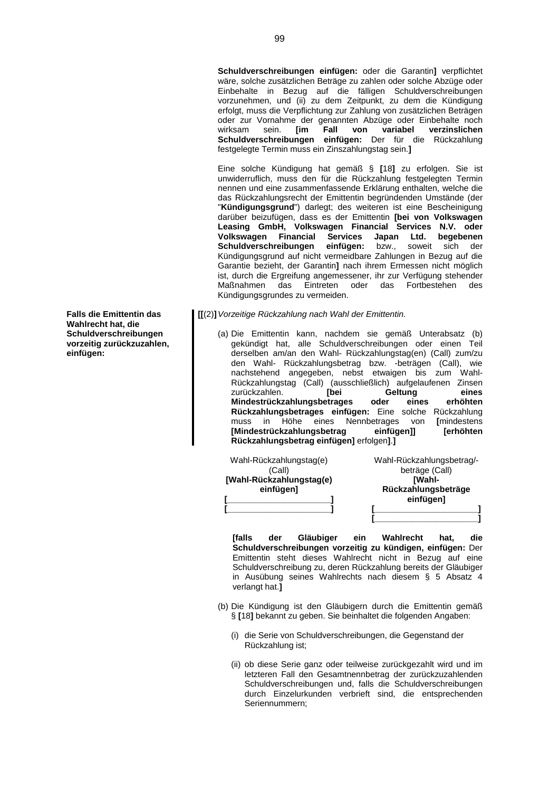**Schuldverschreibungen einfügen:** oder die Garantin**]** verpflichtet wäre, solche zusätzlichen Beträge zu zahlen oder solche Abzüge oder Einbehalte in Bezug auf die fälligen Schuldverschreibungen vorzunehmen, und (ii) zu dem Zeitpunkt, zu dem die Kündigung erfolgt, muss die Verpflichtung zur Zahlung von zusätzlichen Beträgen oder zur Vornahme der genannten Abzüge oder Einbehalte noch<br>wirksam sein. **[im Fall von variabel verzinslichen**  $verzinslichen$ **Schuldverschreibungen einfügen:** Der für die Rückzahlung festgelegte Termin muss ein Zinszahlungstag sein.**]**

Eine solche Kündigung hat gemäß § **[**18**]** zu erfolgen. Sie ist unwiderruflich, muss den für die Rückzahlung festgelegten Termin nennen und eine zusammenfassende Erklärung enthalten, welche die das Rückzahlungsrecht der Emittentin begründenden Umstände (der "**Kündigungsgrund**") darlegt; des weiteren ist eine Bescheinigung darüber beizufügen, dass es der Emittentin **[bei von Volkswagen Leasing GmbH, Volkswagen Financial Services N.V. oder Volkswagen Financial Services Japan Ltd. begebenen Schuldverschreibungen einfügen:** bzw., soweit sich der Kündigungsgrund auf nicht vermeidbare Zahlungen in Bezug auf die Garantie bezieht, der Garantin**]** nach ihrem Ermessen nicht möglich ist, durch die Ergreifung angemessener, ihr zur Verfügung stehender Maßnahmen das Eintreten oder das Fortbestehen des Kündigungsgrundes zu vermeiden.

**[[**(2)**]***Vorzeitige Rückzahlung nach Wahl der Emittentin.*

(a) Die Emittentin kann, nachdem sie gemäß Unterabsatz (b) gekündigt hat, alle Schuldverschreibungen oder einen Teil derselben am/an den Wahl- Rückzahlungstag(en) (Call) zum/zu den Wahl- Rückzahlungsbetrag bzw. -beträgen (Call), wie nachstehend angegeben, nebst etwaigen bis zum Wahl-Rückzahlungstag (Call) (ausschließlich) aufgelaufenen Zinsen zurückzahlen. **[bei Geltung eines** Mindestrückzahlungsbetrages oder eines **Rückzahlungsbetrages einfügen:** Eine solche Rückzahlung muss in Höhe eines Nennbetrages von **[**mindestens **[Mindestrückzahlungsbetrag einfügen]] [erhöhten Rückzahlungsbetrag einfügen]** erfolgen**]**.**]**

| Wahl-Rückzahlungstag(e)<br>(Call) | Wahl-Rückzahlungsbetrag/-<br>beträge (Call) |
|-----------------------------------|---------------------------------------------|
| [Wahl-Rückzahlungstag(e)          | [Wahl-                                      |
| einfügen]                         | Rückzahlungsbeträge                         |
|                                   | einfügen]                                   |
|                                   |                                             |
|                                   |                                             |

**[falls der Gläubiger ein Wahlrecht hat, die Schuldverschreibungen vorzeitig zu kündigen, einfügen:** Der Emittentin steht dieses Wahlrecht nicht in Bezug auf eine Schuldverschreibung zu, deren Rückzahlung bereits der Gläubiger in Ausübung seines Wahlrechts nach diesem § 5 Absatz 4 verlangt hat.**]**

- (b) Die Kündigung ist den Gläubigern durch die Emittentin gemäß § **[**18**]** bekannt zu geben. Sie beinhaltet die folgenden Angaben:
	- (i) die Serie von Schuldverschreibungen, die Gegenstand der Rückzahlung ist;
	- (ii) ob diese Serie ganz oder teilweise zurückgezahlt wird und im letzteren Fall den Gesamtnennbetrag der zurückzuzahlenden Schuldverschreibungen und, falls die Schuldverschreibungen durch Einzelurkunden verbrieft sind, die entsprechenden Seriennummern;

**Falls die Emittentin das Wahlrecht hat, die Schuldverschreibungen vorzeitig zurückzuzahlen, einfügen:**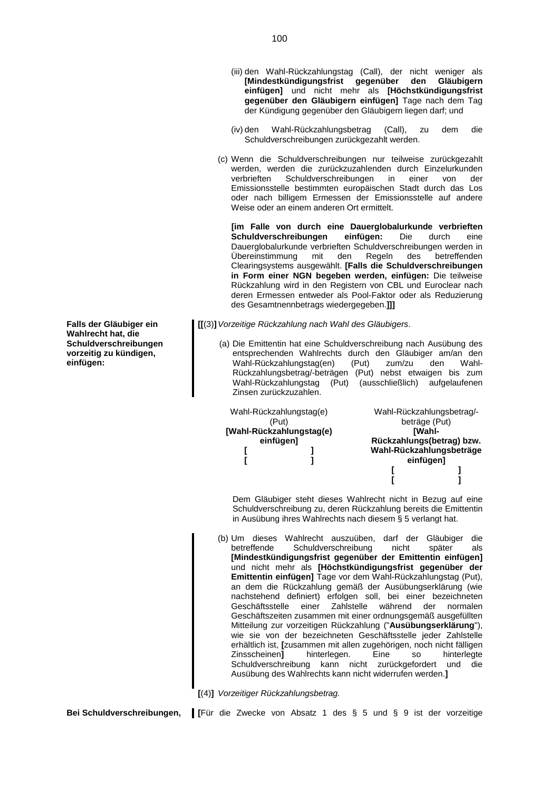- (iii) den Wahl-Rückzahlungstag (Call), der nicht weniger als **[Mindestkündigungsfrist gegenüber den Gläubigern einfügen]** und nicht mehr als **[Höchstkündigungsfrist gegenüber den Gläubigern einfügen]** Tage nach dem Tag der Kündigung gegenüber den Gläubigern liegen darf; und
- (iv) den Wahl-Rückzahlungsbetrag (Call), zu dem die Schuldverschreibungen zurückgezahlt werden.
- (c) Wenn die Schuldverschreibungen nur teilweise zurückgezahlt werden, werden die zurückzuzahlenden durch Einzelurkunden verbrieften Schuldverschreibungen in einer von der Emissionsstelle bestimmten europäischen Stadt durch das Los oder nach billigem Ermessen der Emissionsstelle auf andere Weise oder an einem anderen Ort ermittelt.

**[im Falle von durch eine Dauerglobalurkunde verbrieften Schuldverschreibungen einfügen:** Die durch eine Dauerglobalurkunde verbrieften Schuldverschreibungen werden in Übereinstimmung mit den Regeln des betreffenden Clearingsystems ausgewählt. **[Falls die Schuldverschreibungen in Form einer NGN begeben werden, einfügen:** Die teilweise Rückzahlung wird in den Registern von CBL und Euroclear nach deren Ermessen entweder als Pool-Faktor oder als Reduzierung des Gesamtnennbetrags wiedergegeben.**]]]**

- **[[**(3)**]***Vorzeitige Rückzahlung nach Wahl des Gläubigers*.
	- (a) Die Emittentin hat eine Schuldverschreibung nach Ausübung des entsprechenden Wahlrechts durch den Gläubiger am/an den Wahl-Rückzahlungstag(en) (Put) zum/zu den Wahl-Rückzahlungsbetrag/-beträgen (Put) nebst etwaigen bis zum Wahl-Rückzahlungstag (Put) (ausschließlich) aufgelaufenen Zinsen zurückzuzahlen.

| Wahl-Rückzahlungstag(e)  |  | Wahl-Rückzahlungsbetrag/- |
|--------------------------|--|---------------------------|
| (Put)                    |  | beträge (Put)             |
| [Wahl-Rückzahlungstag(e) |  | <b>IWahl-</b>             |
| einfügen]                |  | Rückzahlungs(betrag) bzw. |
|                          |  | Wahl-Rückzahlungsbeträge  |
|                          |  | einfügen]                 |
|                          |  |                           |
|                          |  |                           |

Dem Gläubiger steht dieses Wahlrecht nicht in Bezug auf eine Schuldverschreibung zu, deren Rückzahlung bereits die Emittentin in Ausübung ihres Wahlrechts nach diesem § 5 verlangt hat.

- (b) Um dieses Wahlrecht auszuüben, darf der Gläubiger die betreffende Schuldverschreibung nicht später als **[Mindestkündigungsfrist gegenüber der Emittentin einfügen]** und nicht mehr als **[Höchstkündigungsfrist gegenüber der Emittentin einfügen]** Tage vor dem Wahl-Rückzahlungstag (Put), an dem die Rückzahlung gemäß der Ausübungserklärung (wie nachstehend definiert) erfolgen soll, bei einer bezeichneten Geschäftsstelle einer Zahlstelle während der normalen Geschäftszeiten zusammen mit einer ordnungsgemäß ausgefüllten Mitteilung zur vorzeitigen Rückzahlung ("**Ausübungserklärung**"), wie sie von der bezeichneten Geschäftsstelle jeder Zahlstelle erhältlich ist, **[**zusammen mit allen zugehörigen, noch nicht fälligen Zinsscheinen**]** hinterlegen. Eine so hinterlegte Schuldverschreibung kann nicht zurückgefordert und die Ausübung des Wahlrechts kann nicht widerrufen werden.**]**
- **[**(4)**]** *Vorzeitiger Rückzahlungsbetrag.*

**Bei Schuldverschreibungen, [**Für die Zwecke von Absatz 1 des § 5 und § 9 ist der vorzeitige

**Falls der Gläubiger ein Wahlrecht hat, die Schuldverschreibungen vorzeitig zu kündigen, einfügen:**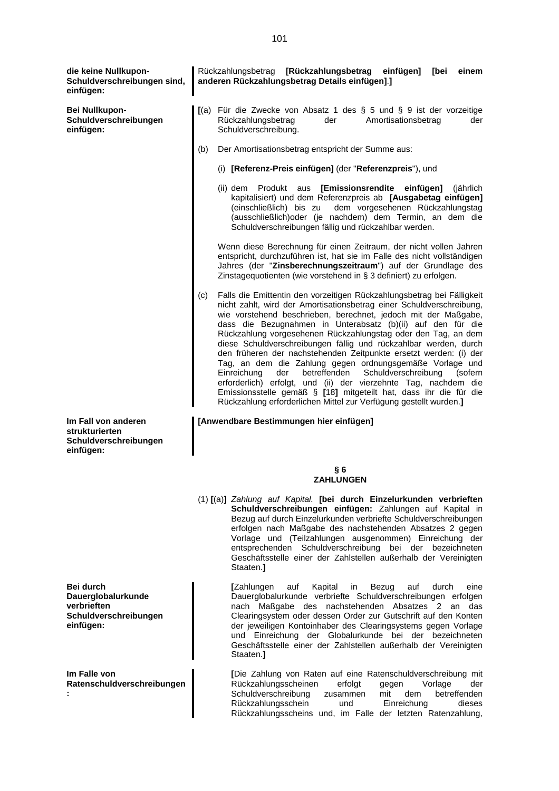**die keine Nullkupon-Schuldverschreibungen sind, einfügen:** Rückzahlungsbetrag **[Rückzahlungsbetrag einfügen] [bei einem anderen Rückzahlungsbetrag Details einfügen]**.**] Bei Nullkupon-Schuldverschreibungen einfügen: [**(a) Für die Zwecke von Absatz 1 des § 5 und § 9 ist der vorzeitige Rückzahlungsbetrag der Amortisationsbetrag der Schuldverschreibung. (b) Der Amortisationsbetrag entspricht der Summe aus: (i) **[Referenz-Preis einfügen]** (der "**Referenzpreis**"), und (ii) dem Produkt aus **[Emissionsrendite einfügen]** (jährlich kapitalisiert) und dem Referenzpreis ab **[Ausgabetag einfügen]** (einschließlich) bis zu dem vorgesehenen Rückzahlungstag (ausschließlich)oder (je nachdem) dem Termin, an dem die Schuldverschreibungen fällig und rückzahlbar werden. Wenn diese Berechnung für einen Zeitraum, der nicht vollen Jahren entspricht, durchzuführen ist, hat sie im Falle des nicht vollständigen Jahres (der "**Zinsberechnungszeitraum**") auf der Grundlage des Zinstagequotienten (wie vorstehend in § 3 definiert) zu erfolgen. (c) Falls die Emittentin den vorzeitigen Rückzahlungsbetrag bei Fälligkeit nicht zahlt, wird der Amortisationsbetrag einer Schuldverschreibung, wie vorstehend beschrieben, berechnet, jedoch mit der Maßgabe, dass die Bezugnahmen in Unterabsatz (b)(ii) auf den für die Rückzahlung vorgesehenen Rückzahlungstag oder den Tag, an dem diese Schuldverschreibungen fällig und rückzahlbar werden, durch den früheren der nachstehenden Zeitpunkte ersetzt werden: (i) der Tag, an dem die Zahlung gegen ordnungsgemäße Vorlage und Einreichung der betreffenden Schuldverschreibung (sofern erforderlich) erfolgt, und (ii) der vierzehnte Tag, nachdem die Emissionsstelle gemäß § **[**18**]** mitgeteilt hat, dass ihr die für die Rückzahlung erforderlichen Mittel zur Verfügung gestellt wurden.**] Im Fall von anderen strukturierten Schuldverschreibungen einfügen: [Anwendbare Bestimmungen hier einfügen] § 6 ZAHLUNGEN** (1) **[**(a)**]** *Zahlung auf Kapital.* **[bei durch Einzelurkunden verbrieften Schuldverschreibungen einfügen:** Zahlungen auf Kapital in Bezug auf durch Einzelurkunden verbriefte Schuldverschreibungen erfolgen nach Maßgabe des nachstehenden Absatzes 2 gegen Vorlage und (Teilzahlungen ausgenommen) Einreichung der entsprechenden Schuldverschreibung bei der bezeichneten Geschäftsstelle einer der Zahlstellen außerhalb der Vereinigten Staaten.**] Bei durch Dauerglobalurkunde verbrieften Schuldverschreibungen einfügen: [**Zahlungen auf Kapital in Bezug auf durch eine Dauerglobalurkunde verbriefte Schuldverschreibungen erfolgen nach Maßgabe des nachstehenden Absatzes 2 an das Clearingsystem oder dessen Order zur Gutschrift auf den Konten der jeweiligen Kontoinhaber des Clearingsystems gegen Vorlage und Einreichung der Globalurkunde bei der bezeichneten Geschäftsstelle einer der Zahlstellen außerhalb der Vereinigten Staaten.**] Im Falle von Ratenschuldverschreibungen : [**Die Zahlung von Raten auf eine Ratenschuldverschreibung mit Rückzahlungsscheinen erfolgt gegen Vorlage der Schuldverschreibung zusammen mit dem betreffenden

> Rückzahlungsschein und Einreichung dieses Rückzahlungsscheins und, im Falle der letzten Ratenzahlung,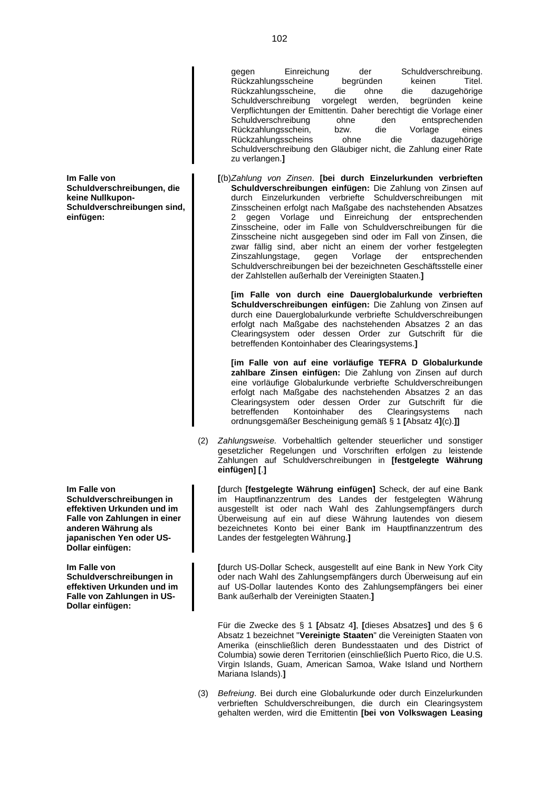**Im Falle von Schuldverschreibungen, die keine Nullkupon-Schuldverschreibungen sind, einfügen:**

**Im Falle von Schuldverschreibungen in effektiven Urkunden und im Falle von Zahlungen in einer anderen Währung als japanischen Yen oder US-Dollar einfügen:**

**Im Falle von Schuldverschreibungen in effektiven Urkunden und im Falle von Zahlungen in US-Dollar einfügen:**

gegen Einreichung der Schuldverschreibung. Rückzahlungsscheine begründen keinen Titel.<br>Rückzahlungsscheine, die ohne die dazugehörige Rückzahlungsscheine, die ohne Schuldverschreibung vorgelegt werden, begründen keine Verpflichtungen der Emittentin. Daher berechtigt die Vorlage einer Schuldverschreibung ohne den Rückzahlungsschein, bzw. die Vorlage eines Rückzahlungsscheins ohne die dazugehörige Schuldverschreibung den Gläubiger nicht, die Zahlung einer Rate zu verlangen.**]**

**[**(b)*Zahlung von Zinsen*. **[bei durch Einzelurkunden verbrieften Schuldverschreibungen einfügen:** Die Zahlung von Zinsen auf durch Einzelurkunden verbriefte Schuldverschreibungen mit Zinsscheinen erfolgt nach Maßgabe des nachstehenden Absatzes 2 gegen Vorlage und Einreichung der entsprechenden Zinsscheine, oder im Falle von Schuldverschreibungen für die Zinsscheine nicht ausgegeben sind oder im Fall von Zinsen, die zwar fällig sind, aber nicht an einem der vorher festgelegten Zinszahlungstage, gegen Vorlage der entsprechenden Schuldverschreibungen bei der bezeichneten Geschäftsstelle einer der Zahlstellen außerhalb der Vereinigten Staaten.**]**

**[im Falle von durch eine Dauerglobalurkunde verbrieften Schuldverschreibungen einfügen:** Die Zahlung von Zinsen auf durch eine Dauerglobalurkunde verbriefte Schuldverschreibungen erfolgt nach Maßgabe des nachstehenden Absatzes 2 an das Clearingsystem oder dessen Order zur Gutschrift für die betreffenden Kontoinhaber des Clearingsystems.**]**

**[im Falle von auf eine vorläufige TEFRA D Globalurkunde zahlbare Zinsen einfügen:** Die Zahlung von Zinsen auf durch eine vorläufige Globalurkunde verbriefte Schuldverschreibungen erfolgt nach Maßgabe des nachstehenden Absatzes 2 an das Clearingsystem oder dessen Order zur Gutschrift für die betreffenden Kontoinhaber des Clearingsystems nach ordnungsgemäßer Bescheinigung gemäß § 1 **[**Absatz 4**]**(c).**]]**

(2) *Zahlungsweise.* Vorbehaltlich geltender steuerlicher und sonstiger gesetzlicher Regelungen und Vorschriften erfolgen zu leistende Zahlungen auf Schuldverschreibungen in **[festgelegte Währung einfügen] [**.**]**

**[**durch **[festgelegte Währung einfügen]** Scheck, der auf eine Bank im Hauptfinanzzentrum des Landes der festgelegten Währung ausgestellt ist oder nach Wahl des Zahlungsempfängers durch Überweisung auf ein auf diese Währung lautendes von diesem bezeichnetes Konto bei einer Bank im Hauptfinanzzentrum des Landes der festgelegten Währung.**]**

**[**durch US-Dollar Scheck, ausgestellt auf eine Bank in New York City oder nach Wahl des Zahlungsempfängers durch Überweisung auf ein auf US-Dollar lautendes Konto des Zahlungsempfängers bei einer Bank außerhalb der Vereinigten Staaten.**]**

Für die Zwecke des § 1 **[**Absatz 4**]**, **[**dieses Absatzes**]** und des § 6 Absatz 1 bezeichnet "**Vereinigte Staaten**" die Vereinigten Staaten von Amerika (einschließlich deren Bundesstaaten und des District of Columbia) sowie deren Territorien (einschließlich Puerto Rico, die U.S. Virgin Islands, Guam, American Samoa, Wake Island und Northern Mariana Islands).**]**

(3) *Befreiung*. Bei durch eine Globalurkunde oder durch Einzelurkunden verbrieften Schuldverschreibungen, die durch ein Clearingsystem gehalten werden, wird die Emittentin **[bei von Volkswagen Leasing**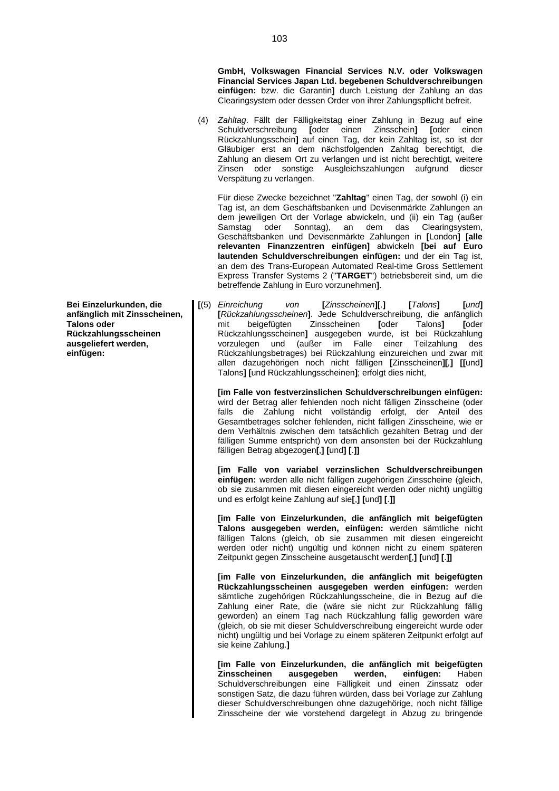**GmbH, Volkswagen Financial Services N.V. oder Volkswagen Financial Services Japan Ltd. begebenen Schuldverschreibungen einfügen:** bzw. die Garantin**]** durch Leistung der Zahlung an das Clearingsystem oder dessen Order von ihrer Zahlungspflicht befreit.

(4) *Zahltag*. Fällt der Fälligkeitstag einer Zahlung in Bezug auf eine Schuldverschreibung **[**oder einen Zinsschein**] [**oder einen Rückzahlungsschein**]** auf einen Tag, der kein Zahltag ist, so ist der Gläubiger erst an dem nächstfolgenden Zahltag berechtigt, die Zahlung an diesem Ort zu verlangen und ist nicht berechtigt, weitere Zinsen oder sonstige Ausgleichszahlungen aufgrund dieser Verspätung zu verlangen.

Für diese Zwecke bezeichnet "**Zahltag**" einen Tag, der sowohl (i) ein Tag ist, an dem Geschäftsbanken und Devisenmärkte Zahlungen an dem jeweiligen Ort der Vorlage abwickeln, und (ii) ein Tag (außer Samstag oder Sonntag), an dem das Clearingsystem, Geschäftsbanken und Devisenmärkte Zahlungen in **[**London**] [alle relevanten Finanzzentren einfügen]** abwickeln **[bei auf Euro lautenden Schuldverschreibungen einfügen:** und der ein Tag ist, an dem des Trans-European Automated Real-time Gross Settlement Express Transfer Systems 2 ("**TARGET**") betriebsbereit sind, um die betreffende Zahlung in Euro vorzunehmen**]**.

**[**(5) *Einreichung von* **[***Zinsscheinen***][***,***] [***Talons***] [***und***] [***Rückzahlungsscheinen***]**. Jede Schuldverschreibung, die anfänglich mit beigefügten Zinsscheinen **[**oder Talons**] [**oder Rückzahlungsscheinen**]** ausgegeben wurde, ist bei Rückzahlung vorzulegen und (außer im Falle einer Teilzahlung des Rückzahlungsbetrages) bei Rückzahlung einzureichen und zwar mit allen dazugehörigen noch nicht fälligen **[**Zinsscheinen**][***,***] [[**und**]** Talons**] [**und Rückzahlungsscheinen**]**; erfolgt dies nicht,

**[im Falle von festverzinslichen Schuldverschreibungen einfügen:** wird der Betrag aller fehlenden noch nicht fälligen Zinsscheine (oder falls die Zahlung nicht vollständig erfolgt, der Anteil des Gesamtbetrages solcher fehlenden, nicht fälligen Zinsscheine, wie er dem Verhältnis zwischen dem tatsächlich gezahlten Betrag und der fälligen Summe entspricht) von dem ansonsten bei der Rückzahlung fälligen Betrag abgezogen**[**,**] [**und**] [**.**]]**

**[im Falle von variabel verzinslichen Schuldverschreibungen einfügen:** werden alle nicht fälligen zugehörigen Zinsscheine (gleich, ob sie zusammen mit diesen eingereicht werden oder nicht) ungültig und es erfolgt keine Zahlung auf sie**[**,**] [**und**] [**.**]]**

**[im Falle von Einzelurkunden, die anfänglich mit beigefügten Talons ausgegeben werden, einfügen:** werden sämtliche nicht fälligen Talons (gleich, ob sie zusammen mit diesen eingereicht werden oder nicht) ungültig und können nicht zu einem späteren Zeitpunkt gegen Zinsscheine ausgetauscht werden**[**,**] [**und**] [**.**]]**

**[im Falle von Einzelurkunden, die anfänglich mit beigefügten Rückzahlungsscheinen ausgegeben werden einfügen:** werden sämtliche zugehörigen Rückzahlungsscheine, die in Bezug auf die Zahlung einer Rate, die (wäre sie nicht zur Rückzahlung fällig geworden) an einem Tag nach Rückzahlung fällig geworden wäre (gleich, ob sie mit dieser Schuldverschreibung eingereicht wurde oder nicht) ungültig und bei Vorlage zu einem späteren Zeitpunkt erfolgt auf sie keine Zahlung.**]**

**[im Falle von Einzelurkunden, die anfänglich mit beigefügten Zinsscheinen ausgegeben werden, einfügen:** Haben Schuldverschreibungen eine Fälligkeit und einen Zinssatz oder sonstigen Satz, die dazu führen würden, dass bei Vorlage zur Zahlung dieser Schuldverschreibungen ohne dazugehörige, noch nicht fällige Zinsscheine der wie vorstehend dargelegt in Abzug zu bringende

**Bei Einzelurkunden, die anfänglich mit Zinsscheinen, Talons oder Rückzahlungsscheinen ausgeliefert werden, einfügen:**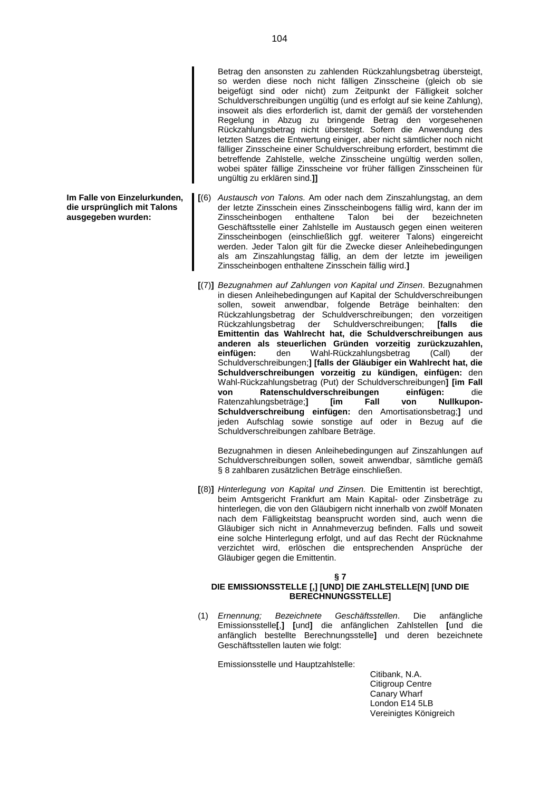Betrag den ansonsten zu zahlenden Rückzahlungsbetrag übersteigt, so werden diese noch nicht fälligen Zinsscheine (gleich ob sie beigefügt sind oder nicht) zum Zeitpunkt der Fälligkeit solcher Schuldverschreibungen ungültig (und es erfolgt auf sie keine Zahlung), insoweit als dies erforderlich ist, damit der gemäß der vorstehenden Regelung in Abzug zu bringende Betrag den vorgesehenen Rückzahlungsbetrag nicht übersteigt. Sofern die Anwendung des letzten Satzes die Entwertung einiger, aber nicht sämtlicher noch nicht fälliger Zinsscheine einer Schuldverschreibung erfordert, bestimmt die betreffende Zahlstelle, welche Zinsscheine ungültig werden sollen, wobei später fällige Zinsscheine vor früher fälligen Zinsscheinen für ungültig zu erklären sind.**]]**

- **[**(6) *Austausch von Talons.* Am oder nach dem Zinszahlungstag, an dem der letzte Zinsschein eines Zinsscheinbogens fällig wird, kann der im Zinsscheinbogen enthaltene Talon bei der bezeichneten Geschäftsstelle einer Zahlstelle im Austausch gegen einen weiteren Zinsscheinbogen (einschließlich ggf. weiterer Talons) eingereicht werden. Jeder Talon gilt für die Zwecke dieser Anleihebedingungen als am Zinszahlungstag fällig, an dem der letzte im jeweiligen Zinsscheinbogen enthaltene Zinsschein fällig wird.**]**
- **[**(7)**]** *Bezugnahmen auf Zahlungen von Kapital und Zinsen*. Bezugnahmen in diesen Anleihebedingungen auf Kapital der Schuldverschreibungen sollen, soweit anwendbar, folgende Beträge beinhalten: den Rückzahlungsbetrag der Schuldverschreibungen; den vorzeitigen<br>Rückzahlungsbetrag der Schuldverschreibungen; [falls die der Schuldverschreibungen; **[falls die Emittentin das Wahlrecht hat, die Schuldverschreibungen aus anderen als steuerlichen Gründen vorzeitig zurückzuzahlen, einfügen:** den Wahl-Rückzahlungsbetrag (Call) der Schuldverschreibungen;**] [falls der Gläubiger ein Wahlrecht hat, die Schuldverschreibungen vorzeitig zu kündigen, einfügen:** den Wahl-Rückzahlungsbetrag (Put) der Schuldverschreibungen**] [im Fall von Ratenschuldverschreibungen einfügen:** die Ratenzahlungsbeträge;] [im Fall von Nullkupon-**Schuldverschreibung einfügen:** den Amortisationsbetrag;**]** und jeden Aufschlag sowie sonstige auf oder in Bezug auf die Schuldverschreibungen zahlbare Beträge.

Bezugnahmen in diesen Anleihebedingungen auf Zinszahlungen auf Schuldverschreibungen sollen, soweit anwendbar, sämtliche gemäß § 8 zahlbaren zusätzlichen Beträge einschließen.

**[**(8)**]** *Hinterlegung von Kapital und Zinsen.* Die Emittentin ist berechtigt, beim Amtsgericht Frankfurt am Main Kapital- oder Zinsbeträge zu hinterlegen, die von den Gläubigern nicht innerhalb von zwölf Monaten nach dem Fälligkeitstag beansprucht worden sind, auch wenn die Gläubiger sich nicht in Annahmeverzug befinden. Falls und soweit eine solche Hinterlegung erfolgt, und auf das Recht der Rücknahme verzichtet wird, erlöschen die entsprechenden Ansprüche der Gläubiger gegen die Emittentin.

**§ 7**

## **DIE EMISSIONSSTELLE [,] [UND] DIE ZAHLSTELLE[N] [UND DIE BERECHNUNGSSTELLE]**

(1) *Ernennung; Bezeichnete Geschäftsstellen*. Die anfängliche Emissionsstelle**[**,**] [**und**]** die anfänglichen Zahlstellen **[**und die anfänglich bestellte Berechnungsstelle**]** und deren bezeichnete Geschäftsstellen lauten wie folgt:

Emissionsstelle und Hauptzahlstelle:

Citibank, N.A. Citigroup Centre Canary Wharf London E14 5LB Vereinigtes Königreich

**Im Falle von Einzelurkunden, die ursprünglich mit Talons ausgegeben wurden:**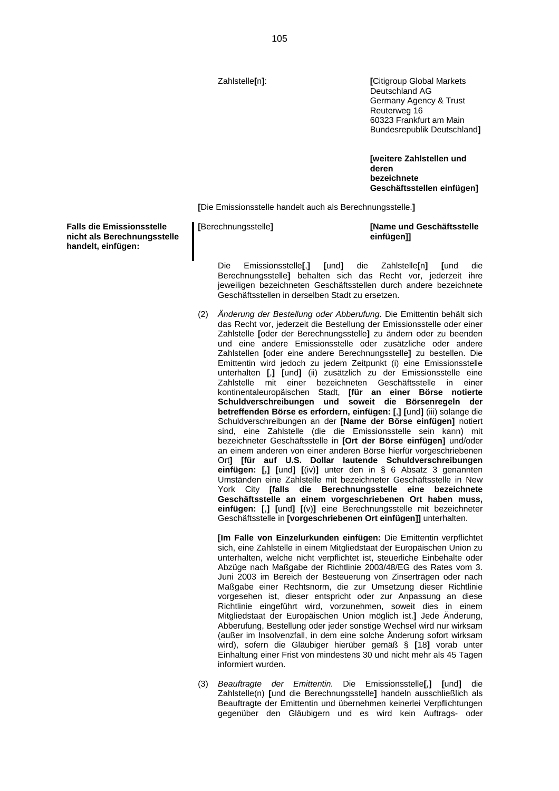Zahlstelle**[**n**]**: **[**Citigroup Global Markets Deutschland AG Germany Agency & Trust Reuterweg 16 60323 Frankfurt am Main Bundesrepublik Deutschland**]**

> **[weitere Zahlstellen und deren bezeichnete Geschäftsstellen einfügen]**

**[**Die Emissionsstelle handelt auch als Berechnungsstelle.**]**

| einfügen]] | [Berechnungsstelle] | [Name und Geschäftsstelle |
|------------|---------------------|---------------------------|
|------------|---------------------|---------------------------|

Die Emissionsstelle**[**,**] [**und**]** die Zahlstelle**[**n**] [**und die Berechnungsstelle**]** behalten sich das Recht vor, jederzeit ihre jeweiligen bezeichneten Geschäftsstellen durch andere bezeichnete Geschäftsstellen in derselben Stadt zu ersetzen.

(2) *Änderung der Bestellung oder Abberufung*. Die Emittentin behält sich das Recht vor, jederzeit die Bestellung der Emissionsstelle oder einer Zahlstelle **[**oder der Berechnungsstelle**]** zu ändern oder zu beenden und eine andere Emissionsstelle oder zusätzliche oder andere Zahlstellen **[**oder eine andere Berechnungsstelle**]** zu bestellen. Die Emittentin wird jedoch zu jedem Zeitpunkt (i) eine Emissionsstelle unterhalten **[**,**] [**und**]** (ii) zusätzlich zu der Emissionsstelle eine Zahlstelle mit einer bezeichneten Geschäftsstelle in einer kontinentaleuropäischen Stadt, **[für an einer Börse notierte Schuldverschreibungen und soweit die Börsenregeln der betreffenden Börse es erfordern, einfügen: [**,**] [**und**]** (iii) solange die Schuldverschreibungen an der **[Name der Börse einfügen]** notiert sind, eine Zahlstelle (die die Emissionsstelle sein kann) mit bezeichneter Geschäftsstelle in **[Ort der Börse einfügen]** und/oder an einem anderen von einer anderen Börse hierfür vorgeschriebenen Ort**] [für auf U.S. Dollar lautende Schuldverschreibungen einfügen: [,] [**und**] [**(iv)**]** unter den in § 6 Absatz 3 genannten Umständen eine Zahlstelle mit bezeichneter Geschäftsstelle in New York City **[falls die Berechnungsstelle eine bezeichnete Geschäftsstelle an einem vorgeschriebenen Ort haben muss, einfügen: [**,**] [**und**] [**(v)**]** eine Berechnungsstelle mit bezeichneter Geschäftsstelle in **[vorgeschriebenen Ort einfügen]]** unterhalten.

**[Im Falle von Einzelurkunden einfügen:** Die Emittentin verpflichtet sich, eine Zahlstelle in einem Mitgliedstaat der Europäischen Union zu unterhalten, welche nicht verpflichtet ist, steuerliche Einbehalte oder Abzüge nach Maßgabe der Richtlinie 2003/48/EG des Rates vom 3. Juni 2003 im Bereich der Besteuerung von Zinserträgen oder nach Maßgabe einer Rechtsnorm, die zur Umsetzung dieser Richtlinie vorgesehen ist, dieser entspricht oder zur Anpassung an diese Richtlinie eingeführt wird, vorzunehmen, soweit dies in einem Mitgliedstaat der Europäischen Union möglich ist.**]** Jede Änderung, Abberufung, Bestellung oder jeder sonstige Wechsel wird nur wirksam (außer im Insolvenzfall, in dem eine solche Änderung sofort wirksam wird), sofern die Gläubiger hierüber gemäß § **[**18**]** vorab unter Einhaltung einer Frist von mindestens 30 und nicht mehr als 45 Tagen informiert wurden.

(3) *Beauftragte der Emittentin.* Die Emissionsstelle**[**,**] [**und**]** die Zahlstelle(n) **[**und die Berechnungsstelle**]** handeln ausschließlich als Beauftragte der Emittentin und übernehmen keinerlei Verpflichtungen gegenüber den Gläubigern und es wird kein Auftrags- oder

**Falls die Emissionsstelle nicht als Berechnungsstelle handelt, einfügen:**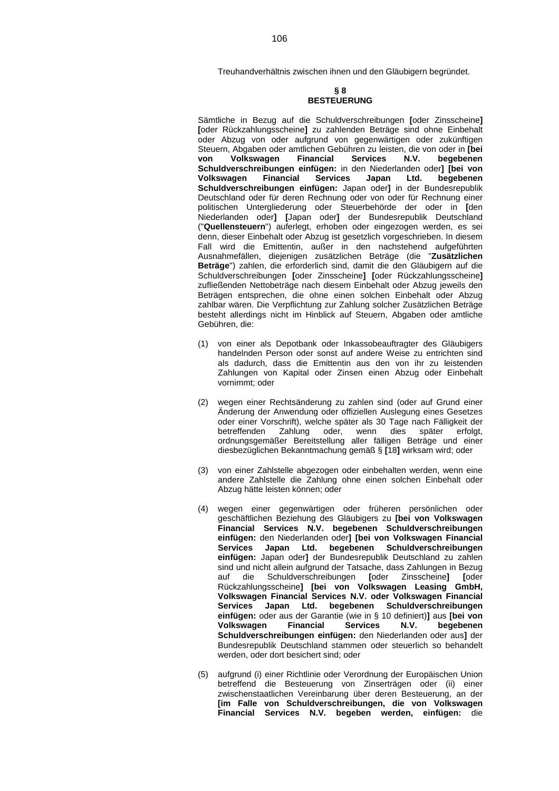Treuhandverhältnis zwischen ihnen und den Gläubigern begründet.

# **§ 8 BESTEUERUNG**

Sämtliche in Bezug auf die Schuldverschreibungen **[**oder Zinsscheine**] [**oder Rückzahlungsscheine**]** zu zahlenden Beträge sind ohne Einbehalt oder Abzug von oder aufgrund von gegenwärtigen oder zukünftigen Steuern, Abgaben oder amtlichen Gebühren zu leisten, die von oder in **[bei von Volkswagen Financial Schuldverschreibungen einfügen:** in den Niederlanden oder**] [bei von Volkswagen Financial Services Japan Ltd. begebenen Schuldverschreibungen einfügen:** Japan oder**]** in der Bundesrepublik Deutschland oder für deren Rechnung oder von oder für Rechnung einer politischen Untergliederung oder Steuerbehörde der oder in **[**den Niederlanden oder**] [**Japan oder**]** der Bundesrepublik Deutschland ("**Quellensteuern**") auferlegt, erhoben oder eingezogen werden, es sei denn, dieser Einbehalt oder Abzug ist gesetzlich vorgeschrieben. In diesem Fall wird die Emittentin, außer in den nachstehend aufgeführten Ausnahmefällen, diejenigen zusätzlichen Beträge (die "**Zusätzlichen Beträge**") zahlen, die erforderlich sind, damit die den Gläubigern auf die Schuldverschreibungen **[**oder Zinsscheine**] [**oder Rückzahlungsscheine**]** zufließenden Nettobeträge nach diesem Einbehalt oder Abzug jeweils den Beträgen entsprechen, die ohne einen solchen Einbehalt oder Abzug zahlbar wären. Die Verpflichtung zur Zahlung solcher Zusätzlichen Beträge besteht allerdings nicht im Hinblick auf Steuern, Abgaben oder amtliche Gebühren, die:

- (1) von einer als Depotbank oder Inkassobeauftragter des Gläubigers handelnden Person oder sonst auf andere Weise zu entrichten sind als dadurch, dass die Emittentin aus den von ihr zu leistenden Zahlungen von Kapital oder Zinsen einen Abzug oder Einbehalt vornimmt; oder
- (2) wegen einer Rechtsänderung zu zahlen sind (oder auf Grund einer Änderung der Anwendung oder offiziellen Auslegung eines Gesetzes oder einer Vorschrift), welche später als 30 Tage nach Fälligkeit der betreffenden Zahlung oder, wenn dies später erfolgt, ordnungsgemäßer Bereitstellung aller fälligen Beträge und einer diesbezüglichen Bekanntmachung gemäß § **[**18**]** wirksam wird; oder
- (3) von einer Zahlstelle abgezogen oder einbehalten werden, wenn eine andere Zahlstelle die Zahlung ohne einen solchen Einbehalt oder Abzug hätte leisten können; oder
- (4) wegen einer gegenwärtigen oder früheren persönlichen oder geschäftlichen Beziehung des Gläubigers zu **[bei von Volkswagen Financial Services N.V. begebenen Schuldverschreibungen einfügen:** den Niederlanden oder**] [bei von Volkswagen Financial Services Japan Ltd. begebenen Schuldverschreibungen einfügen:** Japan oder**]** der Bundesrepublik Deutschland zu zahlen sind und nicht allein aufgrund der Tatsache, dass Zahlungen in Bezug auf die Schuldverschreibungen **[**oder Zinsscheine**] [**oder Rückzahlungsscheine**] [bei von Volkswagen Leasing GmbH, Volkswagen Financial Services N.V. oder Volkswagen Financial Services Japan Ltd. begebenen Schuldverschreibungen einfügen:** oder aus der Garantie (wie in § 10 definiert)**]** aus **[bei von Volkswagen Financial Services N.V. begebenen Schuldverschreibungen einfügen:** den Niederlanden oder aus**]** der Bundesrepublik Deutschland stammen oder steuerlich so behandelt werden, oder dort besichert sind; oder
- (5) aufgrund (i) einer Richtlinie oder Verordnung der Europäischen Union betreffend die Besteuerung von Zinserträgen oder (ii) einer zwischenstaatlichen Vereinbarung über deren Besteuerung, an der **[im Falle von Schuldverschreibungen, die von Volkswagen Financial Services N.V. begeben werden, einfügen:** die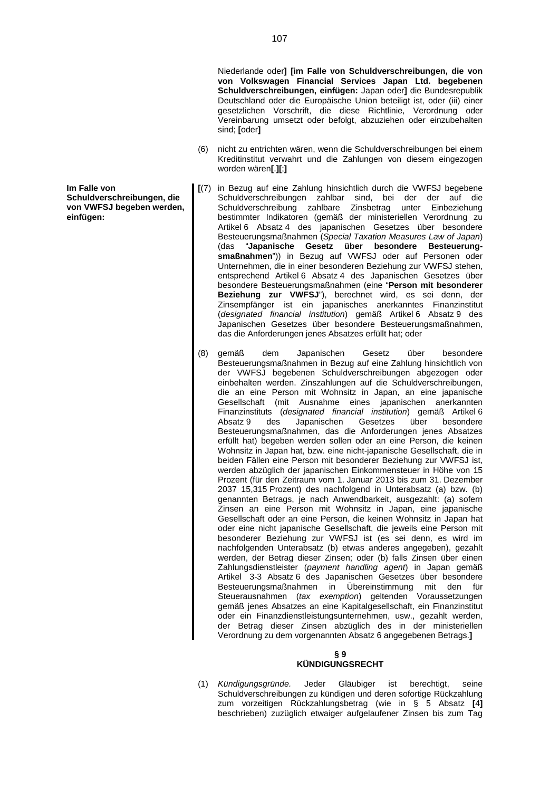Niederlande oder**] [im Falle von Schuldverschreibungen, die von von Volkswagen Financial Services Japan Ltd. begebenen Schuldverschreibungen, einfügen:** Japan oder**]** die Bundesrepublik Deutschland oder die Europäische Union beteiligt ist, oder (iii) einer gesetzlichen Vorschrift, die diese Richtlinie, Verordnung oder Vereinbarung umsetzt oder befolgt, abzuziehen oder einzubehalten sind; **[**oder**]**

- (6) nicht zu entrichten wären, wenn die Schuldverschreibungen bei einem Kreditinstitut verwahrt und die Zahlungen von diesem eingezogen worden wären**[**.**][**;**]**
- **[**(7) in Bezug auf eine Zahlung hinsichtlich durch die VWFSJ begebene Schuldverschreibungen zahlbar sind, bei der der auf die Schuldverschreibung zahlbare Zinsbetrag unter Einbeziehung bestimmter Indikatoren (gemäß der ministeriellen Verordnung zu Artikel 6 Absatz 4 des japanischen Gesetzes über besondere Besteuerungsmaßnahmen (*Special Taxation Measures Law of Japan*) (das "**Japanische Gesetz über besondere Besteuerungsmaßnahmen**")) in Bezug auf VWFSJ oder auf Personen oder Unternehmen, die in einer besonderen Beziehung zur VWFSJ stehen, entsprechend Artikel 6 Absatz 4 des Japanischen Gesetzes über besondere Besteuerungsmaßnahmen (eine "**Person mit besonderer Beziehung zur VWFSJ**"), berechnet wird, es sei denn, der Zinsempfänger ist ein japanisches anerkanntes Finanzinstitut (*designated financial institution*) gemäß Artikel 6 Absatz 9 des Japanischen Gesetzes über besondere Besteuerungsmaßnahmen, das die Anforderungen jenes Absatzes erfüllt hat; oder
- (8) gemäß dem Japanischen Gesetz über besondere Besteuerungsmaßnahmen in Bezug auf eine Zahlung hinsichtlich von der VWFSJ begebenen Schuldverschreibungen abgezogen oder einbehalten werden. Zinszahlungen auf die Schuldverschreibungen, die an eine Person mit Wohnsitz in Japan, an eine japanische Gesellschaft (mit Ausnahme eines japanischen anerkannten Finanzinstituts (*designated financial institution*) gemäß Artikel 6 Absatz 9 des Japanischen Gesetzes über besondere Besteuerungsmaßnahmen, das die Anforderungen jenes Absatzes erfüllt hat) begeben werden sollen oder an eine Person, die keinen Wohnsitz in Japan hat, bzw. eine nicht-japanische Gesellschaft, die in beiden Fällen eine Person mit besonderer Beziehung zur VWFSJ ist, werden abzüglich der japanischen Einkommensteuer in Höhe von 15 Prozent (für den Zeitraum vom 1. Januar 2013 bis zum 31. Dezember 2037 15,315 Prozent) des nachfolgend in Unterabsatz (a) bzw. (b) genannten Betrags, je nach Anwendbarkeit, ausgezahlt: (a) sofern Zinsen an eine Person mit Wohnsitz in Japan, eine japanische Gesellschaft oder an eine Person, die keinen Wohnsitz in Japan hat oder eine nicht japanische Gesellschaft, die jeweils eine Person mit besonderer Beziehung zur VWFSJ ist (es sei denn, es wird im nachfolgenden Unterabsatz (b) etwas anderes angegeben), gezahlt werden, der Betrag dieser Zinsen; oder (b) falls Zinsen über einen Zahlungsdienstleister (*payment handling agent*) in Japan gemäß Artikel 3-3 Absatz 6 des Japanischen Gesetzes über besondere Besteuerungsmaßnahmen in Übereinstimmung mit den für Steuerausnahmen (*tax exemption*) geltenden Voraussetzungen gemäß jenes Absatzes an eine Kapitalgesellschaft, ein Finanzinstitut oder ein Finanzdienstleistungsunternehmen, usw., gezahlt werden, der Betrag dieser Zinsen abzüglich des in der ministeriellen Verordnung zu dem vorgenannten Absatz 6 angegebenen Betrags.**]**

#### **§ 9 KÜNDIGUNGSRECHT**

(1) *Kündigungsgründe.* Jeder Gläubiger ist berechtigt, seine Schuldverschreibungen zu kündigen und deren sofortige Rückzahlung zum vorzeitigen Rückzahlungsbetrag (wie in § 5 Absatz **[**4**]** beschrieben) zuzüglich etwaiger aufgelaufener Zinsen bis zum Tag

**Im Falle von Schuldverschreibungen, die von VWFSJ begeben werden, einfügen:**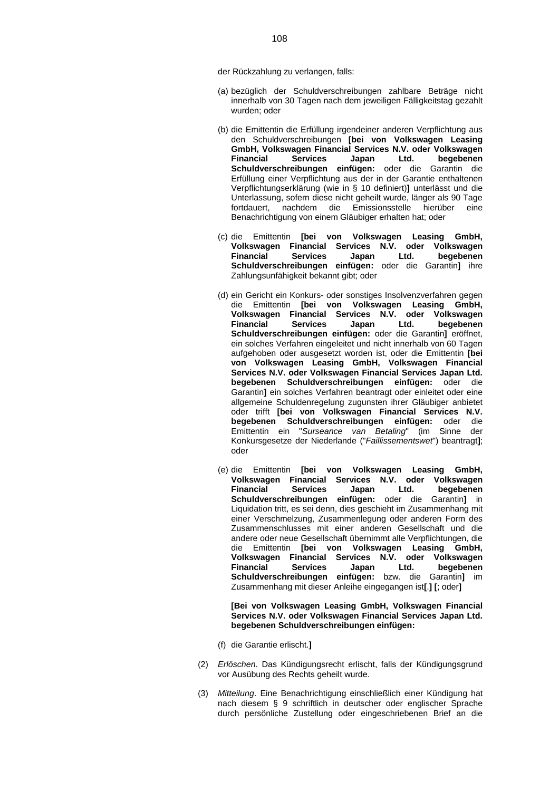der Rückzahlung zu verlangen, falls:

- (a) bezüglich der Schuldverschreibungen zahlbare Beträge nicht innerhalb von 30 Tagen nach dem jeweiligen Fälligkeitstag gezahlt wurden; oder
- (b) die Emittentin die Erfüllung irgendeiner anderen Verpflichtung aus den Schuldverschreibungen **[bei von Volkswagen Leasing GmbH, Volkswagen Financial Services N.V. oder Volkswagen Financial Services Japan Ltd. begebenen Schuldverschreibungen einfügen:** oder die Garantin die Erfüllung einer Verpflichtung aus der in der Garantie enthaltenen Verpflichtungserklärung (wie in § 10 definiert)**]** unterlässt und die Unterlassung, sofern diese nicht geheilt wurde, länger als 90 Tage fortdauert, nachdem die Emissionsstelle hierüber eine Benachrichtigung von einem Gläubiger erhalten hat; oder
- (c) die Emittentin **[bei von Volkswagen Leasing GmbH, Volkswagen Financial Services N.V. oder Volkswagen Financial Services Japan Ltd. begebenen Schuldverschreibungen einfügen:** oder die Garantin**]** ihre Zahlungsunfähigkeit bekannt gibt; oder
- (d) ein Gericht ein Konkurs- oder sonstiges Insolvenzverfahren gegen die Emittentin **[bei von Volkswagen Leasing GmbH, Volkswagen Financial Services N.V. oder Volkswagen Financial Services Japan Ltd. begebenen Schuldverschreibungen einfügen:** oder die Garantin**]** eröffnet, ein solches Verfahren eingeleitet und nicht innerhalb von 60 Tagen aufgehoben oder ausgesetzt worden ist, oder die Emittentin **[bei von Volkswagen Leasing GmbH, Volkswagen Financial Services N.V. oder Volkswagen Financial Services Japan Ltd. begebenen Schuldverschreibungen einfügen:** oder die Garantin**]** ein solches Verfahren beantragt oder einleitet oder eine allgemeine Schuldenregelung zugunsten ihrer Gläubiger anbietet oder trifft **[bei von Volkswagen Financial Services N.V. begebenen Schuldverschreibungen einfügen:** oder die Emittentin ein "*Surseance van Betaling*" (im Sinne der Konkursgesetze der Niederlande ("*Faillissementswet*") beantragt**]**; oder
- (e) die Emittentin **[bei von Volkswagen Leasing GmbH, Volkswagen Financial Services N.V. oder Volkswagen Financial Services Japan Ltd. begebenen Schuldverschreibungen einfügen:** oder die Garantin**]** in Liquidation tritt, es sei denn, dies geschieht im Zusammenhang mit einer Verschmelzung, Zusammenlegung oder anderen Form des Zusammenschlusses mit einer anderen Gesellschaft und die andere oder neue Gesellschaft übernimmt alle Verpflichtungen, die die Emittentin **[bei von Volkswagen Leasing GmbH, Volkswagen Financial Services N.V. oder Volkswagen Financial Services Japan Ltd. begebenen Schuldverschreibungen einfügen:** bzw. die Garantin**]** im Zusammenhang mit dieser Anleihe eingegangen ist**[**.**] [**; oder**]**

**[Bei von Volkswagen Leasing GmbH, Volkswagen Financial Services N.V. oder Volkswagen Financial Services Japan Ltd. begebenen Schuldverschreibungen einfügen:**

- (f) die Garantie erlischt.**]**
- (2) *Erlöschen*. Das Kündigungsrecht erlischt, falls der Kündigungsgrund vor Ausübung des Rechts geheilt wurde.
- (3) *Mitteilung*. Eine Benachrichtigung einschließlich einer Kündigung hat nach diesem § 9 schriftlich in deutscher oder englischer Sprache durch persönliche Zustellung oder eingeschriebenen Brief an die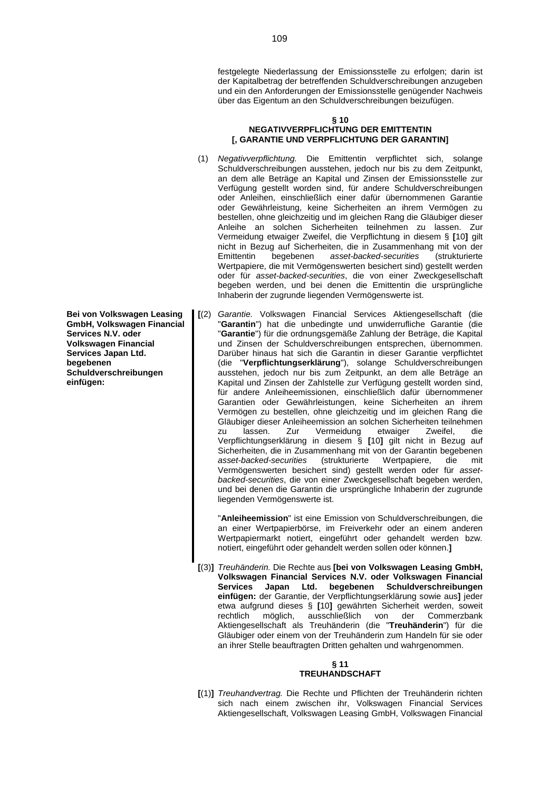festgelegte Niederlassung der Emissionsstelle zu erfolgen; darin ist der Kapitalbetrag der betreffenden Schuldverschreibungen anzugeben und ein den Anforderungen der Emissionsstelle genügender Nachweis über das Eigentum an den Schuldverschreibungen beizufügen.

### **§ 10 NEGATIVVERPFLICHTUNG DER EMITTENTIN [, GARANTIE UND VERPFLICHTUNG DER GARANTIN]**

- (1) *Negativverpflichtung.* Die Emittentin verpflichtet sich, solange Schuldverschreibungen ausstehen, jedoch nur bis zu dem Zeitpunkt, an dem alle Beträge an Kapital und Zinsen der Emissionsstelle zur Verfügung gestellt worden sind, für andere Schuldverschreibungen oder Anleihen, einschließlich einer dafür übernommenen Garantie oder Gewährleistung, keine Sicherheiten an ihrem Vermögen zu bestellen, ohne gleichzeitig und im gleichen Rang die Gläubiger dieser Anleihe an solchen Sicherheiten teilnehmen zu lassen. Zur Vermeidung etwaiger Zweifel, die Verpflichtung in diesem § **[**10**]** gilt nicht in Bezug auf Sicherheiten, die in Zusammenhang mit von der<br>Emittentin begebenen asset-backed-securities (strukturierte Emittentin begebenen *asset-backed-securities* (strukturierte Wertpapiere, die mit Vermögenswerten besichert sind) gestellt werden oder für *asset-backed-securities*, die von einer Zweckgesellschaft begeben werden, und bei denen die Emittentin die ursprüngliche Inhaberin der zugrunde liegenden Vermögenswerte ist.
- **[**(2) *Garantie.* Volkswagen Financial Services Aktiengesellschaft (die "**Garantin**") hat die unbedingte und unwiderrufliche Garantie (die "**Garantie**") für die ordnungsgemäße Zahlung der Beträge, die Kapital und Zinsen der Schuldverschreibungen entsprechen, übernommen. Darüber hinaus hat sich die Garantin in dieser Garantie verpflichtet (die "**Verpflichtungserklärung**"), solange Schuldverschreibungen ausstehen, jedoch nur bis zum Zeitpunkt, an dem alle Beträge an Kapital und Zinsen der Zahlstelle zur Verfügung gestellt worden sind, für andere Anleiheemissionen, einschließlich dafür übernommener Garantien oder Gewährleistungen, keine Sicherheiten an ihrem Vermögen zu bestellen, ohne gleichzeitig und im gleichen Rang die Gläubiger dieser Anleiheemission an solchen Sicherheiten teilnehmen lassen. Zur Vermeidung etwaiger Zweifel, die Verpflichtungserklärung in diesem § **[**10**]** gilt nicht in Bezug auf Sicherheiten, die in Zusammenhang mit von der Garantin begebenen *asset-backed-securities* (strukturierte Wertpapiere, die mit Vermögenswerten besichert sind) gestellt werden oder für *assetbacked-securities*, die von einer Zweckgesellschaft begeben werden, und bei denen die Garantin die ursprüngliche Inhaberin der zugrunde liegenden Vermögenswerte ist.

"**Anleiheemission**" ist eine Emission von Schuldverschreibungen, die an einer Wertpapierbörse, im Freiverkehr oder an einem anderen Wertpapiermarkt notiert, eingeführt oder gehandelt werden bzw. notiert, eingeführt oder gehandelt werden sollen oder können.**]**

**[**(3)**]** *Treuhänderin.* Die Rechte aus **[bei von Volkswagen Leasing GmbH, Volkswagen Financial Services N.V. oder Volkswagen Financial Services Japan Ltd. begebenen Schuldverschreibungen einfügen:** der Garantie, der Verpflichtungserklärung sowie aus**]** jeder etwa aufgrund dieses § **[**10**]** gewährten Sicherheit werden, soweit rechtlich möglich, ausschließlich von der Commerzbank Aktiengesellschaft als Treuhänderin (die "**Treuhänderin**") für die Gläubiger oder einem von der Treuhänderin zum Handeln für sie oder an ihrer Stelle beauftragten Dritten gehalten und wahrgenommen.

### **§ 11 TREUHANDSCHAFT**

**[**(1)**]** *Treuhandvertrag.* Die Rechte und Pflichten der Treuhänderin richten sich nach einem zwischen ihr, Volkswagen Financial Services Aktiengesellschaft, Volkswagen Leasing GmbH, Volkswagen Financial

**Bei von Volkswagen Leasing GmbH, Volkswagen Financial Services N.V. oder Volkswagen Financial Services Japan Ltd. begebenen Schuldverschreibungen einfügen:**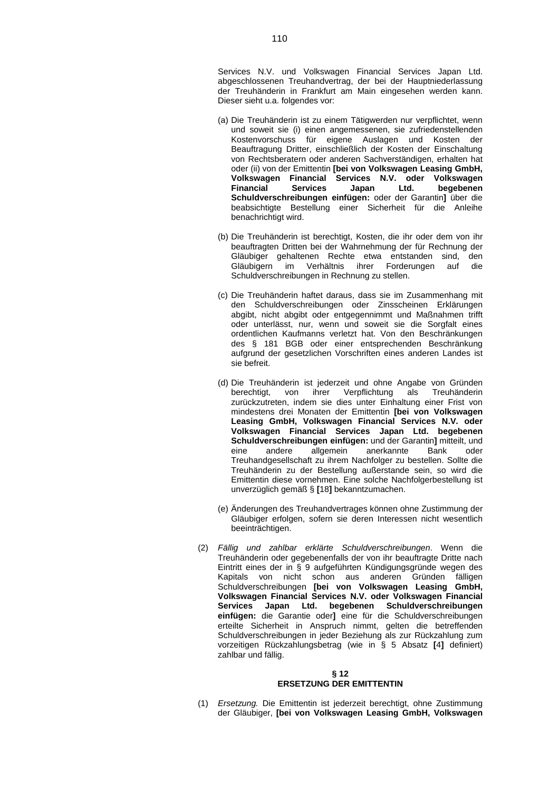Services N.V. und Volkswagen Financial Services Japan Ltd. abgeschlossenen Treuhandvertrag, der bei der Hauptniederlassung der Treuhänderin in Frankfurt am Main eingesehen werden kann. Dieser sieht u.a. folgendes vor:

- (a) Die Treuhänderin ist zu einem Tätigwerden nur verpflichtet, wenn und soweit sie (i) einen angemessenen, sie zufriedenstellenden Kostenvorschuss für eigene Auslagen und Kosten der Beauftragung Dritter, einschließlich der Kosten der Einschaltung von Rechtsberatern oder anderen Sachverständigen, erhalten hat oder (ii) von der Emittentin **[bei von Volkswagen Leasing GmbH, Volkswagen Financial Services N.V. oder Volkswagen Financial Services Japan Ltd. begebenen Schuldverschreibungen einfügen:** oder der Garantin**]** über die beabsichtigte Bestellung einer Sicherheit für die Anleihe benachrichtigt wird.
- (b) Die Treuhänderin ist berechtigt, Kosten, die ihr oder dem von ihr beauftragten Dritten bei der Wahrnehmung der für Rechnung der Gläubiger gehaltenen Rechte etwa entstanden sind, den Gläubigern im Verhältnis ihrer Forderungen auf die Schuldverschreibungen in Rechnung zu stellen.
- (c) Die Treuhänderin haftet daraus, dass sie im Zusammenhang mit den Schuldverschreibungen oder Zinsscheinen Erklärungen abgibt, nicht abgibt oder entgegennimmt und Maßnahmen trifft oder unterlässt, nur, wenn und soweit sie die Sorgfalt eines ordentlichen Kaufmanns verletzt hat. Von den Beschränkungen des § 181 BGB oder einer entsprechenden Beschränkung aufgrund der gesetzlichen Vorschriften eines anderen Landes ist sie befreit.
- (d) Die Treuhänderin ist jederzeit und ohne Angabe von Gründen berechtigt, von ihrer Verpflichtung als Treuhänderin zurückzutreten, indem sie dies unter Einhaltung einer Frist von mindestens drei Monaten der Emittentin **[bei von Volkswagen Leasing GmbH, Volkswagen Financial Services N.V. oder Volkswagen Financial Services Japan Ltd. begebenen Schuldverschreibungen einfügen:** und der Garantin**]** mitteilt, und eine andere allgemein anerkannte Bank oder Treuhandgesellschaft zu ihrem Nachfolger zu bestellen. Sollte die Treuhänderin zu der Bestellung außerstande sein, so wird die Emittentin diese vornehmen. Eine solche Nachfolgerbestellung ist unverzüglich gemäß § **[**18**]** bekanntzumachen.
- (e) Änderungen des Treuhandvertrages können ohne Zustimmung der Gläubiger erfolgen, sofern sie deren Interessen nicht wesentlich beeinträchtigen.
- (2) *Fällig und zahlbar erklärte Schuldverschreibungen*. Wenn die Treuhänderin oder gegebenenfalls der von ihr beauftragte Dritte nach Eintritt eines der in § 9 aufgeführten Kündigungsgründe wegen des Kapitals von nicht schon aus anderen Gründen fälligen Schuldverschreibungen **[bei von Volkswagen Leasing GmbH, Volkswagen Financial Services N.V. oder Volkswagen Financial Services Japan Ltd. begebenen Schuldverschreibungen einfügen:** die Garantie oder**]** eine für die Schuldverschreibungen erteilte Sicherheit in Anspruch nimmt, gelten die betreffenden Schuldverschreibungen in jeder Beziehung als zur Rückzahlung zum vorzeitigen Rückzahlungsbetrag (wie in § 5 Absatz **[**4**]** definiert) zahlbar und fällig.

#### **§ 12 ERSETZUNG DER EMITTENTIN**

(1) *Ersetzung.* Die Emittentin ist jederzeit berechtigt, ohne Zustimmung der Gläubiger, **[bei von Volkswagen Leasing GmbH, Volkswagen**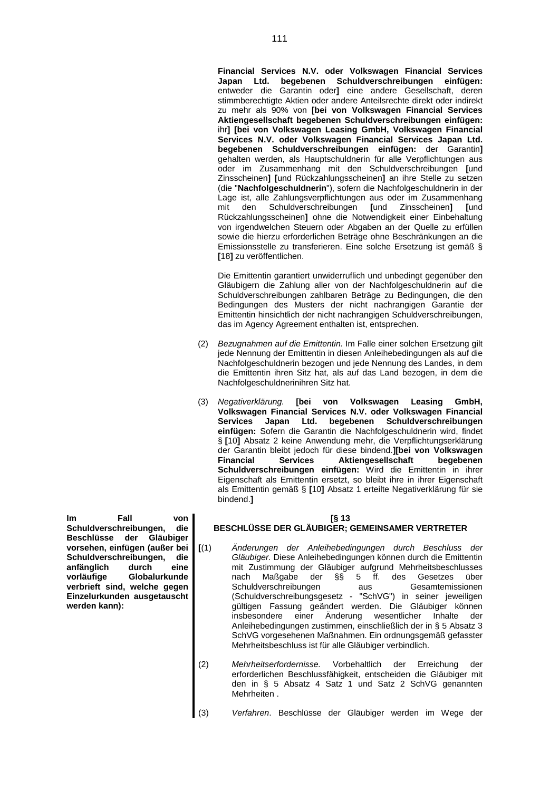**Financial Services N.V. oder Volkswagen Financial Services Japan Ltd. begebenen Schuldverschreibungen einfügen:** entweder die Garantin oder**]** eine andere Gesellschaft, deren stimmberechtigte Aktien oder andere Anteilsrechte direkt oder indirekt zu mehr als 90% von **[bei von Volkswagen Financial Services Aktiengesellschaft begebenen Schuldverschreibungen einfügen:** ihr**] [bei von Volkswagen Leasing GmbH, Volkswagen Financial Services N.V. oder Volkswagen Financial Services Japan Ltd. begebenen Schuldverschreibungen einfügen:** der Garantin**]** gehalten werden, als Hauptschuldnerin für alle Verpflichtungen aus oder im Zusammenhang mit den Schuldverschreibungen **[**und Zinsscheinen**] [**und Rückzahlungsscheinen**]** an ihre Stelle zu setzen (die "**Nachfolgeschuldnerin**"), sofern die Nachfolgeschuldnerin in der Lage ist, alle Zahlungsverpflichtungen aus oder im Zusammenhang mit den Schuldverschreibungen **[**und Zinsscheinen**] [**und Rückzahlungsscheinen**]** ohne die Notwendigkeit einer Einbehaltung von irgendwelchen Steuern oder Abgaben an der Quelle zu erfüllen sowie die hierzu erforderlichen Beträge ohne Beschränkungen an die Emissionsstelle zu transferieren. Eine solche Ersetzung ist gemäß § **[**18**]** zu veröffentlichen.

Die Emittentin garantiert unwiderruflich und unbedingt gegenüber den Gläubigern die Zahlung aller von der Nachfolgeschuldnerin auf die Schuldverschreibungen zahlbaren Beträge zu Bedingungen, die den Bedingungen des Musters der nicht nachrangigen Garantie der Emittentin hinsichtlich der nicht nachrangigen Schuldverschreibungen, das im Agency Agreement enthalten ist, entsprechen.

- (2) *Bezugnahmen auf die Emittentin.* Im Falle einer solchen Ersetzung gilt jede Nennung der Emittentin in diesen Anleihebedingungen als auf die Nachfolgeschuldnerin bezogen und jede Nennung des Landes, in dem die Emittentin ihren Sitz hat, als auf das Land bezogen, in dem die Nachfolgeschuldnerinihren Sitz hat.
- (3) *Negativerklärung.* **[bei von Volkswagen Leasing GmbH, Volkswagen Financial Services N.V. oder Volkswagen Financial Services Japan Ltd. begebenen Schuldverschreibungen einfügen:** Sofern die Garantin die Nachfolgeschuldnerin wird, findet § **[**10**]** Absatz 2 keine Anwendung mehr, die Verpflichtungserklärung der Garantin bleibt jedoch für diese bindend.**][bei von Volkswagen Financial Services Aktiengesellschaft begebenen Schuldverschreibungen einfügen:** Wird die Emittentin in ihrer Eigenschaft als Emittentin ersetzt, so bleibt ihre in ihrer Eigenschaft als Emittentin gemäß § **[**10**]** Absatz 1 erteilte Negativerklärung für sie bindend.**]**

### **[§ 13**

# **BESCHLÜSSE DER GLÄUBIGER; GEMEINSAMER VERTRETER**

- **[**(1) *Änderungen der Anleihebedingungen durch Beschluss der Gläubiger.* Diese Anleihebedingungen können durch die Emittentin mit Zustimmung der Gläubiger aufgrund Mehrheitsbeschlusses nach Maßgabe der §§ 5 ff. des Gesetzes über Schuldverschreibungen aus Gesamtemissionen (Schuldverschreibungsgesetz - "SchVG") in seiner jeweiligen gültigen Fassung geändert werden. Die Gläubiger können insbesondere einer Änderung wesentlicher Inhalte der Anleihebedingungen zustimmen, einschließlich der in § 5 Absatz 3 SchVG vorgesehenen Maßnahmen. Ein ordnungsgemäß gefasster Mehrheitsbeschluss ist für alle Gläubiger verbindlich.
- (2) *Mehrheitserfordernisse.* Vorbehaltlich der Erreichung der erforderlichen Beschlussfähigkeit, entscheiden die Gläubiger mit den in § 5 Absatz 4 Satz 1 und Satz 2 SchVG genannten Mehrheiten .
- (3) *Verfahren*. Beschlüsse der Gläubiger werden im Wege der

**Im Fall von Schuldverschreibungen, die Beschlüsse der Gläubiger vorsehen, einfügen (außer bei Schuldverschreibungen, die anfänglich durch eine vorläufige Globalurkunde verbrieft sind, welche gegen Einzelurkunden ausgetauscht werden kann):**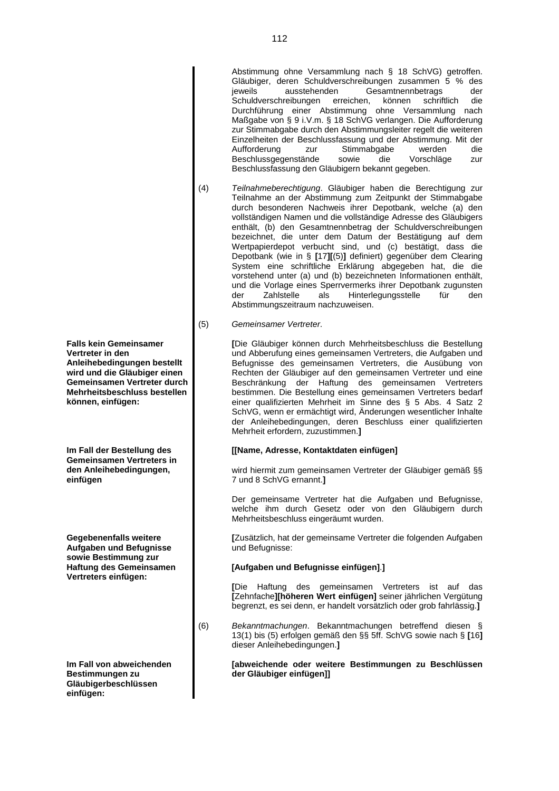Abstimmung ohne Versammlung nach § 18 SchVG) getroffen. Gläubiger, deren Schuldverschreibungen zusammen 5 % des<br>ieweils ausstehenden Gesamtnennbetrags der ausstehenden Gesamtnennbetrags der Schuldverschreibungen erreichen, können schriftlich die Durchführung einer Abstimmung ohne Versammlung nach Maßgabe von § 9 i.V.m. § 18 SchVG verlangen. Die Aufforderung zur Stimmabgabe durch den Abstimmungsleiter regelt die weiteren Einzelheiten der Beschlussfassung und der Abstimmung. Mit der Aufforderung zur Stimmabgabe werden die Beschlussgegenstände Beschlussfassung den Gläubigern bekannt gegeben.

- (4) *Teilnahmeberechtigung*. Gläubiger haben die Berechtigung zur Teilnahme an der Abstimmung zum Zeitpunkt der Stimmabgabe durch besonderen Nachweis ihrer Depotbank, welche (a) den vollständigen Namen und die vollständige Adresse des Gläubigers enthält, (b) den Gesamtnennbetrag der Schuldverschreibungen bezeichnet, die unter dem Datum der Bestätigung auf dem Wertpapierdepot verbucht sind, und (c) bestätigt, dass die Depotbank (wie in § **[**17**][**(5)**]** definiert) gegenüber dem Clearing System eine schriftliche Erklärung abgegeben hat, die die vorstehend unter (a) und (b) bezeichneten Informationen enthält, und die Vorlage eines Sperrvermerks ihrer Depotbank zugunsten der Zahlstelle als Hinterlegungsstelle für den Abstimmungszeitraum nachzuweisen.
- (5) *Gemeinsamer Vertreter*.

**[**Die Gläubiger können durch Mehrheitsbeschluss die Bestellung und Abberufung eines gemeinsamen Vertreters, die Aufgaben und Befugnisse des gemeinsamen Vertreters, die Ausübung von Rechten der Gläubiger auf den gemeinsamen Vertreter und eine Beschränkung der Haftung des gemeinsamen Vertreters bestimmen. Die Bestellung eines gemeinsamen Vertreters bedarf einer qualifizierten Mehrheit im Sinne des § 5 Abs. 4 Satz 2 SchVG, wenn er ermächtigt wird, Änderungen wesentlicher Inhalte der Anleihebedingungen, deren Beschluss einer qualifizierten Mehrheit erfordern, zuzustimmen.**]**

### **[[Name, Adresse, Kontaktdaten einfügen]**

wird hiermit zum gemeinsamen Vertreter der Gläubiger gemäß §§ 7 und 8 SchVG ernannt.**]**

Der gemeinsame Vertreter hat die Aufgaben und Befugnisse, welche ihm durch Gesetz oder von den Gläubigern durch Mehrheitsbeschluss eingeräumt wurden.

**[**Zusätzlich, hat der gemeinsame Vertreter die folgenden Aufgaben und Befugnisse:

### **[Aufgaben und Befugnisse einfügen]**.**]**

**[**Die Haftung des gemeinsamen Vertreters ist auf das **[**Zehnfache**][höheren Wert einfügen]** seiner jährlichen Vergütung begrenzt, es sei denn, er handelt vorsätzlich oder grob fahrlässig.**]**

(6) *Bekanntmachungen*. Bekanntmachungen betreffend diesen § 13(1) bis (5) erfolgen gemäß den §§ 5ff. SchVG sowie nach § **[**16**]** dieser Anleihebedingungen.**]**

### **[abweichende oder weitere Bestimmungen zu Beschlüssen der Gläubiger einfügen]]**

**Falls kein Gemeinsamer Vertreter in den Anleihebedingungen bestellt wird und die Gläubiger einen Gemeinsamen Vertreter durch Mehrheitsbeschluss bestellen können, einfügen:**

**Im Fall der Bestellung des Gemeinsamen Vertreters in den Anleihebedingungen, einfügen**

**Gegebenenfalls weitere Aufgaben und Befugnisse sowie Bestimmung zur Haftung des Gemeinsamen Vertreters einfügen:**

**Im Fall von abweichenden Bestimmungen zu Gläubigerbeschlüssen einfügen:**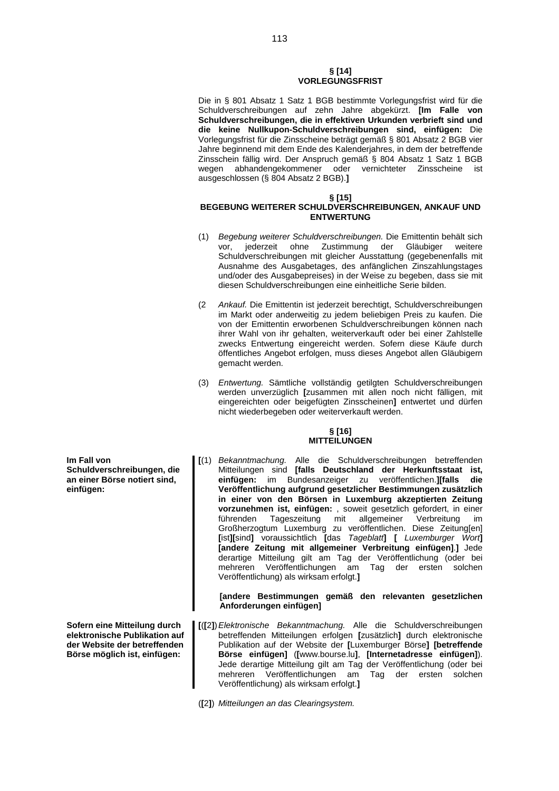### **§ [14] VORLEGUNGSFRIST**

Die in § 801 Absatz 1 Satz 1 BGB bestimmte Vorlegungsfrist wird für die Schuldverschreibungen auf zehn Jahre abgekürzt. **[Im Falle von Schuldverschreibungen, die in effektiven Urkunden verbrieft sind und die keine Nullkupon-Schuldverschreibungen sind, einfügen:** Die Vorlegungsfrist für die Zinsscheine beträgt gemäß § 801 Absatz 2 BGB vier Jahre beginnend mit dem Ende des Kalenderjahres, in dem der betreffende Zinsschein fällig wird. Der Anspruch gemäß § 804 Absatz 1 Satz 1 BGB wegen abhandengekommener oder vernichteter Zinsscheine ist wegen abhandengekommener oder ausgeschlossen (§ 804 Absatz 2 BGB).**]**

### **§ [15]**

### **BEGEBUNG WEITERER SCHULDVERSCHREIBUNGEN, ANKAUF UND ENTWERTUNG**

- (1) *Begebung weiterer Schuldverschreibungen.* Die Emittentin behält sich vor, jederzeit ohne Zustimmung der Gläubiger weitere Schuldverschreibungen mit gleicher Ausstattung (gegebenenfalls mit Ausnahme des Ausgabetages, des anfänglichen Zinszahlungstages und/oder des Ausgabepreises) in der Weise zu begeben, dass sie mit diesen Schuldverschreibungen eine einheitliche Serie bilden.
- (2 *Ankauf.* Die Emittentin ist jederzeit berechtigt, Schuldverschreibungen im Markt oder anderweitig zu jedem beliebigen Preis zu kaufen. Die von der Emittentin erworbenen Schuldverschreibungen können nach ihrer Wahl von ihr gehalten, weiterverkauft oder bei einer Zahlstelle zwecks Entwertung eingereicht werden. Sofern diese Käufe durch öffentliches Angebot erfolgen, muss dieses Angebot allen Gläubigern gemacht werden.
- (3) *Entwertung.* Sämtliche vollständig getilgten Schuldverschreibungen werden unverzüglich **[**zusammen mit allen noch nicht fälligen, mit eingereichten oder beigefügten Zinsscheinen**]** entwertet und dürfen nicht wiederbegeben oder weiterverkauft werden.

### **§ [16] MITTEILUNGEN**

**[**(1) *Bekanntmachung.* Alle die Schuldverschreibungen betreffenden Mitteilungen sind **[falls Deutschland der Herkunftsstaat ist, einfügen:** im Bundesanzeiger zu veröffentlichen.**][falls die Veröffentlichung aufgrund gesetzlicher Bestimmungen zusätzlich in einer von den Börsen in Luxemburg akzeptierten Zeitung vorzunehmen ist, einfügen:** , soweit gesetzlich gefordert, in einer führenden Tageszeitung mit allgemeiner Verbreitung im Großherzogtum Luxemburg zu veröffentlichen. Diese Zeitung[en] **[**ist**][**sind**]** voraussichtlich **[**das *Tageblatt***] [** *Luxemburger Wort***] [andere Zeitung mit allgemeiner Verbreitung einfügen]**.**]** Jede derartige Mitteilung gilt am Tag der Veröffentlichung (oder bei mehreren Veröffentlichungen am Tag der ersten solchen Veröffentlichung) als wirksam erfolgt.**]**

**[andere Bestimmungen gemäß den relevanten gesetzlichen Anforderungen einfügen]**

- **[**(**[**2**]**)*Elektronische Bekanntmachung.* Alle die Schuldverschreibungen betreffenden Mitteilungen erfolgen **[**zusätzlich**]** durch elektronische Publikation auf der Website der **[**Luxemburger Börse**] [betreffende Börse einfügen]** (**[**www.bourse.lu**]**, **[Internetadresse einfügen]**). Jede derartige Mitteilung gilt am Tag der Veröffentlichung (oder bei mehreren Veröffentlichungen am Tag der ersten solchen Veröffentlichung) als wirksam erfolgt.**]**
- (**[**2**]**) *Mitteilungen an das Clearingsystem.*

**Im Fall von Schuldverschreibungen, die an einer Börse notiert sind, einfügen:**

**Sofern eine Mitteilung durch elektronische Publikation auf der Website der betreffenden Börse möglich ist, einfügen:**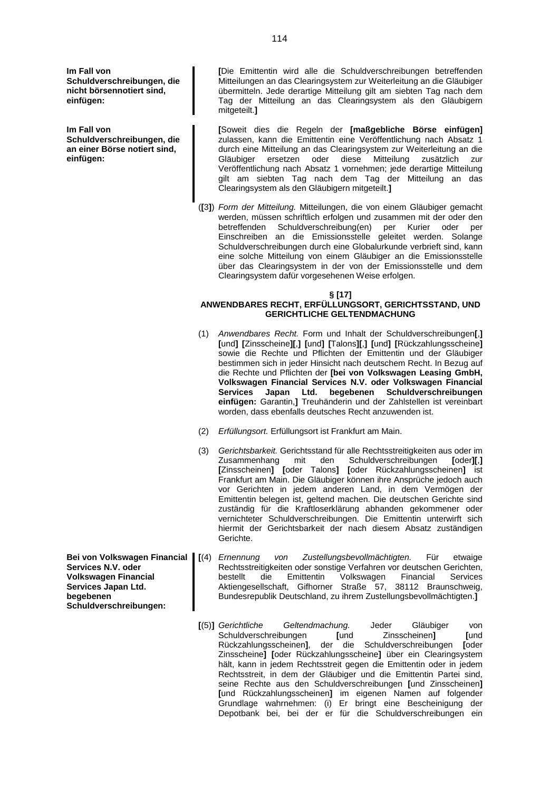**Im Fall von Schuldverschreibungen, die nicht börsennotiert sind, einfügen:**

**Im Fall von Schuldverschreibungen, die an einer Börse notiert sind, einfügen:**

**[**Die Emittentin wird alle die Schuldverschreibungen betreffenden Mitteilungen an das Clearingsystem zur Weiterleitung an die Gläubiger übermitteln. Jede derartige Mitteilung gilt am siebten Tag nach dem Tag der Mitteilung an das Clearingsystem als den Gläubigern mitgeteilt.**]**

**[**Soweit dies die Regeln der **[maßgebliche Börse einfügen]** zulassen, kann die Emittentin eine Veröffentlichung nach Absatz 1 durch eine Mitteilung an das Clearingsystem zur Weiterleitung an die Gläubiger ersetzen oder diese Mitteilung zusätzlich zur Veröffentlichung nach Absatz 1 vornehmen; jede derartige Mitteilung gilt am siebten Tag nach dem Tag der Mitteilung an das Clearingsystem als den Gläubigern mitgeteilt.**]**

(**[**3**]**) *Form der Mitteilung.* Mitteilungen, die von einem Gläubiger gemacht werden, müssen schriftlich erfolgen und zusammen mit der oder den betreffenden Schuldverschreibung(en) per Kurier oder per Einschreiben an die Emissionsstelle geleitet werden. Solange Schuldverschreibungen durch eine Globalurkunde verbrieft sind, kann eine solche Mitteilung von einem Gläubiger an die Emissionsstelle über das Clearingsystem in der von der Emissionsstelle und dem Clearingsystem dafür vorgesehenen Weise erfolgen.

**§ [17]**

### **ANWENDBARES RECHT, ERFÜLLUNGSORT, GERICHTSSTAND, UND GERICHTLICHE GELTENDMACHUNG**

- (1) *Anwendbares Recht.* Form und Inhalt der Schuldverschreibungen**[**,**] [**und**] [**Zinsscheine**][**,**] [**und**] [**Talons**][**,**] [**und**] [**Rückzahlungsscheine**]** sowie die Rechte und Pflichten der Emittentin und der Gläubiger bestimmen sich in jeder Hinsicht nach deutschem Recht. In Bezug auf die Rechte und Pflichten der **[bei von Volkswagen Leasing GmbH, Volkswagen Financial Services N.V. oder Volkswagen Financial Services Japan Ltd. begebenen Schuldverschreibungen einfügen:** Garantin,**]** Treuhänderin und der Zahlstellen ist vereinbart worden, dass ebenfalls deutsches Recht anzuwenden ist.
- (2) *Erfüllungsort.* Erfüllungsort ist Frankfurt am Main.
- (3) *Gerichtsbarkeit.* Gerichtsstand für alle Rechtsstreitigkeiten aus oder im  $\text{mit}$  den Schuldverschreibungen **[**oder**][**,] **[**Zinsscheinen**] [**oder Talons**] [**oder Rückzahlungsscheinen**]** ist Frankfurt am Main. Die Gläubiger können ihre Ansprüche jedoch auch vor Gerichten in jedem anderen Land, in dem Vermögen der Emittentin belegen ist, geltend machen. Die deutschen Gerichte sind zuständig für die Kraftloserklärung abhanden gekommener oder vernichteter Schuldverschreibungen. Die Emittentin unterwirft sich hiermit der Gerichtsbarkeit der nach diesem Absatz zuständigen Gerichte.
- **[**(4) *Ernennung von Zustellungsbevollmächtigten.* Für etwaige Rechtsstreitigkeiten oder sonstige Verfahren vor deutschen Gerichten, bestellt die Emittentin Volkswagen Financial Services Aktiengesellschaft, Gifhorner Straße 57, 38112 Braunschweig, Bundesrepublik Deutschland, zu ihrem Zustellungsbevollmächtigten.**]**
- **[**(5)**]** *Gerichtliche Geltendmachung.* Jeder Gläubiger von Schuldverschreibungen **[**und Zinsscheinen**] [**und Rückzahlungsscheinen**]**, der die Schuldverschreibungen **[**oder Zinsscheine**] [**oder Rückzahlungsscheine**]** über ein Clearingsystem hält, kann in jedem Rechtsstreit gegen die Emittentin oder in jedem Rechtsstreit, in dem der Gläubiger und die Emittentin Partei sind, seine Rechte aus den Schuldverschreibungen **[**und Zinsscheinen**] [**und Rückzahlungsscheinen**]** im eigenen Namen auf folgender Grundlage wahrnehmen: (i) Er bringt eine Bescheinigung der Depotbank bei, bei der er für die Schuldverschreibungen ein
- **Bei von Volkswagen Financial Services N.V. oder Volkswagen Financial Services Japan Ltd. begebenen Schuldverschreibungen:**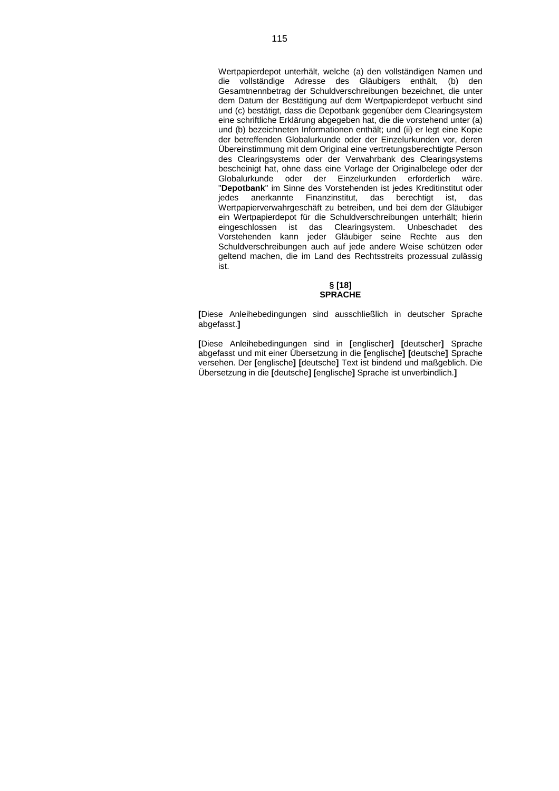Wertpapierdepot unterhält, welche (a) den vollständigen Namen und die vollständige Adresse des Gläubigers enthält, (b) den Gesamtnennbetrag der Schuldverschreibungen bezeichnet, die unter dem Datum der Bestätigung auf dem Wertpapierdepot verbucht sind und (c) bestätigt, dass die Depotbank gegenüber dem Clearingsystem eine schriftliche Erklärung abgegeben hat, die die vorstehend unter (a) und (b) bezeichneten Informationen enthält; und (ii) er legt eine Kopie der betreffenden Globalurkunde oder der Einzelurkunden vor, deren Übereinstimmung mit dem Original eine vertretungsberechtigte Person des Clearingsystems oder der Verwahrbank des Clearingsystems bescheinigt hat, ohne dass eine Vorlage der Originalbelege oder der Globalurkunde oder der Einzelurkunden erforderlich wäre. "**Depotbank**" im Sinne des Vorstehenden ist jedes Kreditinstitut oder jedes anerkannte Finanzinstitut, das berechtigt ist, das Wertpapierverwahrgeschäft zu betreiben, und bei dem der Gläubiger ein Wertpapierdepot für die Schuldverschreibungen unterhält; hierin eingeschlossen ist das Clearingsystem. Unbeschadet des Vorstehenden kann jeder Gläubiger seine Rechte aus den Schuldverschreibungen auch auf jede andere Weise schützen oder geltend machen, die im Land des Rechtsstreits prozessual zulässig ist.

#### **§ [18] SPRACHE**

**[**Diese Anleihebedingungen sind ausschließlich in deutscher Sprache abgefasst.**]**

**[**Diese Anleihebedingungen sind in **[**englischer**] [**deutscher**]** Sprache abgefasst und mit einer Übersetzung in die **[**englische**] [**deutsche**]** Sprache versehen. Der **[**englische**] [**deutsche**]** Text ist bindend und maßgeblich. Die Übersetzung in die **[**deutsche**] [**englische**]** Sprache ist unverbindlich.**]**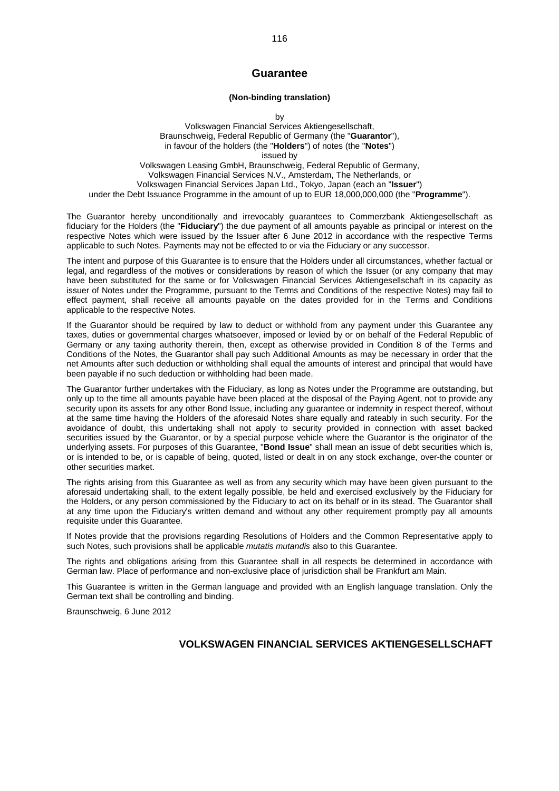### **Guarantee**

### **(Non-binding translation)**

by

Volkswagen Financial Services Aktiengesellschaft, Braunschweig, Federal Republic of Germany (the "**Guarantor**"), in favour of the holders (the "**Holders**") of notes (the "**Notes**") issued by Volkswagen Leasing GmbH, Braunschweig, Federal Republic of Germany, Volkswagen Financial Services N.V., Amsterdam, The Netherlands, or Volkswagen Financial Services Japan Ltd., Tokyo, Japan (each an "**Issuer**") under the Debt Issuance Programme in the amount of up to EUR 18,000,000,000 (the "**Programme**").

The Guarantor hereby unconditionally and irrevocably guarantees to Commerzbank Aktiengesellschaft as fiduciary for the Holders (the "**Fiduciary**") the due payment of all amounts payable as principal or interest on the respective Notes which were issued by the Issuer after 6 June 2012 in accordance with the respective Terms applicable to such Notes. Payments may not be effected to or via the Fiduciary or any successor.

The intent and purpose of this Guarantee is to ensure that the Holders under all circumstances, whether factual or legal, and regardless of the motives or considerations by reason of which the Issuer (or any company that may have been substituted for the same or for Volkswagen Financial Services Aktiengesellschaft in its capacity as issuer of Notes under the Programme, pursuant to the Terms and Conditions of the respective Notes) may fail to effect payment, shall receive all amounts payable on the dates provided for in the Terms and Conditions applicable to the respective Notes.

If the Guarantor should be required by law to deduct or withhold from any payment under this Guarantee any taxes, duties or governmental charges whatsoever, imposed or levied by or on behalf of the Federal Republic of Germany or any taxing authority therein, then, except as otherwise provided in Condition 8 of the Terms and Conditions of the Notes, the Guarantor shall pay such Additional Amounts as may be necessary in order that the net Amounts after such deduction or withholding shall equal the amounts of interest and principal that would have been payable if no such deduction or withholding had been made.

The Guarantor further undertakes with the Fiduciary, as long as Notes under the Programme are outstanding, but only up to the time all amounts payable have been placed at the disposal of the Paying Agent, not to provide any security upon its assets for any other Bond Issue, including any guarantee or indemnity in respect thereof, without at the same time having the Holders of the aforesaid Notes share equally and rateably in such security. For the avoidance of doubt, this undertaking shall not apply to security provided in connection with asset backed securities issued by the Guarantor, or by a special purpose vehicle where the Guarantor is the originator of the underlying assets. For purposes of this Guarantee, "**Bond Issue**" shall mean an issue of debt securities which is, or is intended to be, or is capable of being, quoted, listed or dealt in on any stock exchange, over-the counter or other securities market.

The rights arising from this Guarantee as well as from any security which may have been given pursuant to the aforesaid undertaking shall, to the extent legally possible, be held and exercised exclusively by the Fiduciary for the Holders, or any person commissioned by the Fiduciary to act on its behalf or in its stead. The Guarantor shall at any time upon the Fiduciary's written demand and without any other requirement promptly pay all amounts requisite under this Guarantee.

If Notes provide that the provisions regarding Resolutions of Holders and the Common Representative apply to such Notes, such provisions shall be applicable *mutatis mutandis* also to this Guarantee.

The rights and obligations arising from this Guarantee shall in all respects be determined in accordance with German law. Place of performance and non-exclusive place of jurisdiction shall be Frankfurt am Main.

This Guarantee is written in the German language and provided with an English language translation. Only the German text shall be controlling and binding.

Braunschweig, 6 June 2012

## **VOLKSWAGEN FINANCIAL SERVICES AKTIENGESELLSCHAFT**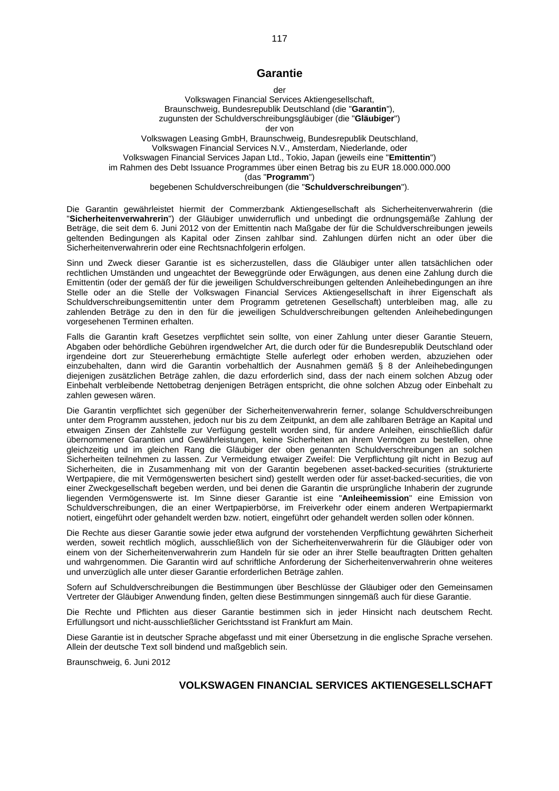# **Garantie**

#### der

Volkswagen Financial Services Aktiengesellschaft, Braunschweig, Bundesrepublik Deutschland (die "**Garantin**"), zugunsten der Schuldverschreibungsgläubiger (die "**Gläubiger**") der von

Volkswagen Leasing GmbH, Braunschweig, Bundesrepublik Deutschland, Volkswagen Financial Services N.V., Amsterdam, Niederlande, oder Volkswagen Financial Services Japan Ltd., Tokio, Japan (jeweils eine "**Emittentin**") im Rahmen des Debt Issuance Programmes über einen Betrag bis zu EUR 18.000.000.000 (das "**Programm**") begebenen Schuldverschreibungen (die "**Schuldverschreibungen**").

Die Garantin gewährleistet hiermit der Commerzbank Aktiengesellschaft als Sicherheitenverwahrerin (die "**Sicherheitenverwahrerin**") der Gläubiger unwiderruflich und unbedingt die ordnungsgemäße Zahlung der Beträge, die seit dem 6. Juni 2012 von der Emittentin nach Maßgabe der für die Schuldverschreibungen jeweils geltenden Bedingungen als Kapital oder Zinsen zahlbar sind. Zahlungen dürfen nicht an oder über die Sicherheitenverwahrerin oder eine Rechtsnachfolgerin erfolgen.

Sinn und Zweck dieser Garantie ist es sicherzustellen, dass die Gläubiger unter allen tatsächlichen oder rechtlichen Umständen und ungeachtet der Beweggründe oder Erwägungen, aus denen eine Zahlung durch die Emittentin (oder der gemäß der für die jeweiligen Schuldverschreibungen geltenden Anleihebedingungen an ihre Stelle oder an die Stelle der Volkswagen Financial Services Aktiengesellschaft in ihrer Eigenschaft als Schuldverschreibungsemittentin unter dem Programm getretenen Gesellschaft) unterbleiben mag, alle zu zahlenden Beträge zu den in den für die jeweiligen Schuldverschreibungen geltenden Anleihebedingungen vorgesehenen Terminen erhalten.

Falls die Garantin kraft Gesetzes verpflichtet sein sollte, von einer Zahlung unter dieser Garantie Steuern, Abgaben oder behördliche Gebühren irgendwelcher Art, die durch oder für die Bundesrepublik Deutschland oder irgendeine dort zur Steuererhebung ermächtigte Stelle auferlegt oder erhoben werden, abzuziehen oder einzubehalten, dann wird die Garantin vorbehaltlich der Ausnahmen gemäß § 8 der Anleihebedingungen diejenigen zusätzlichen Beträge zahlen, die dazu erforderlich sind, dass der nach einem solchen Abzug oder Einbehalt verbleibende Nettobetrag denjenigen Beträgen entspricht, die ohne solchen Abzug oder Einbehalt zu zahlen gewesen wären.

Die Garantin verpflichtet sich gegenüber der Sicherheitenverwahrerin ferner, solange Schuldverschreibungen unter dem Programm ausstehen, jedoch nur bis zu dem Zeitpunkt, an dem alle zahlbaren Beträge an Kapital und etwaigen Zinsen der Zahlstelle zur Verfügung gestellt worden sind, für andere Anleihen, einschließlich dafür übernommener Garantien und Gewährleistungen, keine Sicherheiten an ihrem Vermögen zu bestellen, ohne gleichzeitig und im gleichen Rang die Gläubiger der oben genannten Schuldverschreibungen an solchen Sicherheiten teilnehmen zu lassen. Zur Vermeidung etwaiger Zweifel: Die Verpflichtung gilt nicht in Bezug auf Sicherheiten, die in Zusammenhang mit von der Garantin begebenen asset-backed-securities (strukturierte Wertpapiere, die mit Vermögenswerten besichert sind) gestellt werden oder für asset-backed-securities, die von einer Zweckgesellschaft begeben werden, und bei denen die Garantin die ursprüngliche Inhaberin der zugrunde liegenden Vermögenswerte ist. Im Sinne dieser Garantie ist eine "**Anleiheemission**" eine Emission von Schuldverschreibungen, die an einer Wertpapierbörse, im Freiverkehr oder einem anderen Wertpapiermarkt notiert, eingeführt oder gehandelt werden bzw. notiert, eingeführt oder gehandelt werden sollen oder können.

Die Rechte aus dieser Garantie sowie jeder etwa aufgrund der vorstehenden Verpflichtung gewährten Sicherheit werden, soweit rechtlich möglich, ausschließlich von der Sicherheitenverwahrerin für die Gläubiger oder von einem von der Sicherheitenverwahrerin zum Handeln für sie oder an ihrer Stelle beauftragten Dritten gehalten und wahrgenommen. Die Garantin wird auf schriftliche Anforderung der Sicherheitenverwahrerin ohne weiteres und unverzüglich alle unter dieser Garantie erforderlichen Beträge zahlen.

Sofern auf Schuldverschreibungen die Bestimmungen über Beschlüsse der Gläubiger oder den Gemeinsamen Vertreter der Gläubiger Anwendung finden, gelten diese Bestimmungen sinngemäß auch für diese Garantie.

Die Rechte und Pflichten aus dieser Garantie bestimmen sich in jeder Hinsicht nach deutschem Recht. Erfüllungsort und nicht-ausschließlicher Gerichtsstand ist Frankfurt am Main.

Diese Garantie ist in deutscher Sprache abgefasst und mit einer Übersetzung in die englische Sprache versehen. Allein der deutsche Text soll bindend und maßgeblich sein.

Braunschweig, 6. Juni 2012

### **VOLKSWAGEN FINANCIAL SERVICES AKTIENGESELLSCHAFT**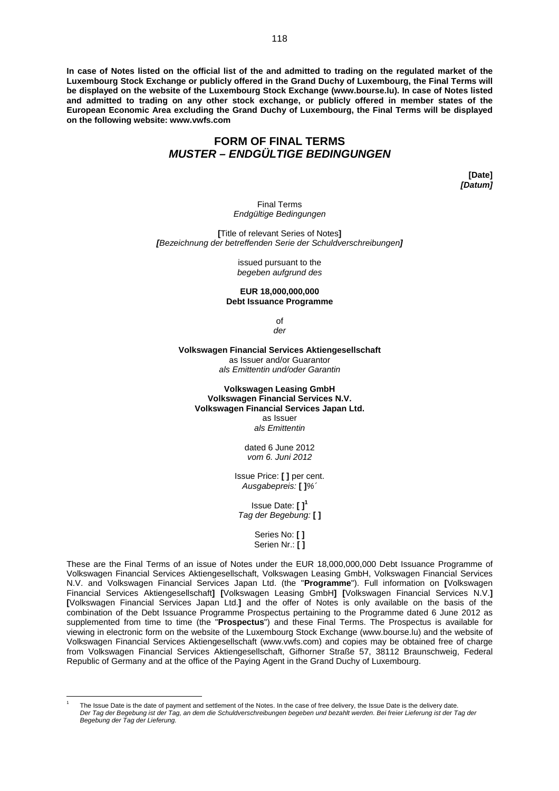**In case of Notes listed on the official list of the and admitted to trading on the regulated market of the Luxembourg Stock Exchange or publicly offered in the Grand Duchy of Luxembourg, the Final Terms will be displayed on the website of the Luxembourg Stock Exchange (www.bourse.lu). In case of Notes listed and admitted to trading on any other stock exchange, or publicly offered in member states of the European Economic Area excluding the Grand Duchy of Luxembourg, the Final Terms will be displayed on the following website: www.vwfs.com**

# **FORM OF FINAL TERMS** *MUSTER – ENDGÜLTIGE BEDINGUNGEN*

**[Date]** *[Datum]*

Final Terms *Endgültige Bedingungen*

**[**Title of relevant Series of Notes**]** *[Bezeichnung der betreffenden Serie der Schuldverschreibungen]*

> issued pursuant to the *begeben aufgrund des*

#### **EUR 18,000,000,000 Debt Issuance Programme**

of *der*

**Volkswagen Financial Services Aktiengesellschaft** as Issuer and/or Guarantor *als Emittentin und/oder Garantin*

**Volkswagen Leasing GmbH Volkswagen Financial Services N.V. Volkswagen Financial Services Japan Ltd.** as Issuer *als Emittentin*

> dated 6 June 2012 *vom 6. Juni 2012*

Issue Price: **[ ]** per cent. *Ausgabepreis:* **[ ]***%´*

Issue Date: **[ [\]](#page-117-0)<sup>1</sup>** *Tag der Begebung:* **[ ]**

> Series No: **[ ]** Serien Nr.: **[ ]**

These are the Final Terms of an issue of Notes under the EUR 18,000,000,000 Debt Issuance Programme of Volkswagen Financial Services Aktiengesellschaft, Volkswagen Leasing GmbH, Volkswagen Financial Services N.V. and Volkswagen Financial Services Japan Ltd. (the "**Programme**"). Full information on **[**Volkswagen Financial Services Aktiengesellschaft**] [**Volkswagen Leasing GmbH**] [**Volkswagen Financial Services N.V.**] [**Volkswagen Financial Services Japan Ltd.**]** and the offer of Notes is only available on the basis of the combination of the Debt Issuance Programme Prospectus pertaining to the Programme dated 6 June 2012 as supplemented from time to time (the "**Prospectus**") and these Final Terms. The Prospectus is available for viewing in electronic form on the website of the Luxembourg Stock Exchange (www.bourse.lu) and the website of Volkswagen Financial Services Aktiengesellschaft (www.vwfs.com) and copies may be obtained free of charge from Volkswagen Financial Services Aktiengesellschaft, Gifhorner Straße 57, 38112 Braunschweig, Federal Republic of Germany and at the office of the Paying Agent in the Grand Duchy of Luxembourg.

<span id="page-117-0"></span><sup>1</sup> The Issue Date is the date of payment and settlement of the Notes. In the case of free delivery, the Issue Date is the delivery date. *Der Tag der Begebung ist der Tag, an dem die Schuldverschreibungen begeben und bezahlt werden. Bei freier Lieferung ist der Tag der Begebung der Tag der Lieferung.*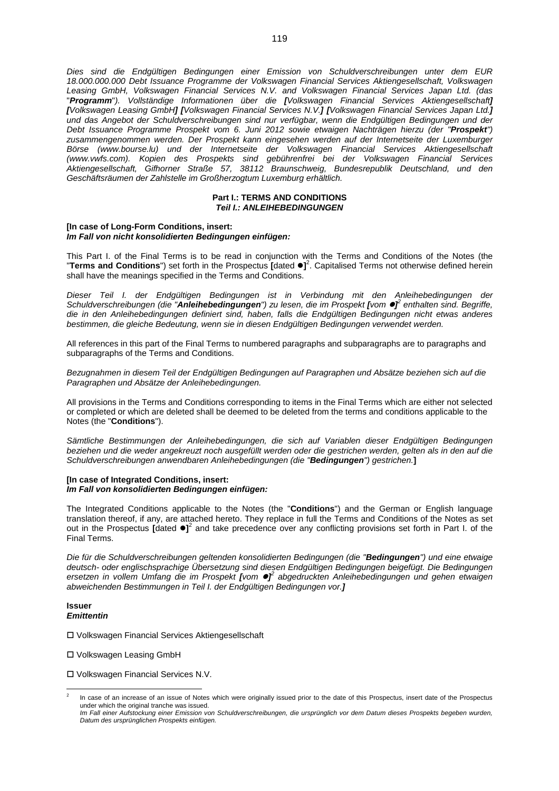*Dies sind die Endgültigen Bedingungen einer Emission von Schuldverschreibungen unter dem EUR 18.000.000.000 Debt Issuance Programme der Volkswagen Financial Services Aktiengesellschaft, Volkswagen Leasing GmbH, Volkswagen Financial Services N.V. and Volkswagen Financial Services Japan Ltd. (das* "*Programm*"*). Vollständige Informationen über die [Volkswagen Financial Services Aktiengesellschaft] [Volkswagen Leasing GmbH] [Volkswagen Financial Services N.V.] [Volkswagen Financial Services Japan Ltd.] und das Angebot der Schuldverschreibungen sind nur verfügbar, wenn die Endgültigen Bedingungen und der Debt Issuance Programme Prospekt vom 6. Juni 2012 sowie etwaigen Nachträgen hierzu (der "Prospekt") zusammengenommen werden. Der Prospekt kann eingesehen werden auf der Internetseite der Luxemburger Börse (www.bourse.lu) und der Internetseite der Volkswagen Financial Services Aktiengesellschaft (www.vwfs.com). Kopien des Prospekts sind gebührenfrei bei der Volkswagen Financial Services Aktiengesellschaft, Gifhorner Straße 57, 38112 Braunschweig, Bundesrepublik Deutschland, und den Geschäftsräumen der Zahlstelle im Großherzogtum Luxemburg erhältlich.*

### **Part I.: TERMS AND CONDITIONS** *Teil I.: ANLEIHEBEDINGUNGEN*

### **[In case of Long-Form Conditions, insert:** *Im Fall von nicht konsolidierten Bedingungen einfügen:*

This Part I. of the Final Terms is to be read in conjunction with the Terms and Conditions of the Notes (the "**Terms and Conditions**") set forth in the Prospectus **[**dated **]** [2](#page-118-0) . Capitalised Terms not otherwise defined herein shall have the meanings specified in the Terms and Conditions.

*Dieser Teil I. der Endgültigen Bedingungen ist in Verbindung mit den Anleihebedingungen der Schuldverschreibungen (die "Anleihebedingungen") zu lesen, die im Prospekt [vom ] 2 enthalten sind. Begriffe, die in den Anleihebedingungen definiert sind, haben, falls die Endgültigen Bedingungen nicht etwas anderes bestimmen, die gleiche Bedeutung, wenn sie in diesen Endgültigen Bedingungen verwendet werden.*

All references in this part of the Final Terms to numbered paragraphs and subparagraphs are to paragraphs and subparagraphs of the Terms and Conditions.

*Bezugnahmen in diesem Teil der Endgültigen Bedingungen auf Paragraphen und Absätze beziehen sich auf die Paragraphen und Absätze der Anleihebedingungen.*

All provisions in the Terms and Conditions corresponding to items in the Final Terms which are either not selected or completed or which are deleted shall be deemed to be deleted from the terms and conditions applicable to the Notes (the "**Conditions**").

*Sämtliche Bestimmungen der Anleihebedingungen, die sich auf Variablen dieser Endgültigen Bedingungen beziehen und die weder angekreuzt noch ausgefüllt werden oder die gestrichen werden, gelten als in den auf die Schuldverschreibungen anwendbaren Anleihebedingungen (die "Bedingungen") gestrichen.***]**

### **[In case of Integrated Conditions, insert:** *Im Fall von konsolidierten Bedingungen einfügen:*

The Integrated Conditions applicable to the Notes (the "**Conditions**") and the German or English language translation thereof, if any, are attached hereto. They replace in full the Terms and Conditions of the Notes as set out in the Prospectus **[dated**  $\bullet$ **]**<sup>2</sup> and take precedence over any conflicting provisions set forth in Part I. of the Final Terms.

*Die für die Schuldverschreibungen geltenden konsolidierten Bedingungen (die "Bedingungen") und eine etwaige deutsch- oder englischsprachige Übersetzung sind diesen Endgültigen Bedingungen beigefügt. Die Bedingungen* ersetzen in vollem Umfang die im Prospekt *[vom*  $\bullet$ *]* abgedruckten Anleihebedingungen und gehen etwaigen *abweichenden Bestimmungen in Teil I. der Endgültigen Bedingungen vor.]*

### **Issuer** *Emittentin*

Volkswagen Financial Services Aktiengesellschaft

Volkswagen Leasing GmbH

Volkswagen Financial Services N.V.

<span id="page-118-0"></span><sup>2</sup> In case of an increase of an issue of Notes which were originally issued prior to the date of this Prospectus, insert date of the Prospectus under which the original tranche was issued.

*Im Fall einer Aufstockung einer Emission von Schuldverschreibungen, die ursprünglich vor dem Datum dieses Prospekts begeben wurden, Datum des ursprünglichen Prospekts einfügen.*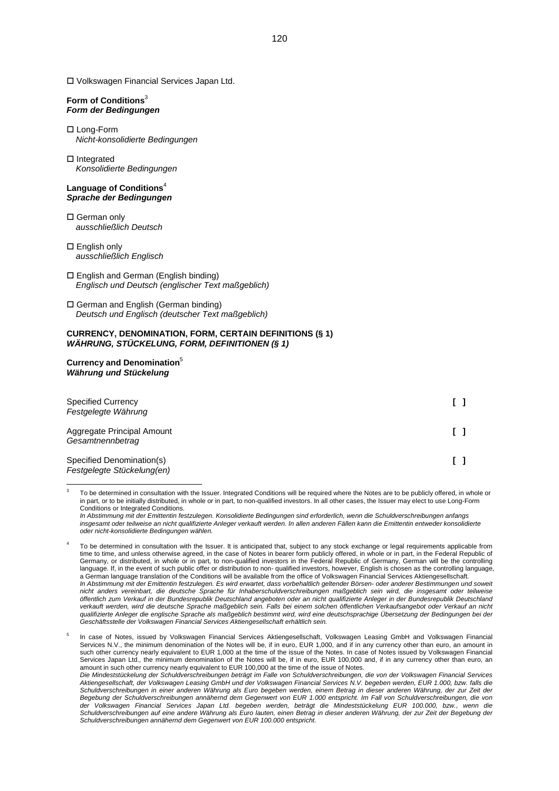Volkswagen Financial Services Japan Ltd.

### **Form of Condition[s](#page-119-0)**<sup>3</sup> *Form der Bedingungen*

- □ Long-Form *Nicht-konsolidierte Bedingungen*
- $\Pi$  Integrated *Konsolidierte Bedingungen*

### **Language of Conditions**[4](#page-119-1) *Sprache der Bedingungen*

- □ German only *ausschließlich Deutsch*
- □ English only *ausschließlich Englisch*
- English and German (English binding) *Englisch und Deutsch (englischer Text maßgeblich)*
- German and English (German binding) *Deutsch und Englisch (deutscher Text maßgeblich)*

### **CURRENCY, DENOMINATION, FORM, CERTAIN DEFINITIONS (§ 1)** *WÄHRUNG, STÜCKELUNG, FORM, DEFINITIONEN (§ 1)*

### **Currency and Denomination**[5](#page-119-2) *Währung und Stückelung*

| <b>Specified Currency</b><br>Festgelegte Währung        |  |
|---------------------------------------------------------|--|
| Aggregate Principal Amount<br>Gesamtnennbetrag          |  |
| Specified Denomination(s)<br>Festgelegte Stückelung(en) |  |

<span id="page-119-0"></span>3 To be determined in consultation with the Issuer. Integrated Conditions will be required where the Notes are to be publicly offered, in whole or in part, or to be initially distributed, in whole or in part, to non-qualified investors. In all other cases, the Issuer may elect to use Long-Form Conditions or Integrated Conditions.

*In Abstimmung mit der Emittentin festzulegen. Konsolidierte Bedingungen sind erforderlich, wenn die Schuldverschreibungen anfangs insgesamt oder teilweise an nicht qualifizierte Anleger verkauft werden. In allen anderen Fällen kann die Emittentin entweder konsolidierte oder nicht-konsolidierte Bedingungen wählen.*

<span id="page-119-1"></span>4 To be determined in consultation with the Issuer. It is anticipated that, subject to any stock exchange or legal requirements applicable from time to time, and unless otherwise agreed, in the case of Notes in bearer form publicly offered, in whole or in part, in the Federal Republic of Germany, or distributed, in whole or in part, to non-qualified investors in the Federal Republic of Germany, German will be the controlling language. If, in the event of such public offer or distribution to non- qualified investors, however, English is chosen as the controlling language, a German language translation of the Conditions will be available from the office of Volkswagen Financial Services Aktiengesellschaft. *In Abstimmung mit der Emittentin festzulegen. Es wird erwartet, dass vorbehaltlich geltender Börsen- oder anderer Bestimmungen und soweit nicht anders vereinbart, die deutsche Sprache für Inhaberschuldverschreibungen maßgeblich sein wird, die insgesamt oder teilweise öffentlich zum Verkauf in der Bundesrepublik Deutschland angeboten oder an nicht qualifizierte Anleger in der Bundesrepublik Deutschland verkauft werden, wird die deutsche Sprache maßgeblich sein. Falls bei einem solchen öffentlichen Verkaufsangebot oder Verkauf an nicht qualifizierte Anleger die englische Sprache als maßgeblich bestimmt wird, wird eine deutschsprachige Übersetzung der Bedingungen bei der Geschäftsstelle der Volkswagen Financial Services Aktiengesellschaft erhältlich sein.*

<span id="page-119-2"></span>5 In case of Notes, issued by Volkswagen Financial Services Aktiengesellschaft, Volkswagen Leasing GmbH and Volkswagen Financial Services N.V., the minimum denomination of the Notes will be, if in euro, EUR 1,000, and if in any currency other than euro, an amount in such other currency nearly equivalent to EUR 1,000 at the time of the issue of the Notes. In case of Notes issued by Volkswagen Financial Services Japan Ltd., the minimum denomination of the Notes will be, if in euro, EUR 100,000 and, if in any currency other than euro, an amount in such other currency nearly equivalent to EUR 100,000 at the time of the issue of Notes. *Die Mindeststückelung der Schuldverschreibungen beträgt im Falle von Schuldverschreibungen, die von der Volkswagen Financial Services Aktiengesellschaft, der Volkswagen Leasing GmbH und der Volkswagen Financial Services N.V. begeben werden, EUR 1.000, bzw. falls die Schuldverschreibungen in einer anderen Währung als Euro begeben werden, einem Betrag in dieser anderen Währung, der zur Zeit der Begebung der Schuldverschreibungen annähernd dem Gegenwert von EUR 1.000 entspricht. Im Fall von Schuldverschreibungen, die von der Volkswagen Financial Services Japan Ltd. begeben werden, beträgt die Mindeststückelung EUR 100.000, bzw., wenn die Schuldverschreibungen auf eine andere Währung als Euro lauten, einen Betrag in dieser anderen Währung, der zur Zeit der Begebung der Schuldverschreibungen annähernd dem Gegenwert von EUR 100.000 entspricht.*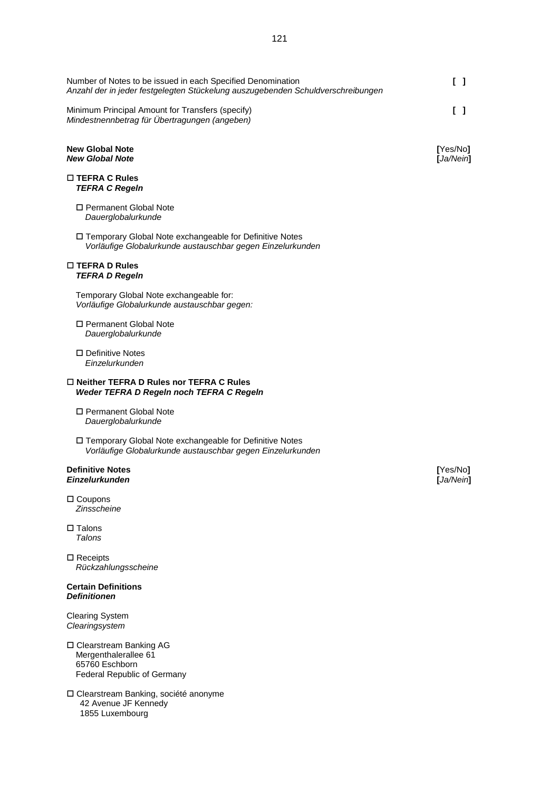Number of Notes to be issued in each Specified Denomination **[ ]** *Anzahl der in jeder festgelegten Stückelung auszugebenden Schuldverschreibungen* Minimum Principal Amount for Transfers (specify) **[ ]**

*Mindestnennbetrag für Übertragungen (angeben)*

### **New Global Note** [Yes/No**]**<br> **New Global Note** [Ja/Nein] *New Global Note* **[***Ja/Nein***]**

### **TEFRA C Rules** *TEFRA C Regeln*

- □ Permanent Global Note *Dauerglobalurkunde*
- Temporary Global Note exchangeable for Definitive Notes *Vorläufige Globalurkunde austauschbar gegen Einzelurkunden*

#### **TEFRA D Rules** *TEFRA D Regeln*

Temporary Global Note exchangeable for: *Vorläufige Globalurkunde austauschbar gegen:*

- Permanent Global Note *Dauerglobalurkunde*
- □ Definitive Notes *Einzelurkunden*

### **Neither TEFRA D Rules nor TEFRA C Rules** *Weder TEFRA D Regeln noch TEFRA C Regeln*

- □ Permanent Global Note *Dauerglobalurkunde*
- □ Temporary Global Note exchangeable for Definitive Notes *Vorläufige Globalurkunde austauschbar gegen Einzelurkunden*

### **Definitive Notes** [Yes/No] *Einzelurkunden* **[***Ja/Nein***]**

□ Coupons *Zinsscheine*

- $\square$  Talons *Talons*
- □ Receipts *Rückzahlungsscheine*

### **Certain Definitions** *Definitionen*

Clearing System *Clearingsystem*

- Clearstream Banking AG Mergenthalerallee 61 65760 Eschborn Federal Republic of Germany
- Clearstream Banking, société anonyme 42 Avenue JF Kennedy 1855 Luxembourg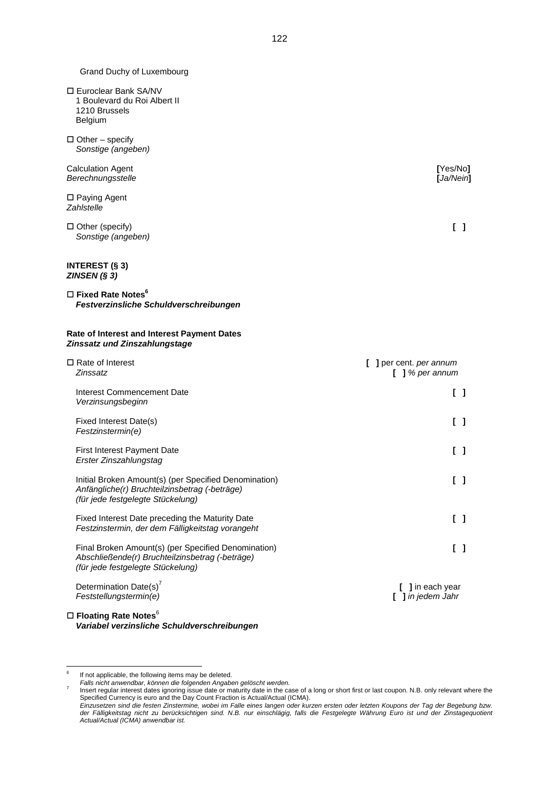Grand Duchy of Luxembourg

- Euroclear Bank SA/NV 1 Boulevard du Roi Albert II 1210 Brussels Belgium
- $\Box$  Other specify *Sonstige (angeben)*

Calculation Agent **[**Yes/No**]** *Berechnungsstelle* **[***Ja/Nein***]**

□ Paying Agent *Zahlstelle*

 $\Box$  Other (specify)  $\Box$ *Sonstige (angeben)*

### **INTEREST (§ 3)** *ZINSEN (§ 3)*

 **Fixed Rate Notes[6](#page-121-0)** *Festverzinsliche Schuldverschreibungen*

### **Rate of Interest and Interest Payment Dates** *Zinssatz und Zinszahlungstage*

| $\Box$ Rate of Interest<br>Zinssatz                                                                                                         | 1 per cent. <i>per annum</i><br>1 % per annum |
|---------------------------------------------------------------------------------------------------------------------------------------------|-----------------------------------------------|
| Interest Commencement Date<br>Verzinsungsbeginn                                                                                             |                                               |
| Fixed Interest Date(s)<br>Festzinstermin(e)                                                                                                 | $\begin{bmatrix} \end{bmatrix}$               |
| <b>First Interest Payment Date</b><br>Erster Zinszahlungstag                                                                                | I 1                                           |
| Initial Broken Amount(s) (per Specified Denomination)<br>Anfängliche(r) Bruchteilzinsbetrag (-beträge)<br>(für jede festgelegte Stückelung) | I 1                                           |
| Fixed Interest Date preceding the Maturity Date<br>Festzinstermin, der dem Fälligkeitstag vorangeht                                         | I 1                                           |
| Final Broken Amount(s) (per Specified Denomination)<br>Abschließende(r) Bruchteilzinsbetrag (-beträge)<br>(für jede festgelegte Stückelung) |                                               |
| Determination Date(s) <sup>7</sup><br>Feststellungstermin(e)                                                                                | [ ] in each year<br>] in jedem Jahr           |
|                                                                                                                                             |                                               |

 **Floating Rate Notes**<sup>6</sup> *Variabel verzinsliche Schuldverschreibungen*

<span id="page-121-0"></span><sup>6</sup> If not applicable, the following items may be deleted.

<span id="page-121-1"></span>*Falls nicht anwendbar, können die folgenden Angaben gelöscht werden.*

<sup>7</sup> Insert regular interest dates ignoring issue date or maturity date in the case of a long or short first or last coupon. N.B. only relevant where the Specified Currency is euro and the Day Count Fraction is Actual/Actual (ICMA). *Einzusetzen sind die festen Zinstermine, wobei im Falle eines langen oder kurzen ersten oder letzten Koupons der Tag der Begebung bzw.*

*der Fälligkeitstag nicht zu berücksichtigen sind. N.B. nur einschlägig, falls die Festgelegte Währung Euro ist und der Zinstagequotient Actual/Actual (ICMA) anwendbar ist.*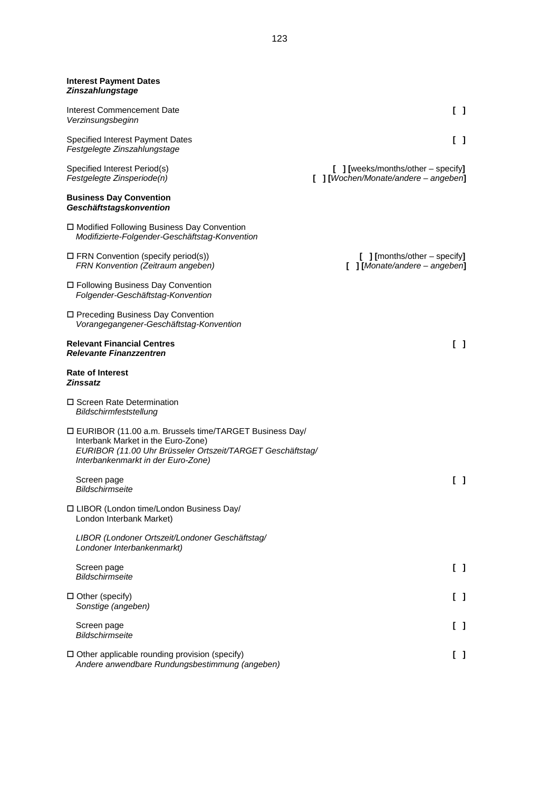| <b>Interest Payment Dates</b><br>Zinszahlungstage                                                                                                                                                  |                                                                                        |
|----------------------------------------------------------------------------------------------------------------------------------------------------------------------------------------------------|----------------------------------------------------------------------------------------|
| <b>Interest Commencement Date</b><br>Verzinsungsbeginn                                                                                                                                             | $\begin{smallmatrix} \end{smallmatrix}$                                                |
| <b>Specified Interest Payment Dates</b><br>Festgelegte Zinszahlungstage                                                                                                                            | $\begin{bmatrix} 1 \end{bmatrix}$                                                      |
| Specified Interest Period(s)<br>Festgelegte Zinsperiode(n)                                                                                                                                         | $\left[\right]$ [weeks/months/other – specify]<br>[ ] [Wochen/Monate/andere - angeben] |
| <b>Business Day Convention</b><br>Geschäftstagskonvention                                                                                                                                          |                                                                                        |
| □ Modified Following Business Day Convention<br>Modifizierte-Folgender-Geschäftstag-Konvention                                                                                                     |                                                                                        |
| $\Box$ FRN Convention (specify period(s))<br>FRN Konvention (Zeitraum angeben)                                                                                                                     | $[$ ] [months/other – specify]<br>$[$ ] [Monate/andere - angeben]                      |
| □ Following Business Day Convention<br>Folgender-Geschäftstag-Konvention                                                                                                                           |                                                                                        |
| □ Preceding Business Day Convention<br>Vorangegangener-Geschäftstag-Konvention                                                                                                                     |                                                                                        |
| <b>Relevant Financial Centres</b><br><b>Relevante Finanzzentren</b>                                                                                                                                | $\begin{bmatrix} 1 \end{bmatrix}$                                                      |
| <b>Rate of Interest</b><br><b>Zinssatz</b>                                                                                                                                                         |                                                                                        |
| □ Screen Rate Determination<br>Bildschirmfeststellung                                                                                                                                              |                                                                                        |
| □ EURIBOR (11.00 a.m. Brussels time/TARGET Business Day/<br>Interbank Market in the Euro-Zone)<br>EURIBOR (11.00 Uhr Brüsseler Ortszeit/TARGET Geschäftstag/<br>Interbankenmarkt in der Euro-Zone) |                                                                                        |
| Screen page<br>Bildschirmseite                                                                                                                                                                     | $\begin{bmatrix} \end{bmatrix}$                                                        |
| □ LIBOR (London time/London Business Day/<br>London Interbank Market)                                                                                                                              |                                                                                        |
| LIBOR (Londoner Ortszeit/Londoner Geschäftstag/<br>Londoner Interbankenmarkt)                                                                                                                      |                                                                                        |
| Screen page<br><b>Bildschirmseite</b>                                                                                                                                                              | $\begin{bmatrix} 1 \end{bmatrix}$                                                      |
| $\Box$ Other (specify)<br>Sonstige (angeben)                                                                                                                                                       | [ ]                                                                                    |
| Screen page<br><b>Bildschirmseite</b>                                                                                                                                                              | I 1                                                                                    |
| $\Box$ Other applicable rounding provision (specify)<br>Andere anwendbare Rundungsbestimmung (angeben)                                                                                             | $\begin{smallmatrix} \end{smallmatrix}$                                                |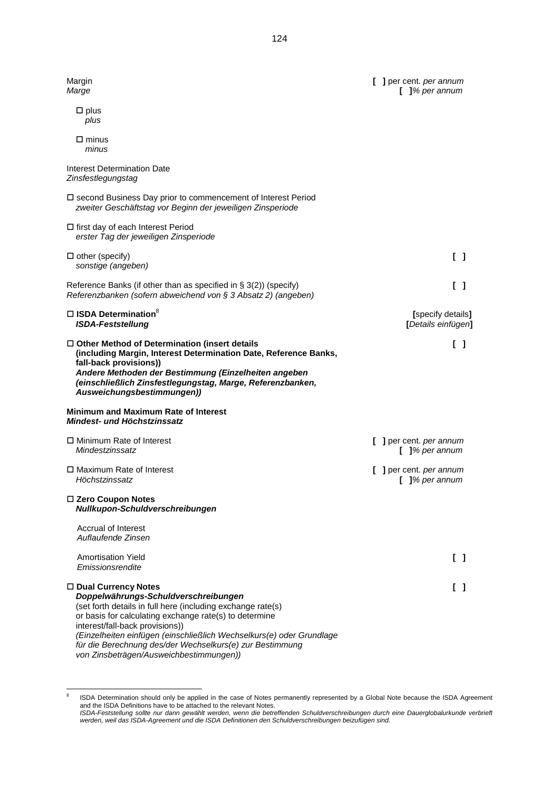| Margin<br>Marge                                                                                                                                                                                                                                                                                                                                                                                          | [ ] per cent. per annum<br>$[$ ]% per annum |
|----------------------------------------------------------------------------------------------------------------------------------------------------------------------------------------------------------------------------------------------------------------------------------------------------------------------------------------------------------------------------------------------------------|---------------------------------------------|
| $\square$ plus<br>plus                                                                                                                                                                                                                                                                                                                                                                                   |                                             |
| $\square$ minus<br>minus                                                                                                                                                                                                                                                                                                                                                                                 |                                             |
| Interest Determination Date<br>Zinsfestlegungstag                                                                                                                                                                                                                                                                                                                                                        |                                             |
| □ second Business Day prior to commencement of Interest Period<br>zweiter Geschäftstag vor Beginn der jeweiligen Zinsperiode                                                                                                                                                                                                                                                                             |                                             |
| □ first day of each Interest Period<br>erster Tag der jeweiligen Zinsperiode                                                                                                                                                                                                                                                                                                                             |                                             |
| $\Box$ other (specify)<br>sonstige (angeben)                                                                                                                                                                                                                                                                                                                                                             | $\mathsf{L}$                                |
| Reference Banks (if other than as specified in $\S$ 3(2)) (specify)<br>Referenzbanken (sofern abweichend von § 3 Absatz 2) (angeben)                                                                                                                                                                                                                                                                     | $\begin{smallmatrix} \end{smallmatrix}$     |
| $\Box$ ISDA Determination <sup>8</sup><br><b>ISDA-Feststellung</b>                                                                                                                                                                                                                                                                                                                                       | [specify details]<br>[Details einfügen]     |
| $\Box$ Other Method of Determination (insert details<br>(including Margin, Interest Determination Date, Reference Banks,<br>fall-back provisions))<br>Andere Methoden der Bestimmung (Einzelheiten angeben<br>(einschließlich Zinsfestlegungstag, Marge, Referenzbanken,<br>Ausweichungsbestimmungen))                                                                                                   | $\mathsf{L}$                                |
| Minimum and Maximum Rate of Interest<br>Mindest- und Höchstzinssatz                                                                                                                                                                                                                                                                                                                                      |                                             |
| $\Box$ Minimum Rate of Interest<br>Mindestzinssatz                                                                                                                                                                                                                                                                                                                                                       | [ ] per cent. per annum<br>$[$ ]% per annum |
| $\Box$ Maximum Rate of Interest<br>Höchstzinssatz                                                                                                                                                                                                                                                                                                                                                        | [ ] per cent. per annum<br>$[$ ]% per annum |
| □ Zero Coupon Notes<br>Nullkupon-Schuldverschreibungen                                                                                                                                                                                                                                                                                                                                                   |                                             |
| Accrual of Interest<br>Auflaufende Zinsen                                                                                                                                                                                                                                                                                                                                                                |                                             |
| <b>Amortisation Yield</b><br>Emissionsrendite                                                                                                                                                                                                                                                                                                                                                            | $\begin{bmatrix} 1 \end{bmatrix}$           |
| □ Dual Currency Notes<br>Doppelwährungs-Schuldverschreibungen<br>(set forth details in full here (including exchange rate(s)<br>or basis for calculating exchange rate(s) to determine<br>interest/fall-back provisions))<br>(Einzelheiten einfügen (einschließlich Wechselkurs(e) oder Grundlage<br>für die Berechnung des/der Wechselkurs(e) zur Bestimmung<br>von Zinsbeträgen/Ausweichbestimmungen)) | ſΙ                                          |

<span id="page-123-0"></span><sup>8</sup> ISDA Determination should only be applied in the case of Notes permanently represented by a Global Note because the ISDA Agreement and the ISDA Definitions have to be attached to the relevant Notes. *ISDA-Feststellung sollte nur dann gewählt werden, wenn die betreffenden Schuldverschreibungen durch eine Dauerglobalurkunde verbrieft*

*werden, weil das ISDA-Agreement und die ISDA Definitionen den Schuldverschreibungen beizufügen sind.*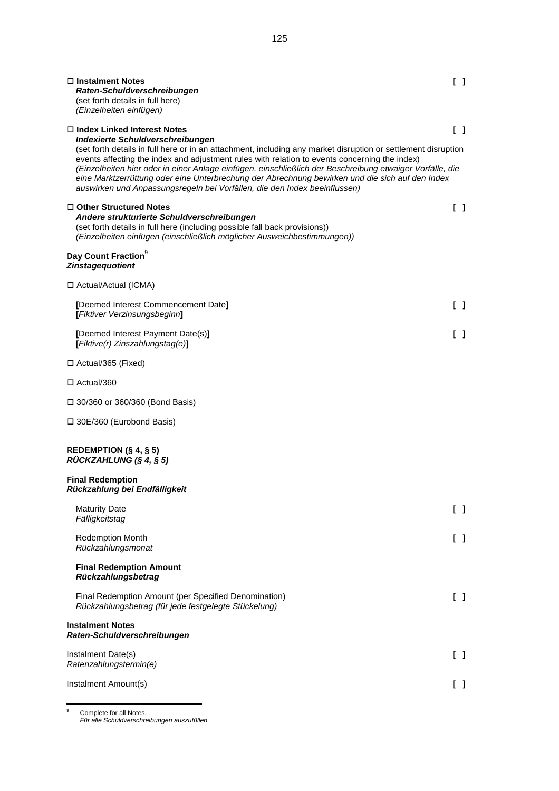| $\Box$ Instalment Notes<br>Raten-Schuldverschreibungen<br>(set forth details in full here)                                                                                                                                                                                                                                                                                                                                                                                                                                                     | $\mathsf{L}$                            |  |
|------------------------------------------------------------------------------------------------------------------------------------------------------------------------------------------------------------------------------------------------------------------------------------------------------------------------------------------------------------------------------------------------------------------------------------------------------------------------------------------------------------------------------------------------|-----------------------------------------|--|
| (Einzelheiten einfügen)<br>$\Box$ Index Linked Interest Notes                                                                                                                                                                                                                                                                                                                                                                                                                                                                                  | $\begin{smallmatrix} \end{smallmatrix}$ |  |
| Indexierte Schuldverschreibungen<br>(set forth details in full here or in an attachment, including any market disruption or settlement disruption<br>events affecting the index and adjustment rules with relation to events concerning the index)<br>(Einzelheiten hier oder in einer Anlage einfügen, einschließlich der Beschreibung etwaiger Vorfälle, die<br>eine Marktzerrüttung oder eine Unterbrechung der Abrechnung bewirken und die sich auf den Index<br>auswirken und Anpassungsregeln bei Vorfällen, die den Index beeinflussen) |                                         |  |
| $\Box$ Other Structured Notes<br>Andere strukturierte Schuldverschreibungen<br>(set forth details in full here (including possible fall back provisions))<br>(Einzelheiten einfügen (einschließlich möglicher Ausweichbestimmungen))                                                                                                                                                                                                                                                                                                           | $\Box$                                  |  |
| Day Count Fraction <sup>9</sup><br><b>Zinstageguotient</b>                                                                                                                                                                                                                                                                                                                                                                                                                                                                                     |                                         |  |
| □ Actual/Actual (ICMA)                                                                                                                                                                                                                                                                                                                                                                                                                                                                                                                         |                                         |  |
| [Deemed Interest Commencement Date]<br>[Fiktiver Verzinsungsbeginn]                                                                                                                                                                                                                                                                                                                                                                                                                                                                            | $\mathsf{L}$                            |  |
| [Deemed Interest Payment Date(s)]<br>[Fiktive(r) Zinszahlungstag(e)]                                                                                                                                                                                                                                                                                                                                                                                                                                                                           | I 1                                     |  |
| $\Box$ Actual/365 (Fixed)                                                                                                                                                                                                                                                                                                                                                                                                                                                                                                                      |                                         |  |
| $\Box$ Actual/360                                                                                                                                                                                                                                                                                                                                                                                                                                                                                                                              |                                         |  |
| $\Box$ 30/360 or 360/360 (Bond Basis)                                                                                                                                                                                                                                                                                                                                                                                                                                                                                                          |                                         |  |
| $\square$ 30E/360 (Eurobond Basis)                                                                                                                                                                                                                                                                                                                                                                                                                                                                                                             |                                         |  |
| REDEMPTION $(\S 4, \S 5)$<br>RÜCKZAHLUNG (§ 4, § 5)                                                                                                                                                                                                                                                                                                                                                                                                                                                                                            |                                         |  |
| <b>Final Redemption</b><br>Rückzahlung bei Endfälligkeit                                                                                                                                                                                                                                                                                                                                                                                                                                                                                       |                                         |  |
| <b>Maturity Date</b><br>Fälligkeitstag                                                                                                                                                                                                                                                                                                                                                                                                                                                                                                         | $\begin{bmatrix} 1 \end{bmatrix}$       |  |
| <b>Redemption Month</b><br>Rückzahlungsmonat                                                                                                                                                                                                                                                                                                                                                                                                                                                                                                   | $\mathsf{L}$                            |  |
| <b>Final Redemption Amount</b><br>Rückzahlungsbetrag                                                                                                                                                                                                                                                                                                                                                                                                                                                                                           |                                         |  |
| Final Redemption Amount (per Specified Denomination)<br>Rückzahlungsbetrag (für jede festgelegte Stückelung)                                                                                                                                                                                                                                                                                                                                                                                                                                   | $\mathsf{L}$                            |  |
| <b>Instalment Notes</b><br>Raten-Schuldverschreibungen                                                                                                                                                                                                                                                                                                                                                                                                                                                                                         |                                         |  |
| Instalment Date(s)<br>Ratenzahlungstermin(e)                                                                                                                                                                                                                                                                                                                                                                                                                                                                                                   | $\begin{bmatrix} 1 \end{bmatrix}$       |  |
| Instalment Amount(s)                                                                                                                                                                                                                                                                                                                                                                                                                                                                                                                           | $\begin{bmatrix} 1 \end{bmatrix}$       |  |

<span id="page-124-0"></span><sup>9</sup> Complete for all Notes. *Für alle Schuldverschreibungen auszufüllen.*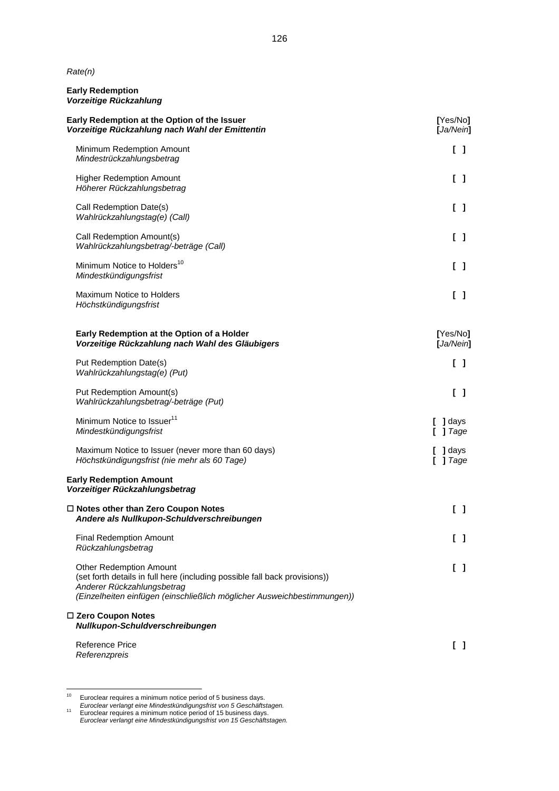*Rate(n)*

### **Early Redemption** *Vorzeitige Rückzahlung*

| Early Redemption at the Option of the Issuer<br>Vorzeitige Rückzahlung nach Wahl der Emittentin                                                                                                                       | [Yes/No]<br>[Ja/Nein]               |  |  |
|-----------------------------------------------------------------------------------------------------------------------------------------------------------------------------------------------------------------------|-------------------------------------|--|--|
| Minimum Redemption Amount<br>Mindestrückzahlungsbetrag                                                                                                                                                                | $\begin{bmatrix} 1 \end{bmatrix}$   |  |  |
| <b>Higher Redemption Amount</b><br>Höherer Rückzahlungsbetrag                                                                                                                                                         | $\begin{bmatrix} 1 \end{bmatrix}$   |  |  |
| Call Redemption Date(s)<br>Wahlrückzahlungstag(e) (Call)                                                                                                                                                              | $\begin{bmatrix} 1 \end{bmatrix}$   |  |  |
| Call Redemption Amount(s)<br>Wahlrückzahlungsbetrag/-beträge (Call)                                                                                                                                                   | $\begin{bmatrix} 1 \end{bmatrix}$   |  |  |
| Minimum Notice to Holders <sup>10</sup><br>Mindestkündigungsfrist                                                                                                                                                     | $\begin{bmatrix} 1 \end{bmatrix}$   |  |  |
| Maximum Notice to Holders<br>Höchstkündigungsfrist                                                                                                                                                                    | $\begin{bmatrix} 1 \end{bmatrix}$   |  |  |
| Early Redemption at the Option of a Holder<br>Vorzeitige Rückzahlung nach Wahl des Gläubigers                                                                                                                         | [Yes/No]<br>[Ja/Nein]               |  |  |
| Put Redemption Date(s)<br>Wahlrückzahlungstag(e) (Put)                                                                                                                                                                | $\begin{bmatrix} 1 \end{bmatrix}$   |  |  |
| Put Redemption Amount(s)<br>Wahlrückzahlungsbetrag/-beträge (Put)                                                                                                                                                     | $\begin{bmatrix} 1 \end{bmatrix}$   |  |  |
| Minimum Notice to Issuer <sup>11</sup><br>Mindestkündigungsfrist                                                                                                                                                      | $\blacksquare$ ] days<br>$[$ ] Tage |  |  |
| Maximum Notice to Issuer (never more than 60 days)<br>Höchstkündigungsfrist (nie mehr als 60 Tage)                                                                                                                    | ] days<br>$[$ ] Tage                |  |  |
| <b>Early Redemption Amount</b><br>Vorzeitiger Rückzahlungsbetrag                                                                                                                                                      |                                     |  |  |
| $\Box$ Notes other than Zero Coupon Notes<br>Andere als Nullkupon-Schuldverschreibungen                                                                                                                               | $\begin{bmatrix} 1 \end{bmatrix}$   |  |  |
| <b>Final Redemption Amount</b><br>Rückzahlungsbetrag                                                                                                                                                                  | $\begin{bmatrix} 1 \end{bmatrix}$   |  |  |
| <b>Other Redemption Amount</b><br>(set forth details in full here (including possible fall back provisions))<br>Anderer Rückzahlungsbetrag<br>(Einzelheiten einfügen (einschließlich möglicher Ausweichbestimmungen)) | $\begin{bmatrix} 1 \end{bmatrix}$   |  |  |
| □ Zero Coupon Notes<br>Nullkupon-Schuldverschreibungen                                                                                                                                                                |                                     |  |  |
| <b>Reference Price</b><br>Referenzpreis                                                                                                                                                                               | $\begin{bmatrix} 1 \end{bmatrix}$   |  |  |

<span id="page-125-0"></span> $10$  Euroclear requires a minimum notice period of 5 business days.

<span id="page-125-1"></span>*Euroclear verlangt eine Mindestkündigungsfrist von 5 Geschäftstagen.* <sup>11</sup> Euroclear requires a minimum notice period of 15 business days.

*Euroclear verlangt eine Mindestkündigungsfrist von 15 Geschäftstagen.*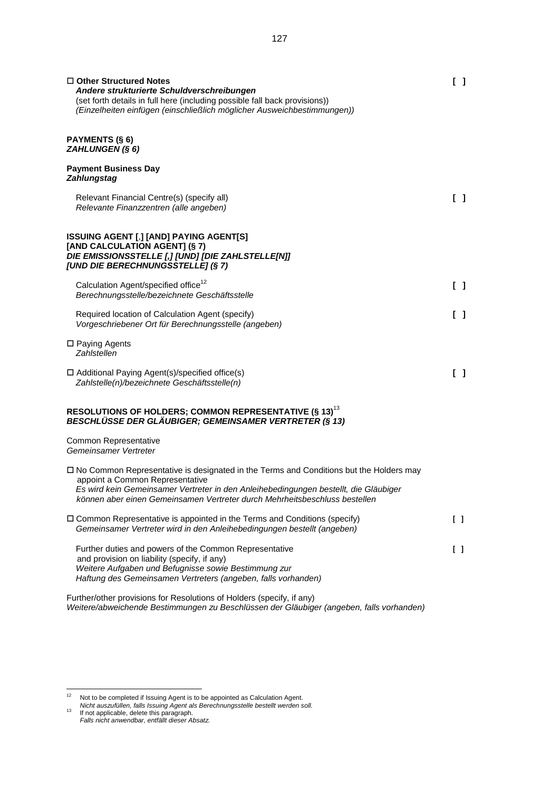| $\Box$ Other Structured Notes<br>Andere strukturierte Schuldverschreibungen<br>(set forth details in full here (including possible fall back provisions))<br>(Einzelheiten einfügen (einschließlich möglicher Ausweichbestimmungen))                                                                   | ſΙ                                         |
|--------------------------------------------------------------------------------------------------------------------------------------------------------------------------------------------------------------------------------------------------------------------------------------------------------|--------------------------------------------|
| <b>PAYMENTS (§ 6)</b><br>ZAHLUNGEN (§ 6)                                                                                                                                                                                                                                                               |                                            |
| <b>Payment Business Day</b><br><b>Zahlungstag</b>                                                                                                                                                                                                                                                      |                                            |
| Relevant Financial Centre(s) (specify all)<br>Relevante Finanzzentren (alle angeben)                                                                                                                                                                                                                   | $\begin{bmatrix} 1 \end{bmatrix}$          |
| <b>ISSUING AGENT [,] [AND] PAYING AGENT[S]</b><br>[AND CALCULATION AGENT] (§ 7)<br>DIE EMISSIONSSTELLE [,] [UND] [DIE ZAHLSTELLE[N]]<br>[UND DIE BERECHNUNGSSTELLE] (§ 7)                                                                                                                              |                                            |
| Calculation Agent/specified office <sup>12</sup><br>Berechnungsstelle/bezeichnete Geschäftsstelle                                                                                                                                                                                                      | $\begin{bmatrix} 1 \end{bmatrix}$          |
| Required location of Calculation Agent (specify)<br>Vorgeschriebener Ort für Berechnungsstelle (angeben)                                                                                                                                                                                               | I 1                                        |
| □ Paying Agents<br>Zahlstellen                                                                                                                                                                                                                                                                         |                                            |
| $\Box$ Additional Paying Agent(s)/specified office(s)<br>Zahlstelle(n)/bezeichnete Geschäftsstelle(n)                                                                                                                                                                                                  | $\begin{bmatrix} 1 \end{bmatrix}$          |
| RESOLUTIONS OF HOLDERS; COMMON REPRESENTATIVE (§ 13) <sup>13</sup><br><b>BESCHLÜSSE DER GLÄUBIGER; GEMEINSAMER VERTRETER (§ 13)</b>                                                                                                                                                                    |                                            |
| <b>Common Representative</b><br>Gemeinsamer Vertreter                                                                                                                                                                                                                                                  |                                            |
| $\Box$ No Common Representative is designated in the Terms and Conditions but the Holders may<br>appoint a Common Representative<br>Es wird kein Gemeinsamer Vertreter in den Anleihebedingungen bestellt, die Gläubiger<br>können aber einen Gemeinsamen Vertreter durch Mehrheitsbeschluss bestellen |                                            |
| □ Common Representative is appointed in the Terms and Conditions (specify)<br>Gemeinsamer Vertreter wird in den Anleihebedingungen bestellt (angeben)                                                                                                                                                  | $\Box$                                     |
| Further duties and powers of the Common Representative<br>and provision on liability (specify, if any)<br>Weitere Aufgaben und Befugnisse sowie Bestimmung zur<br>Haftung des Gemeinsamen Vertreters (angeben, falls vorhanden)                                                                        | $\begin{smallmatrix}1\\1\end{smallmatrix}$ |
| Further/other provisions for Resolutions of Holders (specify, if any)<br>Weitere/abweichende Bestimmungen zu Beschlüssen der Gläubiger (angeben, falls vorhanden)                                                                                                                                      |                                            |

<span id="page-126-0"></span> $12$  Not to be completed if Issuing Agent is to be appointed as Calculation Agent. *Nicht auszufüllen, falls Issuing Agent als Berechnungsstelle bestellt werden soll.* <sup>13</sup> If not applicable, delete this paragraph.

<span id="page-126-1"></span>*Falls nicht anwendbar, entfällt dieser Absatz.*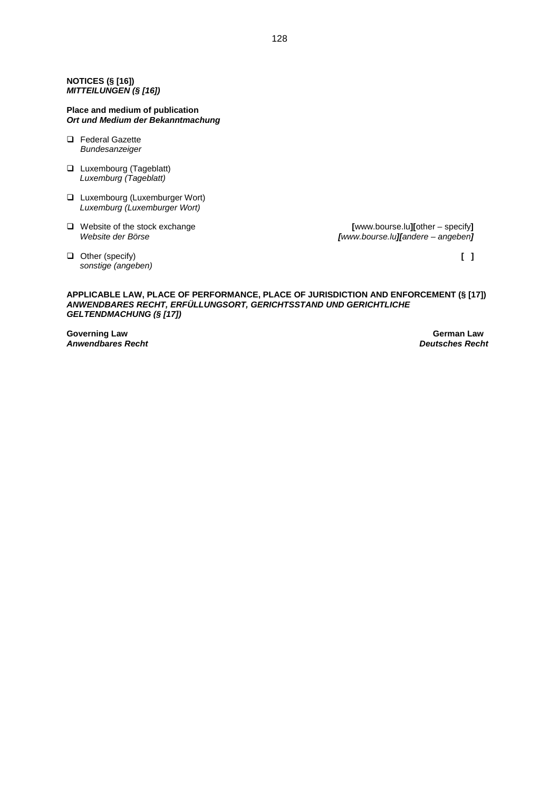### **NOTICES (§ [16])** *MITTEILUNGEN (§ [16])*

### **Place and medium of publication** *Ort und Medium der Bekanntmachung*

- □ Federal Gazette *Bundesanzeiger*
- **Luxembourg (Tageblatt)** *Luxemburg (Tageblatt)*
- **Luxembourg (Luxemburger Wort)** *Luxemburg (Luxemburger Wort)*
- Website of the stock exchange **[**www.bourse.lu**][**other specify**]**

*Website der Börse [www.bourse.lu][andere – angeben]*

 Other (specify) **[ ]** *sonstige (angeben)*

### **APPLICABLE LAW, PLACE OF PERFORMANCE, PLACE OF JURISDICTION AND ENFORCEMENT (§ [17])** *ANWENDBARES RECHT, ERFÜLLUNGSORT, GERICHTSSTAND UND GERICHTLICHE GELTENDMACHUNG (§ [17])*

**Governing Law German Law Construction Construction Construction Construction Construction Construction Construction**<br>Anwendbares Recht **Construction Construction Construction Construction Construction Construction Constru** *Anwendbares Recht Deutsches Recht*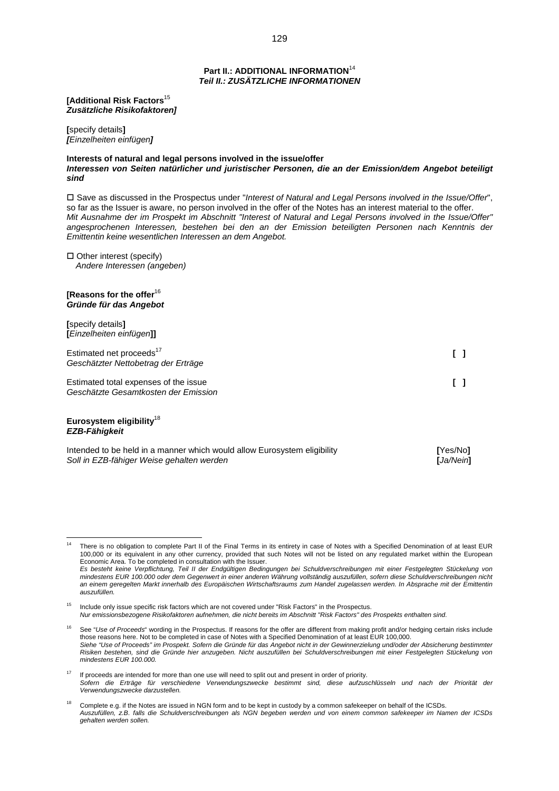### **Part II.: ADDITIONAL INFORMATION**<sup>14</sup> *Teil II.: ZUSÄTZLICHE INFORMATIONEN*

**[Additional Risk Factors**[15](#page-128-0) *Zusätzliche Risikofaktoren]*

**[**specify details**]** *[Einzelheiten einfügen]*

**Interests of natural and legal persons involved in the issue/offer** *Interessen von Seiten natürlicher und juristischer Personen, die an der Emission/dem Angebot beteiligt sind*

 Save as discussed in the Prospectus under "*Interest of Natural and Legal Persons involved in the Issue/Offer*", so far as the Issuer is aware, no person involved in the offer of the Notes has an interest material to the offer. *Mit Ausnahme der im Prospekt im Abschnitt "Interest of Natural and Legal Persons involved in the Issue/Offer" angesprochenen Interessen, bestehen bei den an der Emission beteiligten Personen nach Kenntnis der Emittentin keine wesentlichen Interessen an dem Angebot.*

 $\Box$  Other interest (specify) *Andere Interessen (angeben)*

### **[Reasons for the offer**[16](#page-128-1) *Gründe für das Angebot*

**[**specify details**] [***Einzelheiten einfügen***]]**

| Estimated net proceeds <sup>17</sup><br>Geschätzter Nettobetrag der Erträge   |  |
|-------------------------------------------------------------------------------|--|
| Estimated total expenses of the issue<br>Geschätzte Gesamtkosten der Emission |  |

### **Eurosystem eligibility**[18](#page-128-3) *EZB-Fähigkeit*

| Intended to be held in a manner which would allow Eurosystem eligibility | [Yes/No]  |
|--------------------------------------------------------------------------|-----------|
| Soll in EZB-fähiger Weise gehalten werden                                | [Ja/Nein] |

<span id="page-128-0"></span><sup>15</sup> Include only issue specific risk factors which are not covered under "Risk Factors" in the Prospectus. *Nur emissionsbezogene Risikofaktoren aufnehmen, die nicht bereits im Abschnitt "Risk Factors" des Prospekts enthalten sind.*

There is no obligation to complete Part II of the Final Terms in its entirety in case of Notes with a Specified Denomination of at least EUR 100,000 or its equivalent in any other currency, provided that such Notes will not be listed on any regulated market within the European Economic Area. To be completed in consultation with the Issuer.

*Es besteht keine Verpflichtung, Teil II der Endgültigen Bedingungen bei Schuldverschreibungen mit einer Festgelegten Stückelung von mindestens EUR 100.000 oder dem Gegenwert in einer anderen Währung vollständig auszufüllen, sofern diese Schuldverschreibungen nicht an einem geregelten Markt innerhalb des Europäischen Wirtschaftsraums zum Handel zugelassen werden. In Absprache mit der Emittentin auszufüllen.*

<span id="page-128-1"></span>See "Use of Proceeds" wording in the Prospectus. If reasons for the offer are different from making profit and/or hedging certain risks include those reasons here. Not to be completed in case of Notes with a Specified Denomination of at least EUR 100,000. *Siehe "Use of Proceeds" im Prospekt. Sofern die Gründe für das Angebot nicht in der Gewinnerzielung und/oder der Absicherung bestimmter Risiken bestehen, sind die Gründe hier anzugeben. Nicht auszufüllen bei Schuldverschreibungen mit einer Festgelegten Stückelung von mindestens EUR 100.000.*

<span id="page-128-2"></span><sup>17</sup> If proceeds are intended for more than one use will need to split out and present in order of priority. *Sofern die Erträge für verschiedene Verwendungszwecke bestimmt sind, diese aufzuschlüsseln und nach der Priorität der Verwendungszwecke darzustellen.*

<span id="page-128-3"></span><sup>18</sup> Complete e.g. if the Notes are issued in NGN form and to be kept in custody by a common safekeeper on behalf of the ICSDs. *Auszufüllen, z.B. falls die Schuldverschreibungen als NGN begeben werden und von einem common safekeeper im Namen der ICSDs gehalten werden sollen.*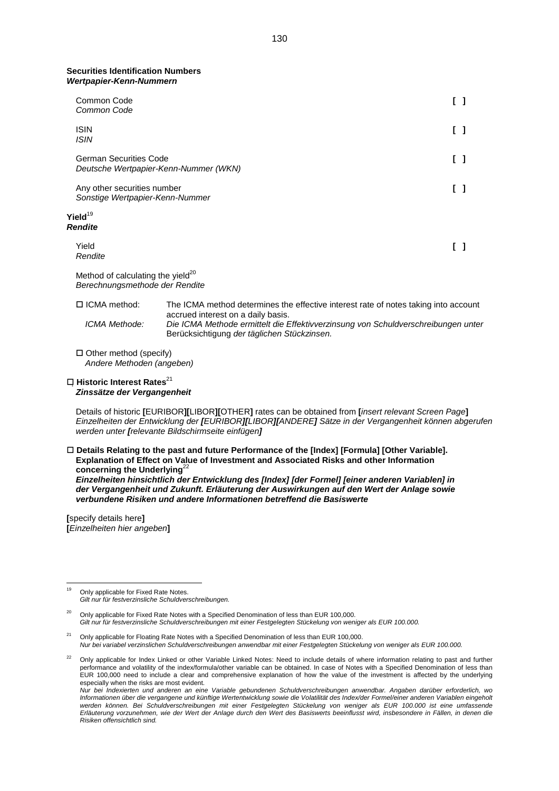#### **Securities Identification Numbers** *Wertpapier-Kenn-Nummern*

| Common Code<br>Common Code                                                      |                                                                                                                                  |     |
|---------------------------------------------------------------------------------|----------------------------------------------------------------------------------------------------------------------------------|-----|
| <b>ISIN</b><br><b>ISIN</b>                                                      |                                                                                                                                  | [ ] |
| <b>German Securities Code</b>                                                   | Deutsche Wertpapier-Kenn-Nummer (WKN)                                                                                            | [ ] |
| Any other securities number<br>Sonstige Wertpapier-Kenn-Nummer                  |                                                                                                                                  | I 1 |
| Yield <sup>19</sup><br><b>Rendite</b>                                           |                                                                                                                                  |     |
| Yield<br>Rendite                                                                |                                                                                                                                  | ΓI  |
| Method of calculating the yield <sup>20</sup><br>Berechnungsmethode der Rendite |                                                                                                                                  |     |
| □ ICMA method:                                                                  | The ICMA method determines the effective interest rate of notes taking into account<br>accrued interest on a daily basis.        |     |
| ICMA Methode:                                                                   | Die ICMA Methode ermittelt die Effektivverzinsung von Schuldverschreibungen unter<br>Berücksichtigung der täglichen Stückzinsen. |     |
| $\Box$ Other method (specify)<br>Andere Methoden (angeben)                      |                                                                                                                                  |     |

**Historic Interest Rates**<sup>[21](#page-129-2)</sup> *Zinssätze der Vergangenheit*

Details of historic **[**EURIBOR**][**LIBOR**][**OTHER**]** rates can be obtained from **[***insert relevant Screen Page***]** *Einzelheiten der Entwicklung der [EURIBOR][LIBOR][ANDERE] Sätze in der Vergangenheit können abgerufen werden unter [relevante Bildschirmseite einfügen]*

### **Details Relating to the past and future Performance of the [Index] [Formula] [Other Variable]. Explanation of Effect on Value of Investment and Associated Risks and other Information concerning the Underlying**<sup>2</sup>

*Einzelheiten hinsichtlich der Entwicklung des [Index] [der Formel] [einer anderen Variablen] in der Vergangenheit und Zukunft. Erläuterung der Auswirkungen auf den Wert der Anlage sowie verbundene Risiken und andere Informationen betreffend die Basiswerte*

**[**specify details here**] [***Einzelheiten hier angeben***]**

<span id="page-129-0"></span><sup>&</sup>lt;sup>19</sup> Only applicable for Fixed Rate Notes. *Gilt nur für festverzinsliche Schuldverschreibungen.*

<span id="page-129-1"></span><sup>&</sup>lt;sup>20</sup> Only applicable for Fixed Rate Notes with a Specified Denomination of less than EUR 100,000. *Gilt nur für festverzinsliche Schuldverschreibungen mit einer Festgelegten Stückelung von weniger als EUR 100.000.*

<span id="page-129-2"></span><sup>&</sup>lt;sup>21</sup> Only applicable for Floating Rate Notes with a Specified Denomination of less than EUR 100,000. *Nur bei variabel verzinslichen Schuldverschreibungen anwendbar mit einer Festgelegten Stückelung von weniger als EUR 100.000.*

<span id="page-129-3"></span><sup>22</sup> Only applicable for Index Linked or other Variable Linked Notes: Need to include details of where information relating to past and further performance and volatility of the index/formula/other variable can be obtained. In case of Notes with a Specified Denomination of less than EUR 100,000 need to include a clear and comprehensive explanation of how the value of the investment is affected by the underlying especially when the risks are most evident.

*Nur bei Indexierten und anderen an eine Variable gebundenen Schuldverschreibungen anwendbar. Angaben darüber erforderlich, wo Informationen über die vergangene und künftige Wertentwicklung sowie die Volatilität des Index/der Formel/einer anderen Variablen eingeholt werden können. Bei Schuldverschreibungen mit einer Festgelegten Stückelung von weniger als EUR 100.000 ist eine umfassende Erläuterung vorzunehmen, wie der Wert der Anlage durch den Wert des Basiswerts beeinflusst wird, insbesondere in Fällen, in denen die Risiken offensichtlich sind.*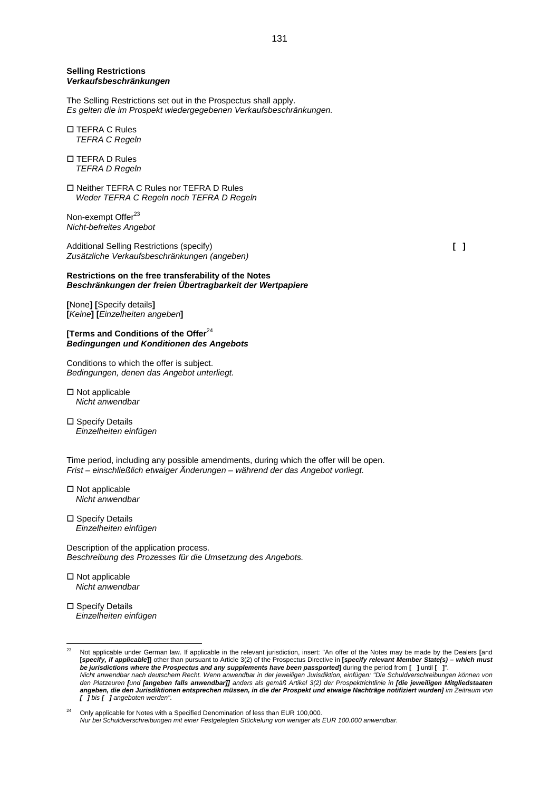### **Selling Restrictions** *Verkaufsbeschränkungen*

The Selling Restrictions set out in the Prospectus shall apply. *Es gelten die im Prospekt wiedergegebenen Verkaufsbeschränkungen.*

- TEFRA C Rules *TEFRA C Regeln*
- □ TEFRA D Rules *TEFRA D Regeln*
- Neither TEFRA C Rules nor TEFRA D Rules *Weder TEFRA C Regeln noch TEFRA D Regeln*

Non-exempt Offer<sup>[23](#page-130-0)</sup> *Nicht-befreites Angebot*

Additional Selling Restrictions (specify) **[ ]** *Zusätzliche Verkaufsbeschränkungen (angeben)*

### **Restrictions on the free transferability of the Notes** *Beschränkungen der freien Übertragbarkeit der Wertpapiere*

**[**None**] [**Specify details**] [***Keine***] [***Einzelheiten angeben***]**

**[Terms and Conditions of the Offer**[24](#page-130-1) *Bedingungen und Konditionen des Angebots*

Conditions to which the offer is subject. *Bedingungen, denen das Angebot unterliegt.*

- $\square$  Not applicable *Nicht anwendbar*
- □ Specify Details *Einzelheiten einfügen*

Time period, including any possible amendments, during which the offer will be open. *Frist – einschließlich etwaiger Änderungen – während der das Angebot vorliegt.*

- $\square$  Not applicable *Nicht anwendbar*
- □ Specify Details *Einzelheiten einfügen*

Description of the application process. *Beschreibung des Prozesses für die Umsetzung des Angebots.*

- $\square$  Not applicable *Nicht anwendbar*
- □ Specify Details *Einzelheiten einfügen*

<span id="page-130-0"></span><sup>23</sup> Not applicable under German law. If applicable in the relevant jurisdiction, insert: "An offer of the Notes may be made by the Dealers **[**and **[***specify, if applicable***]]** other than pursuant to Article 3(2) of the Prospectus Directive in **[***specify relevant Member State(s) – which must be jurisdictions where the Prospectus and any supplements have been passported***]** during the period from **[ ]** until **[ ]**". *Nicht anwendbar nach deutschem Recht. Wenn anwendbar in der jeweiligen Jurisdiktion, einfügen: "Die Schuldverschreibungen können von den Platzeuren [und [angeben falls anwendbar]] anders als gemäß Artikel 3(2) der Prospektrichtlinie in [die jeweiligen Mitgliedstaaten angeben, die den Jurisdiktionen entsprechen müssen, in die der Prospekt und etwaige Nachträge notifiziert wurden] im Zeitraum von [ ] bis [ ] angeboten werden".*

<span id="page-130-1"></span><sup>24</sup> Only applicable for Notes with a Specified Denomination of less than EUR 100,000. *Nur bei Schuldverschreibungen mit einer Festgelegten Stückelung von weniger als EUR 100.000 anwendbar.*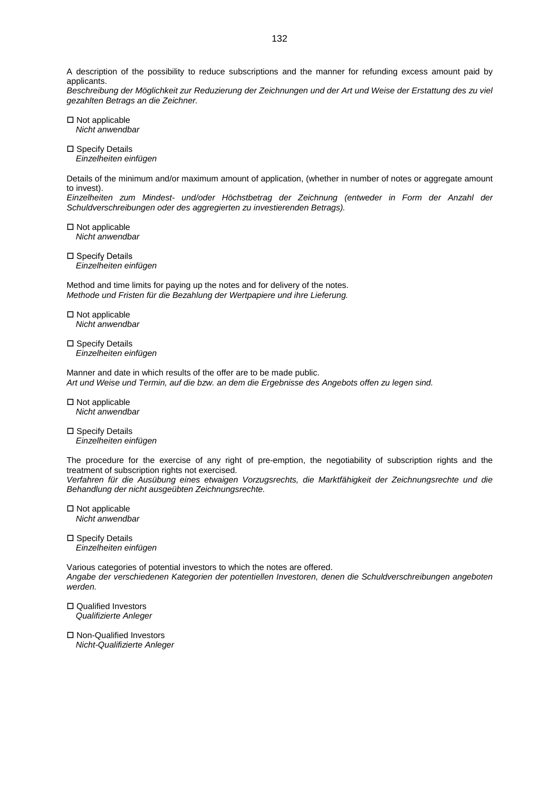A description of the possibility to reduce subscriptions and the manner for refunding excess amount paid by applicants.

*Beschreibung der Möglichkeit zur Reduzierung der Zeichnungen und der Art und Weise der Erstattung des zu viel gezahlten Betrags an die Zeichner.*

- $\square$  Not applicable *Nicht anwendbar*
- □ Specify Details *Einzelheiten einfügen*

Details of the minimum and/or maximum amount of application, (whether in number of notes or aggregate amount to invest).

*Einzelheiten zum Mindest- und/oder Höchstbetrag der Zeichnung (entweder in Form der Anzahl der Schuldverschreibungen oder des aggregierten zu investierenden Betrags).*

 $\square$  Not applicable *Nicht anwendbar*

 $\square$  Specify Details *Einzelheiten einfügen*

Method and time limits for paying up the notes and for delivery of the notes. *Methode und Fristen für die Bezahlung der Wertpapiere und ihre Lieferung.*

- $\square$  Not applicable *Nicht anwendbar*
- □ Specify Details *Einzelheiten einfügen*

Manner and date in which results of the offer are to be made public. *Art und Weise und Termin, auf die bzw. an dem die Ergebnisse des Angebots offen zu legen sind.*

 $\square$  Not applicable *Nicht anwendbar*

 $\square$  Specify Details *Einzelheiten einfügen*

The procedure for the exercise of any right of pre-emption, the negotiability of subscription rights and the treatment of subscription rights not exercised.

*Verfahren für die Ausübung eines etwaigen Vorzugsrechts, die Marktfähigkeit der Zeichnungsrechte und die Behandlung der nicht ausgeübten Zeichnungsrechte.*

- $\square$  Not applicable *Nicht anwendbar*
- □ Specify Details *Einzelheiten einfügen*

Various categories of potential investors to which the notes are offered. *Angabe der verschiedenen Kategorien der potentiellen Investoren, denen die Schuldverschreibungen angeboten werden.*

- □ Qualified Investors *Qualifizierte Anleger*
- □ Non-Qualified Investors *Nicht-Qualifizierte Anleger*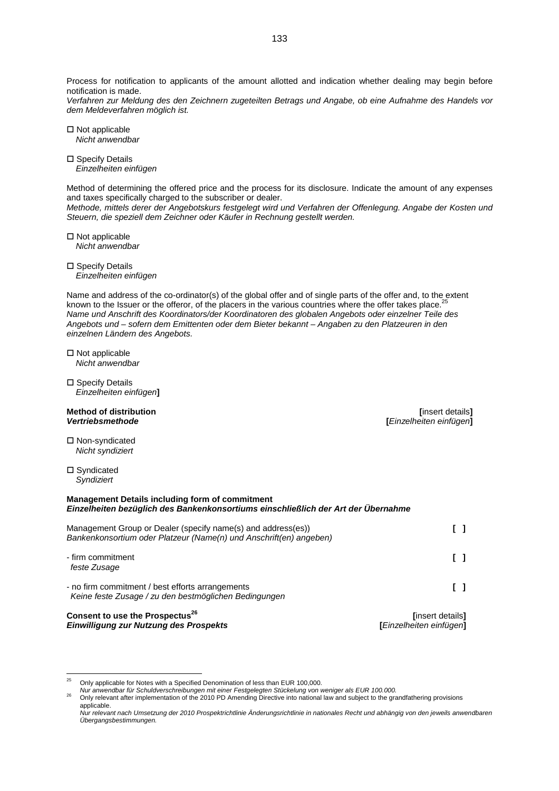Process for notification to applicants of the amount allotted and indication whether dealing may begin before notification is made.

*Verfahren zur Meldung des den Zeichnern zugeteilten Betrags und Angabe, ob eine Aufnahme des Handels vor dem Meldeverfahren möglich ist.*

 $\square$  Not applicable *Nicht anwendbar*

□ Specify Details *Einzelheiten einfügen*

Method of determining the offered price and the process for its disclosure. Indicate the amount of any expenses and taxes specifically charged to the subscriber or dealer.

*Methode, mittels derer der Angebotskurs festgelegt wird und Verfahren der Offenlegung. Angabe der Kosten und Steuern, die speziell dem Zeichner oder Käufer in Rechnung gestellt werden.*

 $\square$  Not applicable *Nicht anwendbar*

□ Specify Details *Einzelheiten einfügen*

Name and address of the co-ordinator(s) of the global offer and of single parts of the offer and, to the extent known to the Issuer or the offeror, of the placers in the various countries where the offer takes place.<sup>[25](#page-132-0)</sup> *Name und Anschrift des Koordinators/der Koordinatoren des globalen Angebots oder einzelner Teile des Angebots und – sofern dem Emittenten oder dem Bieter bekannt – Angaben zu den Platzeuren in den einzelnen Ländern des Angebots.*

 $\square$  Not applicable *Nicht anwendbar*

□ Specify Details *Einzelheiten einfügen***]**

### **Method of distribution** *i***nsert details]** *Vertriebsmethode* **[***Einzelheiten einfügen***]**

 Non-syndicated *Nicht syndiziert*

□ Syndicated *Syndiziert*

### **Management Details including form of commitment** *Einzelheiten bezüglich des Bankenkonsortiums einschließlich der Art der Übernahme*

| Management Group or Dealer (specify name(s) and address(es))<br>Bankenkonsortium oder Platzeur (Name(n) und Anschrift(en) angeben) |                                                      |
|------------------------------------------------------------------------------------------------------------------------------------|------------------------------------------------------|
| - firm commitment<br>feste Zusage                                                                                                  |                                                      |
| - no firm commitment / best efforts arrangements<br>Keine feste Zusage / zu den bestmöglichen Bedingungen                          |                                                      |
| Consent to use the Prospectus <sup>26</sup><br>Einwilliauna zur Nutzuna des Prospekts                                              | linsert details]<br><b>l</b> Einzelheiten einfügen l |

<span id="page-132-0"></span><sup>25</sup> Only applicable for Notes with a Specified Denomination of less than EUR 100,000.

<span id="page-132-1"></span>*Nur anwendbar für Schuldverschreibungen mit einer Festgelegten Stückelung von weniger als EUR 100.000.*

<sup>26</sup> Only relevant after implementation of the 2010 PD Amending Directive into national law and subject to the grandfathering provisions applicable.

*Nur relevant nach Umsetzung der 2010 Prospektrichtlinie Änderungsrichtlinie in nationales Recht und abhängig von den jeweils anwendbaren Übergangsbestimmungen.*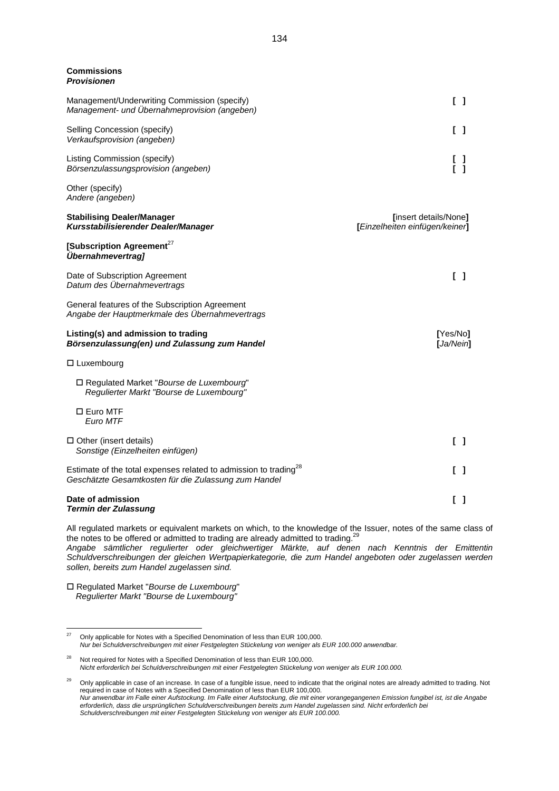#### **Commissions** *Provisionen*

| Management/Underwriting Commission (specify)<br>Management- und Übernahmeprovision (angeben)                                         | $\begin{bmatrix} 1 \end{bmatrix}$                       |
|--------------------------------------------------------------------------------------------------------------------------------------|---------------------------------------------------------|
| Selling Concession (specify)<br>Verkaufsprovision (angeben)                                                                          | I 1                                                     |
| Listing Commission (specify)<br>Börsenzulassungsprovision (angeben)                                                                  |                                                         |
| Other (specify)<br>Andere (angeben)                                                                                                  |                                                         |
| <b>Stabilising Dealer/Manager</b><br>Kursstabilisierender Dealer/Manager                                                             | [insert details/None]<br>[Einzelheiten einfügen/keiner] |
| [Subscription Agreement <sup>27</sup><br>Übernahmevertrag]                                                                           |                                                         |
| Date of Subscription Agreement<br>Datum des Übernahmevertrags                                                                        | $\begin{bmatrix} 1 \end{bmatrix}$                       |
| General features of the Subscription Agreement<br>Angabe der Hauptmerkmale des Übernahmevertrags                                     |                                                         |
| Listing(s) and admission to trading<br>Börsenzulassung(en) und Zulassung zum Handel                                                  | [Yes/No]<br>[Ja/Nein]                                   |
| $\Box$ Luxembourg                                                                                                                    |                                                         |
| □ Regulated Market "Bourse de Luxembourg"<br>Regulierter Markt "Bourse de Luxembourg"                                                |                                                         |
| □ Euro MTF<br>Euro MTF                                                                                                               |                                                         |
| $\Box$ Other (insert details)<br>Sonstige (Einzelheiten einfügen)                                                                    | I 1                                                     |
| Estimate of the total expenses related to admission to trading <sup>28</sup><br>Geschätzte Gesamtkosten für die Zulassung zum Handel | -1                                                      |

### **Date of admission** [ ] *Termin der Zulassung*

All regulated markets or equivalent markets on which, to the knowledge of the Issuer, notes of the same class of the notes to be offered or admitted to trading are already admitted to trading.<sup>[29](#page-133-2)</sup>

*Angabe sämtlicher regulierter oder gleichwertiger Märkte, auf denen nach Kenntnis der Emittentin Schuldverschreibungen der gleichen Wertpapierkategorie, die zum Handel angeboten oder zugelassen werden sollen, bereits zum Handel zugelassen sind.*

 Regulated Market "*Bourse de Luxembourg*" *Regulierter Markt "Bourse de Luxembourg"*

<span id="page-133-0"></span> $27$  Only applicable for Notes with a Specified Denomination of less than EUR 100,000. *Nur bei Schuldverschreibungen mit einer Festgelegten Stückelung von weniger als EUR 100.000 anwendbar.*

<span id="page-133-1"></span><sup>&</sup>lt;sup>28</sup> Not required for Notes with a Specified Denomination of less than EUR 100,000. *Nicht erforderlich bei Schuldverschreibungen mit einer Festgelegten Stückelung von weniger als EUR 100.000.*

<span id="page-133-2"></span><sup>29</sup> Only applicable in case of an increase. In case of a fungible issue, need to indicate that the original notes are already admitted to trading. Not required in case of Notes with a Specified Denomination of less than EUR 100,000. *Nur anwendbar im Falle einer Aufstockung. Im Falle einer Aufstockung, die mit einer vorangegangenen Emission fungibel ist, ist die Angabe erforderlich, dass die ursprünglichen Schuldverschreibungen bereits zum Handel zugelassen sind. Nicht erforderlich bei Schuldverschreibungen mit einer Festgelegten Stückelung von weniger als EUR 100.000.*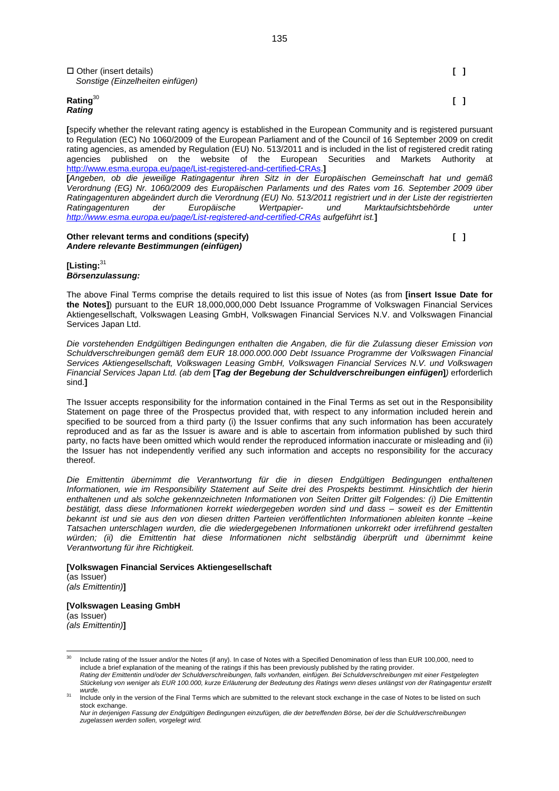| $\Box$ Other (insert details)<br>Sonstige (Einzelheiten einfügen) | $\Box$ |
|-------------------------------------------------------------------|--------|
| Rating $30$<br><b>Rating</b>                                      | I 1    |

**[**specify whether the relevant rating agency is established in the European Community and is registered pursuant to Regulation (EC) No 1060/2009 of the European Parliament and of the Council of 16 September 2009 on credit rating agencies, as amended by Regulation (EU) No. 513/2011 and is included in the list of registered credit rating agencies published on the website of the European Securities and Markets Authority at <http://www.esma.europa.eu/page/List-registered-and-certified-CRAs>.**]**

**[***Angeben, ob die jeweilige Ratingagentur ihren Sitz in der Europäischen Gemeinschaft hat und gemäß Verordnung (EG) Nr. 1060/2009 des Europäischen Parlaments und des Rates vom 16. September 2009 über Ratingagenturen abgeändert durch die Verordnung (EU) No. 513/2011 registriert und in der Liste der registrierten Ratingagenturen der Europäische Wertpapier- und Marktaufsichtsbehörde unter <http://www.esma.europa.eu/page/List-registered-and-certified-CRAs> aufgeführt ist.***]**

### **Other relevant terms and conditions (specify) example 20 and 20 and 20 and 20 and 20 and 20 and 20 and 20 and 20 and 20 and 20 and 20 and 20 and 20 and 20 and 20 and 20 and 20 and 20 and 20 and 20 and 20 and 20 and 20 and** *Andere relevante Bestimmungen (einfügen)*

**[Listing:**[31](#page-134-1) *Börsenzulassung:*

The above Final Terms comprise the details required to list this issue of Notes (as from **[insert Issue Date for the Notes]**) pursuant to the EUR 18,000,000,000 Debt Issuance Programme of Volkswagen Financial Services Aktiengesellschaft, Volkswagen Leasing GmbH, Volkswagen Financial Services N.V. and Volkswagen Financial Services Japan Ltd.

*Die vorstehenden Endgültigen Bedingungen enthalten die Angaben, die für die Zulassung dieser Emission von Schuldverschreibungen gemäß dem EUR 18.000.000.000 Debt Issuance Programme der Volkswagen Financial Services Aktiengesellschaft, Volkswagen Leasing GmbH, Volkswagen Financial Services N.V. und Volkswagen Financial Services Japan Ltd. (ab dem* **[***Tag der Begebung der Schuldverschreibungen einfügen***]***)* erforderlich sind.**]**

The Issuer accepts responsibility for the information contained in the Final Terms as set out in the Responsibility Statement on page three of the Prospectus provided that, with respect to any information included herein and specified to be sourced from a third party (i) the Issuer confirms that any such information has been accurately reproduced and as far as the Issuer is aware and is able to ascertain from information published by such third party, no facts have been omitted which would render the reproduced information inaccurate or misleading and (ii) the Issuer has not independently verified any such information and accepts no responsibility for the accuracy thereof.

*Die Emittentin übernimmt die Verantwortung für die in diesen Endgültigen Bedingungen enthaltenen Informationen, wie im Responsibility Statement auf Seite drei des Prospekts bestimmt. Hinsichtlich der hierin enthaltenen und als solche gekennzeichneten Informationen von Seiten Dritter gilt Folgendes: (i) Die Emittentin bestätigt, dass diese Informationen korrekt wiedergegeben worden sind und dass – soweit es der Emittentin bekannt ist und sie aus den von diesen dritten Parteien veröffentlichten Informationen ableiten konnte –keine Tatsachen unterschlagen wurden, die die wiedergegebenen Informationen unkorrekt oder irreführend gestalten würden; (ii) die Emittentin hat diese Informationen nicht selbständig überprüft und übernimmt keine Verantwortung für ihre Richtigkeit.*

**[Volkswagen Financial Services Aktiengesellschaft** (as Issuer) *(als Emittentin)***]**

**[Volkswagen Leasing GmbH** (as Issuer) *(als Emittentin)***]**

<span id="page-134-0"></span><sup>&</sup>lt;sup>30</sup> Include rating of the Issuer and/or the Notes (if any). In case of Notes with a Specified Denomination of less than EUR 100,000, need to include a brief explanation of the meaning of the ratings if this has been previously published by the rating provider. *Rating der Emittentin und/oder der Schuldverschreibungen, falls vorhanden, einfügen. Bei Schuldverschreibungen mit einer Festgelegten Stückelung von weniger als EUR 100.000, kurze Erläuterung der Bedeutung des Ratings wenn dieses unlängst von der Ratingagentur erstellt wurde.*

<span id="page-134-1"></span>Include only in the version of the Final Terms which are submitted to the relevant stock exchange in the case of Notes to be listed on such stock exchange.

*Nur in derjenigen Fassung der Endgültigen Bedingungen einzufügen, die der betreffenden Börse, bei der die Schuldverschreibungen zugelassen werden sollen, vorgelegt wird.*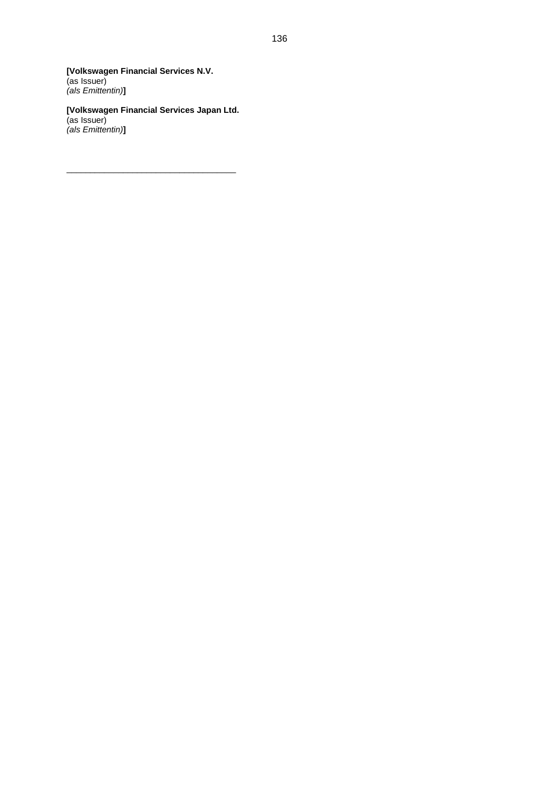**[Volkswagen Financial Services N.V.** (as Issuer) *(als Emittentin)***]**

**[Volkswagen Financial Services Japan Ltd.** (as Issuer) *(als Emittentin)***]**

\_\_\_\_\_\_\_\_\_\_\_\_\_\_\_\_\_\_\_\_\_\_\_\_\_\_\_\_\_\_\_\_\_\_\_\_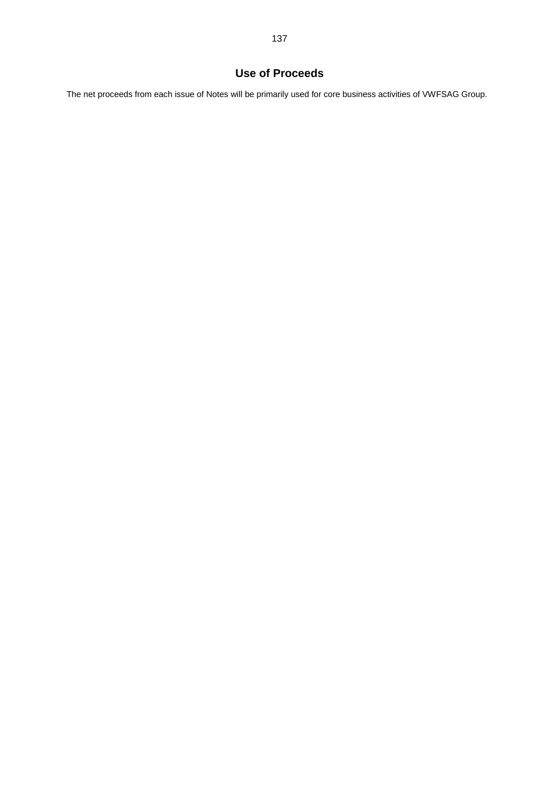# **Use of Proceeds**

The net proceeds from each issue of Notes will be primarily used for core business activities of VWFSAG Group.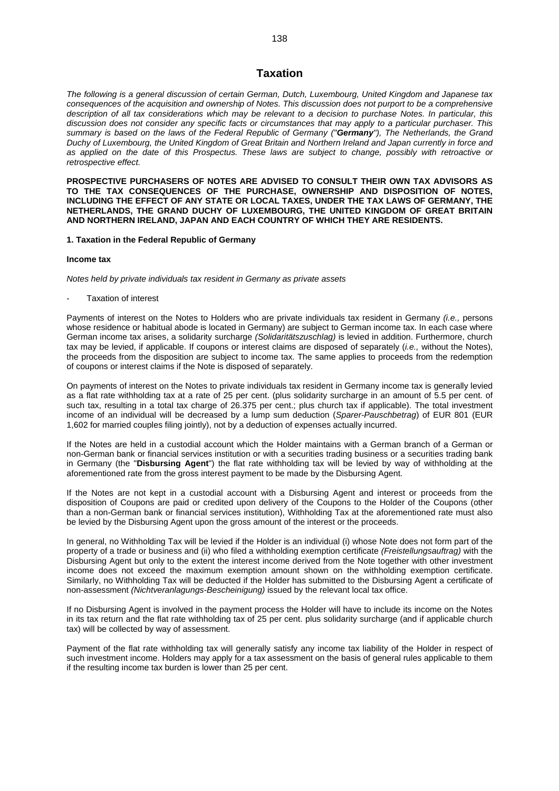# **Taxation**

*The following is a general discussion of certain German, Dutch, Luxembourg, United Kingdom and Japanese tax consequences of the acquisition and ownership of Notes. This discussion does not purport to be a comprehensive description of all tax considerations which may be relevant to a decision to purchase Notes. In particular, this discussion does not consider any specific facts or circumstances that may apply to a particular purchaser. This summary is based on the laws of the Federal Republic of Germany ("Germany"), The Netherlands, the Grand Duchy of Luxembourg, the United Kingdom of Great Britain and Northern Ireland and Japan currently in force and as applied on the date of this Prospectus. These laws are subject to change, possibly with retroactive or retrospective effect.*

**PROSPECTIVE PURCHASERS OF NOTES ARE ADVISED TO CONSULT THEIR OWN TAX ADVISORS AS TO THE TAX CONSEQUENCES OF THE PURCHASE, OWNERSHIP AND DISPOSITION OF NOTES, INCLUDING THE EFFECT OF ANY STATE OR LOCAL TAXES, UNDER THE TAX LAWS OF GERMANY, THE NETHERLANDS, THE GRAND DUCHY OF LUXEMBOURG, THE UNITED KINGDOM OF GREAT BRITAIN AND NORTHERN IRELAND, JAPAN AND EACH COUNTRY OF WHICH THEY ARE RESIDENTS.**

### **1. Taxation in the Federal Republic of Germany**

#### **Income tax**

*Notes held by private individuals tax resident in Germany as private assets*

- Taxation of interest

Payments of interest on the Notes to Holders who are private individuals tax resident in Germany *(i.e.,* persons whose residence or habitual abode is located in Germany) are subject to German income tax. In each case where German income tax arises, a solidarity surcharge *(Solidaritätszuschlag)* is levied in addition. Furthermore, church tax may be levied, if applicable. If coupons or interest claims are disposed of separately (*i.e.,* without the Notes), the proceeds from the disposition are subject to income tax. The same applies to proceeds from the redemption of coupons or interest claims if the Note is disposed of separately.

On payments of interest on the Notes to private individuals tax resident in Germany income tax is generally levied as a flat rate withholding tax at a rate of 25 per cent. (plus solidarity surcharge in an amount of 5.5 per cent. of such tax, resulting in a total tax charge of 26.375 per cent.; plus church tax if applicable). The total investment income of an individual will be decreased by a lump sum deduction (*Sparer-Pauschbetrag*) of EUR 801 (EUR 1,602 for married couples filing jointly), not by a deduction of expenses actually incurred.

If the Notes are held in a custodial account which the Holder maintains with a German branch of a German or non-German bank or financial services institution or with a securities trading business or a securities trading bank in Germany (the "**Disbursing Agent**") the flat rate withholding tax will be levied by way of withholding at the aforementioned rate from the gross interest payment to be made by the Disbursing Agent.

If the Notes are not kept in a custodial account with a Disbursing Agent and interest or proceeds from the disposition of Coupons are paid or credited upon delivery of the Coupons to the Holder of the Coupons (other than a non-German bank or financial services institution), Withholding Tax at the aforementioned rate must also be levied by the Disbursing Agent upon the gross amount of the interest or the proceeds.

In general, no Withholding Tax will be levied if the Holder is an individual (i) whose Note does not form part of the property of a trade or business and (ii) who filed a withholding exemption certificate *(Freistellungsauftrag)* with the Disbursing Agent but only to the extent the interest income derived from the Note together with other investment income does not exceed the maximum exemption amount shown on the withholding exemption certificate. Similarly, no Withholding Tax will be deducted if the Holder has submitted to the Disbursing Agent a certificate of non-assessment *(Nichtveranlagungs-Bescheinigung)* issued by the relevant local tax office.

If no Disbursing Agent is involved in the payment process the Holder will have to include its income on the Notes in its tax return and the flat rate withholding tax of 25 per cent. plus solidarity surcharge (and if applicable church tax) will be collected by way of assessment.

Payment of the flat rate withholding tax will generally satisfy any income tax liability of the Holder in respect of such investment income. Holders may apply for a tax assessment on the basis of general rules applicable to them if the resulting income tax burden is lower than 25 per cent.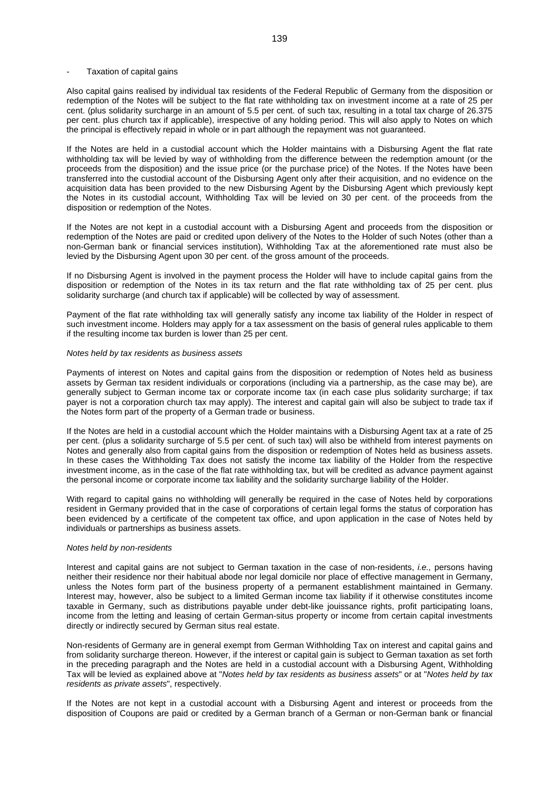### Taxation of capital gains

Also capital gains realised by individual tax residents of the Federal Republic of Germany from the disposition or redemption of the Notes will be subject to the flat rate withholding tax on investment income at a rate of 25 per cent. (plus solidarity surcharge in an amount of 5.5 per cent. of such tax, resulting in a total tax charge of 26.375 per cent. plus church tax if applicable), irrespective of any holding period. This will also apply to Notes on which the principal is effectively repaid in whole or in part although the repayment was not guaranteed.

If the Notes are held in a custodial account which the Holder maintains with a Disbursing Agent the flat rate withholding tax will be levied by way of withholding from the difference between the redemption amount (or the proceeds from the disposition) and the issue price (or the purchase price) of the Notes. If the Notes have been transferred into the custodial account of the Disbursing Agent only after their acquisition, and no evidence on the acquisition data has been provided to the new Disbursing Agent by the Disbursing Agent which previously kept the Notes in its custodial account, Withholding Tax will be levied on 30 per cent. of the proceeds from the disposition or redemption of the Notes.

If the Notes are not kept in a custodial account with a Disbursing Agent and proceeds from the disposition or redemption of the Notes are paid or credited upon delivery of the Notes to the Holder of such Notes (other than a non-German bank or financial services institution), Withholding Tax at the aforementioned rate must also be levied by the Disbursing Agent upon 30 per cent. of the gross amount of the proceeds.

If no Disbursing Agent is involved in the payment process the Holder will have to include capital gains from the disposition or redemption of the Notes in its tax return and the flat rate withholding tax of 25 per cent. plus solidarity surcharge (and church tax if applicable) will be collected by way of assessment.

Payment of the flat rate withholding tax will generally satisfy any income tax liability of the Holder in respect of such investment income. Holders may apply for a tax assessment on the basis of general rules applicable to them if the resulting income tax burden is lower than 25 per cent.

### *Notes held by tax residents as business assets*

Payments of interest on Notes and capital gains from the disposition or redemption of Notes held as business assets by German tax resident individuals or corporations (including via a partnership, as the case may be), are generally subject to German income tax or corporate income tax (in each case plus solidarity surcharge; if tax payer is not a corporation church tax may apply). The interest and capital gain will also be subject to trade tax if the Notes form part of the property of a German trade or business.

If the Notes are held in a custodial account which the Holder maintains with a Disbursing Agent tax at a rate of 25 per cent. (plus a solidarity surcharge of 5.5 per cent. of such tax) will also be withheld from interest payments on Notes and generally also from capital gains from the disposition or redemption of Notes held as business assets. In these cases the Withholding Tax does not satisfy the income tax liability of the Holder from the respective investment income, as in the case of the flat rate withholding tax, but will be credited as advance payment against the personal income or corporate income tax liability and the solidarity surcharge liability of the Holder.

With regard to capital gains no withholding will generally be required in the case of Notes held by corporations resident in Germany provided that in the case of corporations of certain legal forms the status of corporation has been evidenced by a certificate of the competent tax office, and upon application in the case of Notes held by individuals or partnerships as business assets.

### *Notes held by non-residents*

Interest and capital gains are not subject to German taxation in the case of non-residents, *i.e.,* persons having neither their residence nor their habitual abode nor legal domicile nor place of effective management in Germany, unless the Notes form part of the business property of a permanent establishment maintained in Germany. Interest may, however, also be subject to a limited German income tax liability if it otherwise constitutes income taxable in Germany, such as distributions payable under debt-like jouissance rights, profit participating loans, income from the letting and leasing of certain German-situs property or income from certain capital investments directly or indirectly secured by German situs real estate.

Non-residents of Germany are in general exempt from German Withholding Tax on interest and capital gains and from solidarity surcharge thereon. However, if the interest or capital gain is subject to German taxation as set forth in the preceding paragraph and the Notes are held in a custodial account with a Disbursing Agent, Withholding Tax will be levied as explained above at "*Notes held by tax residents as business assets*" or at "*Notes held by tax residents as private assets*", respectively.

If the Notes are not kept in a custodial account with a Disbursing Agent and interest or proceeds from the disposition of Coupons are paid or credited by a German branch of a German or non-German bank or financial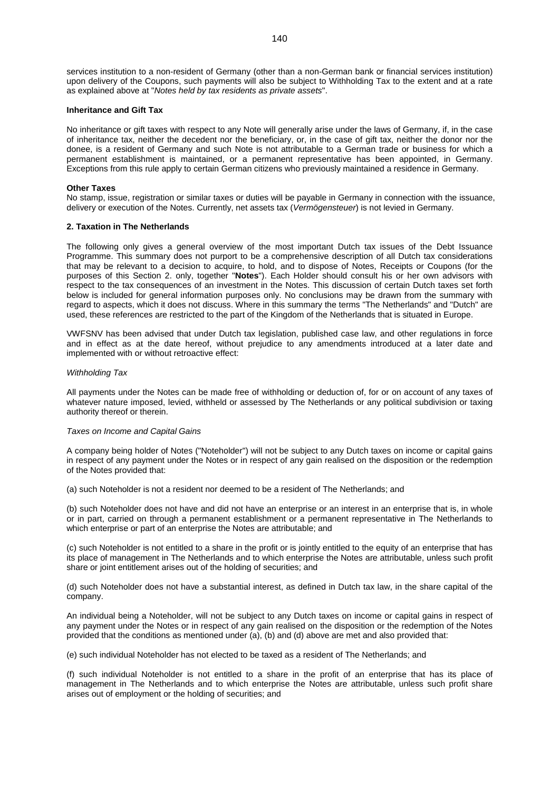services institution to a non-resident of Germany (other than a non-German bank or financial services institution) upon delivery of the Coupons, such payments will also be subject to Withholding Tax to the extent and at a rate as explained above at "*Notes held by tax residents as private assets*".

### **Inheritance and Gift Tax**

No inheritance or gift taxes with respect to any Note will generally arise under the laws of Germany, if, in the case of inheritance tax, neither the decedent nor the beneficiary, or, in the case of gift tax, neither the donor nor the donee, is a resident of Germany and such Note is not attributable to a German trade or business for which a permanent establishment is maintained, or a permanent representative has been appointed, in Germany. Exceptions from this rule apply to certain German citizens who previously maintained a residence in Germany.

### **Other Taxes**

No stamp, issue, registration or similar taxes or duties will be payable in Germany in connection with the issuance, delivery or execution of the Notes. Currently, net assets tax (*Vermögensteuer*) is not levied in Germany.

### **2. Taxation in The Netherlands**

The following only gives a general overview of the most important Dutch tax issues of the Debt Issuance Programme. This summary does not purport to be a comprehensive description of all Dutch tax considerations that may be relevant to a decision to acquire, to hold, and to dispose of Notes, Receipts or Coupons (for the purposes of this Section 2. only, together "**Notes**"). Each Holder should consult his or her own advisors with respect to the tax consequences of an investment in the Notes. This discussion of certain Dutch taxes set forth below is included for general information purposes only. No conclusions may be drawn from the summary with regard to aspects, which it does not discuss. Where in this summary the terms "The Netherlands" and "Dutch" are used, these references are restricted to the part of the Kingdom of the Netherlands that is situated in Europe.

VWFSNV has been advised that under Dutch tax legislation, published case law, and other regulations in force and in effect as at the date hereof, without prejudice to any amendments introduced at a later date and implemented with or without retroactive effect:

### *Withholding Tax*

All payments under the Notes can be made free of withholding or deduction of, for or on account of any taxes of whatever nature imposed, levied, withheld or assessed by The Netherlands or any political subdivision or taxing authority thereof or therein.

### *Taxes on Income and Capital Gains*

A company being holder of Notes ("Noteholder") will not be subject to any Dutch taxes on income or capital gains in respect of any payment under the Notes or in respect of any gain realised on the disposition or the redemption of the Notes provided that:

(a) such Noteholder is not a resident nor deemed to be a resident of The Netherlands; and

(b) such Noteholder does not have and did not have an enterprise or an interest in an enterprise that is, in whole or in part, carried on through a permanent establishment or a permanent representative in The Netherlands to which enterprise or part of an enterprise the Notes are attributable; and

(c) such Noteholder is not entitled to a share in the profit or is jointly entitled to the equity of an enterprise that has its place of management in The Netherlands and to which enterprise the Notes are attributable, unless such profit share or joint entitlement arises out of the holding of securities; and

(d) such Noteholder does not have a substantial interest, as defined in Dutch tax law, in the share capital of the company.

An individual being a Noteholder, will not be subject to any Dutch taxes on income or capital gains in respect of any payment under the Notes or in respect of any gain realised on the disposition or the redemption of the Notes provided that the conditions as mentioned under (a), (b) and (d) above are met and also provided that:

(e) such individual Noteholder has not elected to be taxed as a resident of The Netherlands; and

(f) such individual Noteholder is not entitled to a share in the profit of an enterprise that has its place of management in The Netherlands and to which enterprise the Notes are attributable, unless such profit share arises out of employment or the holding of securities; and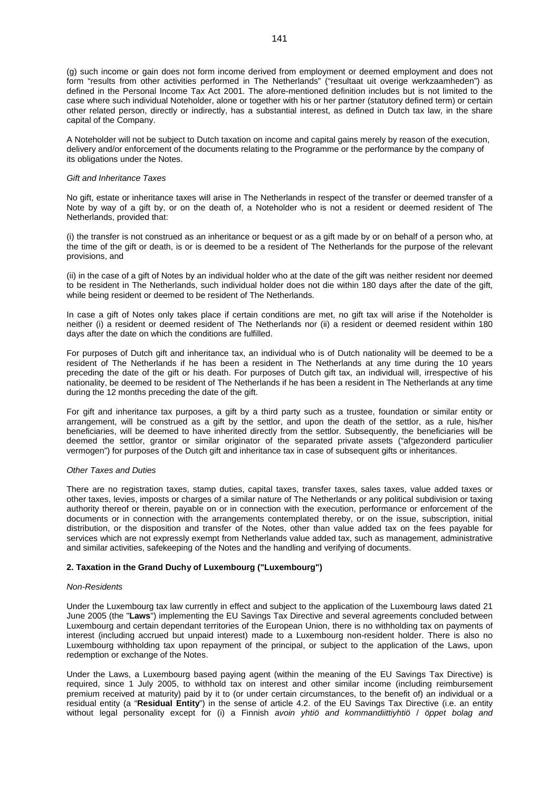(g) such income or gain does not form income derived from employment or deemed employment and does not form "results from other activities performed in The Netherlands" ("resultaat uit overige werkzaamheden") as defined in the Personal Income Tax Act 2001. The afore-mentioned definition includes but is not limited to the case where such individual Noteholder, alone or together with his or her partner (statutory defined term) or certain other related person, directly or indirectly, has a substantial interest, as defined in Dutch tax law, in the share capital of the Company.

A Noteholder will not be subject to Dutch taxation on income and capital gains merely by reason of the execution, delivery and/or enforcement of the documents relating to the Programme or the performance by the company of its obligations under the Notes.

### *Gift and Inheritance Taxes*

No gift, estate or inheritance taxes will arise in The Netherlands in respect of the transfer or deemed transfer of a Note by way of a gift by, or on the death of, a Noteholder who is not a resident or deemed resident of The Netherlands, provided that:

(i) the transfer is not construed as an inheritance or bequest or as a gift made by or on behalf of a person who, at the time of the gift or death, is or is deemed to be a resident of The Netherlands for the purpose of the relevant provisions, and

(ii) in the case of a gift of Notes by an individual holder who at the date of the gift was neither resident nor deemed to be resident in The Netherlands, such individual holder does not die within 180 days after the date of the gift, while being resident or deemed to be resident of The Netherlands.

In case a gift of Notes only takes place if certain conditions are met, no gift tax will arise if the Noteholder is neither (i) a resident or deemed resident of The Netherlands nor (ii) a resident or deemed resident within 180 days after the date on which the conditions are fulfilled.

For purposes of Dutch gift and inheritance tax, an individual who is of Dutch nationality will be deemed to be a resident of The Netherlands if he has been a resident in The Netherlands at any time during the 10 years preceding the date of the gift or his death. For purposes of Dutch gift tax, an individual will, irrespective of his nationality, be deemed to be resident of The Netherlands if he has been a resident in The Netherlands at any time during the 12 months preceding the date of the gift.

For gift and inheritance tax purposes, a gift by a third party such as a trustee, foundation or similar entity or arrangement, will be construed as a gift by the settlor, and upon the death of the settlor, as a rule, his/her beneficiaries, will be deemed to have inherited directly from the settlor. Subsequently, the beneficiaries will be deemed the settlor, grantor or similar originator of the separated private assets ("afgezonderd particulier vermogen") for purposes of the Dutch gift and inheritance tax in case of subsequent gifts or inheritances.

### *Other Taxes and Duties*

There are no registration taxes, stamp duties, capital taxes, transfer taxes, sales taxes, value added taxes or other taxes, levies, imposts or charges of a similar nature of The Netherlands or any political subdivision or taxing authority thereof or therein, payable on or in connection with the execution, performance or enforcement of the documents or in connection with the arrangements contemplated thereby, or on the issue, subscription, initial distribution, or the disposition and transfer of the Notes, other than value added tax on the fees payable for services which are not expressly exempt from Netherlands value added tax, such as management, administrative and similar activities, safekeeping of the Notes and the handling and verifying of documents.

### **2. Taxation in the Grand Duchy of Luxembourg ("Luxembourg")**

### *Non-Residents*

Under the Luxembourg tax law currently in effect and subject to the application of the Luxembourg laws dated 21 June 2005 (the "**Laws**") implementing the EU Savings Tax Directive and several agreements concluded between Luxembourg and certain dependant territories of the European Union, there is no withholding tax on payments of interest (including accrued but unpaid interest) made to a Luxembourg non-resident holder. There is also no Luxembourg withholding tax upon repayment of the principal, or subject to the application of the Laws, upon redemption or exchange of the Notes.

Under the Laws, a Luxembourg based paying agent (within the meaning of the EU Savings Tax Directive) is required, since 1 July 2005, to withhold tax on interest and other similar income (including reimbursement premium received at maturity) paid by it to (or under certain circumstances, to the benefit of) an individual or a residual entity (a "**Residual Entity**") in the sense of article 4.2. of the EU Savings Tax Directive (i.e. an entity without legal personality except for (i) a Finnish *avoin yhtiö and kommandiittiyhtiö* / *öppet bolag and*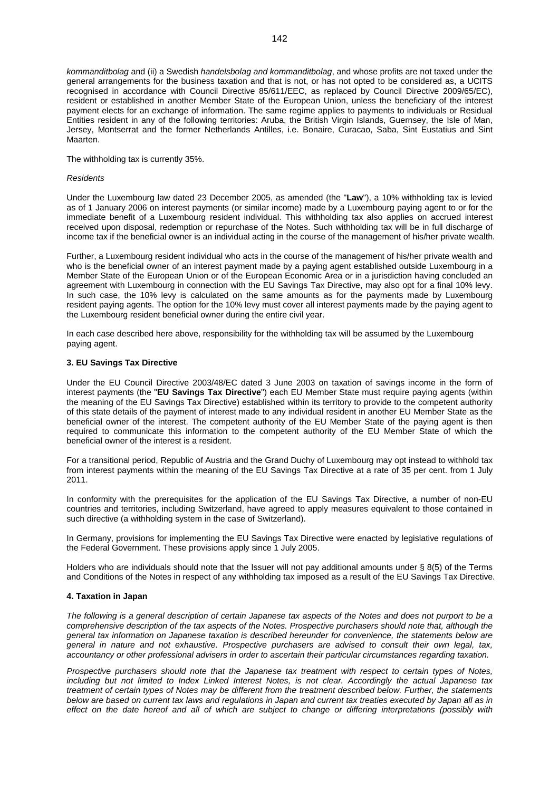*kommanditbolag* and (ii) a Swedish *handelsbolag and kommanditbolag*, and whose profits are not taxed under the general arrangements for the business taxation and that is not, or has not opted to be considered as, a UCITS recognised in accordance with Council Directive 85/611/EEC, as replaced by Council Directive 2009/65/EC), resident or established in another Member State of the European Union, unless the beneficiary of the interest payment elects for an exchange of information. The same regime applies to payments to individuals or Residual Entities resident in any of the following territories: Aruba, the British Virgin Islands, Guernsey, the Isle of Man, Jersey, Montserrat and the former Netherlands Antilles, i.e. Bonaire, Curacao, Saba, Sint Eustatius and Sint Maarten.

The withholding tax is currently 35%.

### *Residents*

Under the Luxembourg law dated 23 December 2005, as amended (the "**Law**"), a 10% withholding tax is levied as of 1 January 2006 on interest payments (or similar income) made by a Luxembourg paying agent to or for the immediate benefit of a Luxembourg resident individual. This withholding tax also applies on accrued interest received upon disposal, redemption or repurchase of the Notes. Such withholding tax will be in full discharge of income tax if the beneficial owner is an individual acting in the course of the management of his/her private wealth.

Further, a Luxembourg resident individual who acts in the course of the management of his/her private wealth and who is the beneficial owner of an interest payment made by a paying agent established outside Luxembourg in a Member State of the European Union or of the European Economic Area or in a jurisdiction having concluded an agreement with Luxembourg in connection with the EU Savings Tax Directive, may also opt for a final 10% levy. In such case, the 10% levy is calculated on the same amounts as for the payments made by Luxembourg resident paying agents. The option for the 10% levy must cover all interest payments made by the paying agent to the Luxembourg resident beneficial owner during the entire civil year.

In each case described here above, responsibility for the withholding tax will be assumed by the Luxembourg paying agent.

### **3. EU Savings Tax Directive**

Under the EU Council Directive 2003/48/EC dated 3 June 2003 on taxation of savings income in the form of interest payments (the "**EU Savings Tax Directive**") each EU Member State must require paying agents (within the meaning of the EU Savings Tax Directive) established within its territory to provide to the competent authority of this state details of the payment of interest made to any individual resident in another EU Member State as the beneficial owner of the interest. The competent authority of the EU Member State of the paying agent is then required to communicate this information to the competent authority of the EU Member State of which the beneficial owner of the interest is a resident.

For a transitional period, Republic of Austria and the Grand Duchy of Luxembourg may opt instead to withhold tax from interest payments within the meaning of the EU Savings Tax Directive at a rate of 35 per cent. from 1 July 2011.

In conformity with the prerequisites for the application of the EU Savings Tax Directive, a number of non-EU countries and territories, including Switzerland, have agreed to apply measures equivalent to those contained in such directive (a withholding system in the case of Switzerland).

In Germany, provisions for implementing the EU Savings Tax Directive were enacted by legislative regulations of the Federal Government. These provisions apply since 1 July 2005.

Holders who are individuals should note that the Issuer will not pay additional amounts under § 8(5) of the Terms and Conditions of the Notes in respect of any withholding tax imposed as a result of the EU Savings Tax Directive.

### **4. Taxation in Japan**

*The following is a general description of certain Japanese tax aspects of the Notes and does not purport to be a comprehensive description of the tax aspects of the Notes. Prospective purchasers should note that, although the general tax information on Japanese taxation is described hereunder for convenience, the statements below are general in nature and not exhaustive. Prospective purchasers are advised to consult their own legal, tax, accountancy or other professional advisers in order to ascertain their particular circumstances regarding taxation.*

*Prospective purchasers should note that the Japanese tax treatment with respect to certain types of Notes, including but not limited to Index Linked Interest Notes, is not clear. Accordingly the actual Japanese tax treatment of certain types of Notes may be different from the treatment described below. Further, the statements below are based on current tax laws and regulations in Japan and current tax treaties executed by Japan all as in effect on the date hereof and all of which are subject to change or differing interpretations (possibly with*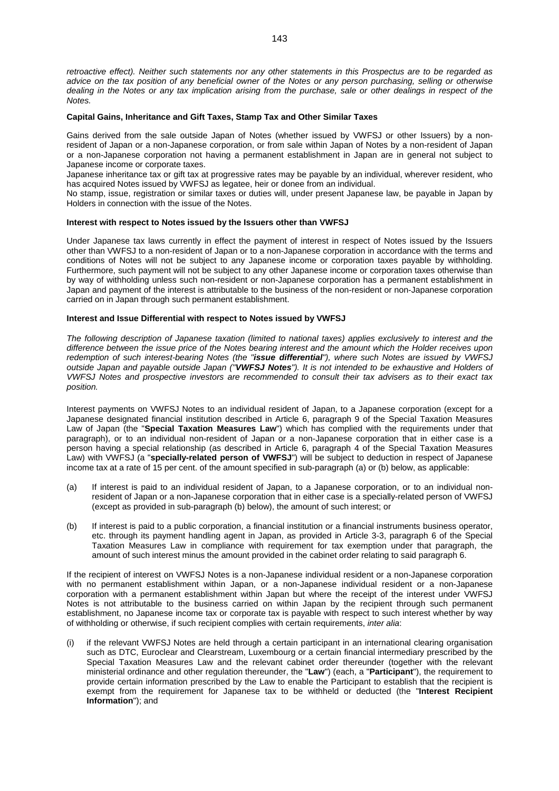*retroactive effect). Neither such statements nor any other statements in this Prospectus are to be regarded as advice on the tax position of any beneficial owner of the Notes or any person purchasing, selling or otherwise dealing in the Notes or any tax implication arising from the purchase, sale or other dealings in respect of the Notes.*

### **Capital Gains, Inheritance and Gift Taxes, Stamp Tax and Other Similar Taxes**

Gains derived from the sale outside Japan of Notes (whether issued by VWFSJ or other Issuers) by a nonresident of Japan or a non-Japanese corporation, or from sale within Japan of Notes by a non-resident of Japan or a non-Japanese corporation not having a permanent establishment in Japan are in general not subject to Japanese income or corporate taxes.

Japanese inheritance tax or gift tax at progressive rates may be payable by an individual, wherever resident, who has acquired Notes issued by VWFSJ as legatee, heir or donee from an individual.

No stamp, issue, registration or similar taxes or duties will, under present Japanese law, be payable in Japan by Holders in connection with the issue of the Notes.

### **Interest with respect to Notes issued by the Issuers other than VWFSJ**

Under Japanese tax laws currently in effect the payment of interest in respect of Notes issued by the Issuers other than VWFSJ to a non-resident of Japan or to a non-Japanese corporation in accordance with the terms and conditions of Notes will not be subject to any Japanese income or corporation taxes payable by withholding. Furthermore, such payment will not be subject to any other Japanese income or corporation taxes otherwise than by way of withholding unless such non-resident or non-Japanese corporation has a permanent establishment in Japan and payment of the interest is attributable to the business of the non-resident or non-Japanese corporation carried on in Japan through such permanent establishment.

### **Interest and Issue Differential with respect to Notes issued by VWFSJ**

*The following description of Japanese taxation (limited to national taxes) applies exclusively to interest and the difference between the issue price of the Notes bearing interest and the amount which the Holder receives upon redemption of such interest-bearing Notes (the "issue differential"), where such Notes are issued by VWFSJ outside Japan and payable outside Japan ("VWFSJ Notes"). It is not intended to be exhaustive and Holders of VWFSJ Notes and prospective investors are recommended to consult their tax advisers as to their exact tax position.*

Interest payments on VWFSJ Notes to an individual resident of Japan, to a Japanese corporation (except for a Japanese designated financial institution described in Article 6, paragraph 9 of the Special Taxation Measures Law of Japan (the "**Special Taxation Measures Law**") which has complied with the requirements under that paragraph), or to an individual non-resident of Japan or a non-Japanese corporation that in either case is a person having a special relationship (as described in Article 6, paragraph 4 of the Special Taxation Measures Law) with VWFSJ (a "**specially-related person of VWFSJ**") will be subject to deduction in respect of Japanese income tax at a rate of 15 per cent. of the amount specified in sub-paragraph (a) or (b) below, as applicable:

- (a) If interest is paid to an individual resident of Japan, to a Japanese corporation, or to an individual nonresident of Japan or a non-Japanese corporation that in either case is a specially-related person of VWFSJ (except as provided in sub-paragraph (b) below), the amount of such interest; or
- (b) If interest is paid to a public corporation, a financial institution or a financial instruments business operator, etc. through its payment handling agent in Japan, as provided in Article 3-3, paragraph 6 of the Special Taxation Measures Law in compliance with requirement for tax exemption under that paragraph, the amount of such interest minus the amount provided in the cabinet order relating to said paragraph 6.

If the recipient of interest on VWFSJ Notes is a non-Japanese individual resident or a non-Japanese corporation with no permanent establishment within Japan, or a non-Japanese individual resident or a non-Japanese corporation with a permanent establishment within Japan but where the receipt of the interest under VWFSJ Notes is not attributable to the business carried on within Japan by the recipient through such permanent establishment, no Japanese income tax or corporate tax is payable with respect to such interest whether by way of withholding or otherwise, if such recipient complies with certain requirements, *inter alia*:

(i) if the relevant VWFSJ Notes are held through a certain participant in an international clearing organisation such as DTC, Euroclear and Clearstream, Luxembourg or a certain financial intermediary prescribed by the Special Taxation Measures Law and the relevant cabinet order thereunder (together with the relevant ministerial ordinance and other regulation thereunder, the "**Law**") (each, a "**Participant**"), the requirement to provide certain information prescribed by the Law to enable the Participant to establish that the recipient is exempt from the requirement for Japanese tax to be withheld or deducted (the "**Interest Recipient Information**"); and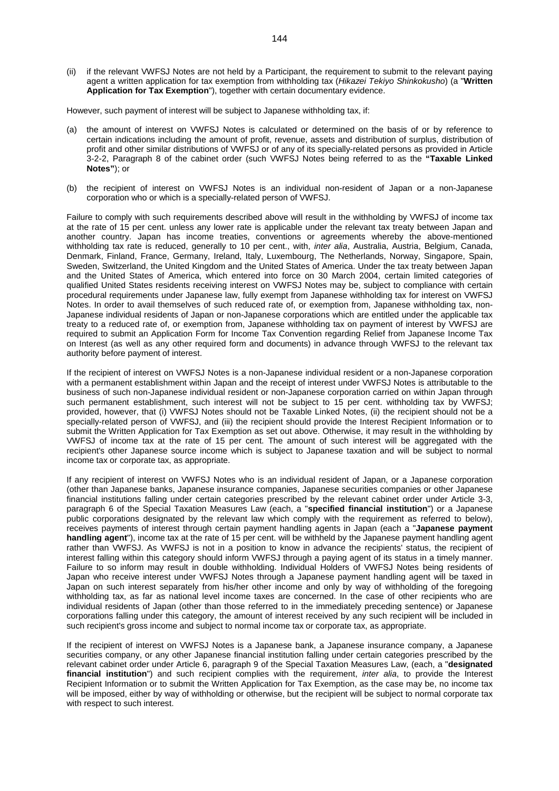(ii) if the relevant VWFSJ Notes are not held by a Participant, the requirement to submit to the relevant paying agent a written application for tax exemption from withholding tax (*Hikazei Tekiyo Shinkokusho*) (a "**Written Application for Tax Exemption**"), together with certain documentary evidence.

However, such payment of interest will be subject to Japanese withholding tax, if:

- (a) the amount of interest on VWFSJ Notes is calculated or determined on the basis of or by reference to certain indications including the amount of profit, revenue, assets and distribution of surplus, distribution of profit and other similar distributions of VWFSJ or of any of its specially-related persons as provided in Article 3-2-2, Paragraph 8 of the cabinet order (such VWFSJ Notes being referred to as the **"Taxable Linked Notes"**); or
- (b) the recipient of interest on VWFSJ Notes is an individual non-resident of Japan or a non-Japanese corporation who or which is a specially-related person of VWFSJ.

Failure to comply with such requirements described above will result in the withholding by VWFSJ of income tax at the rate of 15 per cent. unless any lower rate is applicable under the relevant tax treaty between Japan and another country. Japan has income treaties, conventions or agreements whereby the above-mentioned withholding tax rate is reduced, generally to 10 per cent., with, *inter alia*, Australia, Austria, Belgium, Canada, Denmark, Finland, France, Germany, Ireland, Italy, Luxembourg, The Netherlands, Norway, Singapore, Spain, Sweden, Switzerland, the United Kingdom and the United States of America. Under the tax treaty between Japan and the United States of America, which entered into force on 30 March 2004, certain limited categories of qualified United States residents receiving interest on VWFSJ Notes may be, subject to compliance with certain procedural requirements under Japanese law, fully exempt from Japanese withholding tax for interest on VWFSJ Notes. In order to avail themselves of such reduced rate of, or exemption from, Japanese withholding tax, non-Japanese individual residents of Japan or non-Japanese corporations which are entitled under the applicable tax treaty to a reduced rate of, or exemption from, Japanese withholding tax on payment of interest by VWFSJ are required to submit an Application Form for Income Tax Convention regarding Relief from Japanese Income Tax on Interest (as well as any other required form and documents) in advance through VWFSJ to the relevant tax authority before payment of interest.

If the recipient of interest on VWFSJ Notes is a non-Japanese individual resident or a non-Japanese corporation with a permanent establishment within Japan and the receipt of interest under VWFSJ Notes is attributable to the business of such non-Japanese individual resident or non-Japanese corporation carried on within Japan through such permanent establishment, such interest will not be subject to 15 per cent. withholding tax by VWFSJ; provided, however, that (i) VWFSJ Notes should not be Taxable Linked Notes, (ii) the recipient should not be a specially-related person of VWFSJ, and (iii) the recipient should provide the Interest Recipient Information or to submit the Written Application for Tax Exemption as set out above. Otherwise, it may result in the withholding by VWFSJ of income tax at the rate of 15 per cent. The amount of such interest will be aggregated with the recipient's other Japanese source income which is subject to Japanese taxation and will be subject to normal income tax or corporate tax, as appropriate.

If any recipient of interest on VWFSJ Notes who is an individual resident of Japan, or a Japanese corporation (other than Japanese banks, Japanese insurance companies, Japanese securities companies or other Japanese financial institutions falling under certain categories prescribed by the relevant cabinet order under Article 3-3, paragraph 6 of the Special Taxation Measures Law (each, a "**specified financial institution**") or a Japanese public corporations designated by the relevant law which comply with the requirement as referred to below), receives payments of interest through certain payment handling agents in Japan (each a "**Japanese payment handling agent**"), income tax at the rate of 15 per cent. will be withheld by the Japanese payment handling agent rather than VWFSJ. As VWFSJ is not in a position to know in advance the recipients' status, the recipient of interest falling within this category should inform VWFSJ through a paying agent of its status in a timely manner. Failure to so inform may result in double withholding. Individual Holders of VWFSJ Notes being residents of Japan who receive interest under VWFSJ Notes through a Japanese payment handling agent will be taxed in Japan on such interest separately from his/her other income and only by way of withholding of the foregoing withholding tax, as far as national level income taxes are concerned. In the case of other recipients who are individual residents of Japan (other than those referred to in the immediately preceding sentence) or Japanese corporations falling under this category, the amount of interest received by any such recipient will be included in such recipient's gross income and subject to normal income tax or corporate tax, as appropriate.

If the recipient of interest on VWFSJ Notes is a Japanese bank, a Japanese insurance company, a Japanese securities company, or any other Japanese financial institution falling under certain categories prescribed by the relevant cabinet order under Article 6, paragraph 9 of the Special Taxation Measures Law, (each, a "**designated financial institution**") and such recipient complies with the requirement, *inter alia*, to provide the Interest Recipient Information or to submit the Written Application for Tax Exemption, as the case may be, no income tax will be imposed, either by way of withholding or otherwise, but the recipient will be subject to normal corporate tax with respect to such interest.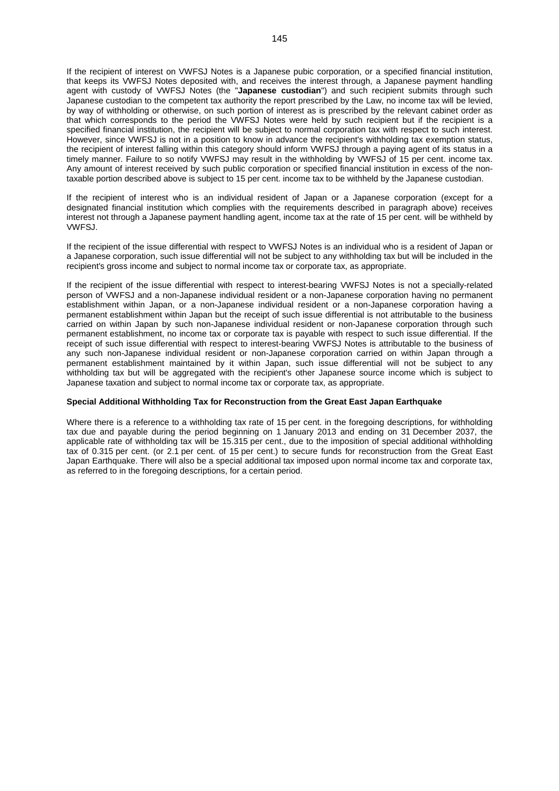If the recipient of interest on VWFSJ Notes is a Japanese pubic corporation, or a specified financial institution, that keeps its VWFSJ Notes deposited with, and receives the interest through, a Japanese payment handling agent with custody of VWFSJ Notes (the "**Japanese custodian**") and such recipient submits through such Japanese custodian to the competent tax authority the report prescribed by the Law, no income tax will be levied. by way of withholding or otherwise, on such portion of interest as is prescribed by the relevant cabinet order as that which corresponds to the period the VWFSJ Notes were held by such recipient but if the recipient is a specified financial institution, the recipient will be subject to normal corporation tax with respect to such interest. However, since VWFSJ is not in a position to know in advance the recipient's withholding tax exemption status, the recipient of interest falling within this category should inform VWFSJ through a paying agent of its status in a timely manner. Failure to so notify VWFSJ may result in the withholding by VWFSJ of 15 per cent. income tax. Any amount of interest received by such public corporation or specified financial institution in excess of the nontaxable portion described above is subject to 15 per cent. income tax to be withheld by the Japanese custodian.

If the recipient of interest who is an individual resident of Japan or a Japanese corporation (except for a designated financial institution which complies with the requirements described in paragraph above) receives interest not through a Japanese payment handling agent, income tax at the rate of 15 per cent. will be withheld by VWFSJ.

If the recipient of the issue differential with respect to VWFSJ Notes is an individual who is a resident of Japan or a Japanese corporation, such issue differential will not be subject to any withholding tax but will be included in the recipient's gross income and subject to normal income tax or corporate tax, as appropriate.

If the recipient of the issue differential with respect to interest-bearing VWFSJ Notes is not a specially-related person of VWFSJ and a non-Japanese individual resident or a non-Japanese corporation having no permanent establishment within Japan, or a non-Japanese individual resident or a non-Japanese corporation having a permanent establishment within Japan but the receipt of such issue differential is not attributable to the business carried on within Japan by such non-Japanese individual resident or non-Japanese corporation through such permanent establishment, no income tax or corporate tax is payable with respect to such issue differential. If the receipt of such issue differential with respect to interest-bearing VWFSJ Notes is attributable to the business of any such non-Japanese individual resident or non-Japanese corporation carried on within Japan through a permanent establishment maintained by it within Japan, such issue differential will not be subject to any withholding tax but will be aggregated with the recipient's other Japanese source income which is subject to Japanese taxation and subject to normal income tax or corporate tax, as appropriate.

#### **Special Additional Withholding Tax for Reconstruction from the Great East Japan Earthquake**

Where there is a reference to a withholding tax rate of 15 per cent. in the foregoing descriptions, for withholding tax due and payable during the period beginning on 1 January 2013 and ending on 31 December 2037, the applicable rate of withholding tax will be 15.315 per cent., due to the imposition of special additional withholding tax of 0.315 per cent. (or 2.1 per cent. of 15 per cent.) to secure funds for reconstruction from the Great East Japan Earthquake. There will also be a special additional tax imposed upon normal income tax and corporate tax, as referred to in the foregoing descriptions, for a certain period.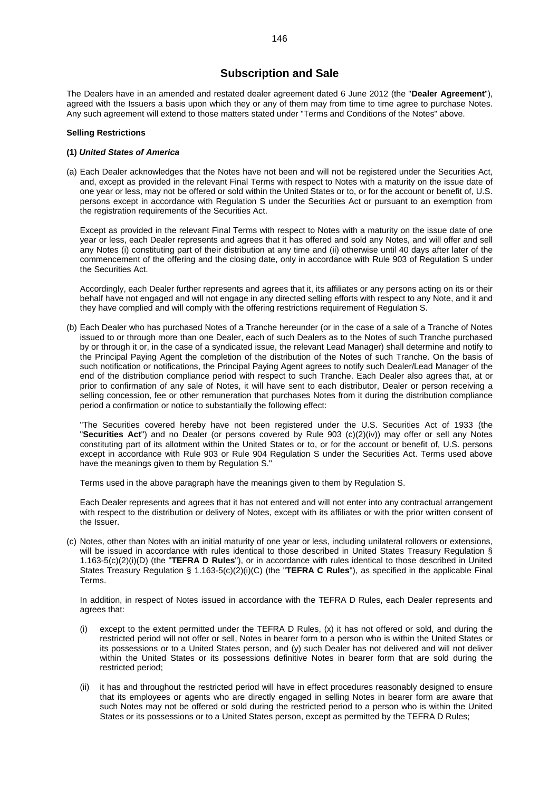## **Subscription and Sale**

The Dealers have in an amended and restated dealer agreement dated 6 June 2012 (the "**Dealer Agreement**"), agreed with the Issuers a basis upon which they or any of them may from time to time agree to purchase Notes. Any such agreement will extend to those matters stated under "Terms and Conditions of the Notes" above.

#### **Selling Restrictions**

#### **(1)** *United States of America*

(a) Each Dealer acknowledges that the Notes have not been and will not be registered under the Securities Act, and, except as provided in the relevant Final Terms with respect to Notes with a maturity on the issue date of one year or less, may not be offered or sold within the United States or to, or for the account or benefit of, U.S. persons except in accordance with Regulation S under the Securities Act or pursuant to an exemption from the registration requirements of the Securities Act.

Except as provided in the relevant Final Terms with respect to Notes with a maturity on the issue date of one year or less, each Dealer represents and agrees that it has offered and sold any Notes, and will offer and sell any Notes (i) constituting part of their distribution at any time and (ii) otherwise until 40 days after later of the commencement of the offering and the closing date, only in accordance with Rule 903 of Regulation S under the Securities Act.

Accordingly, each Dealer further represents and agrees that it, its affiliates or any persons acting on its or their behalf have not engaged and will not engage in any directed selling efforts with respect to any Note, and it and they have complied and will comply with the offering restrictions requirement of Regulation S.

(b) Each Dealer who has purchased Notes of a Tranche hereunder (or in the case of a sale of a Tranche of Notes issued to or through more than one Dealer, each of such Dealers as to the Notes of such Tranche purchased by or through it or, in the case of a syndicated issue, the relevant Lead Manager) shall determine and notify to the Principal Paying Agent the completion of the distribution of the Notes of such Tranche. On the basis of such notification or notifications, the Principal Paying Agent agrees to notify such Dealer/Lead Manager of the end of the distribution compliance period with respect to such Tranche. Each Dealer also agrees that, at or prior to confirmation of any sale of Notes, it will have sent to each distributor, Dealer or person receiving a selling concession, fee or other remuneration that purchases Notes from it during the distribution compliance period a confirmation or notice to substantially the following effect:

"The Securities covered hereby have not been registered under the U.S. Securities Act of 1933 (the "**Securities Act**") and no Dealer (or persons covered by Rule 903 (c)(2)(iv)) may offer or sell any Notes constituting part of its allotment within the United States or to, or for the account or benefit of, U.S. persons except in accordance with Rule 903 or Rule 904 Regulation S under the Securities Act. Terms used above have the meanings given to them by Regulation S."

Terms used in the above paragraph have the meanings given to them by Regulation S.

Each Dealer represents and agrees that it has not entered and will not enter into any contractual arrangement with respect to the distribution or delivery of Notes, except with its affiliates or with the prior written consent of the Issuer.

(c) Notes, other than Notes with an initial maturity of one year or less, including unilateral rollovers or extensions, will be issued in accordance with rules identical to those described in United States Treasury Regulation § 1.163-5(c)(2)(i)(D) (the "**TEFRA D Rules**"), or in accordance with rules identical to those described in United States Treasury Regulation § 1.163-5(c)(2)(i)(C) (the "**TEFRA C Rules**"), as specified in the applicable Final **Terms** 

In addition, in respect of Notes issued in accordance with the TEFRA D Rules, each Dealer represents and agrees that:

- (i) except to the extent permitted under the TEFRA D Rules, (x) it has not offered or sold, and during the restricted period will not offer or sell, Notes in bearer form to a person who is within the United States or its possessions or to a United States person, and (y) such Dealer has not delivered and will not deliver within the United States or its possessions definitive Notes in bearer form that are sold during the restricted period;
- (ii) it has and throughout the restricted period will have in effect procedures reasonably designed to ensure that its employees or agents who are directly engaged in selling Notes in bearer form are aware that such Notes may not be offered or sold during the restricted period to a person who is within the United States or its possessions or to a United States person, except as permitted by the TEFRA D Rules;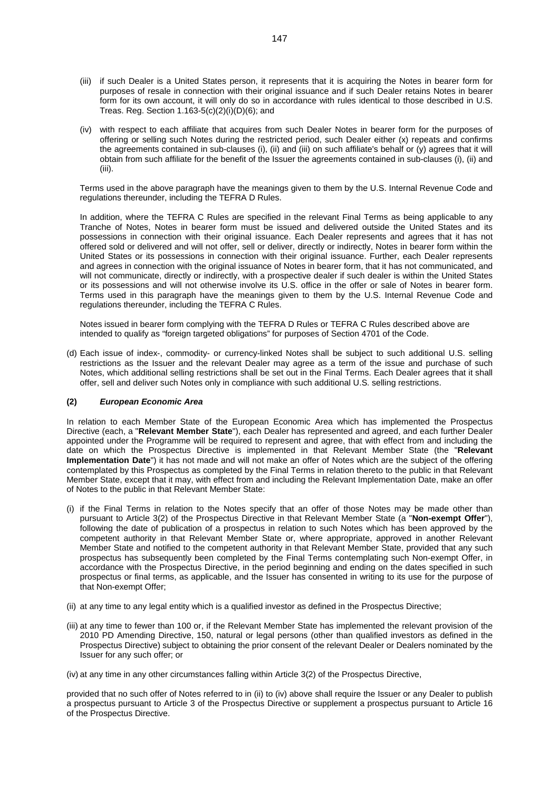- (iii) if such Dealer is a United States person, it represents that it is acquiring the Notes in bearer form for purposes of resale in connection with their original issuance and if such Dealer retains Notes in bearer form for its own account, it will only do so in accordance with rules identical to those described in U.S. Treas. Reg. Section 1.163-5(c)(2)(i)(D)(6); and
- (iv) with respect to each affiliate that acquires from such Dealer Notes in bearer form for the purposes of offering or selling such Notes during the restricted period, such Dealer either (x) repeats and confirms the agreements contained in sub-clauses (i), (ii) and (iii) on such affiliate's behalf or (y) agrees that it will obtain from such affiliate for the benefit of the Issuer the agreements contained in sub-clauses (i), (ii) and (iii).

Terms used in the above paragraph have the meanings given to them by the U.S. Internal Revenue Code and regulations thereunder, including the TEFRA D Rules.

In addition, where the TEFRA C Rules are specified in the relevant Final Terms as being applicable to any Tranche of Notes, Notes in bearer form must be issued and delivered outside the United States and its possessions in connection with their original issuance. Each Dealer represents and agrees that it has not offered sold or delivered and will not offer, sell or deliver, directly or indirectly, Notes in bearer form within the United States or its possessions in connection with their original issuance. Further, each Dealer represents and agrees in connection with the original issuance of Notes in bearer form, that it has not communicated, and will not communicate, directly or indirectly, with a prospective dealer if such dealer is within the United States or its possessions and will not otherwise involve its U.S. office in the offer or sale of Notes in bearer form. Terms used in this paragraph have the meanings given to them by the U.S. Internal Revenue Code and regulations thereunder, including the TEFRA C Rules.

Notes issued in bearer form complying with the TEFRA D Rules or TEFRA C Rules described above are intended to qualify as "foreign targeted obligations" for purposes of Section 4701 of the Code.

(d) Each issue of index-, commodity- or currency-linked Notes shall be subject to such additional U.S. selling restrictions as the Issuer and the relevant Dealer may agree as a term of the issue and purchase of such Notes, which additional selling restrictions shall be set out in the Final Terms. Each Dealer agrees that it shall offer, sell and deliver such Notes only in compliance with such additional U.S. selling restrictions.

#### **(2)** *European Economic Area*

In relation to each Member State of the European Economic Area which has implemented the Prospectus Directive (each, a "**Relevant Member State**"), each Dealer has represented and agreed, and each further Dealer appointed under the Programme will be required to represent and agree, that with effect from and including the date on which the Prospectus Directive is implemented in that Relevant Member State (the "**Relevant Implementation Date**") it has not made and will not make an offer of Notes which are the subject of the offering contemplated by this Prospectus as completed by the Final Terms in relation thereto to the public in that Relevant Member State, except that it may, with effect from and including the Relevant Implementation Date, make an offer of Notes to the public in that Relevant Member State:

- (i) if the Final Terms in relation to the Notes specify that an offer of those Notes may be made other than pursuant to Article 3(2) of the Prospectus Directive in that Relevant Member State (a "**Non-exempt Offer**"), following the date of publication of a prospectus in relation to such Notes which has been approved by the competent authority in that Relevant Member State or, where appropriate, approved in another Relevant Member State and notified to the competent authority in that Relevant Member State, provided that any such prospectus has subsequently been completed by the Final Terms contemplating such Non-exempt Offer, in accordance with the Prospectus Directive, in the period beginning and ending on the dates specified in such prospectus or final terms, as applicable, and the Issuer has consented in writing to its use for the purpose of that Non-exempt Offer;
- (ii) at any time to any legal entity which is a qualified investor as defined in the Prospectus Directive;
- (iii) at any time to fewer than 100 or, if the Relevant Member State has implemented the relevant provision of the 2010 PD Amending Directive, 150, natural or legal persons (other than qualified investors as defined in the Prospectus Directive) subject to obtaining the prior consent of the relevant Dealer or Dealers nominated by the Issuer for any such offer; or

(iv) at any time in any other circumstances falling within Article 3(2) of the Prospectus Directive,

provided that no such offer of Notes referred to in (ii) to (iv) above shall require the Issuer or any Dealer to publish a prospectus pursuant to Article 3 of the Prospectus Directive or supplement a prospectus pursuant to Article 16 of the Prospectus Directive.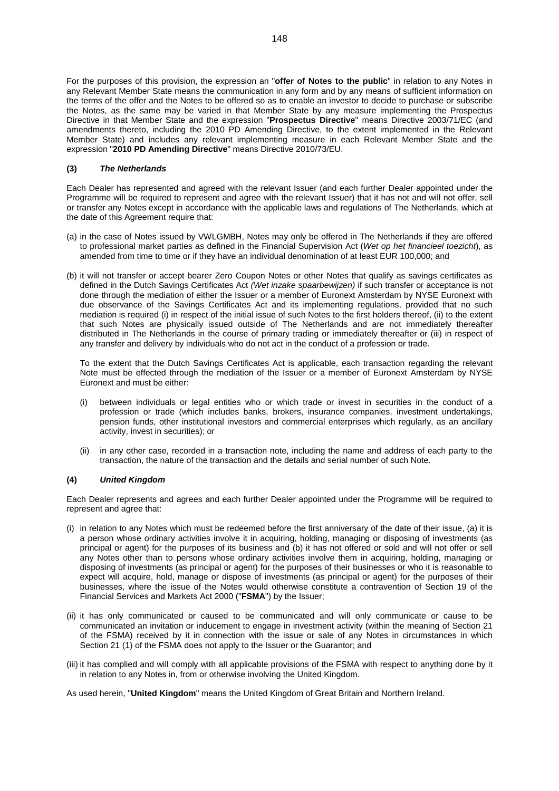For the purposes of this provision, the expression an "**offer of Notes to the public**" in relation to any Notes in any Relevant Member State means the communication in any form and by any means of sufficient information on the terms of the offer and the Notes to be offered so as to enable an investor to decide to purchase or subscribe the Notes, as the same may be varied in that Member State by any measure implementing the Prospectus Directive in that Member State and the expression "**Prospectus Directive**" means Directive 2003/71/EC (and amendments thereto, including the 2010 PD Amending Directive, to the extent implemented in the Relevant Member State) and includes any relevant implementing measure in each Relevant Member State and the expression "**2010 PD Amending Directive**" means Directive 2010/73/EU.

#### **(3)** *The Netherlands*

Each Dealer has represented and agreed with the relevant Issuer (and each further Dealer appointed under the Programme will be required to represent and agree with the relevant Issuer) that it has not and will not offer, sell or transfer any Notes except in accordance with the applicable laws and regulations of The Netherlands, which at the date of this Agreement require that:

- (a) in the case of Notes issued by VWLGMBH, Notes may only be offered in The Netherlands if they are offered to professional market parties as defined in the Financial Supervision Act (*Wet op het financieel toezicht*), as amended from time to time or if they have an individual denomination of at least EUR 100,000; and
- (b) it will not transfer or accept bearer Zero Coupon Notes or other Notes that qualify as savings certificates as defined in the Dutch Savings Certificates Act *(Wet inzake spaarbewijzen)* if such transfer or acceptance is not done through the mediation of either the Issuer or a member of Euronext Amsterdam by NYSE Euronext with due observance of the Savings Certificates Act and its implementing regulations, provided that no such mediation is required (i) in respect of the initial issue of such Notes to the first holders thereof, (ii) to the extent that such Notes are physically issued outside of The Netherlands and are not immediately thereafter distributed in The Netherlands in the course of primary trading or immediately thereafter or (iii) in respect of any transfer and delivery by individuals who do not act in the conduct of a profession or trade.

To the extent that the Dutch Savings Certificates Act is applicable, each transaction regarding the relevant Note must be effected through the mediation of the Issuer or a member of Euronext Amsterdam by NYSE Euronext and must be either:

- (i) between individuals or legal entities who or which trade or invest in securities in the conduct of a profession or trade (which includes banks, brokers, insurance companies, investment undertakings, pension funds, other institutional investors and commercial enterprises which regularly, as an ancillary activity, invest in securities); or
- (ii) in any other case, recorded in a transaction note, including the name and address of each party to the transaction, the nature of the transaction and the details and serial number of such Note.

#### **(4)** *United Kingdom*

Each Dealer represents and agrees and each further Dealer appointed under the Programme will be required to represent and agree that:

- (i) in relation to any Notes which must be redeemed before the first anniversary of the date of their issue, (a) it is a person whose ordinary activities involve it in acquiring, holding, managing or disposing of investments (as principal or agent) for the purposes of its business and (b) it has not offered or sold and will not offer or sell any Notes other than to persons whose ordinary activities involve them in acquiring, holding, managing or disposing of investments (as principal or agent) for the purposes of their businesses or who it is reasonable to expect will acquire, hold, manage or dispose of investments (as principal or agent) for the purposes of their businesses, where the issue of the Notes would otherwise constitute a contravention of Section 19 of the Financial Services and Markets Act 2000 ("**FSMA**") by the Issuer;
- (ii) it has only communicated or caused to be communicated and will only communicate or cause to be communicated an invitation or inducement to engage in investment activity (within the meaning of Section 21 of the FSMA) received by it in connection with the issue or sale of any Notes in circumstances in which Section 21 (1) of the FSMA does not apply to the Issuer or the Guarantor; and
- (iii) it has complied and will comply with all applicable provisions of the FSMA with respect to anything done by it in relation to any Notes in, from or otherwise involving the United Kingdom.

As used herein, "**United Kingdom**" means the United Kingdom of Great Britain and Northern Ireland.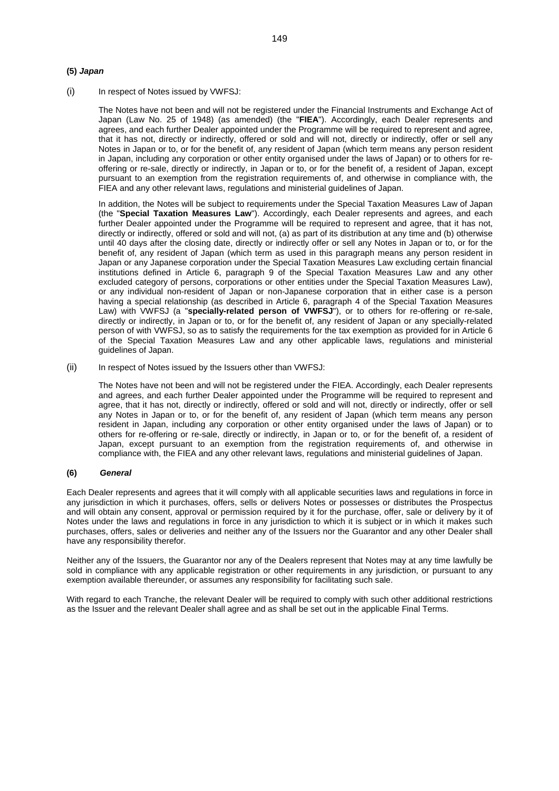#### **(5)** *Japan*

(i) In respect of Notes issued by VWFSJ:

The Notes have not been and will not be registered under the Financial Instruments and Exchange Act of Japan (Law No. 25 of 1948) (as amended) (the "**FIEA**"). Accordingly, each Dealer represents and agrees, and each further Dealer appointed under the Programme will be required to represent and agree, that it has not, directly or indirectly, offered or sold and will not, directly or indirectly, offer or sell any Notes in Japan or to, or for the benefit of, any resident of Japan (which term means any person resident in Japan, including any corporation or other entity organised under the laws of Japan) or to others for reoffering or re-sale, directly or indirectly, in Japan or to, or for the benefit of, a resident of Japan, except pursuant to an exemption from the registration requirements of, and otherwise in compliance with, the FIEA and any other relevant laws, regulations and ministerial guidelines of Japan.

In addition, the Notes will be subject to requirements under the Special Taxation Measures Law of Japan (the "**Special Taxation Measures Law**"). Accordingly, each Dealer represents and agrees, and each further Dealer appointed under the Programme will be required to represent and agree, that it has not, directly or indirectly, offered or sold and will not, (a) as part of its distribution at any time and (b) otherwise until 40 days after the closing date, directly or indirectly offer or sell any Notes in Japan or to, or for the benefit of, any resident of Japan (which term as used in this paragraph means any person resident in Japan or any Japanese corporation under the Special Taxation Measures Law excluding certain financial institutions defined in Article 6, paragraph 9 of the Special Taxation Measures Law and any other excluded category of persons, corporations or other entities under the Special Taxation Measures Law), or any individual non-resident of Japan or non-Japanese corporation that in either case is a person having a special relationship (as described in Article 6, paragraph 4 of the Special Taxation Measures Law) with VWFSJ (a "**specially-related person of VWFSJ**"), or to others for re-offering or re-sale, directly or indirectly, in Japan or to, or for the benefit of, any resident of Japan or any specially-related person of with VWFSJ, so as to satisfy the requirements for the tax exemption as provided for in Article 6 of the Special Taxation Measures Law and any other applicable laws, regulations and ministerial guidelines of Japan.

(ii) In respect of Notes issued by the Issuers other than VWFSJ:

The Notes have not been and will not be registered under the FIEA. Accordingly, each Dealer represents and agrees, and each further Dealer appointed under the Programme will be required to represent and agree, that it has not, directly or indirectly, offered or sold and will not, directly or indirectly, offer or sell any Notes in Japan or to, or for the benefit of, any resident of Japan (which term means any person resident in Japan, including any corporation or other entity organised under the laws of Japan) or to others for re-offering or re-sale, directly or indirectly, in Japan or to, or for the benefit of, a resident of Japan, except pursuant to an exemption from the registration requirements of, and otherwise in compliance with, the FIEA and any other relevant laws, regulations and ministerial guidelines of Japan.

#### **(6)** *General*

Each Dealer represents and agrees that it will comply with all applicable securities laws and regulations in force in any jurisdiction in which it purchases, offers, sells or delivers Notes or possesses or distributes the Prospectus and will obtain any consent, approval or permission required by it for the purchase, offer, sale or delivery by it of Notes under the laws and regulations in force in any jurisdiction to which it is subject or in which it makes such purchases, offers, sales or deliveries and neither any of the Issuers nor the Guarantor and any other Dealer shall have any responsibility therefor.

Neither any of the Issuers, the Guarantor nor any of the Dealers represent that Notes may at any time lawfully be sold in compliance with any applicable registration or other requirements in any jurisdiction, or pursuant to any exemption available thereunder, or assumes any responsibility for facilitating such sale.

With regard to each Tranche, the relevant Dealer will be required to comply with such other additional restrictions as the Issuer and the relevant Dealer shall agree and as shall be set out in the applicable Final Terms.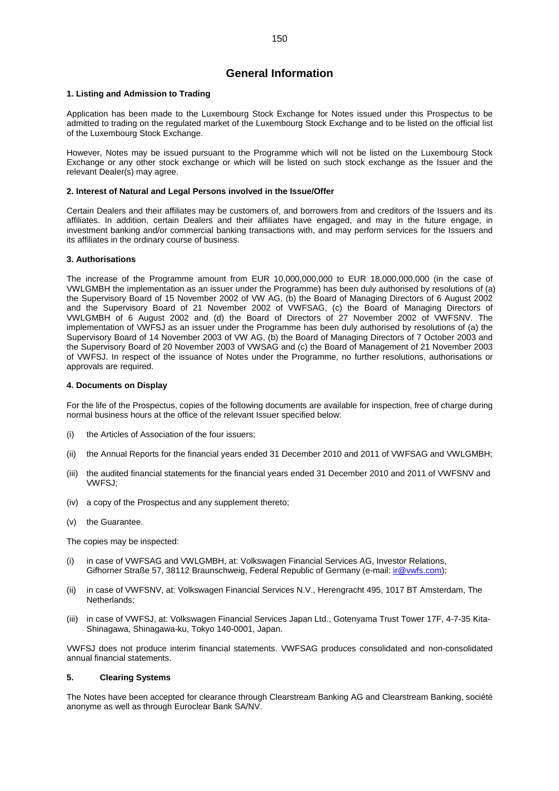# **General Information**

#### **1. Listing and Admission to Trading**

Application has been made to the Luxembourg Stock Exchange for Notes issued under this Prospectus to be admitted to trading on the regulated market of the Luxembourg Stock Exchange and to be listed on the official list of the Luxembourg Stock Exchange.

However, Notes may be issued pursuant to the Programme which will not be listed on the Luxembourg Stock Exchange or any other stock exchange or which will be listed on such stock exchange as the Issuer and the relevant Dealer(s) may agree.

#### **2. Interest of Natural and Legal Persons involved in the Issue/Offer**

Certain Dealers and their affiliates may be customers of, and borrowers from and creditors of the Issuers and its affiliates. In addition, certain Dealers and their affiliates have engaged, and may in the future engage, in investment banking and/or commercial banking transactions with, and may perform services for the Issuers and its affiliates in the ordinary course of business.

#### **3. Authorisations**

The increase of the Programme amount from EUR 10,000,000,000 to EUR 18,000,000,000 (in the case of VWLGMBH the implementation as an issuer under the Programme) has been duly authorised by resolutions of (a) the Supervisory Board of 15 November 2002 of VW AG, (b) the Board of Managing Directors of 6 August 2002 and the Supervisory Board of 21 November 2002 of VWFSAG, (c) the Board of Managing Directors of VWLGMBH of 6 August 2002 and (d) the Board of Directors of 27 November 2002 of VWFSNV. The implementation of VWFSJ as an issuer under the Programme has been duly authorised by resolutions of (a) the Supervisory Board of 14 November 2003 of VW AG, (b) the Board of Managing Directors of 7 October 2003 and the Supervisory Board of 20 November 2003 of VWSAG and (c) the Board of Management of 21 November 2003 of VWFSJ. In respect of the issuance of Notes under the Programme, no further resolutions, authorisations or approvals are required.

#### **4. Documents on Display**

For the life of the Prospectus, copies of the following documents are available for inspection, free of charge during normal business hours at the office of the relevant Issuer specified below:

- (i) the Articles of Association of the four issuers;
- (ii) the Annual Reports for the financial years ended 31 December 2010 and 2011 of VWFSAG and VWLGMBH;
- (iii) the audited financial statements for the financial years ended 31 December 2010 and 2011 of VWFSNV and VWFSJ;
- (iv) a copy of the Prospectus and any supplement thereto;
- (v) the Guarantee.

The copies may be inspected:

- (i) in case of VWFSAG and VWLGMBH, at: Volkswagen Financial Services AG, Investor Relations, Gifhorner Straße 57, 38112 Braunschweig, Federal Republic of Germany (e-mail: [ir@vwfs.com](mailto:ir@vwfs.com));
- (ii) in case of VWFSNV, at: Volkswagen Financial Services N.V., Herengracht 495, 1017 BT Amsterdam, The Netherlands;
- (iii) in case of VWFSJ, at: Volkswagen Financial Services Japan Ltd., Gotenyama Trust Tower 17F, 4-7-35 Kita-Shinagawa, Shinagawa-ku, Tokyo 140-0001, Japan.

VWFSJ does not produce interim financial statements. VWFSAG produces consolidated and non-consolidated annual financial statements.

#### **5. Clearing Systems**

The Notes have been accepted for clearance through Clearstream Banking AG and Clearstream Banking, société anonyme as well as through Euroclear Bank SA/NV.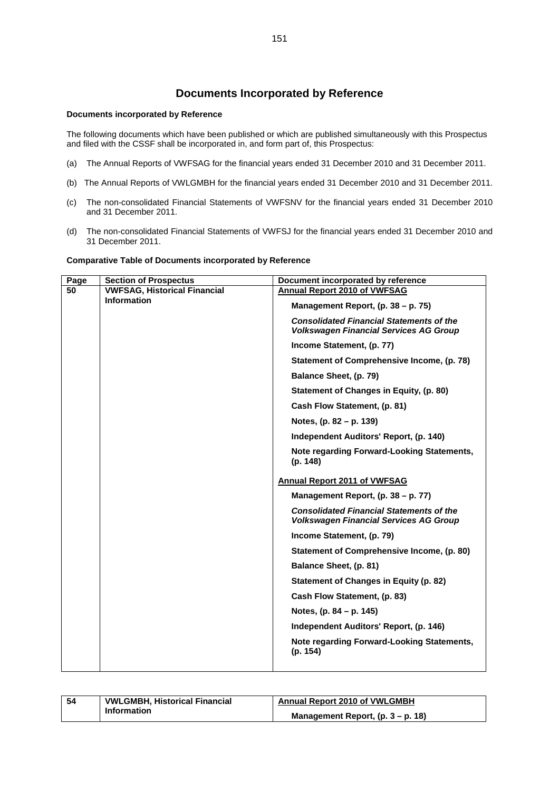# **Documents Incorporated by Reference**

#### **Documents incorporated by Reference**

The following documents which have been published or which are published simultaneously with this Prospectus and filed with the CSSF shall be incorporated in, and form part of, this Prospectus:

- (a) The Annual Reports of VWFSAG for the financial years ended 31 December 2010 and 31 December 2011.
- (b) The Annual Reports of VWLGMBH for the financial years ended 31 December 2010 and 31 December 2011.
- (c) The non-consolidated Financial Statements of VWFSNV for the financial years ended 31 December 2010 and 31 December 2011.
- (d) The non-consolidated Financial Statements of VWFSJ for the financial years ended 31 December 2010 and 31 December 2011.

#### **Comparative Table of Documents incorporated by Reference**

| Page | <b>Section of Prospectus</b>        | Document incorporated by reference                                                               |
|------|-------------------------------------|--------------------------------------------------------------------------------------------------|
| 50   | <b>VWFSAG, Historical Financial</b> | <b>Annual Report 2010 of VWFSAG</b>                                                              |
|      | <b>Information</b>                  | Management Report, (p. 38 - p. 75)                                                               |
|      |                                     | <b>Consolidated Financial Statements of the</b><br><b>Volkswagen Financial Services AG Group</b> |
|      |                                     | Income Statement, (p. 77)                                                                        |
|      |                                     | Statement of Comprehensive Income, (p. 78)                                                       |
|      |                                     | Balance Sheet, (p. 79)                                                                           |
|      |                                     | Statement of Changes in Equity, (p. 80)                                                          |
|      |                                     | Cash Flow Statement, (p. 81)                                                                     |
|      |                                     | Notes, (p. 82 – p. 139)                                                                          |
|      |                                     | Independent Auditors' Report, (p. 140)                                                           |
|      |                                     | Note regarding Forward-Looking Statements,<br>(p. 148)                                           |
|      |                                     | <b>Annual Report 2011 of VWFSAG</b>                                                              |
|      |                                     | Management Report, (p. 38 - p. 77)                                                               |
|      |                                     | <b>Consolidated Financial Statements of the</b><br><b>Volkswagen Financial Services AG Group</b> |
|      |                                     | Income Statement, (p. 79)                                                                        |
|      |                                     | Statement of Comprehensive Income, (p. 80)                                                       |
|      |                                     | Balance Sheet, (p. 81)                                                                           |
|      |                                     | Statement of Changes in Equity (p. 82)                                                           |
|      |                                     | Cash Flow Statement, (p. 83)                                                                     |
|      |                                     | Notes, (p. 84 – p. 145)                                                                          |
|      |                                     | Independent Auditors' Report, (p. 146)                                                           |
|      |                                     | Note regarding Forward-Looking Statements,<br>(p. 154)                                           |
|      |                                     |                                                                                                  |

| 54 | <b>VWLGMBH, Historical Financial</b> | <b>Annual Report 2010 of VWLGMBH</b> |
|----|--------------------------------------|--------------------------------------|
|    | Information                          | Management Report, $(p. 3 - p. 18)$  |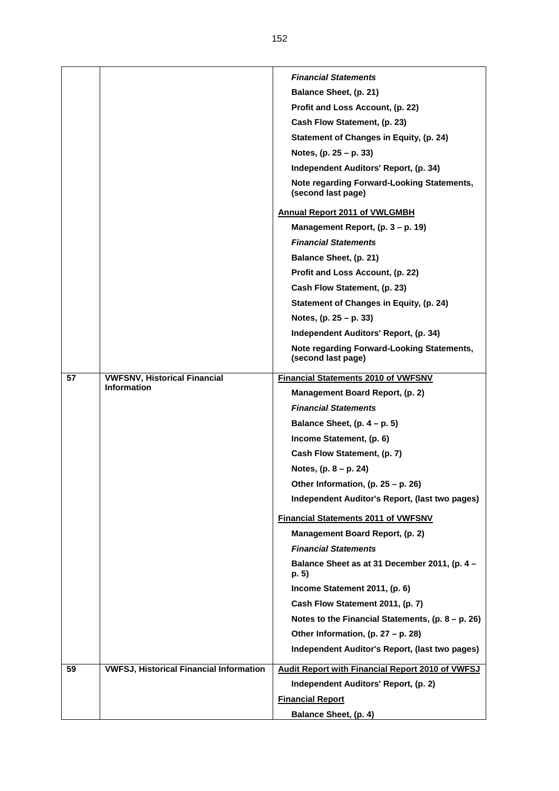|    |                                                | <b>Financial Statements</b>                                      |
|----|------------------------------------------------|------------------------------------------------------------------|
|    |                                                | <b>Balance Sheet, (p. 21)</b>                                    |
|    |                                                | Profit and Loss Account, (p. 22)                                 |
|    |                                                | Cash Flow Statement, (p. 23)                                     |
|    |                                                | <b>Statement of Changes in Equity, (p. 24)</b>                   |
|    |                                                | Notes, $(p. 25 - p. 33)$                                         |
|    |                                                | Independent Auditors' Report, (p. 34)                            |
|    |                                                | Note regarding Forward-Looking Statements,<br>(second last page) |
|    |                                                | <b>Annual Report 2011 of VWLGMBH</b>                             |
|    |                                                | Management Report, (p. 3 – p. 19)                                |
|    |                                                | <b>Financial Statements</b>                                      |
|    |                                                | Balance Sheet, (p. 21)                                           |
|    |                                                | Profit and Loss Account, (p. 22)                                 |
|    |                                                | Cash Flow Statement, (p. 23)                                     |
|    |                                                | Statement of Changes in Equity, (p. 24)                          |
|    |                                                | Notes, $(p. 25 - p. 33)$                                         |
|    |                                                | Independent Auditors' Report, (p. 34)                            |
|    |                                                | Note regarding Forward-Looking Statements,<br>(second last page) |
| 57 | <b>VWFSNV, Historical Financial</b>            | <b>Financial Statements 2010 of VWFSNV</b>                       |
|    | <b>Information</b>                             | Management Board Report, (p. 2)                                  |
|    |                                                | <b>Financial Statements</b>                                      |
|    |                                                | Balance Sheet, $(p. 4 - p. 5)$                                   |
|    |                                                | Income Statement, (p. 6)                                         |
|    |                                                | Cash Flow Statement, (p. 7)                                      |
|    |                                                | Notes, $(p. 8 - p. 24)$                                          |
|    |                                                | Other Information, (p. $25 - p$ . 26)                            |
|    |                                                | Independent Auditor's Report, (last two pages)                   |
|    |                                                | <b>Financial Statements 2011 of VWFSNV</b>                       |
|    |                                                | Management Board Report, (p. 2)                                  |
|    |                                                | <b>Financial Statements</b>                                      |
|    |                                                | Balance Sheet as at 31 December 2011, (p. 4 -                    |
|    |                                                | p. 5)                                                            |
|    |                                                | Income Statement 2011, (p. 6)                                    |
|    |                                                | Cash Flow Statement 2011, (p. 7)                                 |
|    |                                                | Notes to the Financial Statements, $(p. 8 - p. 26)$              |
|    |                                                | Other Information, (p. 27 - p. 28)                               |
|    |                                                | Independent Auditor's Report, (last two pages)                   |
| 59 | <b>VWFSJ, Historical Financial Information</b> | <b>Audit Report with Financial Report 2010 of VWFSJ</b>          |
|    |                                                | Independent Auditors' Report, (p. 2)                             |
|    |                                                | <b>Financial Report</b>                                          |
|    |                                                | Balance Sheet, (p. 4)                                            |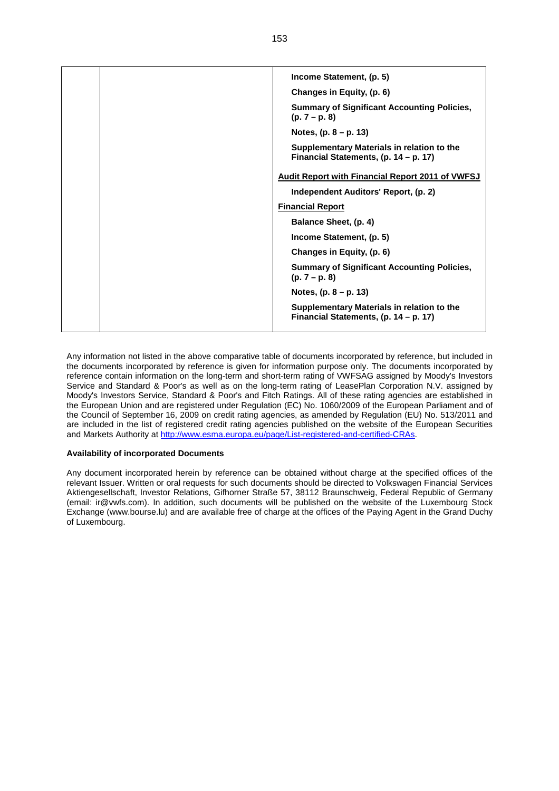|  | Income Statement, (p. 5)                                                            |
|--|-------------------------------------------------------------------------------------|
|  | Changes in Equity, (p. 6)                                                           |
|  | <b>Summary of Significant Accounting Policies,</b><br>$(p. 7 - p. 8)$               |
|  | Notes, $(p. 8 - p. 13)$                                                             |
|  | Supplementary Materials in relation to the<br>Financial Statements, (p. 14 – p. 17) |
|  | <b>Audit Report with Financial Report 2011 of VWFSJ</b>                             |
|  | Independent Auditors' Report, (p. 2)                                                |
|  | <b>Financial Report</b>                                                             |
|  | Balance Sheet, (p. 4)                                                               |
|  | Income Statement, (p. 5)                                                            |
|  | Changes in Equity, (p. 6)                                                           |
|  | <b>Summary of Significant Accounting Policies,</b><br>$(p. 7 - p. 8)$               |
|  | Notes, $(p. 8 - p. 13)$                                                             |
|  | Supplementary Materials in relation to the<br>Financial Statements, (p. 14 – p. 17) |
|  |                                                                                     |

Any information not listed in the above comparative table of documents incorporated by reference, but included in the documents incorporated by reference is given for information purpose only. The documents incorporated by reference contain information on the long-term and short-term rating of VWFSAG assigned by Moody's Investors Service and Standard & Poor's as well as on the long-term rating of LeasePlan Corporation N.V. assigned by Moody's Investors Service, Standard & Poor's and Fitch Ratings. All of these rating agencies are established in the European Union and are registered under Regulation (EC) No. 1060/2009 of the European Parliament and of the Council of September 16, 2009 on credit rating agencies, as amended by Regulation (EU) No. 513/2011 and are included in the list of registered credit rating agencies published on the website of the European Securities and Markets Authority at [http://www.esma.europa.eu/page/List-registered-and-certified-CRAs.](http://www.esma.europa.eu/page/List-registered-and-certified-CRAs)

#### **Availability of incorporated Documents**

Any document incorporated herein by reference can be obtained without charge at the specified offices of the relevant Issuer. Written or oral requests for such documents should be directed to Volkswagen Financial Services Aktiengesellschaft, Investor Relations, Gifhorner Straße 57, 38112 Braunschweig, Federal Republic of Germany (email: ir@vwfs.com). In addition, such documents will be published on the website of the Luxembourg Stock Exchange (www.bourse.lu) and are available free of charge at the offices of the Paying Agent in the Grand Duchy of Luxembourg.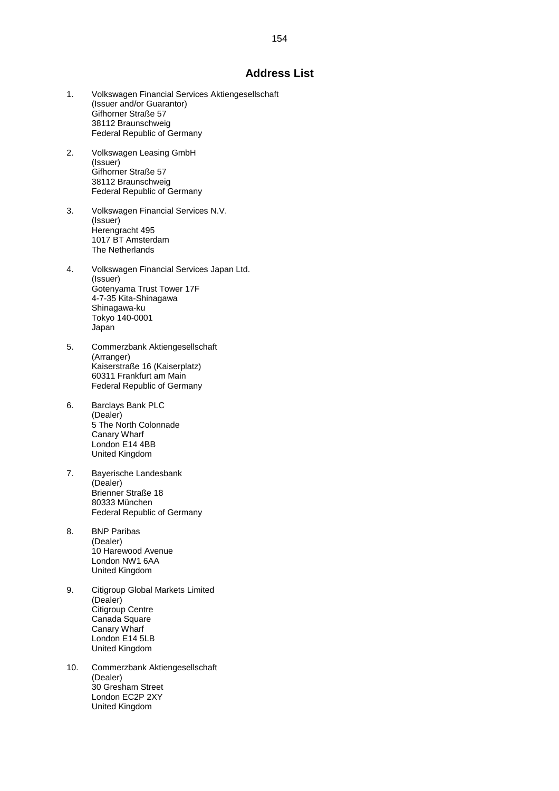### **Address List**

- 1. Volkswagen Financial Services Aktiengesellschaft (Issuer and/or Guarantor) Gifhorner Straße 57 38112 Braunschweig Federal Republic of Germany
- 2. Volkswagen Leasing GmbH (Issuer) Gifhorner Straße 57 38112 Braunschweig Federal Republic of Germany
- 3. Volkswagen Financial Services N.V. (Issuer) Herengracht 495 1017 BT Amsterdam The Netherlands
- 4. Volkswagen Financial Services Japan Ltd. (Issuer) Gotenyama Trust Tower 17F 4-7-35 Kita-Shinagawa Shinagawa-ku Tokyo 140-0001 Japan
- 5. Commerzbank Aktiengesellschaft (Arranger) Kaiserstraße 16 (Kaiserplatz) 60311 Frankfurt am Main Federal Republic of Germany
- 6. Barclays Bank PLC (Dealer) 5 The North Colonnade Canary Wharf London E14 4BB United Kingdom
- 7. Bayerische Landesbank (Dealer) Brienner Straße 18 80333 München Federal Republic of Germany
- 8. BNP Paribas (Dealer) 10 Harewood Avenue London NW1 6AA United Kingdom
- 9. Citigroup Global Markets Limited (Dealer) Citigroup Centre Canada Square Canary Wharf London E14 5LB United Kingdom
- 10. Commerzbank Aktiengesellschaft (Dealer) 30 Gresham Street London EC2P 2XY United Kingdom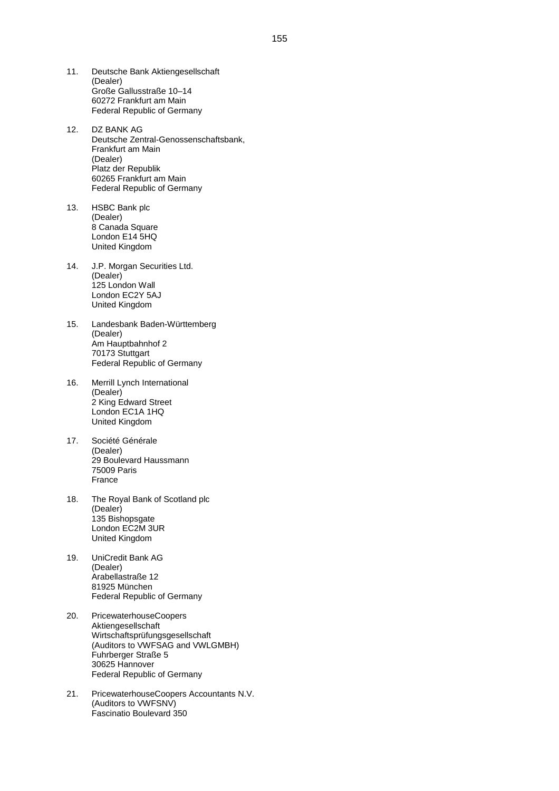- 11. Deutsche Bank Aktiengesellschaft (Dealer) Große Gallusstraße 10–14 60272 Frankfurt am Main Federal Republic of Germany
- 12. DZ BANK AG Deutsche Zentral-Genossenschaftsbank, Frankfurt am Main (Dealer) Platz der Republik 60265 Frankfurt am Main Federal Republic of Germany
- 13. HSBC Bank plc (Dealer) 8 Canada Square London E14 5HQ United Kingdom
- 14. J.P. Morgan Securities Ltd. (Dealer) 125 London Wall London EC2Y 5AJ United Kingdom
- 15. Landesbank Baden-Württemberg (Dealer) Am Hauptbahnhof 2 70173 Stuttgart Federal Republic of Germany
- 16. Merrill Lynch International (Dealer) 2 King Edward Street London EC1A 1HQ United Kingdom
- 17. Société Générale (Dealer) 29 Boulevard Haussmann 75009 Paris France
- 18. The Royal Bank of Scotland plc (Dealer) 135 Bishopsgate London EC2M 3UR United Kingdom
- 19. UniCredit Bank AG (Dealer) Arabellastraße 12 81925 München Federal Republic of Germany
- 20. PricewaterhouseCoopers Aktiengesellschaft Wirtschaftsprüfungsgesellschaft (Auditors to VWFSAG and VWLGMBH) Fuhrberger Straße 5 30625 Hannover Federal Republic of Germany
- 21. PricewaterhouseCoopers Accountants N.V. (Auditors to VWFSNV) Fascinatio Boulevard 350